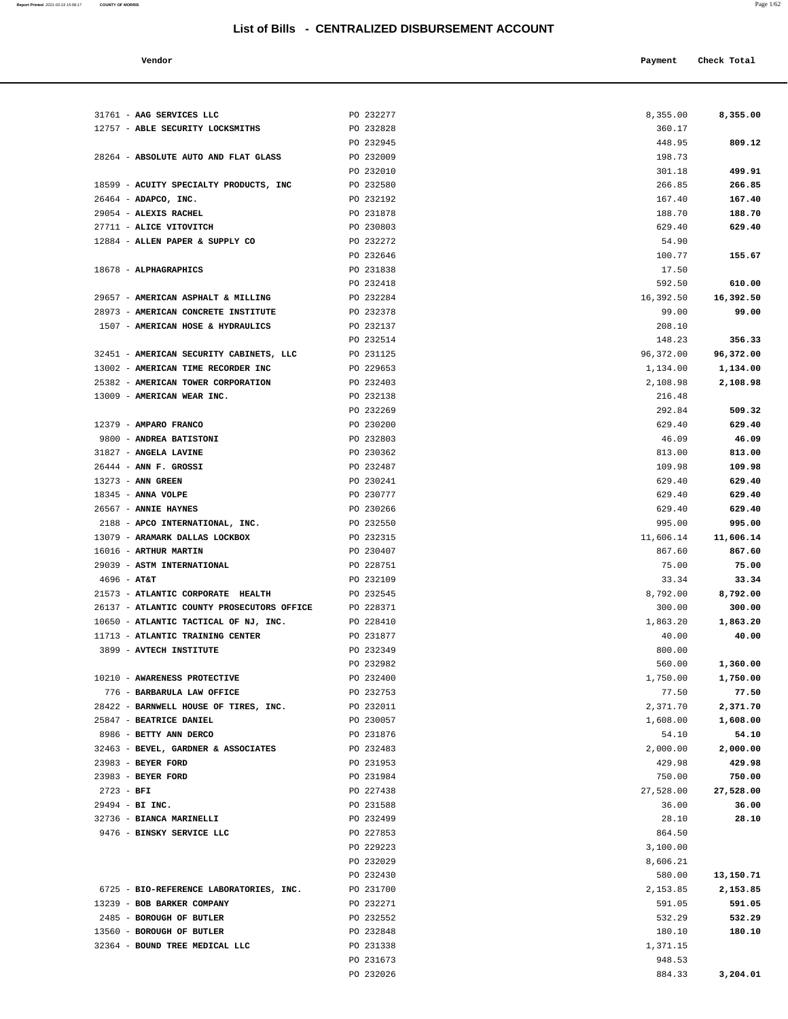**Report Printed** 2021-03-19 15:58:17 **COUNTY OF MORRIS** Page 1/62

| Payment Check Total<br>Vendor |  |
|-------------------------------|--|
|-------------------------------|--|

| 31761 - AAG SERVICES LLC                           | PO 232277              | 8,355.00          | 8,355.00          |
|----------------------------------------------------|------------------------|-------------------|-------------------|
| 12757 - ABLE SECURITY LOCKSMITHS                   | PO 232828              | 360.17            |                   |
|                                                    | PO 232945              | 448.95            | 809.12            |
| 28264 - ABSOLUTE AUTO AND FLAT GLASS               | PO 232009              | 198.73            |                   |
|                                                    | PO 232010              | 301.18            | 499.91            |
| 18599 - ACUITY SPECIALTY PRODUCTS, INC             | PO 232580              | 266.85            | 266.85            |
| $26464$ - ADAPCO, INC.                             | PO 232192              | 167.40            | 167.40            |
| 29054 - ALEXIS RACHEL                              | PO 231878              | 188.70            | 188.70            |
| 27711 - ALICE VITOVITCH                            | PO 230803              | 629.40            | 629.40            |
| 12884 - ALLEN PAPER & SUPPLY CO                    | PO 232272              | 54.90             |                   |
|                                                    | PO 232646              | 100.77            | 155.67            |
| 18678 - ALPHAGRAPHICS                              | PO 231838              | 17.50             |                   |
|                                                    | PO 232418              | 592.50            | 610.00            |
| 29657 - AMERICAN ASPHALT & MILLING                 | PO 232284              | 16,392.50         | 16,392.50         |
| 28973 - AMERICAN CONCRETE INSTITUTE                | PO 232378              | 99.00             | 99.00             |
| 1507 - AMERICAN HOSE & HYDRAULICS                  | PO 232137              | 208.10            |                   |
|                                                    | PO 232514              | 148.23            | 356.33            |
| 32451 - AMERICAN SECURITY CABINETS, LLC            | PO 231125              | 96,372.00         | 96,372.00         |
| 13002 - AMERICAN TIME RECORDER INC                 | PO 229653              | 1,134.00          | 1,134.00          |
| 25382 - AMERICAN TOWER CORPORATION                 | PO 232403              | 2,108.98          | 2,108.98          |
| 13009 - AMERICAN WEAR INC.                         | PO 232138              | 216.48            |                   |
|                                                    | PO 232269              | 292.84            | 509.32            |
| 12379 - AMPARO FRANCO                              | PO 230200              | 629.40            | 629.40            |
| 9800 - ANDREA BATISTONI                            | PO 232803              | 46.09             | 46.09             |
| 31827 - ANGELA LAVINE                              | PO 230362              | 813.00            | 813.00            |
| $26444$ - ANN F. GROSSI                            | PO 232487              | 109.98            | 109.98            |
| 13273 - ANN GREEN                                  | PO 230241              | 629.40            | 629.40            |
| $18345$ - ANNA VOLPE                               | PO 230777              | 629.40            | 629.40            |
| 26567 - ANNIE HAYNES                               | PO 230266              | 629.40            | 629.40            |
| 2188 - APCO INTERNATIONAL, INC.                    | PO 232550              | 995.00            | 995.00            |
| 13079 - ARAMARK DALLAS LOCKBOX                     | PO 232315              | 11,606.14         | 11,606.14         |
| 16016 - ARTHUR MARTIN                              | PO 230407              | 867.60            | 867.60            |
| 29039 - ASTM INTERNATIONAL                         | PO 228751              | 75.00             | 75.00             |
| $4696 - AT&T$<br>21573 - ATLANTIC CORPORATE HEALTH | PO 232109<br>PO 232545 | 33.34<br>8,792.00 | 33.34<br>8,792.00 |
| 26137 - ATLANTIC COUNTY PROSECUTORS OFFICE         | PO 228371              | 300.00            | 300.00            |
| 10650 - ATLANTIC TACTICAL OF NJ, INC.              | PO 228410              | 1,863.20          | 1,863.20          |
| 11713 - ATLANTIC TRAINING CENTER                   | PO 231877              | 40.00             | 40.00             |
| 3899 - AVTECH INSTITUTE                            | PO 232349              | 800.00            |                   |
|                                                    | PO 232982              | 560.00            | 1,360.00          |
| 10210 - AWARENESS PROTECTIVE                       | PO 232400              | 1,750.00          | 1,750.00          |
| 776 - BARBARULA LAW OFFICE                         | PO 232753              | 77.50             | 77.50             |
| 28422 - BARNWELL HOUSE OF TIRES, INC.              | PO 232011              | 2,371.70          | 2,371.70          |
| 25847 - BEATRICE DANIEL                            | PO 230057              | 1,608.00          | 1,608.00          |
| 8986 - BETTY ANN DERCO                             | PO 231876              | 54.10             | 54.10             |
| 32463 - BEVEL, GARDNER & ASSOCIATES                | PO 232483              | 2,000.00          | 2,000.00          |
| 23983 - BEYER FORD                                 | PO 231953              | 429.98            | 429.98            |
| 23983 - BEYER FORD                                 | PO 231984              | 750.00            | 750.00            |
| $2723 - BFI$                                       | PO 227438              | 27,528.00         | 27,528.00         |
| 29494 - BI INC.                                    | PO 231588              | 36.00             | 36.00             |
| 32736 - BIANCA MARINELLI                           | PO 232499              | 28.10             | 28.10             |
| 9476 - BINSKY SERVICE LLC                          | PO 227853              | 864.50            |                   |
|                                                    | PO 229223              | 3,100.00          |                   |
|                                                    | PO 232029              | 8,606.21          |                   |
|                                                    | PO 232430              | 580.00            | 13,150.71         |
| 6725 - BIO-REFERENCE LABORATORIES, INC.            | PO 231700              | 2,153.85          | 2,153.85          |
| 13239 - BOB BARKER COMPANY                         | PO 232271              | 591.05            | 591.05            |
| 2485 - BOROUGH OF BUTLER                           | PO 232552              | 532.29            | 532.29            |
| 13560 - BOROUGH OF BUTLER                          | PO 232848              | 180.10            | 180.10            |
| 32364 - BOUND TREE MEDICAL LLC                     | PO 231338              | 1,371.15          |                   |
|                                                    | PO 231673              | 948.53            |                   |
|                                                    | PO 232026              | 884.33            | 3,204.01          |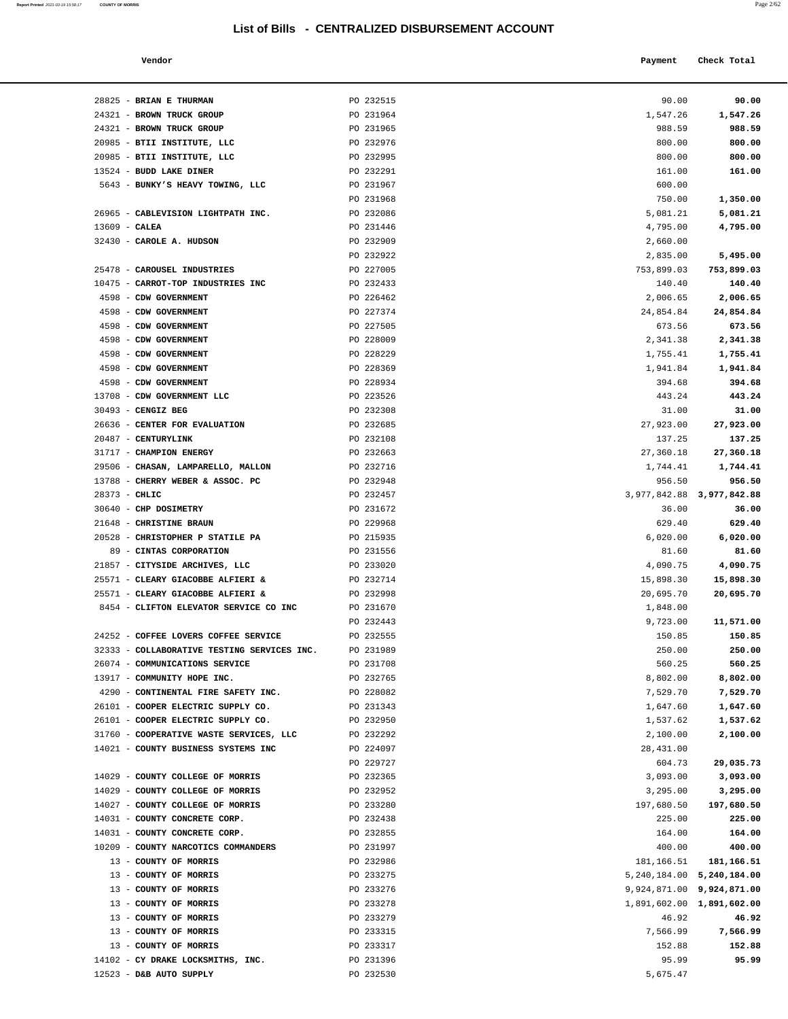**Report Printed** 2021-03-19 15:58:17 **COUNTY OF MORRIS** Page 2/62

| Vendor | Payment | Check Total |
|--------|---------|-------------|

| 28825 - BRIAN E THURMAN                             | PO 232515              | 90.00                              | 90.00      |
|-----------------------------------------------------|------------------------|------------------------------------|------------|
| 24321 - BROWN TRUCK GROUP                           | PO 231964              | 1,547.26                           | 1,547.26   |
| 24321 - BROWN TRUCK GROUP                           | PO 231965              | 988.59                             | 988.59     |
| 20985 - BTII INSTITUTE, LLC                         | PO 232976              | 800.00                             | 800.00     |
| 20985 - BTII INSTITUTE, LLC                         | PO 232995              | 800.00                             | 800.00     |
| 13524 - BUDD LAKE DINER                             | PO 232291              | 161.00                             | 161.00     |
| 5643 - BUNKY'S HEAVY TOWING, LLC                    | PO 231967              | 600.00                             |            |
|                                                     | PO 231968              | 750.00                             | 1,350.00   |
| 26965 - CABLEVISION LIGHTPATH INC.                  | PO 232086              | 5,081.21                           | 5,081.21   |
| $13609$ - CALEA                                     | PO 231446              | 4,795.00                           | 4,795.00   |
| 32430 - CAROLE A. HUDSON                            | PO 232909              | 2,660.00                           |            |
|                                                     | PO 232922              | 2,835.00                           | 5,495.00   |
| 25478 - CAROUSEL INDUSTRIES                         | PO 227005              | 753,899.03                         | 753,899.03 |
| 10475 - CARROT-TOP INDUSTRIES INC                   | PO 232433              | 140.40                             | 140.40     |
| 4598 - CDW GOVERNMENT                               | PO 226462              | 2,006.65                           | 2,006.65   |
| 4598 - CDW GOVERNMENT                               | PO 227374              | 24,854.84                          | 24,854.84  |
| 4598 - CDW GOVERNMENT                               | PO 227505              | 673.56                             | 673.56     |
| 4598 - CDW GOVERNMENT                               | PO 228009              | 2,341.38                           | 2,341.38   |
| 4598 - CDW GOVERNMENT                               | PO 228229              | 1,755.41                           | 1,755.41   |
| 4598 - CDW GOVERNMENT                               | PO 228369              | 1,941.84                           | 1,941.84   |
| 4598 - CDW GOVERNMENT                               | PO 228934              | 394.68                             | 394.68     |
| 13708 - CDW GOVERNMENT LLC                          | PO 223526              | 443.24                             | 443.24     |
| $30493$ - CENGIZ BEG                                | PO 232308              | 31.00                              | 31.00      |
| 26636 - CENTER FOR EVALUATION                       | PO 232685              | 27,923.00                          | 27,923.00  |
| 20487 - CENTURYLINK                                 | PO 232108              | 137.25                             | 137.25     |
| 31717 - CHAMPION ENERGY                             | PO 232663              | 27,360.18                          | 27,360.18  |
| 29506 - CHASAN, LAMPARELLO, MALLON                  | PO 232716              | 1,744.41                           | 1,744.41   |
| 13788 - CHERRY WEBER & ASSOC. PC<br>$28373 - CHLIC$ | PO 232948<br>PO 232457 | 956.50                             | 956.50     |
| 30640 - CHP DOSIMETRY                               | PO 231672              | 3,977,842.88 3,977,842.88<br>36.00 | 36.00      |
| 21648 - CHRISTINE BRAUN                             | PO 229968              | 629.40                             | 629.40     |
| 20528 - CHRISTOPHER P STATILE PA                    | PO 215935              | 6,020.00                           | 6,020.00   |
| 89 - CINTAS CORPORATION                             | PO 231556              | 81.60                              | 81.60      |
| 21857 - CITYSIDE ARCHIVES, LLC                      | PO 233020              | 4,090.75                           | 4,090.75   |
| 25571 - CLEARY GIACOBBE ALFIERI &                   | PO 232714              | 15,898.30                          | 15,898.30  |
| 25571 - CLEARY GIACOBBE ALFIERI &                   | PO 232998              | 20,695.70                          | 20,695.70  |
| 8454 - CLIFTON ELEVATOR SERVICE CO INC              | PO 231670              | 1,848.00                           |            |
|                                                     | PO 232443              | 9,723.00                           | 11,571.00  |
| 24252 - COFFEE LOVERS COFFEE SERVICE                | PO 232555              | 150.85                             | 150.85     |
| 32333 - COLLABORATIVE TESTING SERVICES INC.         | PO 231989              | 250.00                             | 250.00     |
| 26074 - COMMUNICATIONS SERVICE                      | PO 231708              | 560.25                             | 560.25     |
| 13917 - COMMUNITY HOPE INC.                         | PO 232765              | 8,802.00                           | 8,802.00   |
| 4290 - CONTINENTAL FIRE SAFETY INC.                 | PO 228082              | 7,529.70                           | 7,529.70   |
| 26101 - COOPER ELECTRIC SUPPLY CO.                  | PO 231343              | 1,647.60                           | 1,647.60   |
| 26101 - COOPER ELECTRIC SUPPLY CO.                  | PO 232950              | 1,537.62                           | 1,537.62   |
| 31760 - COOPERATIVE WASTE SERVICES, LLC             | PO 232292              | 2,100.00                           | 2,100.00   |
| 14021 - COUNTY BUSINESS SYSTEMS INC                 | PO 224097              | 28, 431.00                         |            |
|                                                     | PO 229727              | 604.73                             | 29,035.73  |
| 14029 - COUNTY COLLEGE OF MORRIS                    | PO 232365              | 3,093.00                           | 3,093.00   |
| 14029 - COUNTY COLLEGE OF MORRIS                    | PO 232952              | 3,295.00                           | 3,295.00   |
| 14027 - COUNTY COLLEGE OF MORRIS                    | PO 233280              | 197,680.50                         | 197,680.50 |
| 14031 - COUNTY CONCRETE CORP.                       | PO 232438              | 225.00                             | 225.00     |
| 14031 - COUNTY CONCRETE CORP.                       | PO 232855              | 164.00                             | 164.00     |
| 10209 - COUNTY NARCOTICS COMMANDERS                 | PO 231997              | 400.00                             | 400.00     |
| 13 - COUNTY OF MORRIS                               | PO 232986              | 181,166.51                         | 181,166.51 |
| 13 - COUNTY OF MORRIS                               | PO 233275              | 5, 240, 184.00 5, 240, 184.00      |            |
| 13 - COUNTY OF MORRIS                               | PO 233276              | 9,924,871.00 9,924,871.00          |            |
| 13 - COUNTY OF MORRIS                               | PO 233278              | 1,891,602.00 1,891,602.00          |            |
| 13 - COUNTY OF MORRIS                               | PO 233279              | 46.92                              | 46.92      |
| 13 - COUNTY OF MORRIS                               | PO 233315              | 7,566.99                           | 7,566.99   |
| 13 - COUNTY OF MORRIS                               | PO 233317              | 152.88                             | 152.88     |
| 14102 - CY DRAKE LOCKSMITHS, INC.                   | PO 231396              | 95.99                              | 95.99      |
| 12523 - D&B AUTO SUPPLY                             | PO 232530              | 5,675.47                           |            |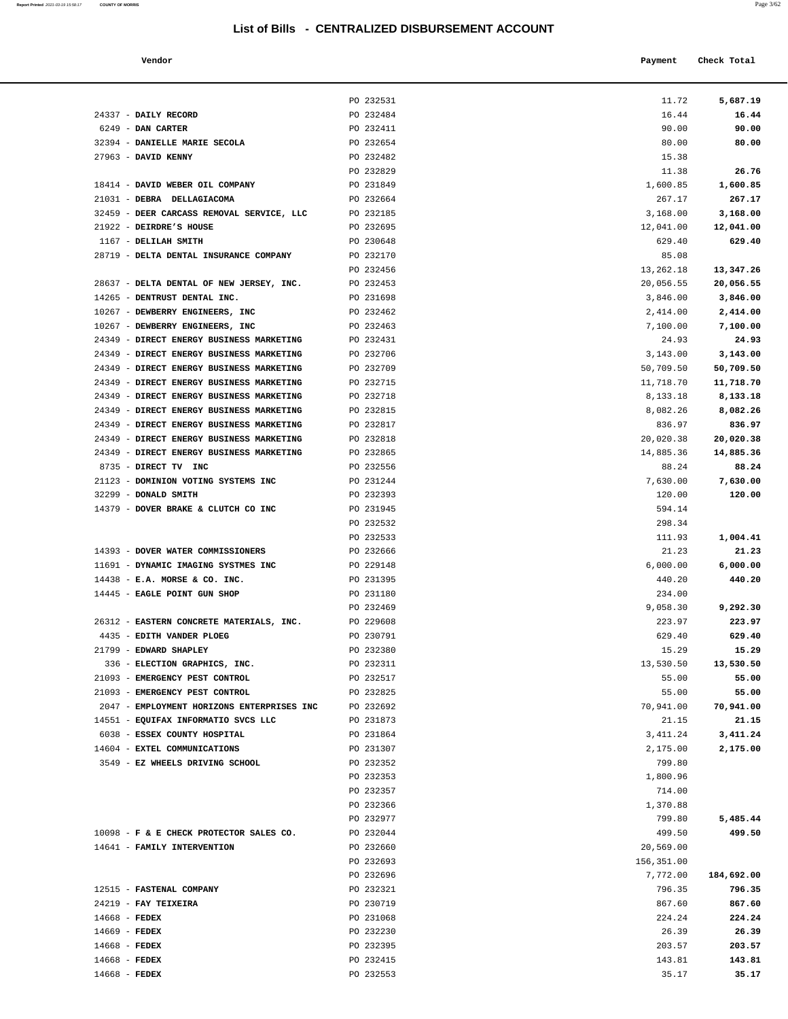| Vendor | Payment | Check Total |
|--------|---------|-------------|
|        |         |             |

|                                            | PO 232531 | 11.72      |            |
|--------------------------------------------|-----------|------------|------------|
|                                            |           |            | 5,687.19   |
| 24337 - DAILY RECORD                       | PO 232484 | 16.44      | 16.44      |
| 6249 - DAN CARTER                          | PO 232411 | 90.00      | 90.00      |
| 32394 - DANIELLE MARIE SECOLA              | PO 232654 | 80.00      | 80.00      |
| 27963 - DAVID KENNY                        | PO 232482 | 15.38      |            |
|                                            | PO 232829 | 11.38      | 26.76      |
| 18414 - DAVID WEBER OIL COMPANY            | PO 231849 | 1,600.85   | 1,600.85   |
| 21031 - DEBRA DELLAGIACOMA                 | PO 232664 | 267.17     | 267.17     |
| 32459 - DEER CARCASS REMOVAL SERVICE, LLC  | PO 232185 | 3,168.00   | 3,168.00   |
| 21922 - DEIRDRE'S HOUSE                    | PO 232695 | 12,041.00  | 12,041.00  |
| 1167 - DELILAH SMITH                       | PO 230648 | 629.40     | 629.40     |
| 28719 - DELTA DENTAL INSURANCE COMPANY     | PO 232170 | 85.08      |            |
|                                            | PO 232456 | 13,262.18  | 13,347.26  |
| 28637 - DELTA DENTAL OF NEW JERSEY, INC.   | PO 232453 | 20,056.55  | 20,056.55  |
| 14265 - DENTRUST DENTAL INC.               | PO 231698 | 3,846.00   | 3,846.00   |
| 10267 - DEWBERRY ENGINEERS, INC            | PO 232462 | 2,414.00   | 2,414.00   |
| 10267 - DEWBERRY ENGINEERS, INC            | PO 232463 | 7,100.00   | 7,100.00   |
| 24349 - DIRECT ENERGY BUSINESS MARKETING   | PO 232431 | 24.93      | 24.93      |
| 24349 - DIRECT ENERGY BUSINESS MARKETING   | PO 232706 | 3,143.00   | 3,143.00   |
| 24349 - DIRECT ENERGY BUSINESS MARKETING   | PO 232709 | 50,709.50  | 50,709.50  |
| 24349 - DIRECT ENERGY BUSINESS MARKETING   | PO 232715 | 11,718.70  | 11,718.70  |
| 24349 - DIRECT ENERGY BUSINESS MARKETING   | PO 232718 | 8,133.18   | 8,133.18   |
| 24349 - DIRECT ENERGY BUSINESS MARKETING   | PO 232815 | 8,082.26   | 8,082.26   |
| 24349 - DIRECT ENERGY BUSINESS MARKETING   | PO 232817 | 836.97     | 836.97     |
| 24349 - DIRECT ENERGY BUSINESS MARKETING   | PO 232818 | 20,020.38  | 20,020.38  |
| 24349 - DIRECT ENERGY BUSINESS MARKETING   | PO 232865 | 14,885.36  | 14,885.36  |
|                                            |           |            |            |
| 8735 - DIRECT TV INC                       | PO 232556 | 88.24      | 88.24      |
| 21123 - DOMINION VOTING SYSTEMS INC        | PO 231244 | 7,630.00   | 7,630.00   |
| 32299 - DONALD SMITH                       | PO 232393 | 120.00     | 120.00     |
| 14379 - DOVER BRAKE & CLUTCH CO INC        | PO 231945 | 594.14     |            |
|                                            | PO 232532 | 298.34     |            |
|                                            | PO 232533 | 111.93     | 1,004.41   |
| 14393 - DOVER WATER COMMISSIONERS          | PO 232666 | 21.23      | 21.23      |
| 11691 - DYNAMIC IMAGING SYSTMES INC        | PO 229148 | 6,000.00   | 6,000.00   |
| $14438$ - E.A. MORSE & CO. INC.            | PO 231395 | 440.20     | 440.20     |
| 14445 - EAGLE POINT GUN SHOP               | PO 231180 | 234.00     |            |
|                                            | PO 232469 | 9,058.30   | 9,292.30   |
| 26312 - EASTERN CONCRETE MATERIALS, INC.   | PO 229608 | 223.97     | 223.97     |
| 4435 - EDITH VANDER PLOEG                  | PO 230791 | 629.40     | 629.40     |
| 21799 - EDWARD SHAPLEY                     | PO 232380 | 15.29      | 15.29      |
| 336 - ELECTION GRAPHICS, INC.              | PO 232311 | 13,530.50  | 13,530.50  |
| 21093 - EMERGENCY PEST CONTROL             | PO 232517 | 55.00      | 55.00      |
| 21093 - EMERGENCY PEST CONTROL             | PO 232825 | 55.00      | 55.00      |
| 2047 - EMPLOYMENT HORIZONS ENTERPRISES INC | PO 232692 | 70,941.00  | 70,941.00  |
| 14551 - EQUIFAX INFORMATIO SVCS LLC        | PO 231873 | 21.15      | 21.15      |
| 6038 - ESSEX COUNTY HOSPITAL               | PO 231864 | 3,411.24   | 3,411.24   |
| 14604 - EXTEL COMMUNICATIONS               | PO 231307 | 2,175.00   | 2,175.00   |
| 3549 - EZ WHEELS DRIVING SCHOOL            | PO 232352 | 799.80     |            |
|                                            | PO 232353 | 1,800.96   |            |
|                                            | PO 232357 | 714.00     |            |
|                                            | PO 232366 | 1,370.88   |            |
|                                            | PO 232977 | 799.80     | 5,485.44   |
| 10098 - F & E CHECK PROTECTOR SALES CO.    | PO 232044 | 499.50     | 499.50     |
| 14641 - FAMILY INTERVENTION                | PO 232660 | 20,569.00  |            |
|                                            | PO 232693 | 156,351.00 |            |
|                                            | PO 232696 | 7,772.00   | 184,692.00 |
| 12515 - FASTENAL COMPANY                   | PO 232321 | 796.35     | 796.35     |
| 24219 - FAY TEIXEIRA                       |           |            |            |
|                                            | PO 230719 | 867.60     | 867.60     |
| 14668 - FEDEX                              | PO 231068 | 224.24     | 224.24     |
| $14669$ - FEDEX                            | PO 232230 | 26.39      | 26.39      |
| $14668$ - FEDEX                            | PO 232395 | 203.57     | 203.57     |
| $14668$ - FEDEX                            | PO 232415 | 143.81     | 143.81     |
| $14668$ - FEDEX                            | PO 232553 | 35.17      | 35.17      |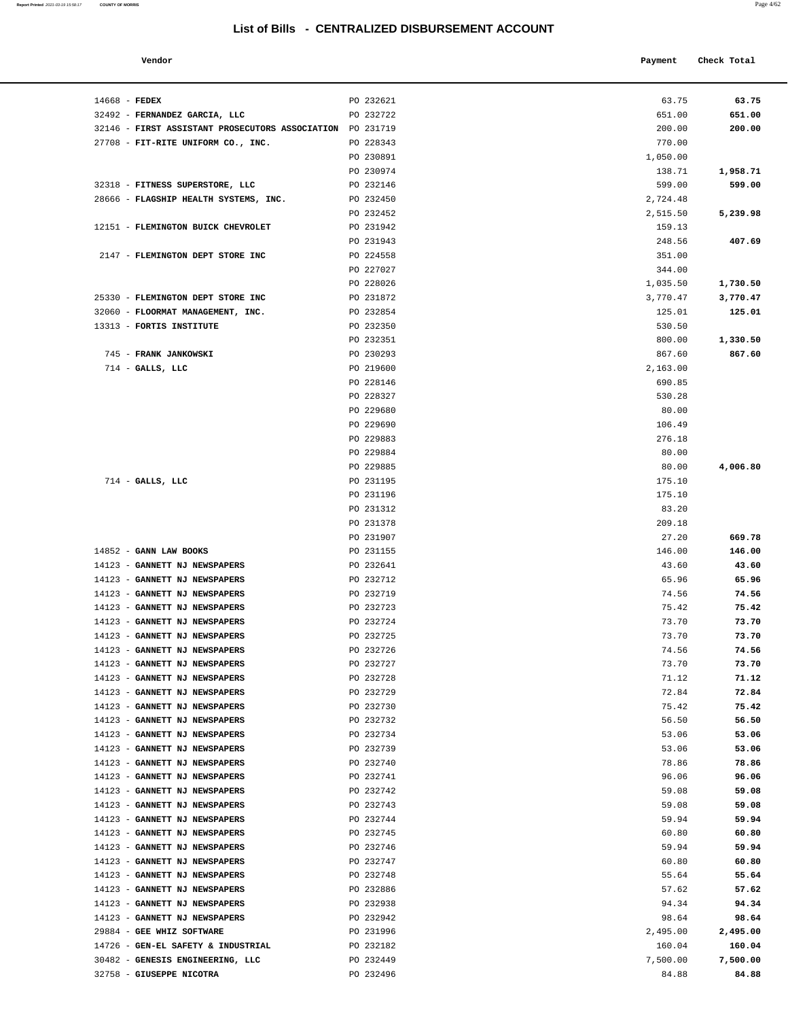**Report Printed** 2021-03-19 15:58:17 **COUNTY OF MORRIS** Page 4/62

| Vendor                                                    |           | Payment  | Check Total |
|-----------------------------------------------------------|-----------|----------|-------------|
|                                                           |           |          |             |
| 14668 - FEDEX                                             | PO 232621 | 63.75    | 63.75       |
| 32492 - FERNANDEZ GARCIA, LLC                             | PO 232722 | 651.00   | 651.00      |
| 32146 - FIRST ASSISTANT PROSECUTORS ASSOCIATION PO 231719 |           | 200.00   | 200.00      |
| 27708 - FIT-RITE UNIFORM CO., INC.                        | PO 228343 | 770.00   |             |
|                                                           | PO 230891 | 1,050.00 |             |
|                                                           | PO 230974 | 138.71   | 1,958.71    |
| 32318 - FITNESS SUPERSTORE, LLC                           | PO 232146 | 599.00   | 599.00      |
| 28666 - FLAGSHIP HEALTH SYSTEMS, INC.                     | PO 232450 | 2,724.48 |             |
|                                                           | PO 232452 | 2,515.50 | 5,239.98    |
| 12151 - FLEMINGTON BUICK CHEVROLET                        | PO 231942 | 159.13   |             |
|                                                           | PO 231943 | 248.56   | 407.69      |
| 2147 - FLEMINGTON DEPT STORE INC                          | PO 224558 | 351.00   |             |

| 32146 - FIRST ASSISTANT PROSECUTORS ASSOCIATION PO 231719      |                        | 200.00          | 200.00         |
|----------------------------------------------------------------|------------------------|-----------------|----------------|
| 27708 - FIT-RITE UNIFORM CO., INC.                             | PO 228343              | 770.00          |                |
|                                                                | PO 230891              | 1,050.00        |                |
|                                                                | PO 230974              | 138.71          | 1,958.71       |
| 32318 - FITNESS SUPERSTORE, LLC                                | PO 232146              | 599.00          | 599.00         |
| 28666 - FLAGSHIP HEALTH SYSTEMS, INC.                          | PO 232450              | 2,724.48        |                |
|                                                                | PO 232452              | 2,515.50        | 5,239.98       |
| 12151 - FLEMINGTON BUICK CHEVROLET                             | PO 231942              | 159.13          |                |
|                                                                | PO 231943              | 248.56          | 407.69         |
| 2147 - FLEMINGTON DEPT STORE INC                               | PO 224558              | 351.00          |                |
|                                                                | PO 227027              | 344.00          |                |
|                                                                | PO 228026              | 1,035.50        | 1,730.50       |
| 25330 - FLEMINGTON DEPT STORE INC                              | PO 231872              | 3,770.47        | 3,770.47       |
| 32060 - FLOORMAT MANAGEMENT, INC.                              | PO 232854              | 125.01          | 125.01         |
| 13313 - FORTIS INSTITUTE                                       | PO 232350              | 530.50          |                |
|                                                                | PO 232351              | 800.00          | 1,330.50       |
| 745 - FRANK JANKOWSKI                                          | PO 230293              | 867.60          | 867.60         |
| $714$ - GALLS, LLC                                             | PO 219600              | 2,163.00        |                |
|                                                                | PO 228146              | 690.85          |                |
|                                                                | PO 228327              | 530.28          |                |
|                                                                | PO 229680              | 80.00           |                |
|                                                                | PO 229690              | 106.49          |                |
|                                                                | PO 229883              | 276.18          |                |
|                                                                | PO 229884              | 80.00           |                |
|                                                                | PO 229885              | 80.00           | 4,006.80       |
| $714$ - GALLS, LLC                                             | PO 231195              | 175.10          |                |
|                                                                | PO 231196<br>PO 231312 | 175.10<br>83.20 |                |
|                                                                | PO 231378              | 209.18          |                |
|                                                                | PO 231907              | 27.20           | 669.78         |
| 14852 - GANN LAW BOOKS                                         | PO 231155              | 146.00          | 146.00         |
| 14123 - GANNETT NJ NEWSPAPERS                                  | PO 232641              | 43.60           | 43.60          |
| 14123 - GANNETT NJ NEWSPAPERS                                  | PO 232712              | 65.96           | 65.96          |
| 14123 - GANNETT NJ NEWSPAPERS                                  | PO 232719              | 74.56           | 74.56          |
| 14123 - GANNETT NJ NEWSPAPERS                                  | PO 232723              | 75.42           | 75.42          |
| 14123 - GANNETT NJ NEWSPAPERS                                  | PO 232724              | 73.70           | 73.70          |
| 14123 - GANNETT NJ NEWSPAPERS                                  | PO 232725              | 73.70           | 73.70          |
| 14123 - GANNETT NJ NEWSPAPERS                                  | PO 232726              | 74.56           | 74.56          |
| 14123 - GANNETT NJ NEWSPAPERS                                  | PO 232727              | 73.70           | 73.70          |
| 14123 - GANNETT NJ NEWSPAPERS                                  | PO 232728              | 71.12           | 71.12          |
| 14123 - GANNETT NJ NEWSPAPERS                                  | PO 232729              | 72.84           | 72.84          |
| 14123 - GANNETT NJ NEWSPAPERS                                  | PO 232730              | 75.42           | 75.42          |
| 14123 - GANNETT NJ NEWSPAPERS                                  | PO 232732              | 56.50           | 56.50          |
| 14123 - GANNETT NJ NEWSPAPERS                                  | PO 232734              | 53.06           | 53.06          |
| 14123 - GANNETT NJ NEWSPAPERS                                  | PO 232739              | 53.06           | 53.06          |
| 14123 - GANNETT NJ NEWSPAPERS                                  | PO 232740              | 78.86           | 78.86          |
| 14123 - GANNETT NJ NEWSPAPERS                                  | PO 232741              | 96.06           | 96.06          |
| 14123 - GANNETT NJ NEWSPAPERS                                  | PO 232742              | 59.08           | 59.08          |
| 14123 - GANNETT NJ NEWSPAPERS                                  | PO 232743              | 59.08           | 59.08          |
| 14123 - GANNETT NJ NEWSPAPERS                                  | PO 232744              | 59.94           | 59.94          |
| 14123 - GANNETT NJ NEWSPAPERS                                  | PO 232745              | 60.80           | 60.80          |
| 14123 - GANNETT NJ NEWSPAPERS<br>14123 - GANNETT NJ NEWSPAPERS | PO 232746<br>PO 232747 | 59.94<br>60.80  | 59.94<br>60.80 |
| 14123 - GANNETT NJ NEWSPAPERS                                  | PO 232748              | 55.64           | 55.64          |
| 14123 - GANNETT NJ NEWSPAPERS                                  | PO 232886              | 57.62           | 57.62          |
| 14123 - GANNETT NJ NEWSPAPERS                                  | PO 232938              | 94.34           | 94.34          |
| 14123 - GANNETT NJ NEWSPAPERS                                  | PO 232942              | 98.64           | 98.64          |
| 29884 - GEE WHIZ SOFTWARE                                      | PO 231996              | 2,495.00        | 2,495.00       |
| 14726 - GEN-EL SAFETY & INDUSTRIAL                             | PO 232182              | 160.04          | 160.04         |
| 30482 - GENESIS ENGINEERING, LLC                               | PO 232449              | 7,500.00        | 7,500.00       |
| 32758 - GIUSEPPE NICOTRA                                       | PO 232496              | 84.88           | 84.88          |
|                                                                |                        |                 |                |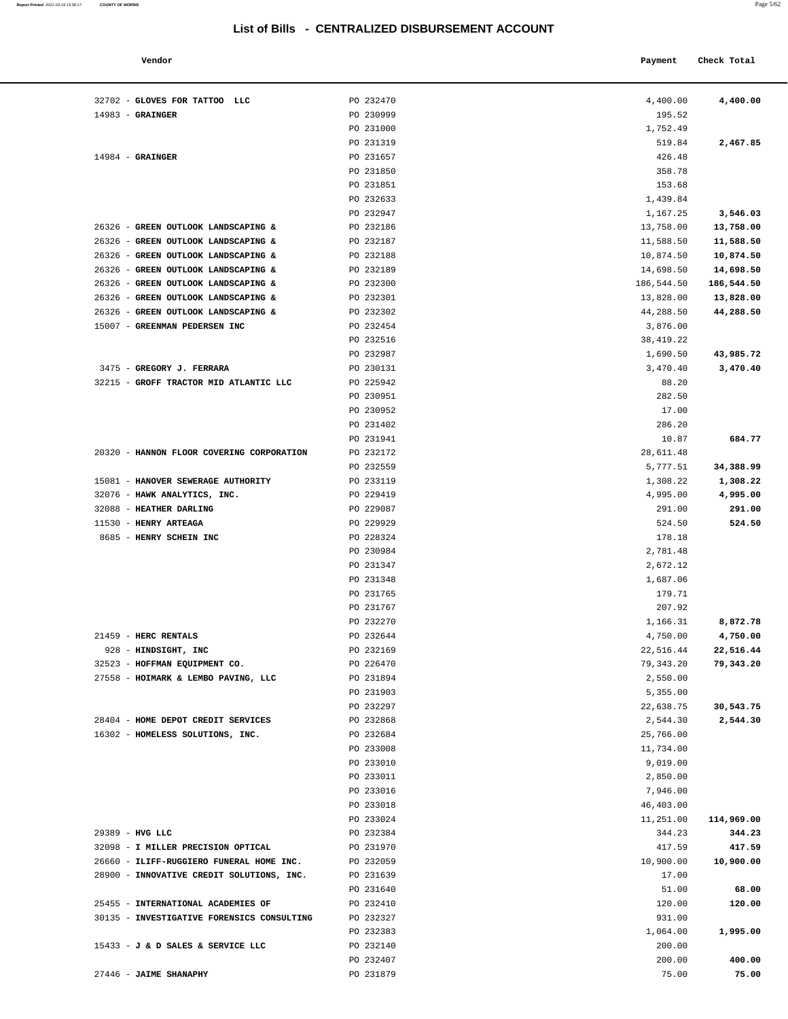| Vendor                                 |           | Payment    | Check Total |
|----------------------------------------|-----------|------------|-------------|
| GLOVES FOR TATTOO LLC                  | PO 232470 | 4,400.00   | 4,400.00    |
| <b>GRAINGER</b>                        | PO 230999 | 195.52     |             |
|                                        | PO 231000 | 1,752.49   |             |
|                                        | PO 231319 | 519.84     | 2,467.85    |
| <b>GRAINGER</b>                        | PO 231657 | 426.48     |             |
|                                        | PO 231850 | 358.78     |             |
|                                        | PO 231851 | 153.68     |             |
|                                        | PO 232633 | 1,439.84   |             |
|                                        | PO 232947 | 1,167.25   | 3,546.03    |
| <b>GREEN OUTLOOK LANDSCAPING &amp;</b> | PO 232186 | 13,758.00  | 13,758.00   |
| <b>GREEN OUTLOOK LANDSCAPING &amp;</b> | PO 232187 | 11,588.50  | 11,588.50   |
| <b>GREEN OUTLOOK LANDSCAPING &amp;</b> | PO 232188 | 10,874.50  | 10,874.50   |
| <b>GREEN OUTLOOK LANDSCAPING &amp;</b> | PO 232189 | 14,698.50  | 14,698.50   |
| <b>GREEN OUTLOOK LANDSCAPING &amp;</b> | PO 232300 | 186,544.50 | 186,544.50  |
| <b>GREEN OUTLOOK LANDSCAPING &amp;</b> | PO 232301 | 13,828.00  | 13,828.00   |
| <b>GREEN OUTLOOK LANDSCAPING &amp;</b> | PO 232302 | 44,288.50  | 44,288.50   |
| <b>GREENMAN PEDERSEN INC</b>           | PO 232454 | 3,876.00   |             |
|                                        | PO 232516 | 38,419.22  |             |
|                                        | PO 232987 | 1,690.50   | 43,985.72   |
| <b>GREGORY J. FERRARA</b>              | PO 230131 | 3,470.40   | 3,470.40    |
| GROFF TRACTOR MID ATLANTIC LLC         | PO 225942 | 88.20      |             |
|                                        | PO 230951 | 282.50     |             |
|                                        | PO 230952 | 17.00      |             |
|                                        | PO 231402 | 286.20     |             |
|                                        | PO 231941 | 10.87      | 684.77      |
| HANNON FLOOR COVERING CORPORATION      | PO 232172 | 28,611.48  |             |
|                                        | PO 232559 | 5,777.51   | 34,388.99   |
| <b>HANOVER SEWERAGE AUTHORITY</b>      | PO 233119 | 1,308.22   | 1,308.22    |
| HAWK ANALYTICS, INC.                   | PO 229419 | 4,995.00   | 4,995.00    |
| <b>HEATHER DARLING</b>                 | PO 229087 | 291.00     | 291.00      |
| <b>HENRY ARTEAGA</b>                   | PO 229929 | 524.50     | 524.50      |
| <b>HENRY SCHEIN INC</b>                | PO 228324 | 178.18     |             |
|                                        | PO 230984 | 2,781.48   |             |
|                                        | PO 231347 | 2,672.12   |             |
|                                        | PO 231348 | 1,687.06   |             |
|                                        | PO 231765 | 179.71     |             |

| 32702 - GLOVES FOR TATTOO LLC              | PO 232470              | 4,400.00        | 4,400.00   |
|--------------------------------------------|------------------------|-----------------|------------|
| $14983$ - GRAINGER                         | PO 230999              | 195.52          |            |
|                                            | PO 231000              | 1,752.49        |            |
|                                            | PO 231319              | 519.84          | 2,467.85   |
| $14984$ - GRAINGER                         | PO 231657              | 426.48          |            |
|                                            | PO 231850              | 358.78          |            |
|                                            | PO 231851              | 153.68          |            |
|                                            | PO 232633              | 1,439.84        |            |
|                                            | PO 232947              | 1,167.25        | 3,546.03   |
| 26326 - GREEN OUTLOOK LANDSCAPING &        | PO 232186              | 13,758.00       | 13,758.00  |
| 26326 - GREEN OUTLOOK LANDSCAPING &        | PO 232187              | 11,588.50       | 11,588.50  |
| 26326 - GREEN OUTLOOK LANDSCAPING &        | PO 232188              | 10,874.50       | 10,874.50  |
| 26326 - GREEN OUTLOOK LANDSCAPING &        | PO 232189              | 14,698.50       | 14,698.50  |
| 26326 - GREEN OUTLOOK LANDSCAPING &        | PO 232300              | 186,544.50      | 186,544.50 |
| 26326 - GREEN OUTLOOK LANDSCAPING &        | PO 232301              | 13,828.00       | 13,828.00  |
| 26326 - GREEN OUTLOOK LANDSCAPING &        | PO 232302              | 44,288.50       | 44,288.50  |
| 15007 - GREENMAN PEDERSEN INC              | PO 232454              | 3,876.00        |            |
|                                            | PO 232516              | 38, 419.22      |            |
|                                            | PO 232987              | 1,690.50        | 43,985.72  |
| 3475 - GREGORY J. FERRARA                  | PO 230131              | 3,470.40        | 3,470.40   |
| 32215 - GROFF TRACTOR MID ATLANTIC LLC     | PO 225942              | 88.20           |            |
|                                            | PO 230951              |                 |            |
|                                            | PO 230952              | 282.50<br>17.00 |            |
|                                            |                        |                 |            |
|                                            | PO 231402              | 286.20          |            |
|                                            | PO 231941<br>PO 232172 | 10.87           | 684.77     |
| 20320 - HANNON FLOOR COVERING CORPORATION  |                        | 28,611.48       |            |
|                                            | PO 232559              | 5,777.51        | 34,388.99  |
| 15081 - HANOVER SEWERAGE AUTHORITY         | PO 233119              | 1,308.22        | 1,308.22   |
| 32076 - HAWK ANALYTICS, INC.               | PO 229419              | 4,995.00        | 4,995.00   |
| 32088 - HEATHER DARLING                    | PO 229087              | 291.00          | 291.00     |
| 11530 - HENRY ARTEAGA                      | PO 229929              | 524.50          | 524.50     |
| 8685 - HENRY SCHEIN INC                    | PO 228324              | 178.18          |            |
|                                            | PO 230984              | 2,781.48        |            |
|                                            | PO 231347              | 2,672.12        |            |
|                                            | PO 231348              | 1,687.06        |            |
|                                            | PO 231765              | 179.71          |            |
|                                            | PO 231767              | 207.92          |            |
|                                            | PO 232270              | 1,166.31        | 8,872.78   |
| 21459 - HERC RENTALS                       | PO 232644              | 4,750.00        | 4,750.00   |
| 928 - HINDSIGHT, INC                       | PO 232169              | 22,516.44       | 22,516.44  |
| 32523 - HOFFMAN EQUIPMENT CO.              | PO 226470              | 79,343.20       | 79,343.20  |
| 27558 - HOIMARK & LEMBO PAVING, LLC        | PO 231894              | 2,550.00        |            |
|                                            | PO 231903              | 5,355.00        |            |
|                                            | PO 232297              | 22,638.75       | 30,543.75  |
| 28404 - HOME DEPOT CREDIT SERVICES         | PO 232868              | 2,544.30        | 2,544.30   |
| 16302 - HOMELESS SOLUTIONS, INC.           | PO 232684              | 25,766.00       |            |
|                                            | PO 233008              | 11,734.00       |            |
|                                            | PO 233010              | 9,019.00        |            |
|                                            | PO 233011              | 2,850.00        |            |
|                                            | PO 233016              | 7,946.00        |            |
|                                            | PO 233018              | 46,403.00       |            |
|                                            | PO 233024              | 11,251.00       | 114,969.00 |
| 29389 - HVG LLC                            | PO 232384              | 344.23          | 344.23     |
| 32098 - I MILLER PRECISION OPTICAL         | PO 231970              | 417.59          | 417.59     |
| 26660 - ILIFF-RUGGIERO FUNERAL HOME INC.   | PO 232059              | 10,900.00       | 10,900.00  |
| 28900 - INNOVATIVE CREDIT SOLUTIONS, INC.  | PO 231639              | 17.00           |            |
|                                            | PO 231640              | 51.00           | 68.00      |
| 25455 - INTERNATIONAL ACADEMIES OF         | PO 232410              | 120.00          | 120.00     |
| 30135 - INVESTIGATIVE FORENSICS CONSULTING | PO 232327              | 931.00          |            |
|                                            | PO 232383              | 1,064.00        | 1,995.00   |
| 15433 - J & D SALES & SERVICE LLC          | PO 232140              | 200.00          |            |
|                                            | PO 232407              | 200.00          | 400.00     |
| 27446 - JAIME SHANAPHY                     | PO 231879              | 75.00           | 75.00      |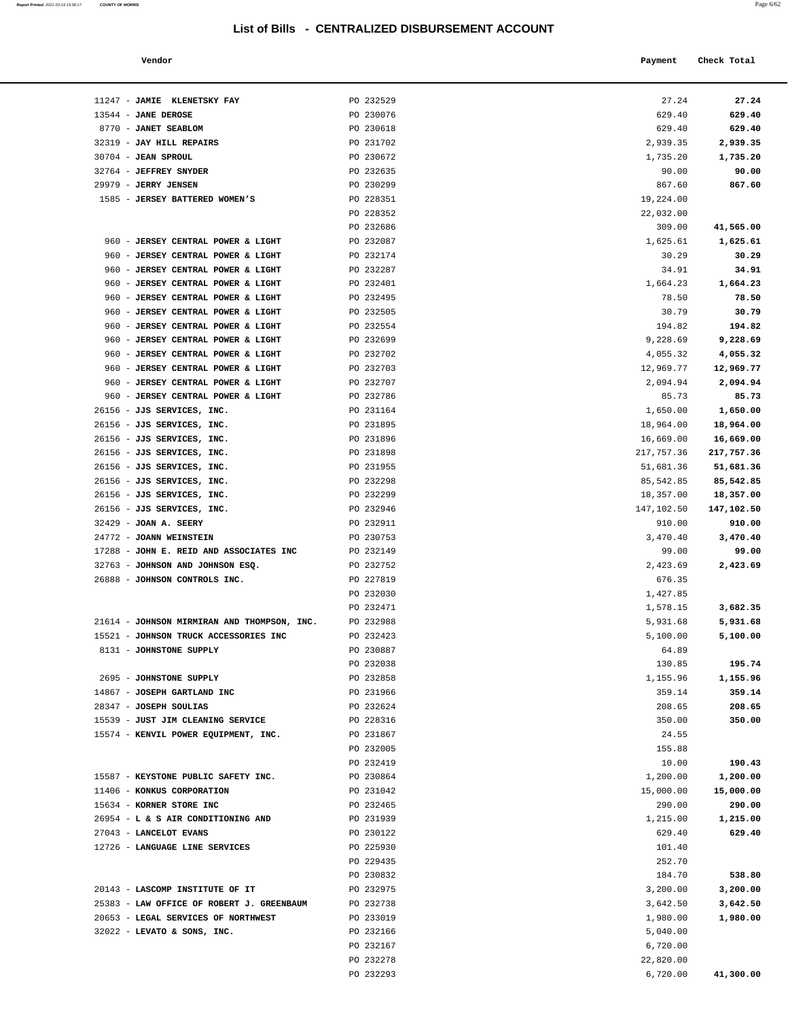| Report Printed 2021-03-19 15:58:17 COUNTY OF MORRIS |  |  |  | Page 6/62 |
|-----------------------------------------------------|--|--|--|-----------|
|-----------------------------------------------------|--|--|--|-----------|

| Vendor | Payment Check Total |
|--------|---------------------|
|        |                     |

| 11247 - JAMIE KLENETSKY FAY                              | PO 232529              | 27.24                 | 27.24                 |
|----------------------------------------------------------|------------------------|-----------------------|-----------------------|
| 13544 - JANE DEROSE                                      | PO 230076              | 629.40                | 629.40                |
| 8770 - JANET SEABLOM                                     | PO 230618              | 629.40                | 629.40                |
| 32319 - JAY HILL REPAIRS                                 | PO 231702              | 2,939.35              | 2,939.35              |
| 30704 - JEAN SPROUL                                      | PO 230672              | 1,735.20              | 1,735.20              |
| 32764 - JEFFREY SNYDER                                   | PO 232635              | 90.00                 | 90.00                 |
| 29979 - JERRY JENSEN<br>1585 - JERSEY BATTERED WOMEN'S   | PO 230299<br>PO 228351 | 867.60<br>19,224.00   | 867.60                |
|                                                          | PO 228352              | 22,032.00             |                       |
|                                                          | PO 232686              | 309.00                | 41,565.00             |
| 960 - JERSEY CENTRAL POWER & LIGHT                       | PO 232087              | 1,625.61              | 1,625.61              |
| 960 - JERSEY CENTRAL POWER & LIGHT                       | PO 232174              | 30.29                 | 30.29                 |
| 960 - JERSEY CENTRAL POWER & LIGHT                       | PO 232287              | 34.91                 | 34.91                 |
| 960 - JERSEY CENTRAL POWER & LIGHT                       | PO 232401              | 1,664.23              | 1,664.23              |
| 960 - JERSEY CENTRAL POWER & LIGHT                       | PO 232495              | 78.50                 | 78.50                 |
| 960 - JERSEY CENTRAL POWER & LIGHT                       | PO 232505              | 30.79                 | 30.79                 |
| 960 - JERSEY CENTRAL POWER & LIGHT                       | PO 232554              | 194.82                | 194.82                |
| 960 - JERSEY CENTRAL POWER & LIGHT                       | PO 232699              | 9,228.69              | 9,228.69              |
| 960 - JERSEY CENTRAL POWER & LIGHT                       | PO 232702              | 4,055.32              | 4,055.32              |
| 960 - JERSEY CENTRAL POWER & LIGHT                       | PO 232703              | 12,969.77             | 12,969.77             |
| 960 - JERSEY CENTRAL POWER & LIGHT                       | PO 232707              | 2,094.94              | 2,094.94              |
| 960 - JERSEY CENTRAL POWER & LIGHT                       | PO 232786              | 85.73                 | 85.73                 |
| 26156 - JJS SERVICES, INC.<br>26156 - JJS SERVICES, INC. | PO 231164<br>PO 231895 | 1,650.00<br>18,964.00 | 1,650.00<br>18,964.00 |
| 26156 - JJS SERVICES, INC.                               | PO 231896              | 16,669.00             | 16,669.00             |
| 26156 - JJS SERVICES, INC.                               | PO 231898              | 217,757.36            | 217,757.36            |
| 26156 - JJS SERVICES, INC.                               | PO 231955              | 51,681.36             | 51,681.36             |
| 26156 - JJS SERVICES, INC.                               | PO 232298              | 85,542.85             | 85,542.85             |
| 26156 - JJS SERVICES, INC.                               | PO 232299              | 18,357.00             | 18,357.00             |
| 26156 - JJS SERVICES, INC.                               | PO 232946              | 147,102.50            | 147,102.50            |
| 32429 - JOAN A. SEERY                                    | PO 232911              | 910.00                | 910.00                |
| 24772 - JOANN WEINSTEIN                                  | PO 230753              | 3,470.40              | 3,470.40              |
| 17288 - JOHN E. REID AND ASSOCIATES INC                  | PO 232149              | 99.00                 | 99.00                 |
| 32763 - JOHNSON AND JOHNSON ESQ.                         | PO 232752              | 2,423.69              | 2,423.69              |
| 26888 - JOHNSON CONTROLS INC.                            | PO 227819              | 676.35                |                       |
|                                                          | PO 232030<br>PO 232471 | 1,427.85<br>1,578.15  | 3,682.35              |
| 21614 - JOHNSON MIRMIRAN AND THOMPSON, INC.              | PO 232988              | 5,931.68              | 5,931.68              |
| 15521 - JOHNSON TRUCK ACCESSORIES INC                    | PO 232423              | 5,100.00              | 5,100.00              |
| 8131 - JOHNSTONE SUPPLY                                  | PO 230887              | 64.89                 |                       |
|                                                          | PO 232038              | 130.85                | 195.74                |
| 2695 - JOHNSTONE SUPPLY                                  | PO 232858              | 1,155.96              | 1,155.96              |
| 14867 - JOSEPH GARTLAND INC                              | PO 231966              | 359.14                | 359.14                |
| 28347 - JOSEPH SOULIAS                                   | PO 232624              | 208.65                | 208.65                |
| 15539 - JUST JIM CLEANING SERVICE                        | PO 228316              | 350.00                | 350.00                |
| 15574 - KENVIL POWER EQUIPMENT, INC.                     | PO 231867              | 24.55                 |                       |
|                                                          | PO 232005              | 155.88                |                       |
| 15587 - KEYSTONE PUBLIC SAFETY INC.                      | PO 232419<br>PO 230864 | 10.00<br>1,200.00     | 190.43<br>1,200.00    |
| 11406 - KONKUS CORPORATION                               | PO 231042              | 15,000.00             | 15,000.00             |
| 15634 - KORNER STORE INC                                 | PO 232465              | 290.00                | 290.00                |
| 26954 - L & S AIR CONDITIONING AND                       | PO 231939              | 1,215.00              | 1,215.00              |
| 27043 - LANCELOT EVANS                                   | PO 230122              | 629.40                | 629.40                |
| 12726 - LANGUAGE LINE SERVICES                           | PO 225930              | 101.40                |                       |
|                                                          | PO 229435              | 252.70                |                       |
|                                                          | PO 230832              | 184.70                | 538.80                |
| 20143 - LASCOMP INSTITUTE OF IT                          | PO 232975              | 3,200.00              | 3,200.00              |
| 25383 - LAW OFFICE OF ROBERT J. GREENBAUM                | PO 232738              | 3,642.50              | 3,642.50              |
| 20653 - LEGAL SERVICES OF NORTHWEST                      | PO 233019              | 1,980.00              | 1,980.00              |
| $32022$ - LEVATO & SONS, INC.                            | PO 232166              | 5,040.00              |                       |
|                                                          | PO 232167<br>PO 232278 | 6,720.00<br>22,820.00 |                       |
|                                                          | PO 232293              | 6,720.00              | 41,300.00             |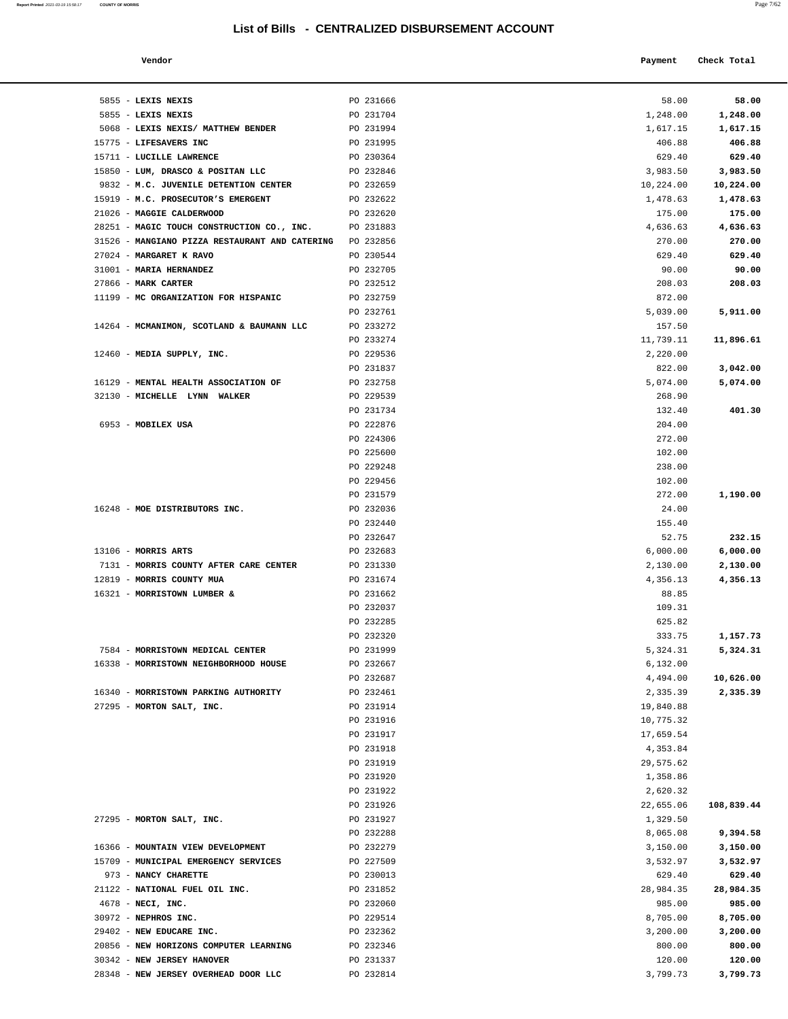**Report Printed**  2021-03-19 15:58:17 **COUNTY OF MORRIS** 

|                                        | List of Bills - CENTRALIZED DISBURSEMENT ACCOUNT |                    | Page 7/62   |
|----------------------------------------|--------------------------------------------------|--------------------|-------------|
| Vendor                                 |                                                  | Payment            | Check Total |
| LEXIS NEXIS                            | PO 231666                                        | 58.00              | 58.00       |
| LEXIS NEXIS                            | PO 231704                                        | 1,248.00           | 1,248.00    |
| <b>LEXIS NEXIS/ MATTHEW BENDER</b>     | PO 231994                                        | 1,617.15           | 1,617.15    |
| <b>LIFESAVERS INC</b>                  | PO 231995                                        | 406.88             | 406.88      |
| LUCILLE LAWRENCE                       | PO 230364                                        | 629.40             | 629.40      |
| LUM, DRASCO & POSITAN LLC              | PO 232846                                        | 3,983.50           | 3,983.50    |
| M.C. JUVENILE DETENTION CENTER         | PO 232659                                        | 10,224.00          | 10,224.00   |
| M.C. PROSECUTOR'S EMERGENT             | PO 232622                                        | 1,478.63           | 1,478.63    |
| <b>MAGGIE CALDERWOOD</b>               | PO 232620                                        | 175.00             | 175.00      |
| MAGIC TOUCH CONSTRUCTION CO., INC.     | PO 231883                                        | 4,636.63           | 4,636.63    |
| MANGIANO PIZZA RESTAURANT AND CATERING | PO 232856                                        | 270.00             | 270.00      |
| <b>MARGARET K RAVO</b>                 | PO 230544                                        | 629.40             | 629.40      |
| <b>MARIA HERNANDEZ</b>                 | PO 232705                                        | 90.00              | 90.00       |
| <b>MARK CARTER</b>                     | PO 232512                                        | 208.03             | 208.03      |
| MC ORGANIZATION FOR HISPANIC           | PO 232759<br>PO 232761                           | 872.00<br>5,039.00 | 5,911.00    |
| MCMANIMON, SCOTLAND & BAUMANN LLC      | PO 233272                                        | 157.50             |             |
|                                        | PO 233274                                        | 11,739.11          | 11,896.61   |
| MEDIA SUPPLY, INC.                     | PO 229536                                        | 2,220.00           |             |
|                                        | PO 231837                                        | 822.00             | 3,042.00    |
| MENTAL HEALTH ASSOCIATION OF           | PO 232758                                        | 5,074.00           | 5,074.00    |
| MICHELLE LYNN WALKER                   | PO 229539                                        | 268.90             |             |
|                                        | PO 231734                                        | 132.40             | 401.30      |
| MOBILEX USA                            | PO 222876                                        | 204.00             |             |
|                                        | PO 224306                                        | 272.00             |             |
|                                        | PO 225600                                        | 102.00             |             |
|                                        | PO 229248                                        | 238.00             |             |
|                                        | PO 229456                                        | 102.00             |             |
|                                        | PO 231579                                        | 272.00             | 1,190.00    |
| MOE DISTRIBUTORS INC.                  | PO 232036                                        | 24.00              |             |
|                                        | PO 232440                                        | 155.40             |             |
|                                        | PO 232647                                        | 52.75              | 232.15      |
| <b>MORRIS ARTS</b>                     | PO 232683                                        | 6,000.00           | 6,000.00    |
| MORRIS COUNTY AFTER CARE CENTER        | PO 231330                                        | 2,130.00           | 2,130.00    |
| MORRIS COUNTY MUA                      | PO 231674                                        | 4,356.13           | 4,356.13    |
| MORRISTOWN LUMBER &                    | PO 231662                                        | 88.85              |             |
|                                        | PO 232037<br>PO 232285                           | 109.31<br>625.82   |             |
|                                        | PO 232320                                        | 333.75             | 1,157.73    |
| MORRISTOWN MEDICAL CENTER              | PO 231999                                        | 5,324.31           | 5,324.31    |
| MORRISTOWN NEIGHBORHOOD HOUSE          | PO 232667                                        | 6,132.00           |             |
|                                        | PO 232687                                        | 4,494.00           | 10,626.00   |
| <b>MORRISTOWN PARKING AUTHORITY</b>    | PO 232461                                        | 2,335.39           | 2,335.39    |
| MORTON SALT, INC.                      | PO 231914                                        | 19,840.88          |             |
|                                        | PO 231916                                        | 10,775.32          |             |
|                                        | PO 231917                                        | 17,659.54          |             |
|                                        | PO 231918                                        | 4,353.84           |             |
|                                        | PO 231919                                        | 29,575.62          |             |
|                                        | PO 231920                                        | 1,358.86           |             |
|                                        | PO 231922                                        | 2,620.32           |             |
|                                        | PO 231926                                        | 22,655.06          | 108,839.44  |

| 5855 - LEXIS NEXIS                                                  | PO 231666              | 58.00                | 58.00                |
|---------------------------------------------------------------------|------------------------|----------------------|----------------------|
| 5855 - LEXIS NEXIS                                                  | PO 231704              | 1,248.00             | 1,248.00             |
| 5068 - LEXIS NEXIS/ MATTHEW BENDER                                  | PO 231994              | 1,617.15             | 1,617.15             |
| 15775 - LIFESAVERS INC                                              | PO 231995              | 406.88               | 406.88               |
| 15711 - LUCILLE LAWRENCE                                            | PO 230364              | 629.40               | 629.40               |
| 15850 - LUM, DRASCO & POSITAN LLC                                   | PO 232846              | 3,983.50             | 3,983.50             |
| 9832 - M.C. JUVENILE DETENTION CENTER                               | PO 232659              | 10,224.00            | 10,224.00            |
| 15919 - M.C. PROSECUTOR'S EMERGENT                                  | PO 232622              | 1,478.63             | 1,478.63             |
| 21026 - MAGGIE CALDERWOOD                                           | PO 232620              | 175.00               | 175.00               |
| 28251 - MAGIC TOUCH CONSTRUCTION CO., INC.                          | PO 231883              | 4,636.63             | 4,636.63             |
| 31526 - MANGIANO PIZZA RESTAURANT AND CATERING PO 232856            |                        | 270.00               | 270.00               |
| 27024 - MARGARET K RAVO                                             | PO 230544              | 629.40               | 629.40               |
| 31001 - MARIA HERNANDEZ                                             | PO 232705              | 90.00                | 90.00                |
| 27866 - MARK CARTER                                                 | PO 232512              | 208.03               | 208.03               |
| 11199 - MC ORGANIZATION FOR HISPANIC                                | PO 232759              | 872.00               |                      |
|                                                                     | PO 232761              | 5,039.00             | 5,911.00             |
| 14264 - MCMANIMON, SCOTLAND & BAUMANN LLC                           | PO 233272              | 157.50               |                      |
|                                                                     | PO 233274              | 11,739.11            | 11,896.61            |
| 12460 - MEDIA SUPPLY, INC.                                          | PO 229536              | 2,220.00             |                      |
|                                                                     | PO 231837              | 822.00               | 3,042.00             |
| 16129 - MENTAL HEALTH ASSOCIATION OF                                | PO 232758              | 5,074.00             | 5,074.00             |
| 32130 - MICHELLE LYNN WALKER                                        | PO 229539              | 268.90               |                      |
|                                                                     | PO 231734              | 132.40               | 401.30               |
| 6953 - MOBILEX USA                                                  | PO 222876              | 204.00               |                      |
|                                                                     | PO 224306              | 272.00               |                      |
|                                                                     | PO 225600              | 102.00               |                      |
|                                                                     | PO 229248              | 238.00               |                      |
|                                                                     | PO 229456              | 102.00               |                      |
|                                                                     | PO 231579              | 272.00               | 1,190.00             |
| 16248 - MOE DISTRIBUTORS INC.                                       | PO 232036              | 24.00                |                      |
|                                                                     | PO 232440              | 155.40               |                      |
|                                                                     | PO 232647              | 52.75                | 232.15               |
| 13106 - MORRIS ARTS                                                 | PO 232683              | 6,000.00             | 6,000.00             |
| 7131 - MORRIS COUNTY AFTER CARE CENTER<br>12819 - MORRIS COUNTY MUA | PO 231330<br>PO 231674 | 2,130.00<br>4,356.13 | 2,130.00<br>4,356.13 |
| 16321 - MORRISTOWN LUMBER &                                         | PO 231662              | 88.85                |                      |
|                                                                     | PO 232037              | 109.31               |                      |
|                                                                     | PO 232285              | 625.82               |                      |
|                                                                     | PO 232320              | 333.75               | 1,157.73             |
| 7584 - MORRISTOWN MEDICAL CENTER                                    | PO 231999              | 5,324.31             | 5,324.31             |
| 16338 - MORRISTOWN NEIGHBORHOOD HOUSE                               | PO 232667              | 6,132.00             |                      |
|                                                                     | PO 232687              | 4,494.00             | 10,626.00            |
| 16340 - MORRISTOWN PARKING AUTHORITY                                | PO 232461              | 2,335.39             | 2,335.39             |
| 27295 - MORTON SALT, INC.                                           | PO 231914              | 19,840.88            |                      |
|                                                                     | PO 231916              | 10,775.32            |                      |
|                                                                     | PO 231917              | 17,659.54            |                      |
|                                                                     | PO 231918              | 4,353.84             |                      |
|                                                                     | PO 231919              | 29,575.62            |                      |
|                                                                     | PO 231920              | 1,358.86             |                      |
|                                                                     | PO 231922              | 2,620.32             |                      |
|                                                                     | PO 231926              | 22,655.06            | 108,839.44           |
| 27295 - MORTON SALT, INC.                                           | PO 231927              | 1,329.50             |                      |
|                                                                     | PO 232288              | 8,065.08             | 9,394.58             |
| 16366 - MOUNTAIN VIEW DEVELOPMENT                                   | PO 232279              | 3,150.00             | 3,150.00             |
| 15709 - MUNICIPAL EMERGENCY SERVICES                                | PO 227509              | 3,532.97             | 3,532.97             |
| 973 - NANCY CHARETTE                                                | PO 230013              | 629.40               | 629.40               |
| 21122 - NATIONAL FUEL OIL INC.                                      | PO 231852              | 28,984.35            | 28,984.35            |
| $4678$ - NECI, INC.                                                 | PO 232060              | 985.00               | 985.00               |
| 30972 - NEPHROS INC.                                                | PO 229514              | 8,705.00             | 8,705.00             |
| 29402 - NEW EDUCARE INC.                                            | PO 232362              | 3,200.00             | 3,200.00             |
| 20856 - NEW HORIZONS COMPUTER LEARNING                              | PO 232346              | 800.00               | 800.00               |
| 30342 - NEW JERSEY HANOVER                                          | PO 231337              | 120.00               | 120.00               |
| 28348 - NEW JERSEY OVERHEAD DOOR LLC                                | PO 232814              | 3,799.73             | 3,799.73             |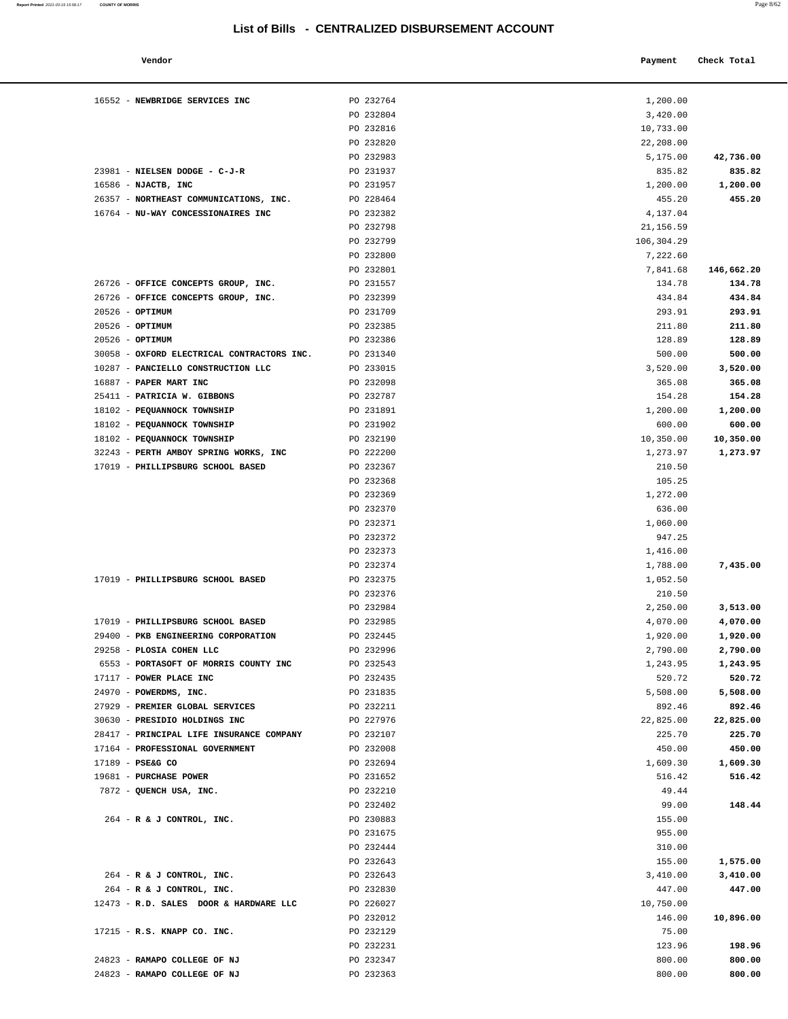| Vendor                                                                   |                        | Payment              | Check Total          |
|--------------------------------------------------------------------------|------------------------|----------------------|----------------------|
| 16552 - NEWBRIDGE SERVICES INC                                           | PO 232764              | 1,200.00             |                      |
|                                                                          | PO 232804              | 3,420.00             |                      |
|                                                                          | PO 232816              | 10,733.00            |                      |
|                                                                          | PO 232820              | 22,208.00            |                      |
|                                                                          | PO 232983              | 5,175.00             | 42,736.00            |
| 23981 - NIELSEN DODGE - C-J-R                                            | PO 231937              | 835.82               | 835.82               |
| 16586 - NJACTB, INC                                                      | PO 231957              | 1,200.00             | 1,200.00             |
| 26357 - NORTHEAST COMMUNICATIONS, INC.                                   | PO 228464              | 455.20               | 455.20               |
| 16764 - NU-WAY CONCESSIONAIRES INC                                       | PO 232382              | 4,137.04             |                      |
|                                                                          | PO 232798              | 21,156.59            |                      |
|                                                                          | PO 232799              | 106,304.29           |                      |
|                                                                          | PO 232800              | 7,222.60             |                      |
|                                                                          | PO 232801              | 7,841.68             | 146,662.20           |
| 26726 - OFFICE CONCEPTS GROUP, INC.                                      | PO 231557              | 134.78               | 134.78               |
| 26726 - OFFICE CONCEPTS GROUP, INC.                                      | PO 232399              | 434.84               | 434.84               |
| 20526 - OPTIMUM                                                          | PO 231709              | 293.91               | 293.91               |
| $20526$ - OPTIMUM                                                        | PO 232385              | 211.80               | 211.80               |
| 20526 - OPTIMUM                                                          | PO 232386              | 128.89               | 128.89               |
| 30058 - OXFORD ELECTRICAL CONTRACTORS INC.                               | PO 231340              | 500.00               | 500.00               |
| 10287 - PANCIELLO CONSTRUCTION LLC                                       | PO 233015              | 3,520.00             | 3,520.00             |
| 16887 - PAPER MART INC                                                   | PO 232098              | 365.08               | 365.08               |
| 25411 - PATRICIA W. GIBBONS                                              | PO 232787              | 154.28               | 154.28               |
| 18102 - PEQUANNOCK TOWNSHIP                                              | PO 231891              | 1,200.00             | 1,200.00             |
| 18102 - PEQUANNOCK TOWNSHIP                                              | PO 231902              | 600.00               | 600.00               |
| 18102 - PEQUANNOCK TOWNSHIP                                              | PO 232190              | 10,350.00            | 10,350.00            |
| 32243 - PERTH AMBOY SPRING WORKS, INC                                    | PO 222200              | 1,273.97             | 1,273.97             |
| 17019 - PHILLIPSBURG SCHOOL BASED                                        | PO 232367              | 210.50               |                      |
|                                                                          | PO 232368              | 105.25               |                      |
|                                                                          | PO 232369              | 1,272.00             |                      |
|                                                                          | PO 232370              | 636.00               |                      |
|                                                                          | PO 232371              | 1,060.00             |                      |
|                                                                          | PO 232372              | 947.25               |                      |
|                                                                          | PO 232373              | 1,416.00             |                      |
|                                                                          | PO 232374              | 1,788.00             | 7,435.00             |
| 17019 - PHILLIPSBURG SCHOOL BASED                                        | PO 232375              | 1,052.50             |                      |
|                                                                          | PO 232376<br>PO 232984 | 210.50<br>2,250.00   |                      |
|                                                                          | PO 232985              |                      | 3,513.00             |
| 17019 - PHILLIPSBURG SCHOOL BASED<br>29400 - PKB ENGINEERING CORPORATION | PO 232445              | 4,070.00<br>1,920.00 | 4,070.00             |
|                                                                          | PO 232996              | 2,790.00             | 1,920.00             |
| 29258 - PLOSIA COHEN LLC<br>6553 - PORTASOFT OF MORRIS COUNTY INC        | PO 232543              | 1,243.95             | 2,790.00<br>1,243.95 |
| 17117 - POWER PLACE INC                                                  | PO 232435              | 520.72               | 520.72               |
| 24970 - POWERDMS, INC.                                                   | PO 231835              | 5,508.00             | 5,508.00             |
| 27929 - PREMIER GLOBAL SERVICES                                          | PO 232211              | 892.46               | 892.46               |
| 30630 - PRESIDIO HOLDINGS INC                                            | PO 227976              | 22,825.00            | 22,825.00            |
| 28417 - PRINCIPAL LIFE INSURANCE COMPANY                                 | PO 232107              | 225.70               | 225.70               |
| 17164 - PROFESSIONAL GOVERNMENT                                          | PO 232008              | 450.00               | 450.00               |
| 17189 - PSE&G CO                                                         | PO 232694              | 1,609.30             | 1,609.30             |
| 19681 - PURCHASE POWER                                                   | PO 231652              | 516.42               | 516.42               |
| 7872 - QUENCH USA, INC.                                                  | PO 232210              | 49.44                |                      |
|                                                                          | PO 232402              | 99.00                | 148.44               |
| 264 - R & J CONTROL, INC.                                                | PO 230883              | 155.00               |                      |
|                                                                          | PO 231675              | 955.00               |                      |
|                                                                          | PO 232444              | 310.00               |                      |
|                                                                          | PO 232643              | 155.00               | 1,575.00             |
| $264$ - R & J CONTROL, INC.                                              | PO 232643              | 3,410.00             | 3,410.00             |
| $264$ - R & J CONTROL, INC.                                              | PO 232830              | 447.00               | 447.00               |
| 12473 - R.D. SALES DOOR & HARDWARE LLC                                   | PO 226027              | 10,750.00            |                      |
|                                                                          | PO 232012              | 146.00               | 10,896.00            |
| 17215 - R.S. KNAPP CO. INC.                                              | PO 232129              | 75.00                |                      |
|                                                                          | PO 232231              | 123.96               | 198.96               |
| 24823 - RAMAPO COLLEGE OF NJ                                             | PO 232347              | 800.00               | 800.00               |
| 24823 - RAMAPO COLLEGE OF NJ                                             | PO 232363              | 800.00               | 800.00               |
|                                                                          |                        |                      |                      |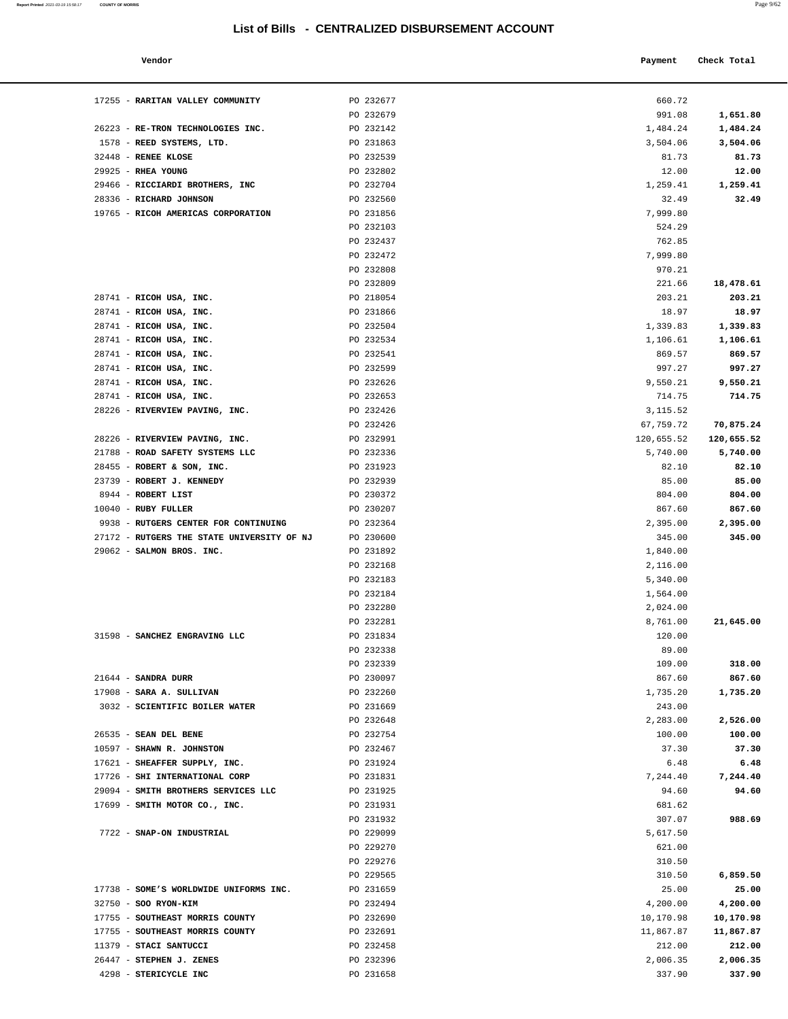17255 - **RARITAN VALLEY COMMUNITY** PO 232677

26223 - **RE-TRON TECHNOLOGIES INC.** PO 232142 1578 - **REED SYSTEMS, LTD.** PO 231863 32448 - **RENEE KLOSE PO 232539** 29925 - **RHEA YOUNG PO 232802** 

**Report Printed 2021-03-19 15:58:17** COUNTY OF MORRIS

| ×<br>I |  |
|--------|--|
|        |  |

| Vendor                                    |           | Payment    | Check Total |
|-------------------------------------------|-----------|------------|-------------|
| RARITAN VALLEY COMMUNITY                  | PO 232677 | 660.72     |             |
|                                           | PO 232679 | 991.08     | 1,651.80    |
| RE-TRON TECHNOLOGIES INC.                 | PO 232142 | 1,484.24   | 1,484.24    |
| REED SYSTEMS, LTD.                        | PO 231863 | 3,504.06   | 3,504.06    |
| <b>RENEE KLOSE</b>                        | PO 232539 | 81.73      | 81.73       |
| <b>RHEA YOUNG</b>                         | PO 232802 | 12.00      | 12.00       |
| RICCIARDI BROTHERS, INC                   | PO 232704 | 1,259.41   | 1,259.41    |
| RICHARD JOHNSON                           | PO 232560 | 32.49      | 32.49       |
| RICOH AMERICAS CORPORATION                | PO 231856 | 7,999.80   |             |
|                                           | PO 232103 | 524.29     |             |
|                                           | PO 232437 | 762.85     |             |
|                                           | PO 232472 | 7,999.80   |             |
|                                           | PO 232808 | 970.21     |             |
|                                           | PO 232809 | 221.66     | 18,478.61   |
| RICOH USA, INC.                           | PO 218054 | 203.21     | 203.21      |
| RICOH USA, INC.                           | PO 231866 | 18.97      | 18.97       |
| RICOH USA, INC.                           | PO 232504 | 1,339.83   | 1,339.83    |
| RICOH USA, INC.                           | PO 232534 | 1,106.61   | 1,106.61    |
| RICOH USA, INC.                           | PO 232541 | 869.57     | 869.57      |
| RICOH USA, INC.                           | PO 232599 | 997.27     | 997.27      |
| RICOH USA, INC.                           | PO 232626 | 9,550.21   | 9,550.21    |
| RICOH USA, INC.                           | PO 232653 | 714.75     | 714.75      |
| RIVERVIEW PAVING, INC.                    | PO 232426 | 3, 115.52  |             |
|                                           | PO 232426 | 67,759.72  | 70,875.24   |
| RIVERVIEW PAVING, INC.                    | PO 232991 | 120,655.52 | 120,655.52  |
| ROAD SAFETY SYSTEMS LLC                   | PO 232336 | 5,740.00   | 5,740.00    |
| ROBERT & SON, INC.                        | PO 231923 | 82.10      | 82.10       |
| <b>ROBERT J. KENNEDY</b>                  | PO 232939 | 85.00      | 85.00       |
| ROBERT LIST                               | PO 230372 | 804.00     | 804.00      |
| RUBY FULLER                               | PO 230207 | 867.60     | 867.60      |
| RUTGERS CENTER FOR CONTINUING             | PO 232364 | 2,395.00   | 2,395.00    |
| <b>RUTGERS THE STATE UNIVERSITY OF NJ</b> | PO 230600 | 345.00     | 345.00      |
| SALMON BROS. INC.                         | PO 231892 | 1,840.00   |             |
|                                           | PO 232168 | 2,116.00   |             |
|                                           | PO 232183 | 5,340.00   |             |
|                                           | PO 232184 | 1,564.00   |             |
|                                           | PO 232280 | 2,024.00   |             |
|                                           | PO 232281 | 8,761.00   | 21,645.00   |
| SANCHEZ ENGRAVING LLC                     | PO 231834 | 120.00     |             |
|                                           | PO 232338 | 89.00      |             |
|                                           | PO 232339 | 109.00     | 318.00      |
| SANDRA DURR                               | PO 230097 | 867.60     | 867.60      |
| SARA A. SULLIVAN                          | PO 232260 | 1,735.20   | 1,735.20    |
| SCIENTIFIC BOILER WATER                   | PO 231669 | 243.00     |             |
|                                           | PO 232648 | 2,283.00   | 2,526.00    |
| SEAN DEL BENE                             | PO 232754 | 100.00     | 100.00      |
| SHAWN R. JOHNSTON                         | PO 232467 | 37.30      | 37.30       |
| SHEAFFER SUPPLY, INC.                     | PO 231924 | 6.48       | 6.48        |
| SHI INTERNATIONAL CORP                    | PO 231831 | 7,244.40   | 7,244.40    |
| SMITH BROTHERS SERVICES LLC               | PO 231925 | 94.60      | 94.60       |
| SMITH MOTOR CO., INC.                     | PO 231931 | 681.62     |             |
|                                           | PO 231932 | 307.07     | 988.69      |
| SNAP-ON INDUSTRIAL                        | PO 229099 | 5,617.50   |             |
|                                           | PO 229270 | 621.00     |             |
|                                           |           |            |             |
|                                           | PO 229276 | 310.50     |             |
|                                           | PO 229565 | 310.50     | 6,859.50    |
| SOME'S WORLDWIDE UNIFORMS INC.            | PO 231659 | 25.00      | 25.00       |

| 29466 - RICCIARDI BROTHERS, INC            | PO 232704 | 1,259.41   | 1,259.41   |
|--------------------------------------------|-----------|------------|------------|
| 28336 - RICHARD JOHNSON                    | PO 232560 | 32.49      | 32.49      |
| 19765 - RICOH AMERICAS CORPORATION         | PO 231856 | 7,999.80   |            |
|                                            | PO 232103 | 524.29     |            |
|                                            | PO 232437 | 762.85     |            |
|                                            | PO 232472 | 7,999.80   |            |
|                                            | PO 232808 | 970.21     |            |
|                                            | PO 232809 | 221.66     | 18,478.61  |
| 28741 - RICOH USA, INC.                    | PO 218054 | 203.21     | 203.21     |
| 28741 - RICOH USA, INC.                    | PO 231866 | 18.97      | 18.97      |
| 28741 - RICOH USA, INC.                    | PO 232504 | 1,339.83   | 1,339.83   |
| 28741 - RICOH USA, INC.                    | PO 232534 | 1,106.61   | 1,106.61   |
| 28741 - RICOH USA, INC.                    | PO 232541 | 869.57     | 869.57     |
| 28741 - RICOH USA, INC.                    | PO 232599 | 997.27     | 997.27     |
| 28741 - RICOH USA, INC.                    | PO 232626 | 9,550.21   | 9,550.21   |
| 28741 - RICOH USA, INC.                    | PO 232653 | 714.75     | 714.75     |
| 28226 - RIVERVIEW PAVING, INC.             | PO 232426 | 3,115.52   |            |
|                                            | PO 232426 | 67,759.72  | 70,875.24  |
| 28226 - RIVERVIEW PAVING, INC.             | PO 232991 | 120,655.52 | 120,655.52 |
| 21788 - ROAD SAFETY SYSTEMS LLC            | PO 232336 | 5,740.00   | 5,740.00   |
| 28455 - ROBERT & SON, INC.                 | PO 231923 | 82.10      | 82.10      |
| 23739 - ROBERT J. KENNEDY                  | PO 232939 | 85.00      | 85.00      |
| 8944 - ROBERT LIST                         | PO 230372 | 804.00     | 804.00     |
| $10040$ - RUBY FULLER                      | PO 230207 | 867.60     | 867.60     |
| 9938 - RUTGERS CENTER FOR CONTINUING       | PO 232364 | 2,395.00   | 2,395.00   |
| 27172 - RUTGERS THE STATE UNIVERSITY OF NJ | PO 230600 | 345.00     | 345.00     |
| 29062 - SALMON BROS. INC.                  | PO 231892 | 1,840.00   |            |
|                                            | PO 232168 | 2,116.00   |            |
|                                            | PO 232183 | 5,340.00   |            |
|                                            | PO 232184 | 1,564.00   |            |
|                                            | PO 232280 | 2,024.00   |            |
|                                            | PO 232281 | 8,761.00   | 21,645.00  |
| 31598 - SANCHEZ ENGRAVING LLC              | PO 231834 | 120.00     |            |
|                                            | PO 232338 | 89.00      |            |
|                                            | PO 232339 | 109.00     | 318.00     |
| $21644$ - SANDRA DURR                      | PO 230097 | 867.60     | 867.60     |
| 17908 - SARA A. SULLIVAN                   | PO 232260 | 1,735.20   | 1,735.20   |
| 3032 - SCIENTIFIC BOILER WATER             | PO 231669 | 243.00     |            |
|                                            | PO 232648 | 2,283.00   | 2,526.00   |
| 26535 - SEAN DEL BENE                      | PO 232754 | 100.00     | 100.00     |
| 10597 - SHAWN R. JOHNSTON                  | PO 232467 | 37.30      | 37.30      |
| 17621 - SHEAFFER SUPPLY, INC.              | PO 231924 | 6.48       | 6.48       |
| 17726 - SHI INTERNATIONAL CORP             | PO 231831 | 7,244.40   | 7,244.40   |
| 29094 - SMITH BROTHERS SERVICES LLC        | PO 231925 | 94.60      | 94.60      |
| 17699 - SMITH MOTOR CO., INC.              | PO 231931 | 681.62     |            |
|                                            | PO 231932 | 307.07     | 988.69     |
| 7722 - SNAP-ON INDUSTRIAL                  | PO 229099 | 5,617.50   |            |
|                                            | PO 229270 | 621.00     |            |
|                                            | PO 229276 | 310.50     |            |
|                                            | PO 229565 | 310.50     | 6,859.50   |
| 17738 - SOME'S WORLDWIDE UNIFORMS INC.     | PO 231659 | 25.00      | 25.00      |
| 32750 - SOO RYON-KIM                       | PO 232494 | 4,200.00   | 4,200.00   |
| 17755 - SOUTHEAST MORRIS COUNTY            | PO 232690 | 10,170.98  | 10,170.98  |
| 17755 - SOUTHEAST MORRIS COUNTY            | PO 232691 | 11,867.87  | 11,867.87  |
| 11379 - STACI SANTUCCI                     | PO 232458 | 212.00     | 212.00     |
| 26447 - STEPHEN J. ZENES                   | PO 232396 | 2,006.35   | 2,006.35   |
| 4298 - STERICYCLE INC                      | PO 231658 | 337.90     | 337.90     |
|                                            |           |            |            |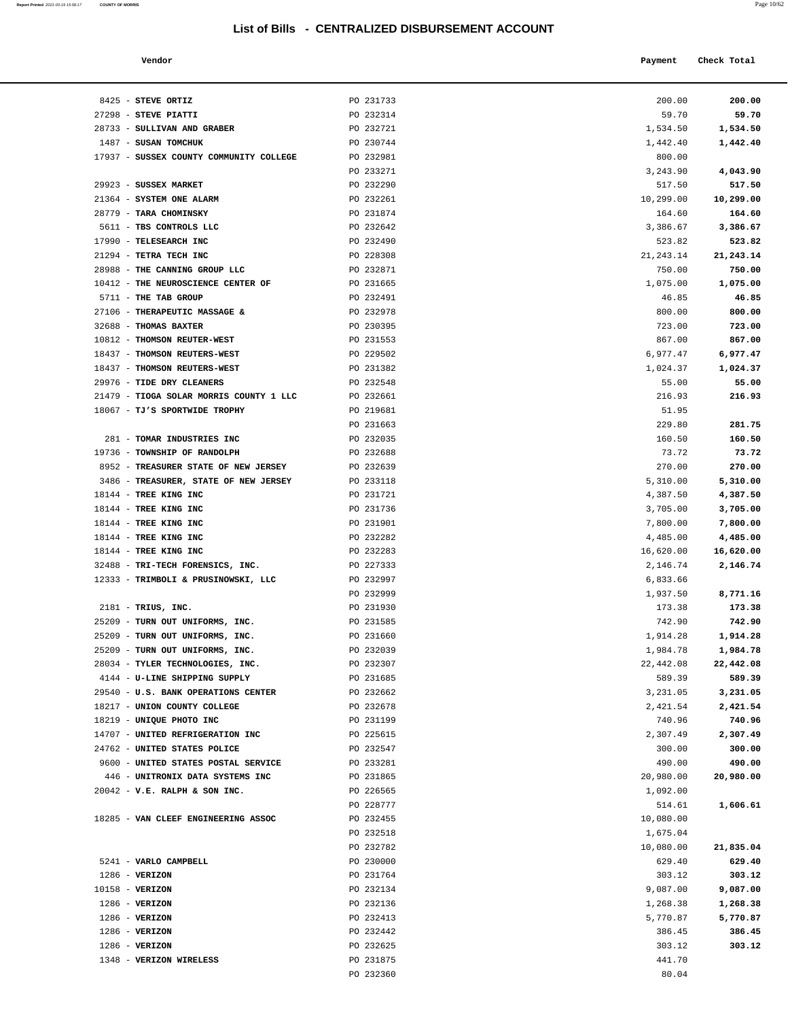**Report Printed** 2021-03-19 15:58:17 **COUNTY OF MORRIS** Page 10/62

8425 - **STEVE ORTIZ PO 231733** 27298 - **STEVE PIATTI PO 232314** 28733 - **SULLIVAN AND GRABER** PO 232721 1487 - **SUSAN TOMCHUK 17937 - SUSSEX COUNTY COMMUNITY COLLEGE** PO 232981

29923 - **SUSSEX MARKET** PO 232290 21364 - **SYSTEM ONE ALARM PO 232261** 

17937 - SUSSEX COUNTY COMMUNITY COLLEGE

|                                       | List of Bills - CENTRALIZED DISBURSEMENT ACCOUNT |                    |                      |
|---------------------------------------|--------------------------------------------------|--------------------|----------------------|
| Vendor                                |                                                  | Payment            | Check Total          |
| <b>STEVE ORTIZ</b>                    | PO 231733                                        | 200.00             | 200.00               |
| <b>STEVE PIATTI</b>                   | PO 232314                                        | 59.70              | 59.70                |
| SULLIVAN AND GRABER                   | PO 232721                                        | 1,534.50           | 1,534.50             |
| SUSAN TOMCHUK                         | PO 230744                                        | 1,442.40           | 1,442.40             |
| SUSSEX COUNTY COMMUNITY COLLEGE       | PO 232981                                        | 800.00             |                      |
|                                       | PO 233271                                        | 3,243.90           | 4,043.90             |
| <b>SUSSEX MARKET</b>                  | PO 232290                                        | 517.50             | 517.50               |
| SYSTEM ONE ALARM                      | PO 232261                                        | 10,299.00          | 10,299.00            |
| <b>TARA CHOMINSKY</b>                 | PO 231874                                        | 164.60             | 164.60               |
| TBS CONTROLS LLC                      | PO 232642                                        | 3,386.67           | 3,386.67             |
| <b>TELESEARCH INC</b>                 | PO 232490                                        | 523.82             | 523.82               |
| <b>TETRA TECH INC</b>                 | PO 228308                                        | 21, 243. 14        | 21, 243. 14          |
| THE CANNING GROUP LLC                 | PO 232871                                        | 750.00             | 750.00               |
| THE NEUROSCIENCE CENTER OF            | PO 231665                                        | 1,075.00           | 1,075.00             |
| <b>THE TAB GROUP</b>                  | PO 232491                                        | 46.85              | 46.85                |
| THERAPEUTIC MASSAGE &                 | PO 232978                                        | 800.00             | 800.00               |
| <b>THOMAS BAXTER</b>                  | PO 230395                                        | 723.00             | 723.00               |
| THOMSON REUTER-WEST                   | PO 231553                                        | 867.00             | 867.00               |
| THOMSON REUTERS-WEST                  | PO 229502                                        | 6,977.47           | 6,977.47             |
| THOMSON REUTERS-WEST                  | PO 231382                                        | 1,024.37           | 1,024.37             |
| <b>TIDE DRY CLEANERS</b>              | PO 232548                                        | 55.00              | 55.00                |
| TIOGA SOLAR MORRIS COUNTY 1 LLC       | PO 232661                                        | 216.93             | 216.93               |
| <b>TJ'S SPORTWIDE TROPHY</b>          | PO 219681                                        | 51.95              |                      |
|                                       | PO 231663                                        | 229.80             | 281.75               |
| TOMAR INDUSTRIES INC                  | PO 232035                                        | 160.50             | 160.50               |
| <b>TOWNSHIP OF RANDOLPH</b>           | PO 232688                                        | 73.72              | 73.72                |
| <b>TREASURER STATE OF NEW JERSEY</b>  | PO 232639                                        | 270.00             | 270.00               |
| <b>TREASURER, STATE OF NEW JERSEY</b> | PO 233118                                        | 5,310.00           | 5,310.00             |
| TREE KING INC                         | PO 231721                                        | 4,387.50           | 4,387.50             |
| <b>TREE KING INC</b>                  | PO 231736                                        | 3,705.00           | 3,705.00             |
| TREE KING INC                         | PO 231901                                        | 7,800.00           | 7,800.00             |
| <b>TREE KING INC</b>                  | PO 232282                                        | 4,485.00           | 4,485.00             |
| <b>TREE KING INC</b>                  | PO 232283                                        | 16,620.00          | 16,620.00            |
| TRI-TECH FORENSICS, INC.              | PO 227333                                        | 2,146.74           | 2,146.74             |
| TRIMBOLI & PRUSINOWSKI, LLC           | PO 232997                                        | 6,833.66           |                      |
|                                       | PO 232999                                        | 1,937.50           | 8,771.16             |
| TRIUS, INC.                           | PO 231930                                        | 173.38             | 173.38               |
| TURN OUT UNIFORMS, INC.               | PO 231585                                        | 742.90             | 742.90               |
| TURN OUT UNIFORMS, INC.               | PO 231660                                        | 1,914.28           | 1,914.28             |
| TURN OUT UNIFORMS, INC.               | PO 232039                                        | 1,984.78           | 1,984.78             |
| TYLER TECHNOLOGIES, INC.              | PO 232307                                        | 22,442.08          | 22,442.08            |
| U-LINE SHIPPING SUPPLY                | PO 231685                                        | 589.39             | 589.39               |
| <b>U.S. BANK OPERATIONS CENTER</b>    | PO 232662                                        | 3,231.05           |                      |
| UNION COUNTY COLLEGE                  | PO 232678                                        |                    | 3,231.05<br>2,421.54 |
| UNIQUE PHOTO INC                      |                                                  | 2,421.54           |                      |
| UNITED REFRIGERATION INC              | PO 231199<br>PO 225615                           | 740.96<br>2,307.49 | 740.96<br>2,307.49   |
|                                       |                                                  |                    |                      |
| UNITED STATES POLICE                  | PO 232547                                        | 300.00             | 300.00               |
| UNITED STATES POSTAL SERVICE          | PO 233281                                        | 490.00             | 490.00               |
| UNITRONIX DATA SYSTEMS INC            | PO 231865                                        | 20,980.00          | 20,980.00            |
| V.E. RALPH & SON INC.                 | PO 226565                                        | 1,092.00           |                      |
|                                       | PO 228777                                        | 514.61             | 1,606.61             |
| VAN CLEEF ENGINEERING ASSOC           | PO 232455                                        | 10,080.00          |                      |
|                                       | PO 232518                                        | 1,675.04           |                      |
|                                       | PO 232782                                        | 10,080.00          | 21,835.04            |
| VARLO CAMPRELL.                       | PO 230000                                        | 629 40             | 629.40               |

| 28779 - TARA CHOMINSKY                            | PO 231874 | 164.60     | 164.60    |
|---------------------------------------------------|-----------|------------|-----------|
| 5611 - TBS CONTROLS LLC                           | PO 232642 | 3,386.67   | 3,386.67  |
| 17990 - TELESEARCH INC                            | PO 232490 | 523.82     | 523.82    |
| 21294 - TETRA TECH INC                            | PO 228308 | 21, 243.14 | 21,243.14 |
| 28988 - THE CANNING GROUP LLC                     | PO 232871 | 750.00     | 750.00    |
| 10412 - THE NEUROSCIENCE CENTER OF                | PO 231665 | 1,075.00   | 1,075.00  |
| 5711 - THE TAB GROUP                              | PO 232491 | 46.85      | 46.85     |
| 27106 - THERAPEUTIC MASSAGE &                     | PO 232978 | 800.00     | 800.00    |
| 32688 - THOMAS BAXTER                             | PO 230395 | 723.00     | 723.00    |
| 10812 - THOMSON REUTER-WEST                       | PO 231553 | 867.00     | 867.00    |
| 18437 - THOMSON REUTERS-WEST                      | PO 229502 | 6,977.47   | 6,977.47  |
| 18437 - THOMSON REUTERS-WEST                      | PO 231382 | 1,024.37   | 1,024.37  |
| 29976 - TIDE DRY CLEANERS                         | PO 232548 | 55.00      | 55.00     |
| 21479 - TIOGA SOLAR MORRIS COUNTY 1 LLC PO 232661 |           | 216.93     | 216.93    |
| 18067 - TJ'S SPORTWIDE TROPHY                     | PO 219681 | 51.95      |           |
|                                                   | PO 231663 | 229.80     | 281.75    |
| 281 - TOMAR INDUSTRIES INC                        | PO 232035 | 160.50     | 160.50    |
| 19736 - TOWNSHIP OF RANDOLPH                      | PO 232688 | 73.72      | 73.72     |
| 8952 - TREASURER STATE OF NEW JERSEY              | PO 232639 | 270.00     | 270.00    |
| 3486 - TREASURER, STATE OF NEW JERSEY             | PO 233118 | 5,310.00   | 5,310.00  |
| 18144 - TREE KING INC                             | PO 231721 | 4,387.50   | 4,387.50  |
| 18144 - TREE KING INC                             | PO 231736 | 3,705.00   | 3,705.00  |
| 18144 - TREE KING INC                             | PO 231901 | 7,800.00   | 7,800.00  |
| 18144 - TREE KING INC                             | PO 232282 | 4,485.00   | 4,485.00  |
| 18144 - TREE KING INC                             | PO 232283 | 16,620.00  | 16,620.00 |
| 32488 - TRI-TECH FORENSICS, INC.                  | PO 227333 | 2,146.74   | 2,146.74  |
| 12333 - TRIMBOLI & PRUSINOWSKI, LLC               | PO 232997 | 6,833.66   |           |
|                                                   | PO 232999 | 1,937.50   | 8,771.16  |
| $2181$ - TRIUS, INC.                              | PO 231930 | 173.38     | 173.38    |
| 25209 - TURN OUT UNIFORMS, INC.                   | PO 231585 | 742.90     | 742.90    |
| 25209 - TURN OUT UNIFORMS, INC.                   | PO 231660 | 1,914.28   | 1,914.28  |
| 25209 - TURN OUT UNIFORMS, INC.                   | PO 232039 | 1,984.78   | 1,984.78  |
| 28034 - TYLER TECHNOLOGIES, INC.                  | PO 232307 | 22,442.08  | 22,442.08 |
| 4144 - U-LINE SHIPPING SUPPLY                     | PO 231685 | 589.39     | 589.39    |
| 29540 - U.S. BANK OPERATIONS CENTER               | PO 232662 | 3,231.05   | 3,231.05  |
| 18217 - UNION COUNTY COLLEGE                      | PO 232678 | 2,421.54   | 2,421.54  |
| 18219 - UNIQUE PHOTO INC                          | PO 231199 | 740.96     | 740.96    |
| 14707 - UNITED REFRIGERATION INC                  | PO 225615 | 2,307.49   | 2,307.49  |
| 24762 - UNITED STATES POLICE                      | PO 232547 | 300.00     | 300.00    |
| 9600 - UNITED STATES POSTAL SERVICE               | PO 233281 | 490.00     | 490.00    |
| 446 - UNITRONIX DATA SYSTEMS INC                  | PO 231865 | 20,980.00  | 20,980.00 |
| $20042 - V.E. RALPH & SON INC.$                   | PO 226565 | 1,092.00   |           |
|                                                   | PO 228777 | 514.61     | 1,606.61  |
| 18285 - VAN CLEEF ENGINEERING ASSOC               | PO 232455 | 10,080.00  |           |
|                                                   | PO 232518 | 1,675.04   |           |
|                                                   | PO 232782 | 10,080.00  | 21,835.04 |
| 5241 - VARLO CAMPBELL                             | PO 230000 | 629.40     | 629.40    |
| $1286$ - VERIZON                                  | PO 231764 | 303.12     | 303.12    |
| $10158$ - VERIZON                                 | PO 232134 | 9,087.00   | 9,087.00  |
| $1286$ - VERIZON                                  | PO 232136 | 1,268.38   | 1,268.38  |
| $1286$ - VERIZON                                  | PO 232413 | 5,770.87   | 5,770.87  |
| $1286$ - VERIZON                                  | PO 232442 | 386.45     | 386.45    |
| $1286$ - VERIZON                                  | PO 232625 | 303.12     | 303.12    |
| 1348 - VERIZON WIRELESS                           | PO 231875 | 441.70     |           |
|                                                   | PO 232360 | 80.04      |           |
|                                                   |           |            |           |
|                                                   |           |            |           |
|                                                   |           |            |           |
|                                                   |           |            |           |
|                                                   |           |            |           |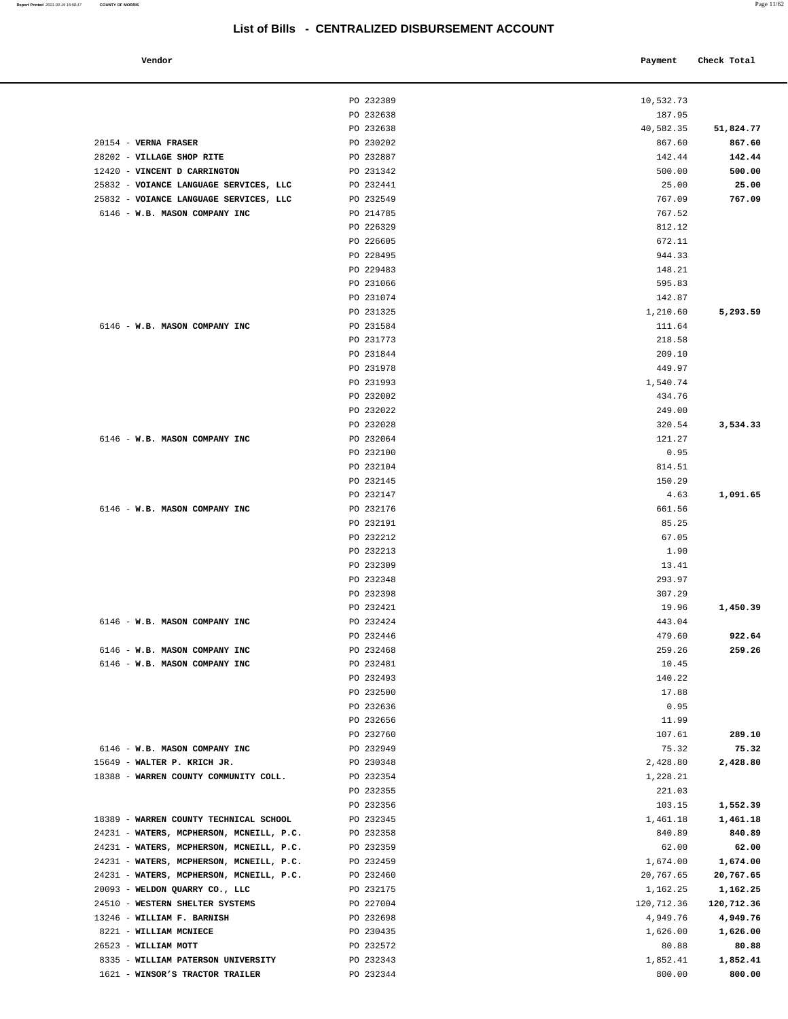| Vendor | Payment Check Total |
|--------|---------------------|
|        |                     |

|                                                                            | PO 232389              | 10,532.73             |                       |
|----------------------------------------------------------------------------|------------------------|-----------------------|-----------------------|
|                                                                            | PO 232638              | 187.95                |                       |
|                                                                            | PO 232638              | 40,582.35             | 51,824.77             |
| 20154 - VERNA FRASER                                                       | PO 230202              | 867.60                | 867.60                |
| 28202 - VILLAGE SHOP RITE                                                  | PO 232887              | 142.44                | 142.44                |
| 12420 - VINCENT D CARRINGTON                                               | PO 231342              | 500.00                | 500.00                |
| 25832 - VOIANCE LANGUAGE SERVICES, LLC                                     | PO 232441              | 25.00                 | 25.00                 |
| 25832 - VOIANCE LANGUAGE SERVICES, LLC                                     | PO 232549              | 767.09                | 767.09                |
| 6146 - W.B. MASON COMPANY INC                                              | PO 214785              | 767.52                |                       |
|                                                                            | PO 226329              | 812.12                |                       |
|                                                                            | PO 226605              | 672.11                |                       |
|                                                                            | PO 228495              | 944.33                |                       |
|                                                                            | PO 229483              | 148.21                |                       |
|                                                                            | PO 231066              | 595.83                |                       |
|                                                                            | PO 231074              | 142.87                |                       |
| 6146 - W.B. MASON COMPANY INC                                              | PO 231325<br>PO 231584 | 1,210.60<br>111.64    | 5,293.59              |
|                                                                            | PO 231773              | 218.58                |                       |
|                                                                            | PO 231844              | 209.10                |                       |
|                                                                            | PO 231978              | 449.97                |                       |
|                                                                            | PO 231993              | 1,540.74              |                       |
|                                                                            | PO 232002              | 434.76                |                       |
|                                                                            | PO 232022              | 249.00                |                       |
|                                                                            | PO 232028              | 320.54                | 3,534.33              |
| 6146 - W.B. MASON COMPANY INC                                              | PO 232064              | 121.27                |                       |
|                                                                            | PO 232100              | 0.95                  |                       |
|                                                                            | PO 232104              | 814.51                |                       |
|                                                                            | PO 232145              | 150.29                |                       |
|                                                                            | PO 232147              | 4.63                  | 1,091.65              |
| 6146 - W.B. MASON COMPANY INC                                              | PO 232176              | 661.56                |                       |
|                                                                            | PO 232191              | 85.25                 |                       |
|                                                                            | PO 232212              | 67.05                 |                       |
|                                                                            | PO 232213              | 1.90                  |                       |
|                                                                            | PO 232309              | 13.41                 |                       |
|                                                                            | PO 232348<br>PO 232398 | 293.97                |                       |
|                                                                            | PO 232421              | 307.29<br>19.96       |                       |
| 6146 - W.B. MASON COMPANY INC                                              | PO 232424              | 443.04                | 1,450.39              |
|                                                                            | PO 232446              | 479.60                | 922.64                |
| 6146 - W.B. MASON COMPANY INC                                              | PO 232468              | 259.26                | 259.26                |
| 6146 - W.B. MASON COMPANY INC                                              | PO 232481              | 10.45                 |                       |
|                                                                            | PO 232493              | 140.22                |                       |
|                                                                            | PO 232500              | 17.88                 |                       |
|                                                                            | PO 232636              | 0.95                  |                       |
|                                                                            | PO 232656              | 11.99                 |                       |
|                                                                            | PO 232760              | 107.61                | 289.10                |
| 6146 - W.B. MASON COMPANY INC                                              | PO 232949              | 75.32                 | 75.32                 |
| 15649 - WALTER P. KRICH JR.                                                | PO 230348              | 2,428.80              | 2,428.80              |
| 18388 - WARREN COUNTY COMMUNITY COLL.                                      | PO 232354              | 1,228.21              |                       |
|                                                                            | PO 232355              | 221.03                |                       |
|                                                                            | PO 232356              | 103.15                | 1,552.39              |
| 18389 - WARREN COUNTY TECHNICAL SCHOOL                                     | PO 232345              | 1,461.18              | 1,461.18              |
| 24231 - WATERS, MCPHERSON, MCNEILL, P.C.                                   | PO 232358              | 840.89                | 840.89                |
| 24231 - WATERS, MCPHERSON, MCNEILL, P.C.                                   | PO 232359              | 62.00                 | 62.00                 |
| 24231 - WATERS, MCPHERSON, MCNEILL, P.C.                                   | PO 232459              | 1,674.00              | 1,674.00              |
| 24231 - WATERS, MCPHERSON, MCNEILL, P.C.<br>20093 - WELDON QUARRY CO., LLC | PO 232460<br>PO 232175 | 20,767.65<br>1,162.25 | 20,767.65<br>1,162.25 |
| 24510 - WESTERN SHELTER SYSTEMS                                            | PO 227004              | 120,712.36            | 120,712.36            |
| 13246 - WILLIAM F. BARNISH                                                 | PO 232698              | 4,949.76              | 4,949.76              |
| 8221 - WILLIAM MCNIECE                                                     | PO 230435              | 1,626.00              | 1,626.00              |
| 26523 - WILLIAM MOTT                                                       | PO 232572              | 80.88                 | 80.88                 |
| 8335 - WILLIAM PATERSON UNIVERSITY                                         | PO 232343              | 1,852.41              | 1,852.41              |

1621 - **WINSOR'S TRACTOR TRAILER** PO 232344 800.00 **800.00**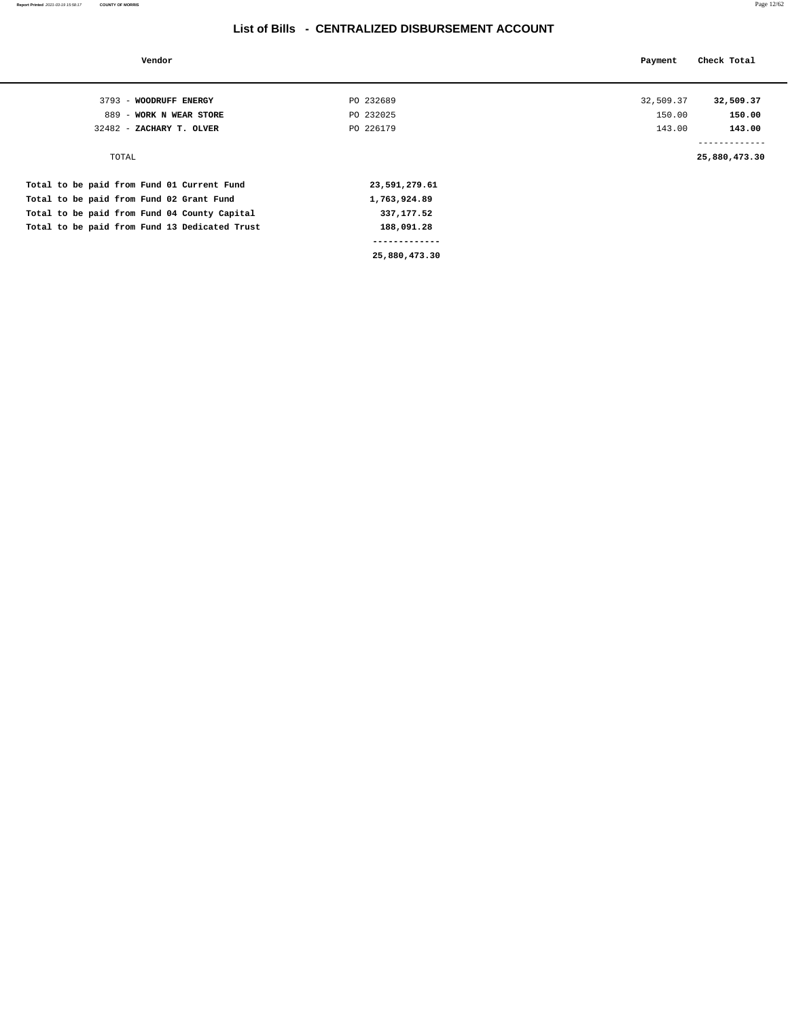| Vendor                                        |               | Payment   | Check Total                                |
|-----------------------------------------------|---------------|-----------|--------------------------------------------|
|                                               |               |           |                                            |
| 3793 - WOODRUFF ENERGY                        | PO 232689     | 32,509.37 | 32,509.37                                  |
| 889 - WORK N WEAR STORE                       | PO 232025     | 150.00    | 150.00                                     |
| 32482 - ZACHARY T. OLVER                      | PO 226179     | 143.00    | 143.00                                     |
| TOTAL                                         |               |           | . _ _ _ _ _ _ _ _ _ _ _ _<br>25,880,473.30 |
| Total to be paid from Fund 01 Current Fund    | 23,591,279.61 |           |                                            |
| Total to be paid from Fund 02 Grant Fund      | 1,763,924.89  |           |                                            |
| Total to be paid from Fund 04 County Capital  | 337,177.52    |           |                                            |
| Total to be paid from Fund 13 Dedicated Trust | 188,091.28    |           |                                            |
|                                               |               |           |                                            |
|                                               | 25,880,473.30 |           |                                            |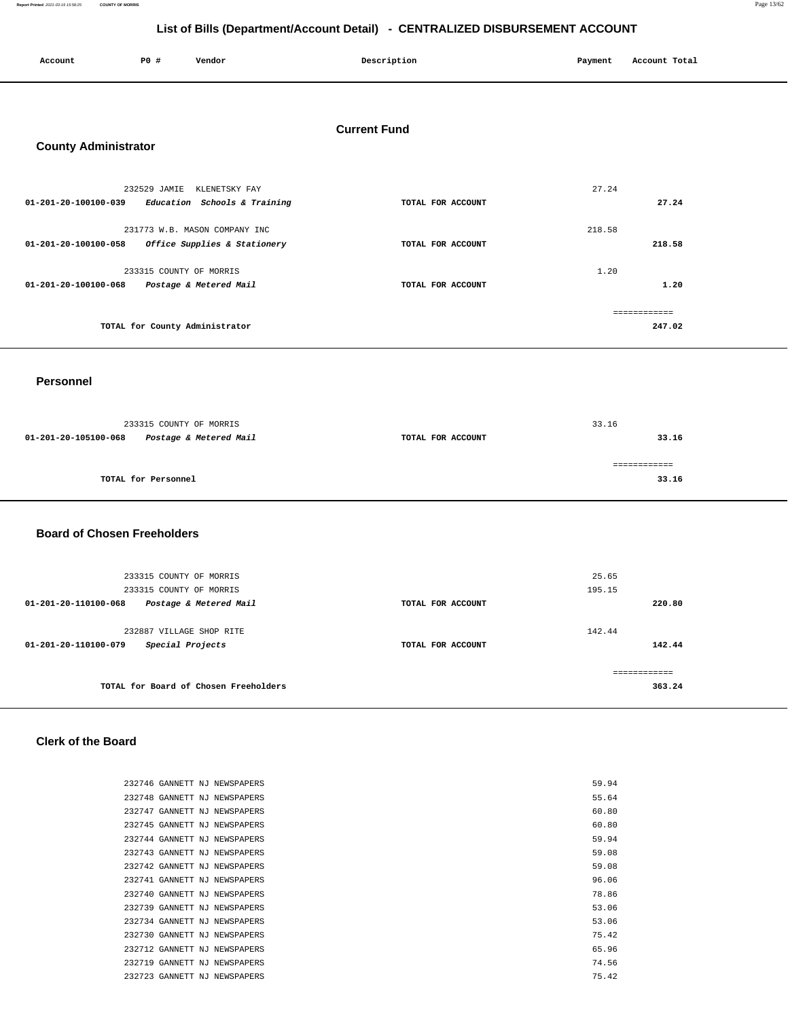**Report Printed** 2021-03-19 15:58:25 **COUNTY OF MORRIS** Page 13/62

## **List of Bills (Department/Account Detail) - CENTRALIZED DISBURSEMENT ACCOUNT**

| Account                     | P0#                     | Vendor                         | Description         | Payment | Account Total |
|-----------------------------|-------------------------|--------------------------------|---------------------|---------|---------------|
|                             |                         |                                |                     |         |               |
|                             |                         |                                | <b>Current Fund</b> |         |               |
| <b>County Administrator</b> |                         |                                |                     |         |               |
|                             | 232529 JAMIE            | KLENETSKY FAY                  |                     | 27.24   |               |
| 01-201-20-100100-039        |                         | Education Schools & Training   | TOTAL FOR ACCOUNT   |         | 27.24         |
|                             |                         | 231773 W.B. MASON COMPANY INC  |                     | 218.58  |               |
| 01-201-20-100100-058        |                         | Office Supplies & Stationery   | TOTAL FOR ACCOUNT   |         | 218.58        |
|                             | 233315 COUNTY OF MORRIS |                                |                     | 1.20    |               |
| 01-201-20-100100-068        |                         | Postage & Metered Mail         | TOTAL FOR ACCOUNT   |         | 1.20          |
|                             |                         |                                |                     |         | ============  |
|                             |                         | TOTAL for County Administrator |                     |         | 247.02        |
|                             |                         |                                |                     |         |               |

#### **Personnel**

| 233315 COUNTY OF MORRIS                        |                   | 33.16 |
|------------------------------------------------|-------------------|-------|
| 01-201-20-105100-068<br>Postage & Metered Mail | TOTAL FOR ACCOUNT | 33.16 |
|                                                |                   |       |
| TOTAL for Personnel                            |                   | 33.16 |

### **Board of Chosen Freeholders**

| 233315 COUNTY OF MORRIS                        |                   | 25.65         |
|------------------------------------------------|-------------------|---------------|
| 233315 COUNTY OF MORRIS                        |                   | 195.15        |
| Postage & Metered Mail<br>01-201-20-110100-068 | TOTAL FOR ACCOUNT | 220.80        |
|                                                |                   |               |
| 232887 VILLAGE SHOP RITE                       |                   | 142.44        |
| Special Projects<br>01-201-20-110100-079       | TOTAL FOR ACCOUNT | 142.44        |
|                                                |                   |               |
|                                                |                   | ------------- |
| TOTAL for Board of Chosen Freeholders          |                   | 363.24        |
|                                                |                   |               |

## **Clerk of the Board**

|  | 232746 GANNETT NJ NEWSPAPERS | 59.94 |
|--|------------------------------|-------|
|  | 232748 GANNETT NJ NEWSPAPERS | 55.64 |
|  | 232747 GANNETT NJ NEWSPAPERS | 60.80 |
|  | 232745 GANNETT NJ NEWSPAPERS | 60.80 |
|  | 232744 GANNETT NJ NEWSPAPERS | 59.94 |
|  | 232743 GANNETT NJ NEWSPAPERS | 59.08 |
|  | 232742 GANNETT NJ NEWSPAPERS | 59.08 |
|  | 232741 GANNETT NJ NEWSPAPERS | 96.06 |
|  | 232740 GANNETT NJ NEWSPAPERS | 78.86 |
|  | 232739 GANNETT NJ NEWSPAPERS | 53.06 |
|  | 232734 GANNETT NJ NEWSPAPERS | 53.06 |
|  | 232730 GANNETT NJ NEWSPAPERS | 75.42 |
|  | 232712 GANNETT NJ NEWSPAPERS | 65.96 |
|  | 232719 GANNETT NJ NEWSPAPERS | 74.56 |
|  | 232723 GANNETT NJ NEWSPAPERS | 75.42 |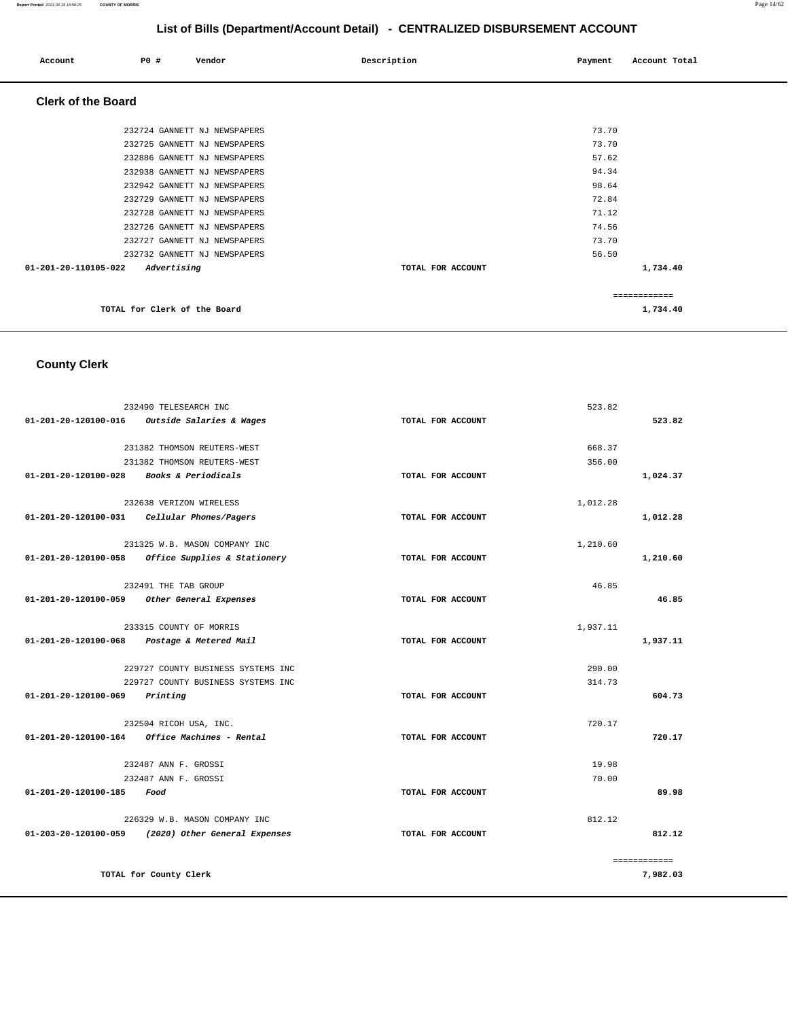#### **Report Printed** 2021-03-19 15:58:25 **COUNTY OF MORRIS** Page 14/62

## **List of Bills (Department/Account Detail) - CENTRALIZED DISBURSEMENT ACCOUNT**

| Account                   | PO#                          | Vendor                       | Description       | Payment | Account Total |
|---------------------------|------------------------------|------------------------------|-------------------|---------|---------------|
| <b>Clerk of the Board</b> |                              |                              |                   |         |               |
|                           |                              | 232724 GANNETT NJ NEWSPAPERS |                   | 73.70   |               |
|                           |                              | 232725 GANNETT NJ NEWSPAPERS |                   | 73.70   |               |
|                           |                              | 232886 GANNETT NJ NEWSPAPERS |                   | 57.62   |               |
|                           |                              | 232938 GANNETT NJ NEWSPAPERS |                   | 94.34   |               |
|                           |                              | 232942 GANNETT NJ NEWSPAPERS |                   | 98.64   |               |
|                           |                              | 232729 GANNETT NJ NEWSPAPERS |                   | 72.84   |               |
|                           |                              | 232728 GANNETT NJ NEWSPAPERS |                   | 71.12   |               |
|                           |                              | 232726 GANNETT NJ NEWSPAPERS |                   | 74.56   |               |
|                           |                              | 232727 GANNETT NJ NEWSPAPERS |                   | 73.70   |               |
|                           |                              | 232732 GANNETT NJ NEWSPAPERS |                   | 56.50   |               |
| 01-201-20-110105-022      | Advertising                  |                              | TOTAL FOR ACCOUNT |         | 1,734.40      |
|                           |                              |                              |                   |         | ============  |
|                           | TOTAL for Clerk of the Board |                              |                   |         | 1,734.40      |

# **County Clerk**

|                      | 232490 TELESEARCH INC                             | 523.82            |              |
|----------------------|---------------------------------------------------|-------------------|--------------|
| 01-201-20-120100-016 | Outside Salaries & Wages                          | TOTAL FOR ACCOUNT | 523.82       |
|                      |                                                   |                   |              |
|                      | 231382 THOMSON REUTERS-WEST                       | 668.37            |              |
|                      | 231382 THOMSON REUTERS-WEST                       | 356.00            |              |
| 01-201-20-120100-028 | Books & Periodicals                               | TOTAL FOR ACCOUNT | 1,024.37     |
|                      | 232638 VERIZON WIRELESS                           | 1,012.28          |              |
|                      | 01-201-20-120100-031 Cellular Phones/Pagers       | TOTAL FOR ACCOUNT | 1,012.28     |
|                      |                                                   |                   |              |
|                      | 231325 W.B. MASON COMPANY INC                     | 1,210.60          |              |
|                      | 01-201-20-120100-058 Office Supplies & Stationery | TOTAL FOR ACCOUNT | 1,210.60     |
|                      |                                                   |                   |              |
|                      | 232491 THE TAB GROUP                              |                   | 46.85        |
| 01-201-20-120100-059 | Other General Expenses                            | TOTAL FOR ACCOUNT | 46.85        |
|                      | 233315 COUNTY OF MORRIS                           | 1,937.11          |              |
| 01-201-20-120100-068 | Postage & Metered Mail                            | TOTAL FOR ACCOUNT | 1,937.11     |
|                      |                                                   |                   |              |
|                      | 229727 COUNTY BUSINESS SYSTEMS INC                | 290.00            |              |
|                      | 229727 COUNTY BUSINESS SYSTEMS INC                | 314.73            |              |
| 01-201-20-120100-069 | Printing                                          | TOTAL FOR ACCOUNT | 604.73       |
|                      |                                                   |                   |              |
|                      | 232504 RICOH USA, INC.                            | 720.17            |              |
|                      | 01-201-20-120100-164 Office Machines - Rental     | TOTAL FOR ACCOUNT | 720.17       |
|                      | 232487 ANN F. GROSSI                              |                   | 19.98        |
|                      | 232487 ANN F. GROSSI                              |                   | 70.00        |
| 01-201-20-120100-185 | Food                                              | TOTAL FOR ACCOUNT | 89.98        |
|                      |                                                   |                   |              |
|                      | 226329 W.B. MASON COMPANY INC                     |                   | 812.12       |
| 01-203-20-120100-059 | (2020) Other General Expenses                     | TOTAL FOR ACCOUNT | 812.12       |
|                      |                                                   |                   | ============ |
|                      | TOTAL for County Clerk                            |                   | 7,982.03     |
|                      |                                                   |                   |              |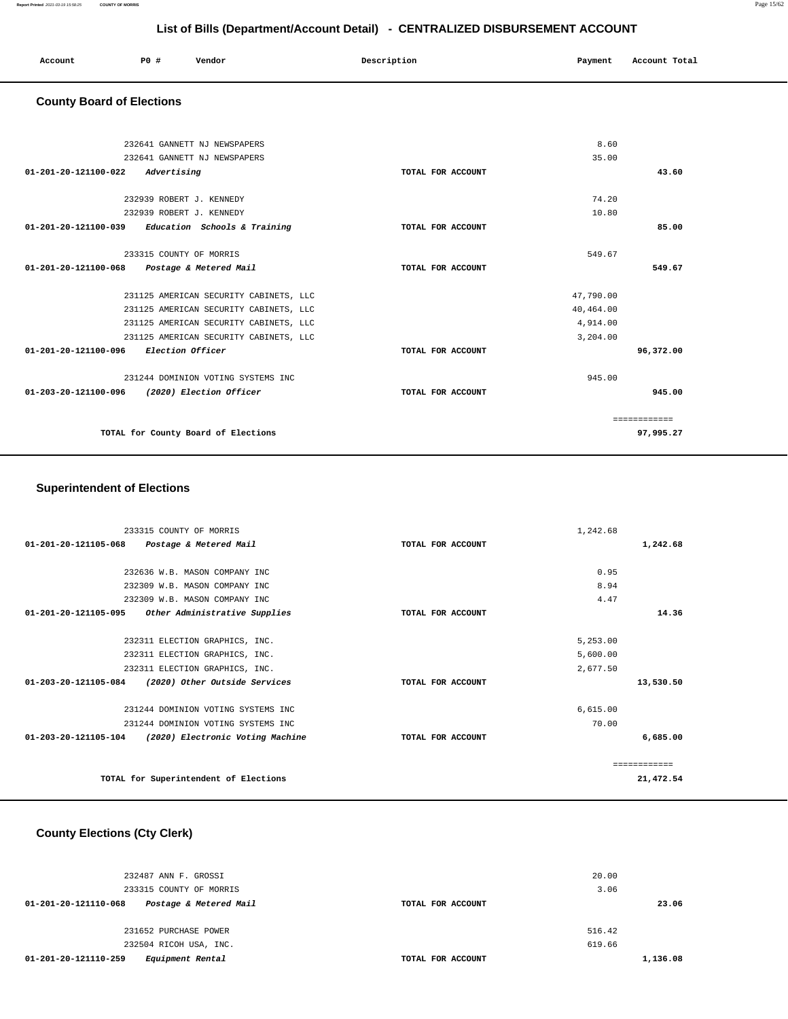| Account | PO# | Vendor | Description | Payment | Account Total |
|---------|-----|--------|-------------|---------|---------------|
|         |     |        |             |         |               |

## **County Board of Elections**

| 232641 GANNETT NJ NEWSPAPERS                        |                   | 8.60      |              |
|-----------------------------------------------------|-------------------|-----------|--------------|
| 232641 GANNETT NJ NEWSPAPERS                        |                   | 35.00     |              |
| 01-201-20-121100-022<br>Advertising                 | TOTAL FOR ACCOUNT |           | 43.60        |
|                                                     |                   |           |              |
| 232939 ROBERT J. KENNEDY                            |                   | 74.20     |              |
| 232939 ROBERT J. KENNEDY                            |                   | 10.80     |              |
| $01-201-20-121100-039$ Education Schools & Training | TOTAL FOR ACCOUNT |           | 85.00        |
| 233315 COUNTY OF MORRIS                             |                   | 549.67    |              |
| 01-201-20-121100-068 Postage & Metered Mail         | TOTAL FOR ACCOUNT |           | 549.67       |
|                                                     |                   |           |              |
| 231125 AMERICAN SECURITY CABINETS, LLC              |                   | 47.790.00 |              |
| 231125 AMERICAN SECURITY CABINETS, LLC              |                   | 40,464.00 |              |
| 231125 AMERICAN SECURITY CABINETS, LLC              |                   | 4,914.00  |              |
| 231125 AMERICAN SECURITY CABINETS, LLC              |                   | 3,204,00  |              |
| 01-201-20-121100-096 Election Officer               | TOTAL FOR ACCOUNT |           | 96,372.00    |
| 231244 DOMINION VOTING SYSTEMS INC                  |                   | 945.00    |              |
| 01-203-20-121100-096 (2020) Election Officer        | TOTAL FOR ACCOUNT |           | 945.00       |
|                                                     |                   |           |              |
|                                                     |                   |           | ============ |
| TOTAL for County Board of Elections                 |                   |           | 97,995.27    |
|                                                     |                   |           |              |

## **Superintendent of Elections**

| 233315 COUNTY OF MORRIS                                         |                   | 1,242.68      |
|-----------------------------------------------------------------|-------------------|---------------|
| 01-201-20-121105-068<br>Postage & Metered Mail                  | TOTAL FOR ACCOUNT | 1,242.68      |
|                                                                 |                   |               |
| 232636 W.B. MASON COMPANY INC                                   |                   | 0.95          |
| 232309 W.B. MASON COMPANY INC                                   |                   | 8.94          |
| 232309 W.B. MASON COMPANY INC                                   |                   | 4.47          |
| 01-201-20-121105-095<br>Other Administrative Supplies           | TOTAL FOR ACCOUNT | 14.36         |
|                                                                 |                   |               |
| 232311 ELECTION GRAPHICS, INC.                                  |                   | 5,253.00      |
| 232311 ELECTION GRAPHICS, INC.                                  |                   | 5,600.00      |
| 232311 ELECTION GRAPHICS, INC.                                  |                   | 2,677.50      |
| $01 - 203 - 20 - 121105 - 084$<br>(2020) Other Outside Services | TOTAL FOR ACCOUNT | 13,530.50     |
| 231244 DOMINION VOTING SYSTEMS INC                              |                   | 6,615.00      |
| 231244 DOMINION VOTING SYSTEMS INC                              |                   | 70.00         |
| 01-203-20-121105-104 (2020) Electronic Voting Machine           | TOTAL FOR ACCOUNT | 6,685.00      |
|                                                                 |                   | ------------- |
| TOTAL for Superintendent of Elections                           |                   | 21,472.54     |

## **County Elections (Cty Clerk)**

| 232487 ANN F. GROSSI                           |                   | 20.00    |
|------------------------------------------------|-------------------|----------|
| 233315 COUNTY OF MORRIS                        |                   | 3.06     |
| Postage & Metered Mail<br>01-201-20-121110-068 | TOTAL FOR ACCOUNT | 23.06    |
|                                                |                   |          |
| 231652 PURCHASE POWER                          |                   | 516.42   |
| 232504 RICOH USA, INC.                         |                   | 619.66   |
| 01-201-20-121110-259<br>Equipment Rental       | TOTAL FOR ACCOUNT | 1,136.08 |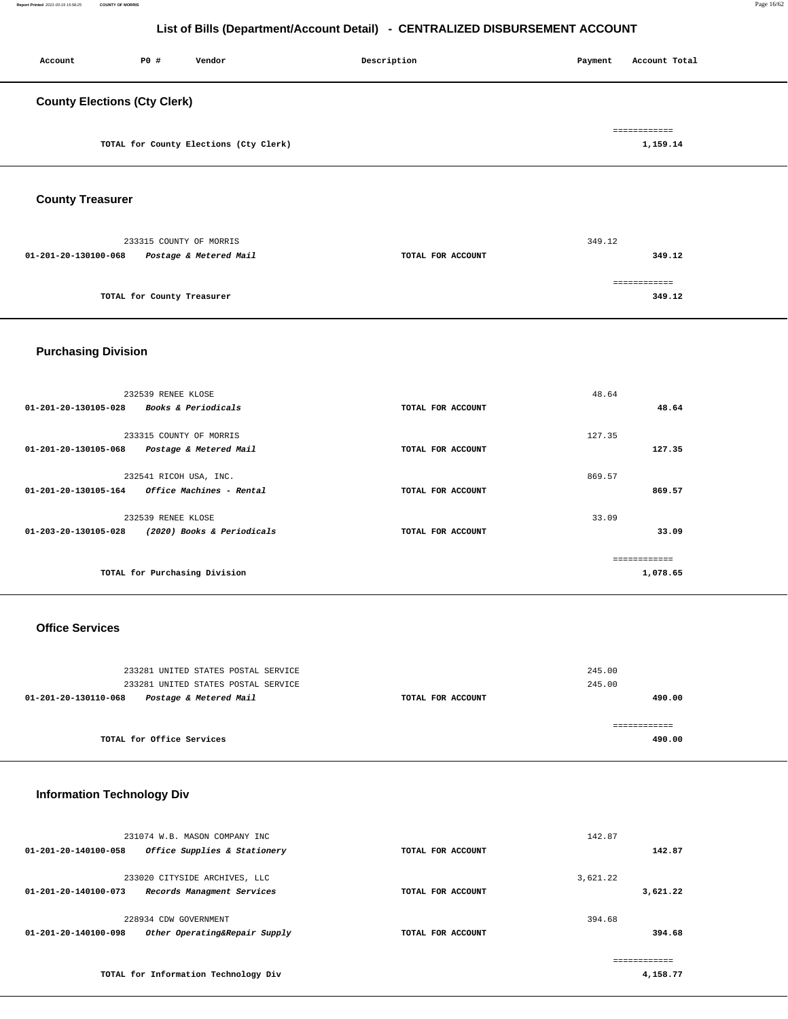| Account                             | P0 # | Vendor                                 | Description | Account Total<br>Payment |
|-------------------------------------|------|----------------------------------------|-------------|--------------------------|
| <b>County Elections (Cty Clerk)</b> |      |                                        |             |                          |
|                                     |      | TOTAL for County Elections (Cty Clerk) |             | ============<br>1,159.14 |

**County Treasurer** 

|                      | 233315 COUNTY OF MORRIS    |                   | 349.12 |
|----------------------|----------------------------|-------------------|--------|
| 01-201-20-130100-068 | Postage & Metered Mail     | TOTAL FOR ACCOUNT | 349.12 |
|                      |                            |                   |        |
|                      | TOTAL for County Treasurer |                   | 349.12 |
|                      |                            |                   |        |

## **Purchasing Division**

| 01-201-20-130105-028 | 232539 RENEE KLOSE<br><b>Books &amp; Periodicals</b> | TOTAL FOR ACCOUNT | 48.64  | 48.64    |
|----------------------|------------------------------------------------------|-------------------|--------|----------|
| 01-201-20-130105-068 | 233315 COUNTY OF MORRIS<br>Postage & Metered Mail    | TOTAL FOR ACCOUNT | 127.35 | 127.35   |
| 01-201-20-130105-164 | 232541 RICOH USA, INC.<br>Office Machines - Rental   | TOTAL FOR ACCOUNT | 869.57 | 869.57   |
| 01-203-20-130105-028 | 232539 RENEE KLOSE<br>(2020) Books & Periodicals     | TOTAL FOR ACCOUNT | 33.09  | 33.09    |
|                      | TOTAL for Purchasing Division                        |                   |        | 1,078.65 |

## **Office Services**

| 233281 UNITED STATES POSTAL SERVICE<br>233281 UNITED STATES POSTAL SERVICE | 245.00<br>245.00  |        |
|----------------------------------------------------------------------------|-------------------|--------|
| Postage & Metered Mail<br>01-201-20-130110-068                             | TOTAL FOR ACCOUNT | 490.00 |
| TOTAL for Office Services                                                  |                   | 490.00 |

## **Information Technology Div**

| 01-201-20-140100-058           | 231074 W.B. MASON COMPANY INC<br>Office Supplies & Stationery | TOTAL FOR ACCOUNT | 142.87   | 142.87   |
|--------------------------------|---------------------------------------------------------------|-------------------|----------|----------|
|                                |                                                               |                   |          |          |
|                                | 233020 CITYSIDE ARCHIVES, LLC                                 |                   | 3,621.22 |          |
| $01 - 201 - 20 - 140100 - 073$ | Records Managment Services                                    | TOTAL FOR ACCOUNT |          | 3,621.22 |
|                                | 228934 CDW GOVERNMENT                                         |                   | 394.68   |          |
| $01 - 201 - 20 - 140100 - 098$ | Other Operating&Repair Supply                                 | TOTAL FOR ACCOUNT |          | 394.68   |
|                                |                                                               |                   |          |          |
|                                |                                                               |                   |          |          |
|                                | TOTAL for Information Technology Div                          |                   |          | 4,158.77 |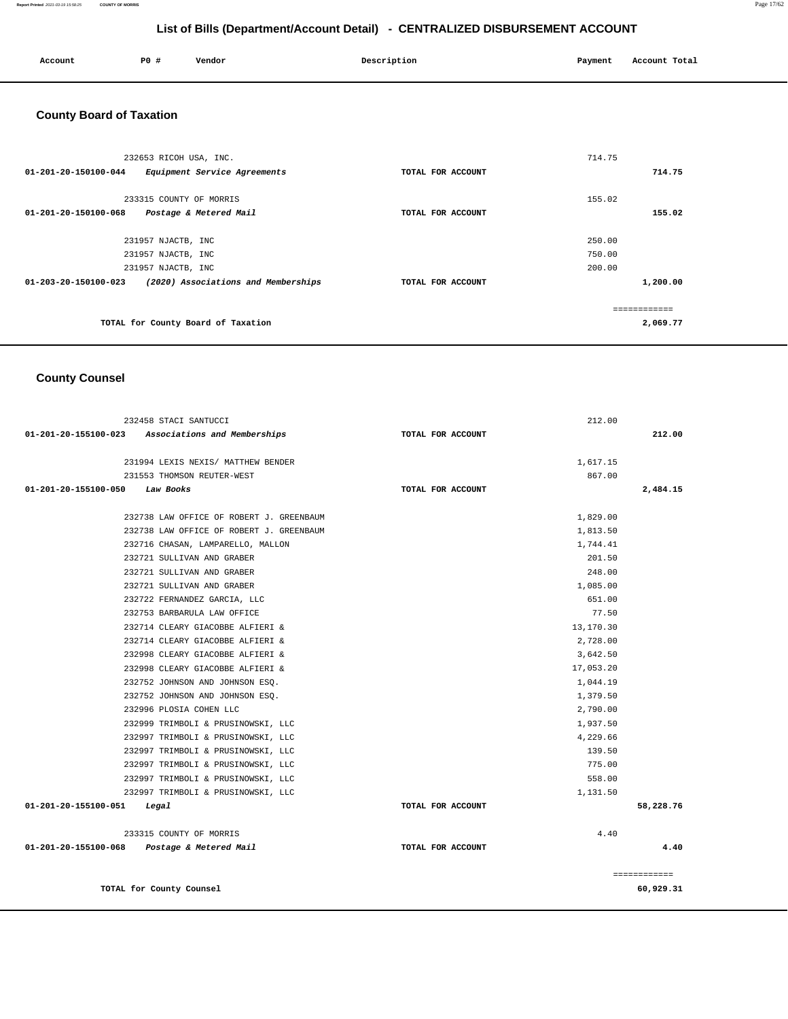#### **Report Printed** 2021-03-19 15:58:25 **COUNTY OF MORRIS** Page 17/62

## **List of Bills (Department/Account Detail) - CENTRALIZED DISBURSEMENT ACCOUNT**

| Account | P0 # | Vendor | Description | Payment | Account Total |
|---------|------|--------|-------------|---------|---------------|
| .       |      |        |             |         |               |
|         |      |        |             |         |               |

# **County Board of Taxation**

| 232653 RICOH USA, INC.                                                |                   | 714.75   |
|-----------------------------------------------------------------------|-------------------|----------|
| 01-201-20-150100-044<br>Equipment Service Agreements                  | TOTAL FOR ACCOUNT | 714.75   |
| 233315 COUNTY OF MORRIS                                               |                   | 155.02   |
| 01-201-20-150100-068<br>Postage & Metered Mail                        | TOTAL FOR ACCOUNT | 155.02   |
|                                                                       |                   |          |
| 231957 NJACTB, INC                                                    |                   | 250.00   |
| 231957 NJACTB, INC                                                    |                   | 750.00   |
| 231957 NJACTB, INC                                                    |                   | 200.00   |
| $01 - 203 - 20 - 150100 - 023$<br>(2020) Associations and Memberships | TOTAL FOR ACCOUNT | 1,200.00 |
|                                                                       |                   |          |
|                                                                       |                   |          |
| TOTAL for County Board of Taxation                                    |                   | 2,069.77 |

## **County Counsel**

|                      | 232458 STACI SANTUCCI                             |                   | 212.00    |              |
|----------------------|---------------------------------------------------|-------------------|-----------|--------------|
|                      | 01-201-20-155100-023 Associations and Memberships | TOTAL FOR ACCOUNT |           | 212.00       |
|                      | 231994 LEXIS NEXIS/ MATTHEW BENDER                |                   | 1,617.15  |              |
|                      | 231553 THOMSON REUTER-WEST                        |                   | 867.00    |              |
| 01-201-20-155100-050 | Law Books                                         | TOTAL FOR ACCOUNT |           | 2,484.15     |
|                      | 232738 LAW OFFICE OF ROBERT J. GREENBAUM          |                   | 1,829.00  |              |
|                      | 232738 LAW OFFICE OF ROBERT J. GREENBAUM          |                   | 1,813.50  |              |
|                      | 232716 CHASAN, LAMPARELLO, MALLON                 |                   | 1,744.41  |              |
|                      | 232721 SULLIVAN AND GRABER                        |                   | 201.50    |              |
|                      | 232721 SULLIVAN AND GRABER                        |                   | 248.00    |              |
|                      | 232721 SULLIVAN AND GRABER                        |                   | 1,085.00  |              |
|                      | 232722 FERNANDEZ GARCIA, LLC                      |                   | 651.00    |              |
|                      | 232753 BARBARULA LAW OFFICE                       |                   | 77.50     |              |
|                      | 232714 CLEARY GIACOBBE ALFIERI &                  |                   | 13,170.30 |              |
|                      | 232714 CLEARY GIACOBBE ALFIERI &                  |                   | 2,728.00  |              |
|                      | 232998 CLEARY GIACOBBE ALFIERI &                  |                   | 3,642.50  |              |
|                      | 232998 CLEARY GIACOBBE ALFIERI &                  |                   | 17,053.20 |              |
|                      | 232752 JOHNSON AND JOHNSON ESO.                   |                   | 1,044.19  |              |
|                      | 232752 JOHNSON AND JOHNSON ESO.                   |                   | 1,379.50  |              |
|                      | 232996 PLOSIA COHEN LLC                           |                   | 2,790.00  |              |
|                      | 232999 TRIMBOLI & PRUSINOWSKI, LLC                |                   | 1,937.50  |              |
|                      | 232997 TRIMBOLI & PRUSINOWSKI, LLC                |                   | 4,229.66  |              |
|                      | 232997 TRIMBOLI & PRUSINOWSKI, LLC                |                   | 139.50    |              |
|                      | 232997 TRIMBOLI & PRUSINOWSKI, LLC                |                   | 775.00    |              |
|                      | 232997 TRIMBOLI & PRUSINOWSKI, LLC                |                   | 558.00    |              |
|                      | 232997 TRIMBOLI & PRUSINOWSKI, LLC                |                   | 1,131.50  |              |
| 01-201-20-155100-051 | Legal                                             | TOTAL FOR ACCOUNT |           | 58,228.76    |
|                      | 233315 COUNTY OF MORRIS                           |                   | 4.40      |              |
|                      | 01-201-20-155100-068 Postage & Metered Mail       | TOTAL FOR ACCOUNT |           | 4.40         |
|                      |                                                   |                   |           | ============ |
|                      | TOTAL for County Counsel                          |                   |           | 60,929.31    |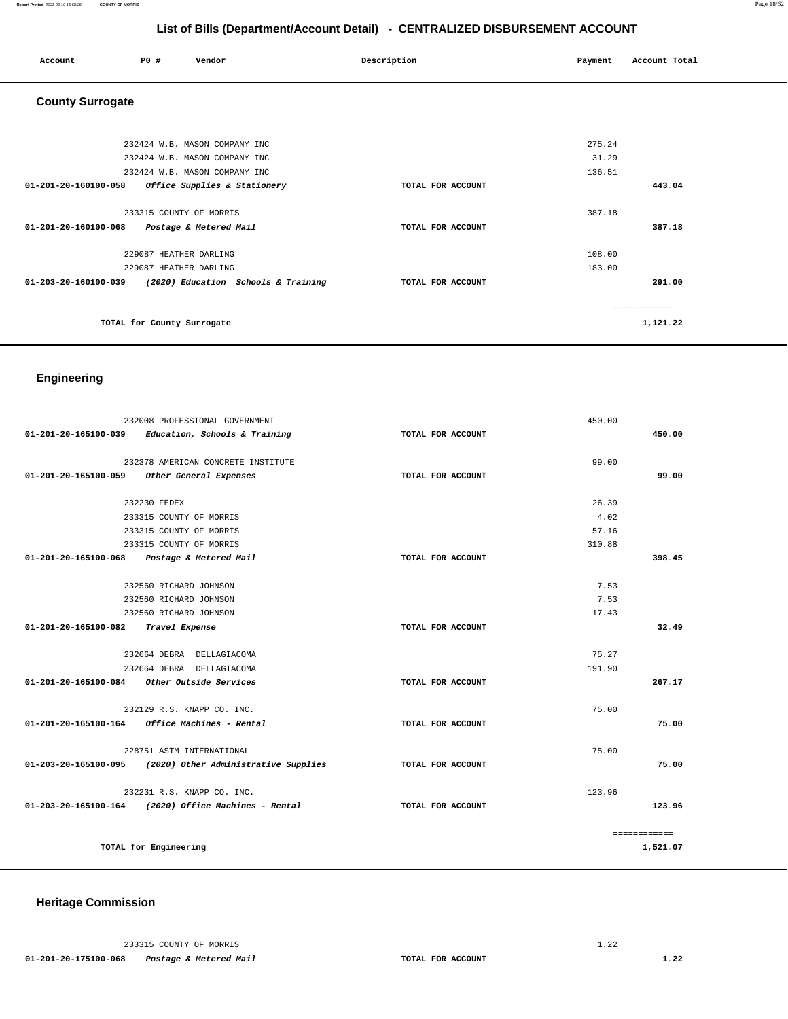| Account                 | P0 #                                             | Vendor                                                         | Description       | Payment          | Account Total          |
|-------------------------|--------------------------------------------------|----------------------------------------------------------------|-------------------|------------------|------------------------|
| <b>County Surrogate</b> |                                                  |                                                                |                   |                  |                        |
|                         |                                                  | 232424 W.B. MASON COMPANY INC<br>232424 W.B. MASON COMPANY INC |                   | 275.24<br>31.29  |                        |
| 01-201-20-160100-058    |                                                  | 232424 W.B. MASON COMPANY INC<br>Office Supplies & Stationery  | TOTAL FOR ACCOUNT | 136.51           | 443.04                 |
| 01-201-20-160100-068    | 233315 COUNTY OF MORRIS                          | Postage & Metered Mail                                         | TOTAL FOR ACCOUNT | 387.18           | 387.18                 |
|                         | 229087 HEATHER DARLING<br>229087 HEATHER DARLING |                                                                |                   | 108.00<br>183.00 |                        |
| 01-203-20-160100-039    |                                                  | (2020) Education Schools & Training                            | TOTAL FOR ACCOUNT |                  | 291.00<br>============ |
|                         | TOTAL for County Surrogate                       |                                                                |                   |                  | 1,121.22               |

## **Engineering**

|                                | 232008 PROFESSIONAL GOVERNMENT                          |                   | 450.00 |              |
|--------------------------------|---------------------------------------------------------|-------------------|--------|--------------|
| 01-201-20-165100-039           | Education, Schools & Training                           | TOTAL FOR ACCOUNT |        | 450.00       |
|                                | 232378 AMERICAN CONCRETE INSTITUTE                      |                   | 99.00  |              |
| $01 - 201 - 20 - 165100 - 059$ | Other General Expenses                                  | TOTAL FOR ACCOUNT |        | 99.00        |
|                                |                                                         |                   |        |              |
|                                | 232230 FEDEX                                            |                   | 26.39  |              |
|                                | 233315 COUNTY OF MORRIS                                 |                   | 4.02   |              |
|                                | 233315 COUNTY OF MORRIS                                 |                   | 57.16  |              |
|                                | 233315 COUNTY OF MORRIS                                 |                   | 310.88 |              |
| 01-201-20-165100-068           | Postage & Metered Mail                                  | TOTAL FOR ACCOUNT |        | 398.45       |
|                                |                                                         |                   |        |              |
|                                | 232560 RICHARD JOHNSON                                  |                   | 7.53   |              |
|                                | 232560 RICHARD JOHNSON                                  |                   | 7.53   |              |
|                                | 232560 RICHARD JOHNSON                                  |                   | 17.43  |              |
| 01-201-20-165100-082           | Travel Expense                                          | TOTAL FOR ACCOUNT |        | 32.49        |
|                                | 232664 DEBRA DELLAGIACOMA                               |                   | 75.27  |              |
|                                | 232664 DEBRA DELLAGIACOMA                               |                   | 191.90 |              |
| 01-201-20-165100-084           | Other Outside Services                                  | TOTAL FOR ACCOUNT |        | 267.17       |
|                                | 232129 R.S. KNAPP CO. INC.                              |                   | 75.00  |              |
|                                | $01 - 201 - 20 - 165100 - 164$ Office Machines - Rental | TOTAL FOR ACCOUNT |        | 75.00        |
|                                | 228751 ASTM INTERNATIONAL                               |                   | 75.00  |              |
| 01-203-20-165100-095           | (2020) Other Administrative Supplies                    | TOTAL FOR ACCOUNT |        | 75.00        |
|                                |                                                         |                   |        |              |
|                                | 232231 R.S. KNAPP CO. INC.                              |                   | 123.96 |              |
|                                | 01-203-20-165100-164 (2020) Office Machines - Rental    | TOTAL FOR ACCOUNT |        | 123.96       |
|                                |                                                         |                   |        | ============ |
|                                | TOTAL for Engineering                                   |                   |        | 1,521.07     |

## **Heritage Commission**

233315 COUNTY OF MORRIS 1.22  **01-201-20-175100-068 Postage & Metered Mail TOTAL FOR ACCOUNT 1.22**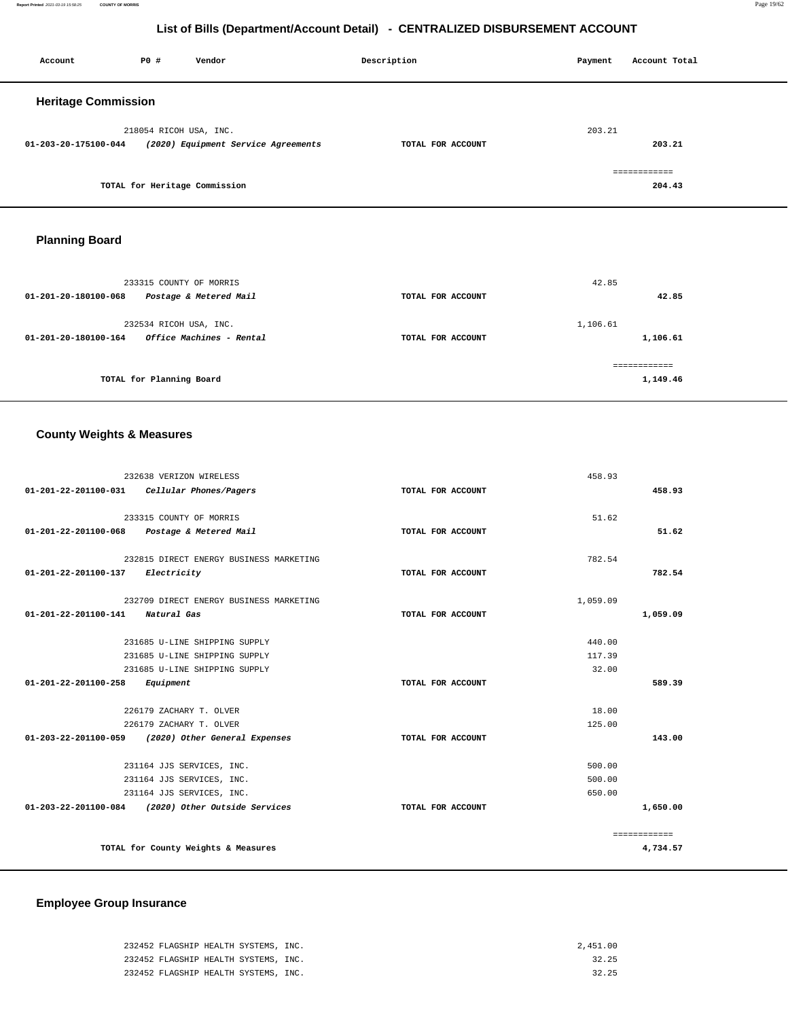**Report Printed** 2021-03-19 15:58:25 **COUNTY OF MORRIS** Page 19/62

## **List of Bills (Department/Account Detail) - CENTRALIZED DISBURSEMENT ACCOUNT**

| Account                    | P0#                    | Vendor                              | Description       | Payment | Account Total |
|----------------------------|------------------------|-------------------------------------|-------------------|---------|---------------|
| <b>Heritage Commission</b> |                        |                                     |                   |         |               |
|                            | 218054 RICOH USA, INC. |                                     |                   | 203.21  |               |
| 01-203-20-175100-044       |                        | (2020) Equipment Service Agreements | TOTAL FOR ACCOUNT |         | 203.21        |
|                            |                        |                                     |                   |         | ============  |
|                            |                        | TOTAL for Heritage Commission       |                   |         | 204.43        |

## **Planning Board**

| 233315 COUNTY OF MORRIS<br>Postage & Metered Mail<br>01-201-20-180100-068  | TOTAL FOR ACCOUNT | 42.85<br>42.85       |
|----------------------------------------------------------------------------|-------------------|----------------------|
| 232534 RICOH USA, INC.<br>Office Machines - Rental<br>01-201-20-180100-164 | TOTAL FOR ACCOUNT | 1,106.61<br>1,106.61 |
| TOTAL for Planning Board                                                   |                   | 1,149.46             |

# **County Weights & Measures**

|                                  | 232638 VERIZON WIRELESS                            |                   | 458.93   |              |
|----------------------------------|----------------------------------------------------|-------------------|----------|--------------|
| 01-201-22-201100-031             | Cellular Phones/Pagers                             | TOTAL FOR ACCOUNT |          | 458.93       |
|                                  | 233315 COUNTY OF MORRIS                            |                   | 51.62    |              |
|                                  | 01-201-22-201100-068 Postage & Metered Mail        | TOTAL FOR ACCOUNT |          | 51.62        |
|                                  | 232815 DIRECT ENERGY BUSINESS MARKETING            |                   | 782.54   |              |
| 01-201-22-201100-137 Electricity |                                                    | TOTAL FOR ACCOUNT |          | 782.54       |
|                                  | 232709 DIRECT ENERGY BUSINESS MARKETING            |                   | 1,059.09 |              |
| 01-201-22-201100-141             | Natural Gas                                        | TOTAL FOR ACCOUNT |          | 1,059.09     |
|                                  | 231685 U-LINE SHIPPING SUPPLY                      |                   | 440.00   |              |
|                                  | 231685 U-LINE SHIPPING SUPPLY                      |                   | 117.39   |              |
|                                  | 231685 U-LINE SHIPPING SUPPLY                      |                   | 32.00    |              |
| 01-201-22-201100-258             | Equipment                                          | TOTAL FOR ACCOUNT |          | 589.39       |
|                                  | 226179 ZACHARY T. OLVER                            |                   | 18.00    |              |
|                                  | 226179 ZACHARY T. OLVER                            |                   | 125.00   |              |
|                                  | 01-203-22-201100-059 (2020) Other General Expenses | TOTAL FOR ACCOUNT |          | 143.00       |
|                                  | 231164 JJS SERVICES, INC.                          |                   | 500.00   |              |
|                                  | 231164 JJS SERVICES, INC.                          |                   | 500.00   |              |
|                                  | 231164 JJS SERVICES, INC.                          |                   | 650.00   |              |
|                                  | 01-203-22-201100-084 (2020) Other Outside Services | TOTAL FOR ACCOUNT |          | 1,650.00     |
|                                  |                                                    |                   |          | ============ |
|                                  | TOTAL for County Weights & Measures                |                   |          | 4,734.57     |

## **Employee Group Insurance**

| 232452 FLAGSHIP HEALTH SYSTEMS, INC. | 2,451.00 |
|--------------------------------------|----------|
| 232452 FLAGSHIP HEALTH SYSTEMS, INC. | 32.25    |
| 232452 FLAGSHIP HEALTH SYSTEMS, INC. | 32.25    |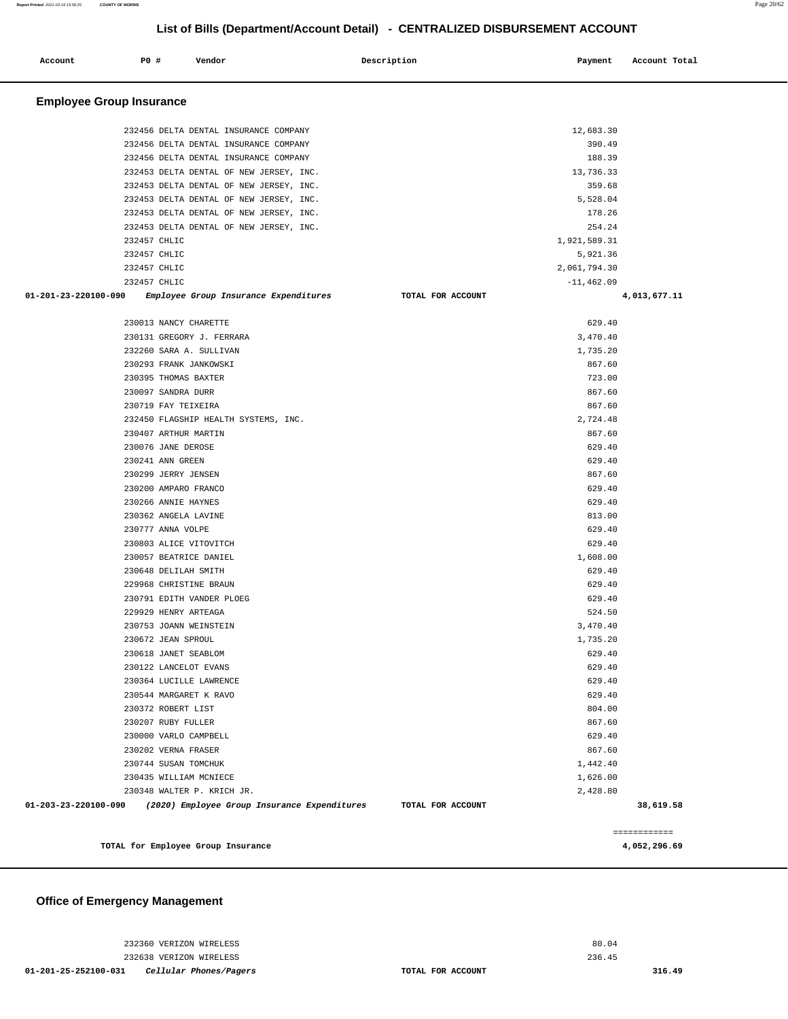| Account                         | P0 #             | Vendor                                       | Description       | Payment       | Account Total |
|---------------------------------|------------------|----------------------------------------------|-------------------|---------------|---------------|
| <b>Employee Group Insurance</b> |                  |                                              |                   |               |               |
|                                 |                  | 232456 DELTA DENTAL INSURANCE COMPANY        |                   | 12,683.30     |               |
|                                 |                  | 232456 DELTA DENTAL INSURANCE COMPANY        |                   | 390.49        |               |
|                                 |                  | 232456 DELTA DENTAL INSURANCE COMPANY        |                   | 188.39        |               |
|                                 |                  | 232453 DELTA DENTAL OF NEW JERSEY, INC.      |                   | 13,736.33     |               |
|                                 |                  | 232453 DELTA DENTAL OF NEW JERSEY, INC.      |                   | 359.68        |               |
|                                 |                  | 232453 DELTA DENTAL OF NEW JERSEY, INC.      |                   | 5,528.04      |               |
|                                 |                  | 232453 DELTA DENTAL OF NEW JERSEY, INC.      |                   | 178.26        |               |
|                                 |                  | 232453 DELTA DENTAL OF NEW JERSEY, INC.      |                   | 254.24        |               |
|                                 | 232457 CHLIC     |                                              |                   | 1,921,589.31  |               |
|                                 | 232457 CHLIC     |                                              |                   | 5,921.36      |               |
|                                 | 232457 CHLIC     |                                              |                   | 2,061,794.30  |               |
|                                 | 232457 CHLIC     |                                              |                   | $-11, 462.09$ |               |
| 01-201-23-220100-090            |                  | Employee Group Insurance Expenditures        | TOTAL FOR ACCOUNT |               | 4,013,677.11  |
|                                 |                  | 230013 NANCY CHARETTE                        |                   | 629.40        |               |
|                                 |                  | 230131 GREGORY J. FERRARA                    |                   | 3,470.40      |               |
|                                 |                  | 232260 SARA A. SULLIVAN                      |                   | 1,735.20      |               |
|                                 |                  | 230293 FRANK JANKOWSKI                       |                   | 867.60        |               |
|                                 |                  | 230395 THOMAS BAXTER                         |                   | 723.00        |               |
|                                 |                  | 230097 SANDRA DURR                           |                   | 867.60        |               |
|                                 |                  | 230719 FAY TEIXEIRA                          |                   | 867.60        |               |
|                                 |                  | 232450 FLAGSHIP HEALTH SYSTEMS, INC.         |                   | 2,724.48      |               |
|                                 |                  | 230407 ARTHUR MARTIN                         |                   | 867.60        |               |
|                                 |                  | 230076 JANE DEROSE                           |                   | 629.40        |               |
|                                 | 230241 ANN GREEN |                                              |                   | 629.40        |               |
|                                 |                  | 230299 JERRY JENSEN                          |                   | 867.60        |               |
|                                 |                  | 230200 AMPARO FRANCO                         |                   | 629.40        |               |
|                                 |                  | 230266 ANNIE HAYNES                          |                   | 629.40        |               |
|                                 |                  | 230362 ANGELA LAVINE                         |                   | 813.00        |               |
|                                 |                  | 230777 ANNA VOLPE                            |                   | 629.40        |               |
|                                 |                  | 230803 ALICE VITOVITCH                       |                   | 629.40        |               |
|                                 |                  | 230057 BEATRICE DANIEL                       |                   | 1,608.00      |               |
|                                 |                  | 230648 DELILAH SMITH                         |                   | 629.40        |               |
|                                 |                  | 229968 CHRISTINE BRAUN                       |                   | 629.40        |               |
|                                 |                  | 230791 EDITH VANDER PLOEG                    |                   | 629.40        |               |
|                                 |                  | 229929 HENRY ARTEAGA                         |                   | 524.50        |               |
|                                 |                  | 230753 JOANN WEINSTEIN                       |                   | 3,470.40      |               |
|                                 |                  | 230672 JEAN SPROUL                           |                   | 1,735.20      |               |
|                                 |                  | 230618 JANET SEABLOM                         |                   | 629.40        |               |
|                                 |                  | 230122 LANCELOT EVANS                        |                   | 629.40        |               |
|                                 |                  | 230364 LUCILLE LAWRENCE                      |                   | 629.40        |               |
|                                 |                  | 230544 MARGARET K RAVO                       |                   | 629.40        |               |
|                                 |                  | 230372 ROBERT LIST                           |                   | 804.00        |               |
|                                 |                  | 230207 RUBY FULLER                           |                   | 867.60        |               |
|                                 |                  | 230000 VARLO CAMPBELL                        |                   | 629.40        |               |
|                                 |                  | 230202 VERNA FRASER                          |                   | 867.60        |               |
|                                 |                  | 230744 SUSAN TOMCHUK                         |                   | 1,442.40      |               |
|                                 |                  | 230435 WILLIAM MCNIECE                       |                   | 1,626.00      |               |
|                                 |                  | 230348 WALTER P. KRICH JR.                   |                   | 2,428.80      |               |
| 01-203-23-220100-090            |                  | (2020) Employee Group Insurance Expenditures | TOTAL FOR ACCOUNT |               | 38,619.58     |
|                                 |                  |                                              |                   |               | ============  |
|                                 |                  | TOTAL for Employee Group Insurance           |                   |               | 4,052,296.69  |

## **Office of Emergency Management**

 232360 VERIZON WIRELESS 232638 VERIZON WIRELESS **01-201-25-252100-031 Cellular Phones/Pagers TOTAL FOR ACCOUNT** 

80.04 236.45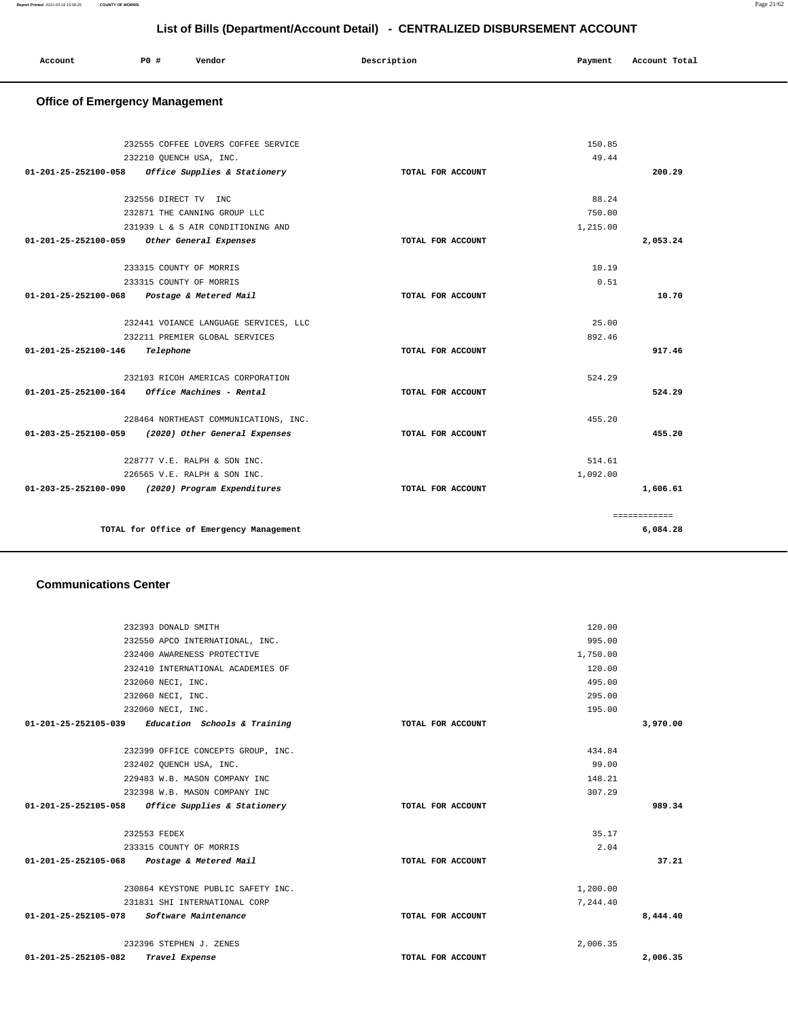| Account | PO# | Vendor | Description | Payment | Account Total |
|---------|-----|--------|-------------|---------|---------------|
|         |     |        |             |         |               |

## **Office of Emergency Management**

|                      | 232555 COFFEE LOVERS COFFEE SERVICE                |                   | 150.85   |              |
|----------------------|----------------------------------------------------|-------------------|----------|--------------|
|                      | 232210 OUENCH USA, INC.                            |                   | 49.44    |              |
| 01-201-25-252100-058 | Office Supplies & Stationery                       | TOTAL FOR ACCOUNT |          | 200.29       |
|                      |                                                    |                   |          |              |
|                      | 232556 DIRECT TV INC                               |                   | 88.24    |              |
|                      | 232871 THE CANNING GROUP LLC                       |                   | 750.00   |              |
|                      | 231939 L & S AIR CONDITIONING AND                  |                   | 1,215.00 |              |
| 01-201-25-252100-059 | Other General Expenses                             | TOTAL FOR ACCOUNT |          | 2,053.24     |
|                      | 233315 COUNTY OF MORRIS                            |                   | 10.19    |              |
|                      | 233315 COUNTY OF MORRIS                            |                   | 0.51     |              |
|                      | 01-201-25-252100-068 Postage & Metered Mail        | TOTAL FOR ACCOUNT |          | 10.70        |
|                      | 232441 VOIANCE LANGUAGE SERVICES, LLC              |                   | 25.00    |              |
|                      | 232211 PREMIER GLOBAL SERVICES                     |                   | 892.46   |              |
| 01-201-25-252100-146 | Telephone                                          | TOTAL FOR ACCOUNT |          | 917.46       |
|                      |                                                    |                   |          |              |
|                      | 232103 RICOH AMERICAS CORPORATION                  |                   | 524.29   |              |
| 01-201-25-252100-164 | Office Machines - Rental                           | TOTAL FOR ACCOUNT |          | 524.29       |
|                      | 228464 NORTHEAST COMMUNICATIONS, INC.              |                   | 455.20   |              |
|                      | 01-203-25-252100-059 (2020) Other General Expenses | TOTAL FOR ACCOUNT |          | 455.20       |
|                      | 228777 V.E. RALPH & SON INC.                       |                   | 514.61   |              |
|                      | 226565 V.E. RALPH & SON INC.                       |                   | 1,092.00 |              |
|                      | 01-203-25-252100-090 (2020) Program Expenditures   | TOTAL FOR ACCOUNT |          | 1,606.61     |
|                      |                                                    |                   |          | ============ |
|                      | TOTAL for Office of Emergency Management           |                   |          | 6,084.28     |
|                      |                                                    |                   |          |              |

## **Communications Center**

|                      | 232393 DONALD SMITH                                 |                   | 120.00   |          |
|----------------------|-----------------------------------------------------|-------------------|----------|----------|
|                      | 232550 APCO INTERNATIONAL, INC.                     |                   | 995.00   |          |
|                      | 232400 AWARENESS PROTECTIVE                         |                   | 1,750.00 |          |
|                      | 232410 INTERNATIONAL ACADEMIES OF                   |                   | 120.00   |          |
|                      | 232060 NECI, INC.                                   |                   | 495.00   |          |
|                      | 232060 NECI, INC.                                   |                   | 295.00   |          |
|                      | 232060 NECI, INC.                                   |                   | 195.00   |          |
|                      | $01-201-25-252105-039$ Education Schools & Training | TOTAL FOR ACCOUNT |          | 3,970.00 |
|                      | 232399 OFFICE CONCEPTS GROUP, INC.                  |                   | 434.84   |          |
|                      | 232402 QUENCH USA, INC.                             |                   | 99.00    |          |
|                      | 229483 W.B. MASON COMPANY INC                       |                   | 148.21   |          |
|                      | 232398 W.B. MASON COMPANY INC                       |                   | 307.29   |          |
|                      | $01-201-25-252105-058$ Office Supplies & Stationery | TOTAL FOR ACCOUNT |          | 989.34   |
|                      | 232553 FEDEX                                        |                   | 35.17    |          |
|                      | 233315 COUNTY OF MORRIS                             |                   | 2.04     |          |
|                      | 01-201-25-252105-068 Postage & Metered Mail         | TOTAL FOR ACCOUNT |          | 37.21    |
|                      | 230864 KEYSTONE PUBLIC SAFETY INC.                  |                   | 1,200.00 |          |
|                      | 231831 SHI INTERNATIONAL CORP                       |                   | 7.244.40 |          |
| 01-201-25-252105-078 | Software Maintenance                                | TOTAL FOR ACCOUNT |          | 8,444.40 |
|                      | 232396 STEPHEN J. ZENES                             |                   | 2,006.35 |          |
| 01-201-25-252105-082 | Travel Expense                                      | TOTAL FOR ACCOUNT |          | 2,006.35 |
|                      |                                                     |                   |          |          |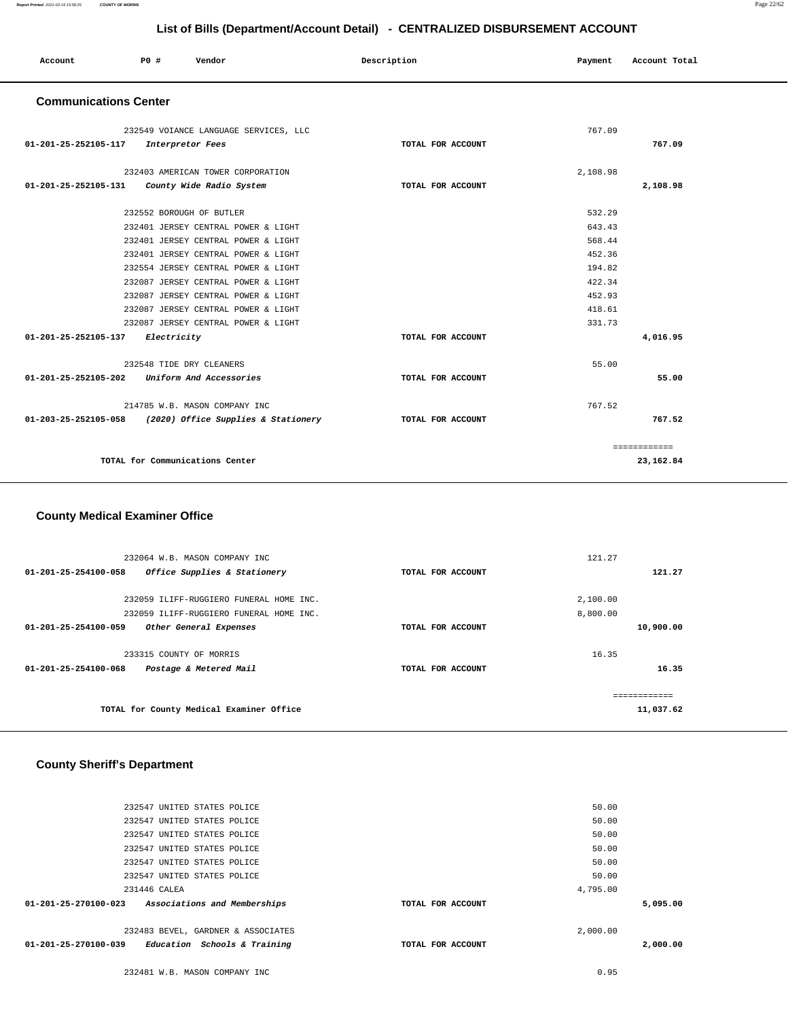| Account | P0 # | Vendor<br>. | Description | Payment | Account Total |
|---------|------|-------------|-------------|---------|---------------|
|         |      |             |             |         |               |

### **Communications Center**

| 232549 VOIANCE LANGUAGE SERVICES, LLC                    |                   | 767.09   |              |
|----------------------------------------------------------|-------------------|----------|--------------|
| 01-201-25-252105-117<br>Interpretor Fees                 | TOTAL FOR ACCOUNT |          | 767.09       |
|                                                          |                   |          |              |
| 232403 AMERICAN TOWER CORPORATION                        |                   | 2,108.98 |              |
| County Wide Radio System<br>01-201-25-252105-131         | TOTAL FOR ACCOUNT |          | 2,108.98     |
| 232552 BOROUGH OF BUTLER                                 |                   | 532.29   |              |
| 232401 JERSEY CENTRAL POWER & LIGHT                      |                   | 643.43   |              |
| 232401 JERSEY CENTRAL POWER & LIGHT                      |                   | 568.44   |              |
| 232401 JERSEY CENTRAL POWER & LIGHT                      |                   | 452.36   |              |
| 232554 JERSEY CENTRAL POWER & LIGHT                      |                   | 194.82   |              |
| 232087 JERSEY CENTRAL POWER & LIGHT                      |                   | 422.34   |              |
| 232087 JERSEY CENTRAL POWER & LIGHT                      |                   | 452.93   |              |
| 232087 JERSEY CENTRAL POWER & LIGHT                      |                   | 418.61   |              |
| 232087 JERSEY CENTRAL POWER & LIGHT                      |                   | 331.73   |              |
| 01-201-25-252105-137<br>Electricity                      | TOTAL FOR ACCOUNT |          | 4,016.95     |
|                                                          |                   |          |              |
| 232548 TIDE DRY CLEANERS                                 |                   | 55.00    |              |
| Uniform And Accessories<br>01-201-25-252105-202          | TOTAL FOR ACCOUNT |          | 55.00        |
|                                                          |                   |          |              |
| 214785 W.B. MASON COMPANY INC                            |                   | 767.52   |              |
| 01-203-25-252105-058 (2020) Office Supplies & Stationery | TOTAL FOR ACCOUNT |          | 767.52       |
|                                                          |                   |          | ============ |
| TOTAL for Communications Center                          |                   |          | 23,162.84    |
|                                                          |                   |          |              |

### **County Medical Examiner Office**

| 232064 W.B. MASON COMPANY INC                                  |                   | 121.27   |           |
|----------------------------------------------------------------|-------------------|----------|-----------|
| Office Supplies & Stationery<br>$01 - 201 - 25 - 254100 - 058$ | TOTAL FOR ACCOUNT |          | 121.27    |
|                                                                |                   |          |           |
| 232059 ILIFF-RUGGIERO FUNERAL HOME INC.                        |                   | 2,100.00 |           |
| 232059 ILIFF-RUGGIERO FUNERAL HOME INC.                        |                   | 8,800.00 |           |
| Other General Expenses<br>$01 - 201 - 25 - 254100 - 059$       | TOTAL FOR ACCOUNT |          | 10,900.00 |
|                                                                |                   |          |           |
| 233315 COUNTY OF MORRIS                                        |                   | 16.35    |           |
| 01-201-25-254100-068<br>Postage & Metered Mail                 | TOTAL FOR ACCOUNT |          | 16.35     |
|                                                                |                   |          |           |
|                                                                |                   |          |           |
| TOTAL for County Medical Examiner Office                       |                   |          | 11,037.62 |
|                                                                |                   |          |           |

## **County Sheriff's Department**

| 232547 UNITED STATES POLICE<br>50.00<br>50.00<br>232547 UNITED STATES POLICE                    |  |
|-------------------------------------------------------------------------------------------------|--|
|                                                                                                 |  |
| 50.00<br>232547 UNITED STATES POLICE                                                            |  |
| 50.00<br>232547 UNITED STATES POLICE                                                            |  |
| 232547 UNITED STATES POLICE<br>50.00                                                            |  |
| 4,795.00<br>231446 CALEA                                                                        |  |
| $01 - 201 - 25 - 270100 - 023$<br>Associations and Memberships<br>5,095.00<br>TOTAL FOR ACCOUNT |  |
| 2,000.00<br>232483 BEVEL, GARDNER & ASSOCIATES                                                  |  |
| 01-201-25-270100-039<br>Education Schools & Training<br>2,000.00<br>TOTAL FOR ACCOUNT           |  |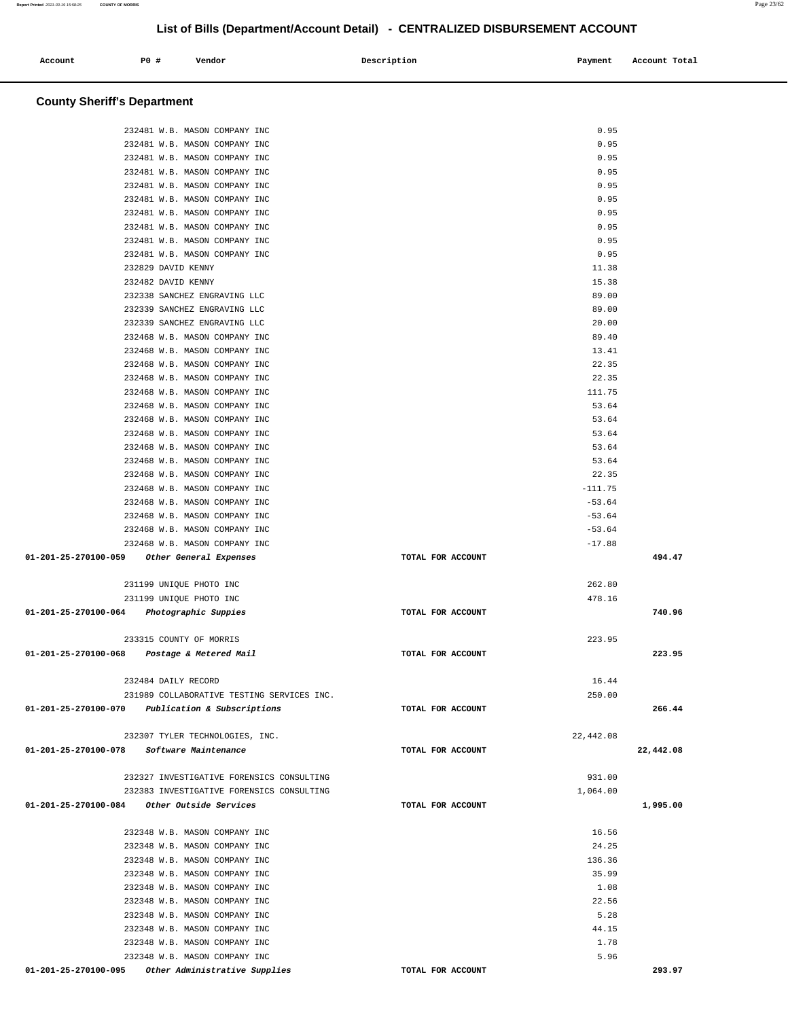## **County Sheriff's Department** 232481 W.B. MASON COMPANY INC 0.95 232481 W.B. MASON COMPANY INC 0.95 232481 W.B. MASON COMPANY INC 0.95 232481 W.B. MASON COMPANY INC 0.95 232481 W.B. MASON COMPANY INC 0.95 232481 W.B. MASON COMPANY INC 0.95 232481 W.B. MASON COMPANY INC 0.95 232481 W.B. MASON COMPANY INC 0.95 232481 W.B. MASON COMPANY INC 0.95 232481 W.B. MASON COMPANY INC 0.95 232829 DAVID KENNY 11.38 232482 DAVID KENNY 15.38 232338 SANCHEZ ENGRAVING LLC 89.00 232339 SANCHEZ ENGRAVING LLC 89.00 232339 SANCHEZ ENGRAVING LLC 20.00 232468 W.B. MASON COMPANY INC 89.40 232468 W.B. MASON COMPANY INC 13.41 232468 W.B. MASON COMPANY INC 22.35 232468 W.B. MASON COMPANY INC 22.35 232468 W.B. MASON COMPANY INC 111.75 232468 W.B. MASON COMPANY INC 53.64 232468 W.B. MASON COMPANY INC 53.64 232468 W.B. MASON COMPANY INC 53.64 232468 W.B. MASON COMPANY INC 53.64 232468 W.B. MASON COMPANY INC 53.64 232468 W.B. MASON COMPANY INC 22.35 232468 W.B. MASON COMPANY INC -111.75 232468 W.B. MASON COMPANY INC  $-53.64$ 232468 W.B. MASON COMPANY INC -53.64 232468 W.B. MASON COMPANY INC  $-53.64$ 232468 W.B. MASON COMPANY INC  $-17.88$  **01-201-25-270100-059 Other General Expenses TOTAL FOR ACCOUNT 494.47** 231199 UNIQUE PHOTO INC 262.80 231199 UNIQUE PHOTO INC 478.16  **01-201-25-270100-064 Photographic Suppies TOTAL FOR ACCOUNT 740.96** 233315 COUNTY OF MORRIS 223.95  **01-201-25-270100-068 Postage & Metered Mail TOTAL FOR ACCOUNT 223.95** 232484 DAILY RECORD 16.44 231989 COLLABORATIVE TESTING SERVICES INC. 250.00  **01-201-25-270100-070 Publication & Subscriptions TOTAL FOR ACCOUNT 266.44** 232307 TYLER TECHNOLOGIES, INC. 22,442.08  **01-201-25-270100-078 Software Maintenance TOTAL FOR ACCOUNT 22,442.08** 232327 INVESTIGATIVE FORENSICS CONSULTING 931.00 232383 INVESTIGATIVE FORENSICS CONSULTING 1,064.00  **01-201-25-270100-084 Other Outside Services TOTAL FOR ACCOUNT 1,995.00** 232348 W.B. MASON COMPANY INC 16.56 232348 W.B. MASON COMPANY INC 24.25 232348 W.B. MASON COMPANY INC 136.36 232348 W.B. MASON COMPANY INC 35.99 232348 W.B. MASON COMPANY INC 232348 W.B. MASON COMPANY INC 232348 W.B. MASON COMPANY INC 22.56 232348 W.B. MASON COMPANY INC 5.28 232348 W.B. MASON COMPANY INC 44.15 232348 W.B. MASON COMPANY INC 2008 232348 W.B. MASON COMPANY INC 232348 W.B. MASON COMPANY INC 6.5.96  **01-201-25-270100-095 Other Administrative Supplies TOTAL FOR ACCOUNT 293.97**

## **List of Bills (Department/Account Detail) - CENTRALIZED DISBURSEMENT ACCOUNT**

 **Account P0 # Vendor Description Payment Account Total**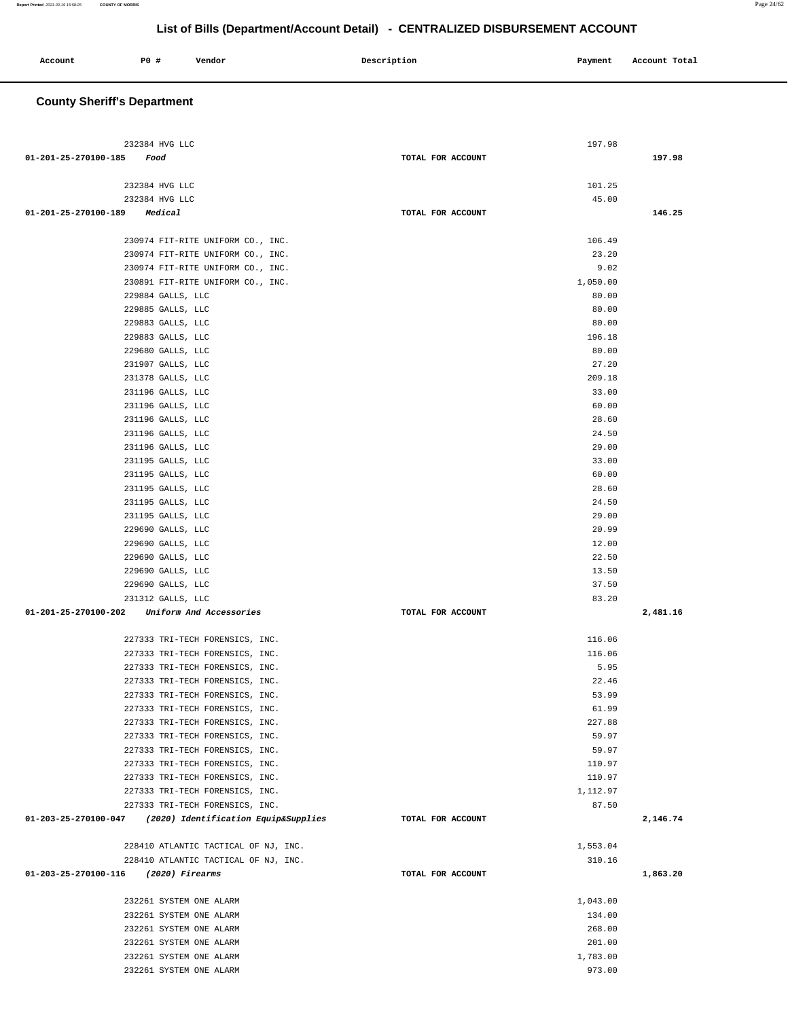| Account | PO # | Vendor | Description | Payment | Account Total |
|---------|------|--------|-------------|---------|---------------|
|         |      |        |             |         |               |

## **County Sheriff's Department**

| 232384 HVG LLC                                                     |                   | 197.98         |          |
|--------------------------------------------------------------------|-------------------|----------------|----------|
| 01-201-25-270100-185 Food                                          | TOTAL FOR ACCOUNT |                | 197.98   |
|                                                                    |                   |                |          |
| 232384 HVG LLC                                                     |                   | 101.25         |          |
| 232384 HVG LLC                                                     |                   | 45.00          |          |
| 01-201-25-270100-189 Medical                                       | TOTAL FOR ACCOUNT |                | 146.25   |
|                                                                    |                   |                |          |
| 230974 FIT-RITE UNIFORM CO., INC.                                  |                   | 106.49         |          |
| 230974 FIT-RITE UNIFORM CO., INC.                                  |                   | 23.20          |          |
| 230974 FIT-RITE UNIFORM CO., INC.                                  |                   | 9.02           |          |
| 230891 FIT-RITE UNIFORM CO., INC.                                  |                   | 1,050.00       |          |
| 229884 GALLS, LLC                                                  |                   | 80.00          |          |
| 229885 GALLS, LLC                                                  |                   | 80.00          |          |
| 229883 GALLS, LLC                                                  |                   | 80.00          |          |
| 229883 GALLS, LLC                                                  |                   | 196.18         |          |
| 229680 GALLS, LLC<br>231907 GALLS, LLC                             |                   | 80.00<br>27.20 |          |
| 231378 GALLS, LLC                                                  |                   | 209.18         |          |
| 231196 GALLS, LLC                                                  |                   | 33.00          |          |
| 231196 GALLS, LLC                                                  |                   | 60.00          |          |
| 231196 GALLS, LLC                                                  |                   | 28.60          |          |
| 231196 GALLS, LLC                                                  |                   | 24.50          |          |
| 231196 GALLS, LLC                                                  |                   | 29.00          |          |
| 231195 GALLS, LLC                                                  |                   | 33.00          |          |
| 231195 GALLS, LLC                                                  |                   | 60.00          |          |
| 231195 GALLS, LLC                                                  |                   | 28.60          |          |
| 231195 GALLS, LLC                                                  |                   | 24.50          |          |
| 231195 GALLS, LLC                                                  |                   | 29.00          |          |
| 229690 GALLS, LLC                                                  |                   | 20.99          |          |
| 229690 GALLS, LLC                                                  |                   | 12.00          |          |
| 229690 GALLS, LLC                                                  |                   | 22.50          |          |
| 229690 GALLS, LLC                                                  |                   | 13.50          |          |
| 229690 GALLS, LLC                                                  |                   | 37.50          |          |
| 231312 GALLS, LLC                                                  |                   | 83.20          |          |
| 01-201-25-270100-202 Uniform And Accessories                       | TOTAL FOR ACCOUNT |                | 2,481.16 |
|                                                                    |                   | 116.06         |          |
| 227333 TRI-TECH FORENSICS, INC.<br>227333 TRI-TECH FORENSICS, INC. |                   | 116.06         |          |
| 227333 TRI-TECH FORENSICS, INC.                                    |                   | 5.95           |          |
| 227333 TRI-TECH FORENSICS, INC.                                    |                   | 22.46          |          |
| 227333 TRI-TECH FORENSICS, INC.                                    |                   | 53.99          |          |
| 227333 TRI-TECH FORENSICS, INC.                                    |                   | 61.99          |          |
| 227333 TRI-TECH FORENSICS, INC.                                    |                   | 227.88         |          |
| 227333 TRI-TECH FORENSICS, INC.                                    |                   | 59.97          |          |
| 227333 TRI-TECH FORENSICS, INC.                                    |                   | 59.97          |          |
| 227333 TRI-TECH FORENSICS, INC.                                    |                   | 110.97         |          |
| 227333 TRI-TECH FORENSICS, INC.                                    |                   | 110.97         |          |
| 227333 TRI-TECH FORENSICS, INC.                                    |                   | 1,112.97       |          |
| 227333 TRI-TECH FORENSICS, INC.                                    |                   | 87.50          |          |
| $01-203-25-270100-047$ (2020) Identification Equip&Supplies        | TOTAL FOR ACCOUNT |                | 2,146.74 |
|                                                                    |                   |                |          |
| 228410 ATLANTIC TACTICAL OF NJ, INC.                               |                   | 1,553.04       |          |
| 228410 ATLANTIC TACTICAL OF NJ, INC.                               |                   | 310.16         |          |
| 01-203-25-270100-116 (2020) Firearms                               | TOTAL FOR ACCOUNT |                | 1,863.20 |
| 232261 SYSTEM ONE ALARM                                            |                   | 1,043.00       |          |
| 232261 SYSTEM ONE ALARM                                            |                   | 134.00         |          |
| 232261 SYSTEM ONE ALARM                                            |                   | 268.00         |          |
| 232261 SYSTEM ONE ALARM                                            |                   | 201.00         |          |
| 232261 SYSTEM ONE ALARM                                            |                   | 1,783.00       |          |
| 232261 SYSTEM ONE ALARM                                            |                   | 973.00         |          |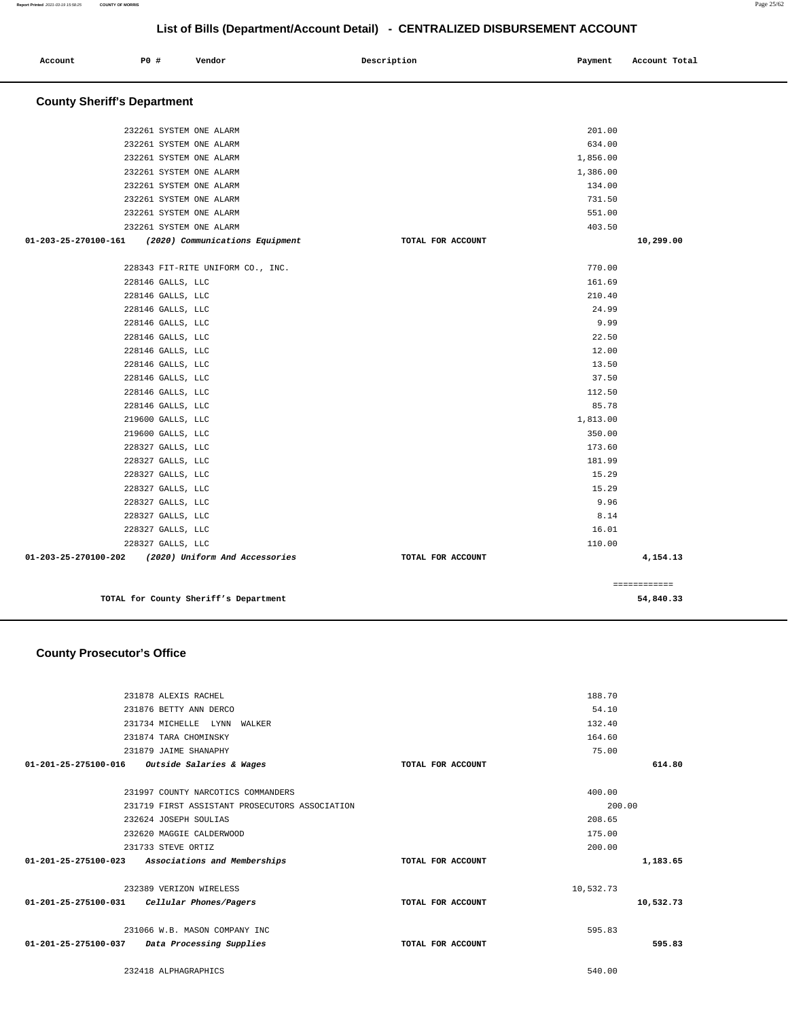**Account P0 # Vendor Description Payment Account Total**

| <b>County Sheriff's Department</b>                      |                    |              |
|---------------------------------------------------------|--------------------|--------------|
|                                                         |                    |              |
| 232261 SYSTEM ONE ALARM                                 | 201.00             |              |
| 232261 SYSTEM ONE ALARM                                 | 634.00             |              |
| 232261 SYSTEM ONE ALARM                                 | 1,856.00           |              |
| 232261 SYSTEM ONE ALARM<br>232261 SYSTEM ONE ALARM      | 1,386.00<br>134.00 |              |
| 232261 SYSTEM ONE ALARM                                 | 731.50             |              |
| 232261 SYSTEM ONE ALARM                                 | 551.00             |              |
| 232261 SYSTEM ONE ALARM                                 | 403.50             |              |
| 01-203-25-270100-161<br>(2020) Communications Equipment | TOTAL FOR ACCOUNT  | 10,299.00    |
| 228343 FIT-RITE UNIFORM CO., INC.                       | 770.00             |              |
| 228146 GALLS, LLC                                       | 161.69             |              |
| 228146 GALLS, LLC                                       | 210.40             |              |
| 228146 GALLS, LLC                                       |                    | 24.99        |
| 228146 GALLS, LLC                                       |                    | 9.99         |
| 228146 GALLS, LLC                                       |                    | 22.50        |
| 228146 GALLS, LLC                                       |                    | 12.00        |
| 228146 GALLS, LLC                                       |                    | 13.50        |
| 228146 GALLS, LLC                                       |                    | 37.50        |
| 228146 GALLS, LLC                                       | 112.50             |              |
| 228146 GALLS, LLC                                       |                    | 85.78        |
| 219600 GALLS, LLC                                       | 1,813.00           |              |
| 219600 GALLS, LLC                                       | 350.00             |              |
| 228327 GALLS, LLC                                       | 173.60             |              |
| 228327 GALLS, LLC                                       | 181.99             |              |
| 228327 GALLS, LLC                                       |                    | 15.29        |
| 228327 GALLS, LLC                                       |                    | 15.29        |
| 228327 GALLS, LLC                                       |                    | 9.96         |
| 228327 GALLS, LLC                                       |                    | 8.14         |
| 228327 GALLS, LLC                                       |                    | 16.01        |
| 228327 GALLS, LLC                                       |                    | 110.00       |
|                                                         |                    |              |
| 01-203-25-270100-202<br>(2020) Uniform And Accessories  | TOTAL FOR ACCOUNT  | 4,154.13     |
|                                                         |                    | ============ |
| TOTAL for County Sheriff's Department                   |                    | 54,840.33    |
|                                                         |                    |              |
| <b>County Prosecutor's Office</b>                       |                    |              |
|                                                         |                    |              |
| 231878 ALEXIS RACHEL                                    | 188.70             |              |
| 231876 BETTY ANN DERCO                                  |                    | 54.10        |
| 231734 MICHELLE LYNN WALKER                             | 132.40             |              |
| 231874 TARA CHOMINSKY                                   | 164.60             |              |
| 231879 JAIME SHANAPHY                                   |                    | 75.00        |
| 01-201-25-275100-016<br>Outside Salaries & Wages        | TOTAL FOR ACCOUNT  | 614.80       |
| 231997 COUNTY NARCOTICS COMMANDERS                      | 400.00             |              |
| 231719 FIRST ASSISTANT PROSECUTORS ASSOCIATION          |                    | 200.00       |
| 232624 JOSEPH SOULIAS                                   | 208.65             |              |
| 232620 MAGGIE CALDERWOOD                                | 175.00             |              |
| 231733 STEVE ORTIZ                                      | 200.00             |              |
| 01-201-25-275100-023 Associations and Memberships       | TOTAL FOR ACCOUNT  | 1,183.65     |
| 232389 VERIZON WIRELESS                                 | 10,532.73          |              |
| 01-201-25-275100-031<br>Cellular Phones/Pagers          | TOTAL FOR ACCOUNT  | 10,532.73    |
|                                                         |                    |              |
| 231066 W.B. MASON COMPANY INC                           | 595.83             |              |
| 01-201-25-275100-037<br>Data Processing Supplies        | TOTAL FOR ACCOUNT  | 595.83       |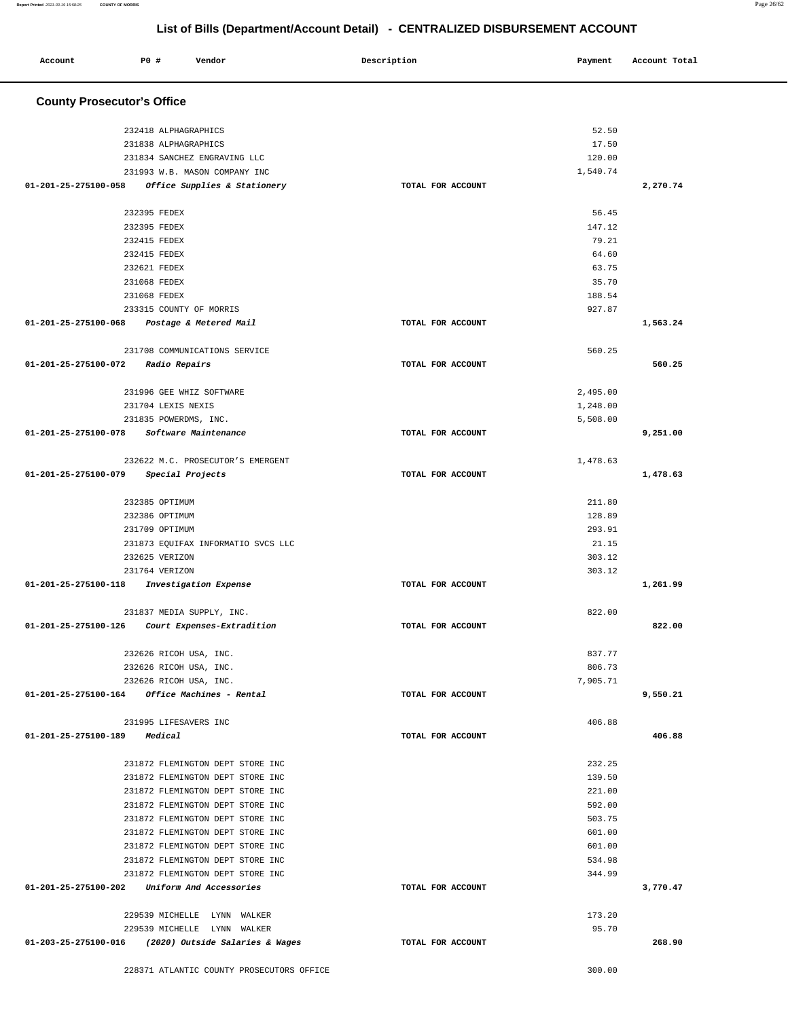| Account                                         | <b>PO #</b>           | Vendor                             | Description       | Payment  | Account Total |
|-------------------------------------------------|-----------------------|------------------------------------|-------------------|----------|---------------|
|                                                 |                       |                                    |                   |          |               |
| <b>County Prosecutor's Office</b>               |                       |                                    |                   |          |               |
|                                                 | 232418 ALPHAGRAPHICS  |                                    |                   | 52.50    |               |
|                                                 | 231838 ALPHAGRAPHICS  |                                    |                   | 17.50    |               |
|                                                 |                       | 231834 SANCHEZ ENGRAVING LLC       |                   | 120.00   |               |
|                                                 |                       | 231993 W.B. MASON COMPANY INC      |                   | 1,540.74 |               |
| 01-201-25-275100-058                            |                       | Office Supplies & Stationery       | TOTAL FOR ACCOUNT |          | 2,270.74      |
|                                                 |                       |                                    |                   |          |               |
|                                                 | 232395 FEDEX          |                                    |                   | 56.45    |               |
|                                                 | 232395 FEDEX          |                                    |                   | 147.12   |               |
|                                                 | 232415 FEDEX          |                                    |                   | 79.21    |               |
|                                                 | 232415 FEDEX          |                                    |                   | 64.60    |               |
|                                                 | 232621 FEDEX          |                                    |                   | 63.75    |               |
|                                                 | 231068 FEDEX          |                                    |                   | 35.70    |               |
|                                                 | 231068 FEDEX          |                                    |                   | 188.54   |               |
|                                                 |                       | 233315 COUNTY OF MORRIS            |                   | 927.87   |               |
| 01-201-25-275100-068                            |                       | Postage & Metered Mail             | TOTAL FOR ACCOUNT |          | 1,563.24      |
|                                                 |                       | 231708 COMMUNICATIONS SERVICE      |                   | 560.25   |               |
| 01-201-25-275100-072                            | <i>Radio Repairs</i>  |                                    | TOTAL FOR ACCOUNT |          | 560.25        |
|                                                 |                       |                                    |                   |          |               |
|                                                 |                       | 231996 GEE WHIZ SOFTWARE           |                   | 2,495.00 |               |
|                                                 | 231704 LEXIS NEXIS    |                                    |                   | 1,248.00 |               |
|                                                 | 231835 POWERDMS, INC. |                                    |                   | 5,508.00 |               |
| 01-201-25-275100-078                            |                       | Software Maintenance               | TOTAL FOR ACCOUNT |          | 9,251.00      |
|                                                 |                       | 232622 M.C. PROSECUTOR'S EMERGENT  |                   | 1,478.63 |               |
| 01-201-25-275100-079                            |                       | Special Projects                   | TOTAL FOR ACCOUNT |          | 1,478.63      |
|                                                 |                       |                                    |                   |          |               |
|                                                 | 232385 OPTIMUM        |                                    |                   | 211.80   |               |
|                                                 | 232386 OPTIMUM        |                                    |                   | 128.89   |               |
|                                                 | 231709 OPTIMUM        |                                    |                   | 293.91   |               |
|                                                 |                       | 231873 EQUIFAX INFORMATIO SVCS LLC |                   | 21.15    |               |
|                                                 | 232625 VERIZON        |                                    |                   | 303.12   |               |
|                                                 | 231764 VERIZON        |                                    |                   | 303.12   |               |
| 01-201-25-275100-118                            |                       | Investigation Expense              | TOTAL FOR ACCOUNT |          | 1,261.99      |
|                                                 |                       | 231837 MEDIA SUPPLY, INC.          |                   | 822.00   |               |
| 01-201-25-275100-126 Court Expenses-Extradition |                       |                                    | TOTAL FOR ACCOUNT |          | 822.00        |
|                                                 |                       |                                    |                   |          |               |
|                                                 |                       | 232626 RICOH USA, INC.             |                   | 837.77   |               |
|                                                 |                       | 232626 RICOH USA, INC.             |                   | 806.73   |               |
|                                                 |                       | 232626 RICOH USA, INC.             |                   | 7.905.71 |               |
| $01-201-25-275100-164$ Office Machines - Rental |                       |                                    | TOTAL FOR ACCOUNT |          | 9,550.21      |
|                                                 | 231995 LIFESAVERS INC |                                    |                   | 406.88   |               |
| 01-201-25-275100-189                            | Medical               |                                    | TOTAL FOR ACCOUNT |          | 406.88        |
|                                                 |                       |                                    |                   |          |               |
|                                                 |                       | 231872 FLEMINGTON DEPT STORE INC   |                   | 232.25   |               |
|                                                 |                       | 231872 FLEMINGTON DEPT STORE INC   |                   | 139.50   |               |
|                                                 |                       | 231872 FLEMINGTON DEPT STORE INC   |                   | 221.00   |               |
|                                                 |                       | 231872 FLEMINGTON DEPT STORE INC   |                   | 592.00   |               |
|                                                 |                       | 231872 FLEMINGTON DEPT STORE INC   |                   | 503.75   |               |
|                                                 |                       | 231872 FLEMINGTON DEPT STORE INC   |                   | 601.00   |               |
|                                                 |                       | 231872 FLEMINGTON DEPT STORE INC   |                   | 601.00   |               |
|                                                 |                       | 231872 FLEMINGTON DEPT STORE INC   |                   | 534.98   |               |
|                                                 |                       | 231872 FLEMINGTON DEPT STORE INC   |                   | 344.99   |               |
| 01-201-25-275100-202                            |                       | Uniform And Accessories            | TOTAL FOR ACCOUNT |          | 3,770.47      |
|                                                 |                       | 229539 MICHELLE LYNN WALKER        |                   | 173.20   |               |
|                                                 |                       | 229539 MICHELLE LYNN WALKER        |                   | 95.70    |               |
| 01-203-25-275100-016                            |                       | (2020) Outside Salaries & Wages    | TOTAL FOR ACCOUNT |          | 268.90        |
|                                                 |                       |                                    |                   |          |               |

228371 ATLANTIC COUNTY PROSECUTORS OFFICE 300.00

**Report Printed** 2021-03-19 15:58:25 **COUNTY OF MORRIS** Page 26/62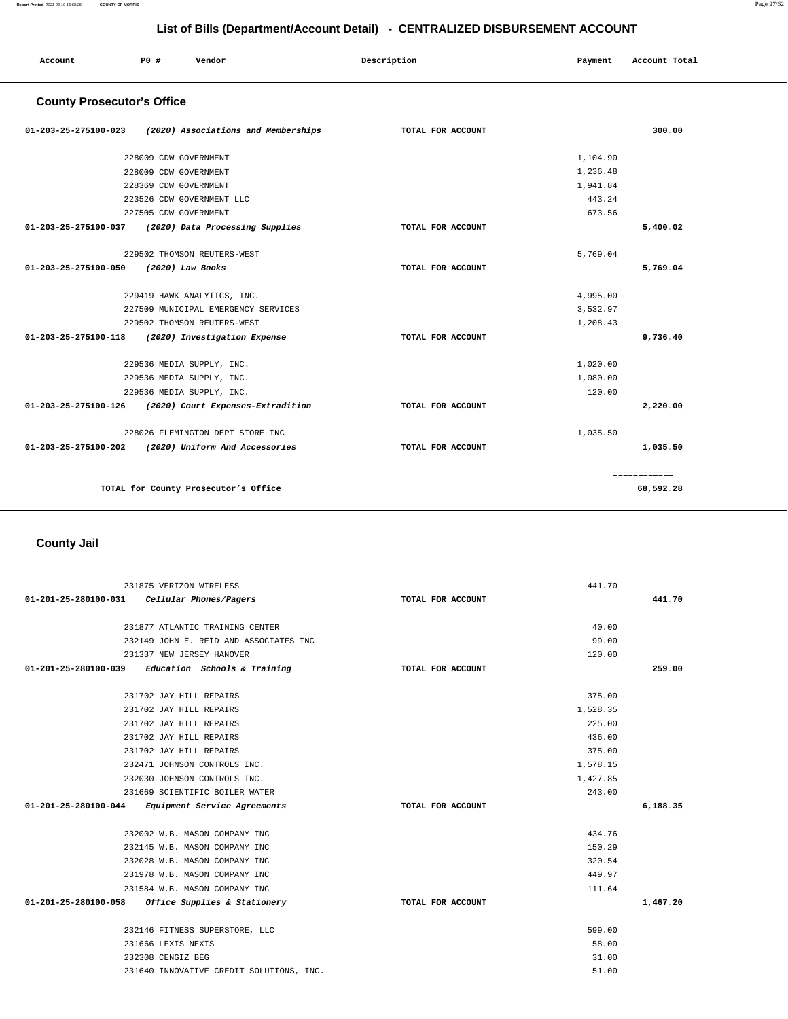| Account                           | PO#                   | Vendor                               | Description       | Payment  | Account Total |
|-----------------------------------|-----------------------|--------------------------------------|-------------------|----------|---------------|
| <b>County Prosecutor's Office</b> |                       |                                      |                   |          |               |
| 01-203-25-275100-023              |                       | (2020) Associations and Memberships  | TOTAL FOR ACCOUNT |          | 300.00        |
|                                   | 228009 CDW GOVERNMENT |                                      |                   | 1,104.90 |               |
|                                   | 228009 CDW GOVERNMENT |                                      |                   | 1,236.48 |               |
|                                   | 228369 CDW GOVERNMENT |                                      |                   | 1,941.84 |               |
|                                   |                       | 223526 CDW GOVERNMENT LLC            |                   | 443.24   |               |
|                                   | 227505 CDW GOVERNMENT |                                      |                   | 673.56   |               |
| 01-203-25-275100-037              |                       | (2020) Data Processing Supplies      | TOTAL FOR ACCOUNT |          | 5,400.02      |
|                                   |                       | 229502 THOMSON REUTERS-WEST          |                   | 5,769.04 |               |
| 01-203-25-275100-050              |                       | (2020) Law Books                     | TOTAL FOR ACCOUNT |          | 5,769.04      |
|                                   |                       | 229419 HAWK ANALYTICS, INC.          |                   | 4,995.00 |               |
|                                   |                       | 227509 MUNICIPAL EMERGENCY SERVICES  |                   | 3,532.97 |               |
|                                   |                       | 229502 THOMSON REUTERS-WEST          |                   | 1,208.43 |               |
| 01-203-25-275100-118              |                       | (2020) Investigation Expense         | TOTAL FOR ACCOUNT |          | 9,736.40      |
|                                   |                       | 229536 MEDIA SUPPLY, INC.            |                   | 1,020.00 |               |
|                                   |                       | 229536 MEDIA SUPPLY, INC.            |                   | 1,080.00 |               |
|                                   |                       | 229536 MEDIA SUPPLY, INC.            |                   | 120.00   |               |
| 01-203-25-275100-126              |                       | (2020) Court Expenses-Extradition    | TOTAL FOR ACCOUNT |          | 2,220.00      |
|                                   |                       | 228026 FLEMINGTON DEPT STORE INC     |                   | 1,035.50 |               |
| 01-203-25-275100-202              |                       | (2020) Uniform And Accessories       | TOTAL FOR ACCOUNT |          | 1,035.50      |
|                                   |                       |                                      |                   |          | ============  |
|                                   |                       | TOTAL for County Prosecutor's Office |                   |          | 68,592.28     |

## **County Jail**

| 231875 VERIZON WIRELESS                              |                   | 441.70   |          |
|------------------------------------------------------|-------------------|----------|----------|
| 01-201-25-280100-031 Cellular Phones/Pagers          | TOTAL FOR ACCOUNT |          | 441.70   |
| 231877 ATLANTIC TRAINING CENTER                      |                   | 40.00    |          |
| 232149 JOHN E. REID AND ASSOCIATES INC               |                   | 99.00    |          |
| 231337 NEW JERSEY HANOVER                            |                   | 120.00   |          |
| $01-201-25-280100-039$ Education Schools & Training  | TOTAL FOR ACCOUNT |          | 259.00   |
| 231702 JAY HILL REPAIRS                              |                   | 375.00   |          |
| 231702 JAY HILL REPAIRS                              |                   | 1,528.35 |          |
| 231702 JAY HILL REPAIRS                              |                   | 225.00   |          |
| 231702 JAY HILL REPAIRS                              |                   | 436.00   |          |
| 231702 JAY HILL REPAIRS                              |                   | 375.00   |          |
| 232471 JOHNSON CONTROLS INC.                         |                   | 1,578.15 |          |
| 232030 JOHNSON CONTROLS INC.                         |                   | 1,427.85 |          |
| 231669 SCIENTIFIC BOILER WATER                       |                   | 243.00   |          |
| 01-201-25-280100-044 Equipment Service Agreements    | TOTAL FOR ACCOUNT |          | 6,188.35 |
| 232002 W.B. MASON COMPANY INC                        |                   | 434.76   |          |
| 232145 W.B. MASON COMPANY INC                        |                   | 150.29   |          |
| 232028 W.B. MASON COMPANY INC                        |                   | 320.54   |          |
| 231978 W.B. MASON COMPANY INC                        |                   | 449.97   |          |
| 231584 W.B. MASON COMPANY INC                        |                   | 111.64   |          |
| 01-201-25-280100-058<br>Office Supplies & Stationery | TOTAL FOR ACCOUNT |          | 1,467.20 |
| 232146 FITNESS SUPERSTORE, LLC                       |                   | 599.00   |          |
| 231666 LEXIS NEXIS                                   |                   | 58.00    |          |
| 232308 CENGIZ BEG                                    |                   | 31.00    |          |
| 231640 INNOVATIVE CREDIT SOLUTIONS, INC.             |                   | 51.00    |          |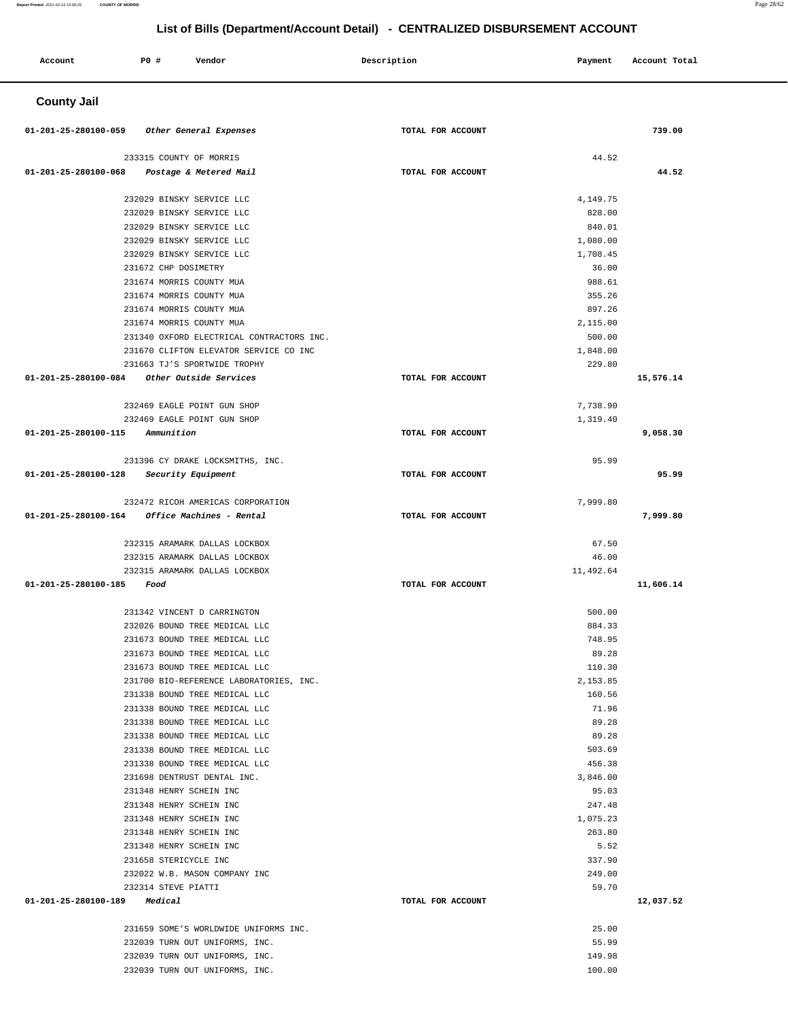| Account                      | P0 #                                                   | Vendor                                                                              | Description       | Payment            | Account Total |  |
|------------------------------|--------------------------------------------------------|-------------------------------------------------------------------------------------|-------------------|--------------------|---------------|--|
| <b>County Jail</b>           |                                                        |                                                                                     |                   |                    |               |  |
| 01-201-25-280100-059         |                                                        | Other General Expenses                                                              | TOTAL FOR ACCOUNT |                    | 739.00        |  |
|                              | 233315 COUNTY OF MORRIS                                |                                                                                     |                   | 44.52              |               |  |
| 01-201-25-280100-068         |                                                        | Postage & Metered Mail                                                              | TOTAL FOR ACCOUNT |                    | 44.52         |  |
|                              |                                                        |                                                                                     |                   |                    |               |  |
|                              | 232029 BINSKY SERVICE LLC                              |                                                                                     |                   | 4,149.75<br>828.00 |               |  |
|                              | 232029 BINSKY SERVICE LLC<br>232029 BINSKY SERVICE LLC |                                                                                     |                   | 840.01             |               |  |
|                              | 232029 BINSKY SERVICE LLC                              |                                                                                     |                   | 1,080.00           |               |  |
|                              | 232029 BINSKY SERVICE LLC                              |                                                                                     |                   | 1,708.45           |               |  |
|                              | 231672 CHP DOSIMETRY                                   |                                                                                     |                   | 36.00              |               |  |
|                              | 231674 MORRIS COUNTY MUA                               |                                                                                     |                   | 988.61             |               |  |
|                              | 231674 MORRIS COUNTY MUA                               |                                                                                     |                   | 355.26             |               |  |
|                              | 231674 MORRIS COUNTY MUA                               |                                                                                     |                   | 897.26             |               |  |
|                              | 231674 MORRIS COUNTY MUA                               |                                                                                     |                   | 2,115.00           |               |  |
|                              |                                                        | 231340 OXFORD ELECTRICAL CONTRACTORS INC.<br>231670 CLIFTON ELEVATOR SERVICE CO INC |                   | 500.00<br>1,848.00 |               |  |
|                              |                                                        | 231663 TJ'S SPORTWIDE TROPHY                                                        |                   | 229.80             |               |  |
| 01-201-25-280100-084         |                                                        | Other Outside Services                                                              | TOTAL FOR ACCOUNT |                    | 15,576.14     |  |
|                              |                                                        |                                                                                     |                   |                    |               |  |
|                              |                                                        | 232469 EAGLE POINT GUN SHOP                                                         |                   | 7,738.90           |               |  |
|                              |                                                        | 232469 EAGLE POINT GUN SHOP                                                         |                   | 1,319.40           |               |  |
| 01-201-25-280100-115         | Ammunition                                             |                                                                                     | TOTAL FOR ACCOUNT |                    | 9,058.30      |  |
|                              |                                                        | 231396 CY DRAKE LOCKSMITHS, INC.                                                    |                   | 95.99              |               |  |
| 01-201-25-280100-128         | Security Equipment                                     |                                                                                     | TOTAL FOR ACCOUNT |                    | 95.99         |  |
|                              |                                                        |                                                                                     |                   |                    |               |  |
|                              |                                                        | 232472 RICOH AMERICAS CORPORATION                                                   |                   | 7,999.80           |               |  |
| 01-201-25-280100-164         |                                                        | Office Machines - Rental                                                            | TOTAL FOR ACCOUNT |                    | 7,999.80      |  |
|                              |                                                        |                                                                                     |                   |                    |               |  |
|                              |                                                        | 232315 ARAMARK DALLAS LOCKBOX                                                       |                   | 67.50              |               |  |
|                              |                                                        | 232315 ARAMARK DALLAS LOCKBOX                                                       |                   | 46.00              |               |  |
| 01-201-25-280100-185         | Food                                                   | 232315 ARAMARK DALLAS LOCKBOX                                                       | TOTAL FOR ACCOUNT | 11,492.64          | 11,606.14     |  |
|                              |                                                        |                                                                                     |                   |                    |               |  |
|                              |                                                        | 231342 VINCENT D CARRINGTON                                                         |                   | 500.00             |               |  |
|                              |                                                        | 232026 BOUND TREE MEDICAL LLC                                                       |                   | 884.33             |               |  |
|                              |                                                        | 231673 BOUND TREE MEDICAL LLC                                                       |                   | 748.95             |               |  |
|                              |                                                        | 231673 BOUND TREE MEDICAL LLC                                                       |                   | 89.28              |               |  |
|                              |                                                        | 231673 BOUND TREE MEDICAL LLC                                                       |                   | 110.30             |               |  |
|                              |                                                        | 231700 BIO-REFERENCE LABORATORIES, INC.<br>231338 BOUND TREE MEDICAL LLC            |                   | 2,153.85<br>160.56 |               |  |
|                              |                                                        | 231338 BOUND TREE MEDICAL LLC                                                       |                   | 71.96              |               |  |
|                              |                                                        | 231338 BOUND TREE MEDICAL LLC                                                       |                   | 89.28              |               |  |
|                              |                                                        | 231338 BOUND TREE MEDICAL LLC                                                       |                   | 89.28              |               |  |
|                              |                                                        | 231338 BOUND TREE MEDICAL LLC                                                       |                   | 503.69             |               |  |
|                              |                                                        | 231338 BOUND TREE MEDICAL LLC                                                       |                   | 456.38             |               |  |
|                              | 231698 DENTRUST DENTAL INC.                            |                                                                                     |                   | 3,846.00           |               |  |
|                              | 231348 HENRY SCHEIN INC                                |                                                                                     |                   | 95.03              |               |  |
|                              | 231348 HENRY SCHEIN INC                                |                                                                                     |                   | 247.48             |               |  |
|                              | 231348 HENRY SCHEIN INC<br>231348 HENRY SCHEIN INC     |                                                                                     |                   | 1,075.23<br>263.80 |               |  |
|                              | 231348 HENRY SCHEIN INC                                |                                                                                     |                   | 5.52               |               |  |
|                              | 231658 STERICYCLE INC                                  |                                                                                     |                   | 337.90             |               |  |
|                              |                                                        | 232022 W.B. MASON COMPANY INC                                                       |                   | 249.00             |               |  |
|                              | 232314 STEVE PIATTI                                    |                                                                                     |                   | 59.70              |               |  |
| 01-201-25-280100-189 Medical |                                                        |                                                                                     | TOTAL FOR ACCOUNT |                    | 12,037.52     |  |
|                              |                                                        |                                                                                     |                   |                    |               |  |
|                              |                                                        | 231659 SOME'S WORLDWIDE UNIFORMS INC.                                               |                   | 25.00              |               |  |
|                              |                                                        | 232039 TURN OUT UNIFORMS, INC.                                                      |                   | 55.99              |               |  |
|                              |                                                        | 232039 TURN OUT UNIFORMS, INC.                                                      |                   | 149.98             |               |  |

100.00

232039 TURN OUT UNIFORMS, INC.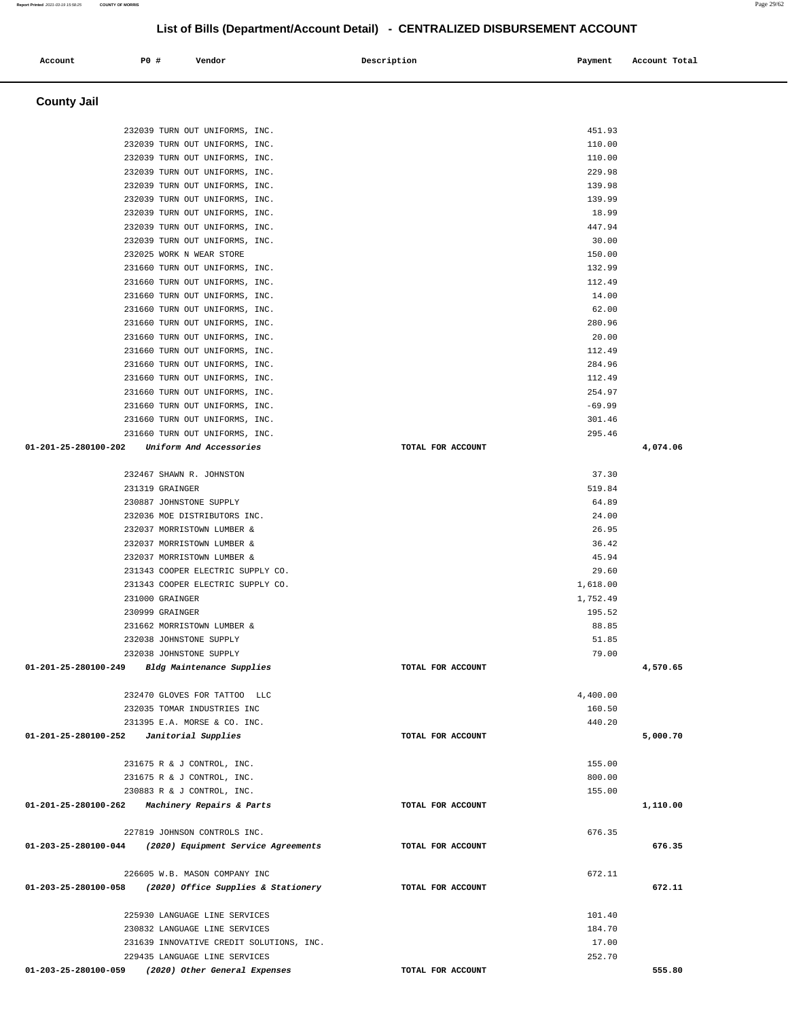| Account              | P0 # | Vendor                                                           | Description       | Payment        | Account Total |
|----------------------|------|------------------------------------------------------------------|-------------------|----------------|---------------|
|                      |      |                                                                  |                   |                |               |
| <b>County Jail</b>   |      |                                                                  |                   |                |               |
|                      |      | 232039 TURN OUT UNIFORMS, INC.                                   |                   | 451.93         |               |
|                      |      | 232039 TURN OUT UNIFORMS, INC.                                   |                   | 110.00         |               |
|                      |      | 232039 TURN OUT UNIFORMS, INC.                                   |                   | 110.00         |               |
|                      |      | 232039 TURN OUT UNIFORMS, INC.                                   |                   | 229.98         |               |
|                      |      | 232039 TURN OUT UNIFORMS, INC.                                   |                   | 139.98         |               |
|                      |      | 232039 TURN OUT UNIFORMS, INC.                                   |                   | 139.99         |               |
|                      |      | 232039 TURN OUT UNIFORMS, INC.                                   |                   | 18.99          |               |
|                      |      | 232039 TURN OUT UNIFORMS, INC.                                   |                   | 447.94         |               |
|                      |      | 232039 TURN OUT UNIFORMS, INC.                                   |                   | 30.00          |               |
|                      |      | 232025 WORK N WEAR STORE                                         |                   | 150.00         |               |
|                      |      | 231660 TURN OUT UNIFORMS, INC.                                   |                   | 132.99         |               |
|                      |      | 231660 TURN OUT UNIFORMS, INC.                                   |                   | 112.49         |               |
|                      |      | 231660 TURN OUT UNIFORMS, INC.<br>231660 TURN OUT UNIFORMS, INC. |                   | 14.00<br>62.00 |               |
|                      |      | 231660 TURN OUT UNIFORMS, INC.                                   |                   | 280.96         |               |
|                      |      | 231660 TURN OUT UNIFORMS, INC.                                   |                   | 20.00          |               |
|                      |      | 231660 TURN OUT UNIFORMS, INC.                                   |                   | 112.49         |               |
|                      |      | 231660 TURN OUT UNIFORMS, INC.                                   |                   | 284.96         |               |
|                      |      | 231660 TURN OUT UNIFORMS, INC.                                   |                   | 112.49         |               |
|                      |      | 231660 TURN OUT UNIFORMS, INC.                                   |                   | 254.97         |               |
|                      |      | 231660 TURN OUT UNIFORMS, INC.                                   |                   | $-69.99$       |               |
|                      |      | 231660 TURN OUT UNIFORMS, INC.                                   |                   | 301.46         |               |
|                      |      | 231660 TURN OUT UNIFORMS, INC.                                   |                   | 295.46         |               |
| 01-201-25-280100-202 |      | Uniform And Accessories                                          | TOTAL FOR ACCOUNT |                | 4,074.06      |
|                      |      | 232467 SHAWN R. JOHNSTON                                         |                   | 37.30          |               |
|                      |      | 231319 GRAINGER                                                  |                   | 519.84         |               |
|                      |      | 230887 JOHNSTONE SUPPLY                                          |                   | 64.89          |               |
|                      |      | 232036 MOE DISTRIBUTORS INC.                                     |                   | 24.00          |               |
|                      |      | 232037 MORRISTOWN LUMBER &                                       |                   | 26.95          |               |
|                      |      | 232037 MORRISTOWN LUMBER &                                       |                   | 36.42          |               |
|                      |      | 232037 MORRISTOWN LUMBER &                                       |                   | 45.94          |               |
|                      |      | 231343 COOPER ELECTRIC SUPPLY CO.                                |                   | 29.60          |               |
|                      |      | 231343 COOPER ELECTRIC SUPPLY CO.                                |                   | 1,618.00       |               |
|                      |      | 231000 GRAINGER                                                  |                   | 1,752.49       |               |
|                      |      | 230999 GRAINGER                                                  |                   | 195.52         |               |
|                      |      | 231662 MORRISTOWN LUMBER &                                       |                   | 88.85<br>51.85 |               |
|                      |      | 232038 JOHNSTONE SUPPLY<br>232038 JOHNSTONE SUPPLY               |                   | 79.00          |               |
| 01-201-25-280100-249 |      | Bldg Maintenance Supplies                                        | TOTAL FOR ACCOUNT |                | 4,570.65      |
|                      |      |                                                                  |                   |                |               |
|                      |      | 232470 GLOVES FOR TATTOO LLC                                     |                   | 4,400.00       |               |
|                      |      | 232035 TOMAR INDUSTRIES INC                                      |                   | 160.50         |               |
|                      |      | 231395 E.A. MORSE & CO. INC.                                     |                   | 440.20         |               |
| 01-201-25-280100-252 |      | Janitorial Supplies                                              | TOTAL FOR ACCOUNT |                | 5,000.70      |
|                      |      | 231675 R & J CONTROL, INC.                                       |                   | 155.00         |               |
|                      |      | 231675 R & J CONTROL, INC.                                       |                   | 800.00         |               |
|                      |      | 230883 R & J CONTROL, INC.                                       |                   | 155.00         |               |
| 01-201-25-280100-262 |      | <i>Machinery Repairs &amp; Parts</i>                             | TOTAL FOR ACCOUNT |                | 1,110.00      |
|                      |      |                                                                  |                   |                |               |
|                      |      | 227819 JOHNSON CONTROLS INC.                                     |                   | 676.35         |               |
| 01-203-25-280100-044 |      | (2020) Equipment Service Agreements                              | TOTAL FOR ACCOUNT |                | 676.35        |
|                      |      | 226605 W.B. MASON COMPANY INC                                    |                   | 672.11         |               |
| 01-203-25-280100-058 |      | (2020) Office Supplies & Stationery                              | TOTAL FOR ACCOUNT |                | 672.11        |
|                      |      |                                                                  |                   |                |               |
|                      |      | 225930 LANGUAGE LINE SERVICES                                    |                   | 101.40         |               |
|                      |      | 230832 LANGUAGE LINE SERVICES                                    |                   | 184.70         |               |
|                      |      | 231639 INNOVATIVE CREDIT SOLUTIONS, INC.                         |                   | 17.00          |               |
|                      |      | 229435 LANGUAGE LINE SERVICES                                    |                   | 252.70         |               |
| 01-203-25-280100-059 |      | (2020) Other General Expenses                                    | TOTAL FOR ACCOUNT |                | 555.80        |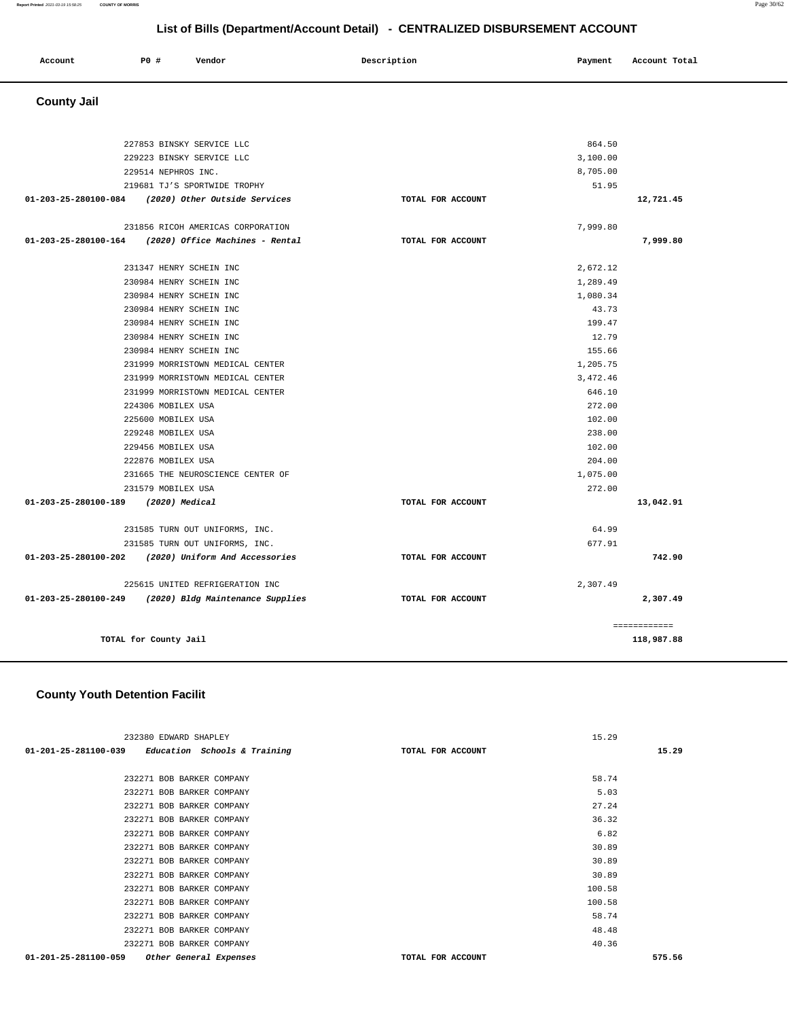| Account | PO# | Vendor | Description | Payment | Account Total |
|---------|-----|--------|-------------|---------|---------------|
|         |     |        |             |         |               |

```
 County Jail
```

|                                     | 227853 BINSKY SERVICE LLC                              |                   | 864.50   |                            |
|-------------------------------------|--------------------------------------------------------|-------------------|----------|----------------------------|
|                                     | 229223 BINSKY SERVICE LLC                              |                   | 3,100.00 |                            |
|                                     | 229514 NEPHROS INC.                                    |                   | 8,705.00 |                            |
|                                     | 219681 TJ'S SPORTWIDE TROPHY                           |                   | 51.95    |                            |
|                                     | 01-203-25-280100-084 (2020) Other Outside Services     | TOTAL FOR ACCOUNT |          | 12,721.45                  |
|                                     | 231856 RICOH AMERICAS CORPORATION                      |                   | 7.999.80 |                            |
|                                     | $01-203-25-280100-164$ (2020) Office Machines - Rental | TOTAL FOR ACCOUNT |          | 7,999.80                   |
|                                     |                                                        |                   |          |                            |
|                                     | 231347 HENRY SCHEIN INC                                |                   | 2,672.12 |                            |
|                                     | 230984 HENRY SCHEIN INC                                |                   | 1,289.49 |                            |
|                                     | 230984 HENRY SCHEIN INC                                |                   | 1,080.34 |                            |
|                                     | 230984 HENRY SCHEIN INC                                |                   | 43.73    |                            |
|                                     | 230984 HENRY SCHEIN INC                                |                   | 199.47   |                            |
|                                     | 230984 HENRY SCHEIN INC                                |                   | 12.79    |                            |
|                                     | 230984 HENRY SCHEIN INC                                |                   | 155.66   |                            |
|                                     | 231999 MORRISTOWN MEDICAL CENTER                       |                   | 1,205.75 |                            |
|                                     | 231999 MORRISTOWN MEDICAL CENTER                       |                   | 3.472.46 |                            |
|                                     | 231999 MORRISTOWN MEDICAL CENTER                       |                   | 646.10   |                            |
|                                     | 224306 MOBILEX USA                                     |                   | 272.00   |                            |
|                                     | 225600 MOBILEX USA                                     |                   | 102.00   |                            |
|                                     | 229248 MOBILEX USA                                     |                   | 238.00   |                            |
|                                     | 229456 MOBILEX USA                                     |                   | 102.00   |                            |
|                                     | 222876 MOBILEX USA                                     |                   | 204.00   |                            |
|                                     | 231665 THE NEUROSCIENCE CENTER OF                      |                   | 1,075.00 |                            |
|                                     | 231579 MOBILEX USA                                     |                   | 272.00   |                            |
| 01-203-25-280100-189 (2020) Medical |                                                        | TOTAL FOR ACCOUNT |          | 13,042.91                  |
|                                     | 231585 TURN OUT UNIFORMS, INC.                         |                   | 64.99    |                            |
|                                     | 231585 TURN OUT UNIFORMS, INC.                         |                   | 677.91   |                            |
|                                     | 01-203-25-280100-202 (2020) Uniform And Accessories    | TOTAL FOR ACCOUNT |          | 742.90                     |
|                                     | 225615 UNITED REFRIGERATION INC                        |                   | 2,307.49 |                            |
|                                     | 01-203-25-280100-249 (2020) Bldg Maintenance Supplies  | TOTAL FOR ACCOUNT |          | 2,307.49                   |
|                                     |                                                        |                   |          |                            |
|                                     | TOTAL for County Jail                                  |                   |          | ============<br>118,987.88 |
|                                     |                                                        |                   |          |                            |

## **County Youth Detention Facilit**

| 232380 EDWARD SHAPLEY                               | 15.29             |        |
|-----------------------------------------------------|-------------------|--------|
| $01-201-25-281100-039$ Education Schools & Training | TOTAL FOR ACCOUNT | 15.29  |
|                                                     |                   |        |
| 232271 BOB BARKER COMPANY                           |                   | 58.74  |
| 232271 BOB BARKER COMPANY                           |                   | 5.03   |
| 232271 BOB BARKER COMPANY                           |                   | 27.24  |
| 232271 BOB BARKER COMPANY                           |                   | 36.32  |
| 232271 BOB BARKER COMPANY                           |                   | 6.82   |
| 232271 BOB BARKER COMPANY                           |                   | 30.89  |
| 232271 BOB BARKER COMPANY                           |                   | 30.89  |
| 232271 BOB BARKER COMPANY                           |                   | 30.89  |
| 232271 BOB BARKER COMPANY                           | 100.58            |        |
| 232271 BOB BARKER COMPANY                           | 100.58            |        |
| 232271 BOB BARKER COMPANY                           |                   | 58.74  |
| 232271 BOB BARKER COMPANY                           |                   | 48.48  |
| 232271 BOB BARKER COMPANY                           |                   | 40.36  |
| 01-201-25-281100-059<br>Other General Expenses      | TOTAL FOR ACCOUNT | 575.56 |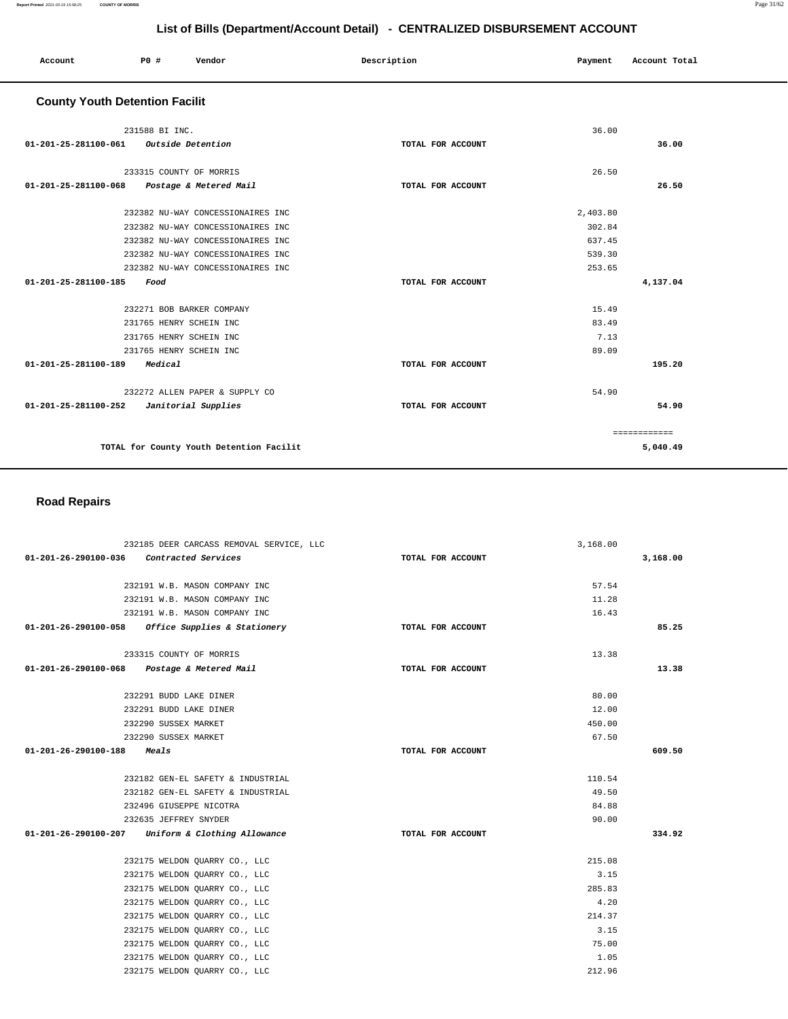**5,040.49**

|                                       | List of Bills (Department/Account Detail) - CENTRALIZED DISBURSEMENT ACCOUNT |                                   |                   |          |               |  |
|---------------------------------------|------------------------------------------------------------------------------|-----------------------------------|-------------------|----------|---------------|--|
| Account                               | PO#                                                                          | Vendor                            | Description       | Payment  | Account Total |  |
| <b>County Youth Detention Facilit</b> |                                                                              |                                   |                   |          |               |  |
|                                       | 231588 BI INC.                                                               |                                   |                   | 36.00    |               |  |
| 01-201-25-281100-061                  | Outside Detention                                                            |                                   | TOTAL FOR ACCOUNT |          | 36.00         |  |
|                                       | 233315 COUNTY OF MORRIS                                                      |                                   |                   | 26.50    |               |  |
| 01-201-25-281100-068                  |                                                                              | Postage & Metered Mail            | TOTAL FOR ACCOUNT |          | 26.50         |  |
|                                       |                                                                              | 232382 NU-WAY CONCESSIONAIRES INC |                   | 2,403.80 |               |  |
|                                       |                                                                              | 232382 NU-WAY CONCESSIONAIRES INC |                   | 302.84   |               |  |
|                                       |                                                                              | 232382 NU-WAY CONCESSIONAIRES INC |                   | 637.45   |               |  |
|                                       |                                                                              | 232382 NU-WAY CONCESSIONAIRES INC |                   | 539.30   |               |  |
|                                       |                                                                              | 232382 NU-WAY CONCESSIONAIRES INC |                   | 253.65   |               |  |
| 01-201-25-281100-185                  | Food                                                                         |                                   | TOTAL FOR ACCOUNT |          | 4,137.04      |  |
|                                       | 232271 BOB BARKER COMPANY                                                    |                                   |                   | 15.49    |               |  |
|                                       | 231765 HENRY SCHEIN INC                                                      |                                   |                   | 83.49    |               |  |
|                                       | 231765 HENRY SCHEIN INC                                                      |                                   |                   | 7.13     |               |  |
|                                       | 231765 HENRY SCHEIN INC                                                      |                                   |                   | 89.09    |               |  |
| 01-201-25-281100-189                  | Medical                                                                      |                                   | TOTAL FOR ACCOUNT |          | 195.20        |  |
|                                       |                                                                              | 232272 ALLEN PAPER & SUPPLY CO    |                   | 54.90    |               |  |
| 01-201-25-281100-252                  |                                                                              | Janitorial Supplies               | TOTAL FOR ACCOUNT |          | 54.90         |  |
|                                       |                                                                              |                                   |                   |          | ============  |  |

**TOTAL for County Youth Detention Facilit** 

## **Road Repairs**

| 232185 DEER CARCASS REMOVAL SERVICE, LLC             | 3,168.00          |          |
|------------------------------------------------------|-------------------|----------|
| 01-201-26-290100-036 Contracted Services             | TOTAL FOR ACCOUNT | 3,168.00 |
| 232191 W.B. MASON COMPANY INC                        | 57.54             |          |
| 232191 W.B. MASON COMPANY INC                        | 11.28             |          |
| 232191 W.B. MASON COMPANY INC                        | 16.43             |          |
| Office Supplies & Stationery<br>01-201-26-290100-058 | TOTAL FOR ACCOUNT | 85.25    |
| 233315 COUNTY OF MORRIS                              | 13.38             |          |
| 01-201-26-290100-068 Postage & Metered Mail          | TOTAL FOR ACCOUNT | 13.38    |
| 232291 BUDD LAKE DINER                               | 80.00             |          |
| 232291 BUDD LAKE DINER                               | 12.00             |          |
| 232290 SUSSEX MARKET                                 | 450.00            |          |
| 232290 SUSSEX MARKET                                 | 67.50             |          |
| 01-201-26-290100-188<br><i>Meals</i>                 | TOTAL FOR ACCOUNT | 609.50   |
|                                                      |                   |          |
| 232182 GEN-EL SAFETY & INDUSTRIAL                    | 110.54            |          |
| 232182 GEN-EL SAFETY & INDUSTRIAL                    | 49.50             |          |
| 232496 GIUSEPPE NICOTRA                              | 84.88             |          |
| 232635 JEFFREY SNYDER                                | 90.00             |          |
| 01-201-26-290100-207 Uniform & Clothing Allowance    | TOTAL FOR ACCOUNT | 334.92   |
| 232175 WELDON OUARRY CO., LLC                        | 215.08            |          |
| 232175 WELDON QUARRY CO., LLC                        | 3.15              |          |
| 232175 WELDON OUARRY CO., LLC                        | 285.83            |          |
| 232175 WELDON OUARRY CO., LLC                        | 4.20              |          |
| 232175 WELDON QUARRY CO., LLC                        | 214.37            |          |
| 232175 WELDON QUARRY CO., LLC                        | 3.15              |          |
| 232175 WELDON QUARRY CO., LLC                        | 75.00             |          |
| 232175 WELDON QUARRY CO., LLC                        | 1.05              |          |
| 232175 WELDON QUARRY CO., LLC                        | 212.96            |          |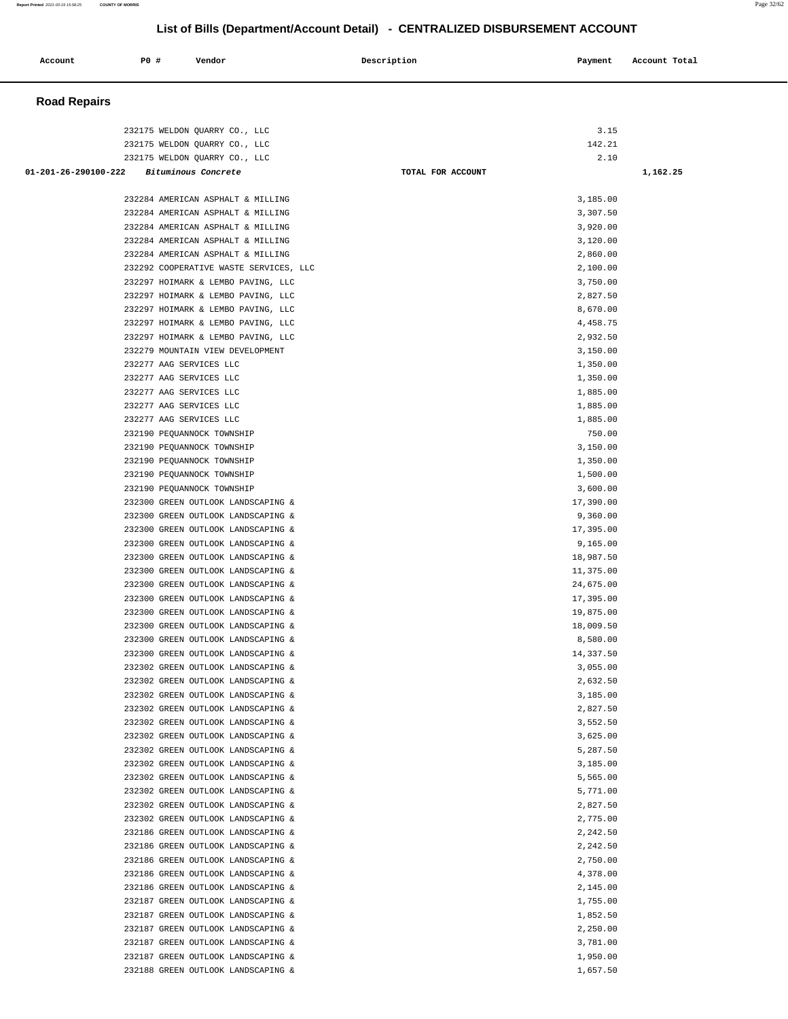| Account              | P0 #                                               | Vendor                                                                      | Description       | Payment               | Account Total |
|----------------------|----------------------------------------------------|-----------------------------------------------------------------------------|-------------------|-----------------------|---------------|
| <b>Road Repairs</b>  |                                                    |                                                                             |                   |                       |               |
|                      |                                                    |                                                                             |                   |                       |               |
|                      |                                                    | 232175 WELDON QUARRY CO., LLC                                               |                   | 3.15                  |               |
|                      |                                                    | 232175 WELDON QUARRY CO., LLC                                               |                   | 142.21                |               |
| 01-201-26-290100-222 |                                                    | 232175 WELDON QUARRY CO., LLC<br>Bituminous Concrete                        | TOTAL FOR ACCOUNT | 2.10                  | 1,162.25      |
|                      |                                                    |                                                                             |                   |                       |               |
|                      |                                                    | 232284 AMERICAN ASPHALT & MILLING                                           |                   | 3,185.00              |               |
|                      |                                                    | 232284 AMERICAN ASPHALT & MILLING                                           |                   | 3,307.50              |               |
|                      |                                                    | 232284 AMERICAN ASPHALT & MILLING                                           |                   | 3,920.00              |               |
|                      |                                                    | 232284 AMERICAN ASPHALT & MILLING                                           |                   | 3,120.00              |               |
|                      |                                                    | 232284 AMERICAN ASPHALT & MILLING<br>232292 COOPERATIVE WASTE SERVICES, LLC |                   | 2,860.00<br>2,100.00  |               |
|                      |                                                    | 232297 HOIMARK & LEMBO PAVING, LLC                                          |                   | 3,750.00              |               |
|                      |                                                    | 232297 HOIMARK & LEMBO PAVING, LLC                                          |                   | 2,827.50              |               |
|                      |                                                    | 232297 HOIMARK & LEMBO PAVING, LLC                                          |                   | 8,670.00              |               |
|                      |                                                    | 232297 HOIMARK & LEMBO PAVING, LLC                                          |                   | 4,458.75              |               |
|                      |                                                    | 232297 HOIMARK & LEMBO PAVING, LLC                                          |                   | 2,932.50              |               |
|                      |                                                    | 232279 MOUNTAIN VIEW DEVELOPMENT                                            |                   | 3,150.00              |               |
|                      | 232277 AAG SERVICES LLC                            |                                                                             |                   | 1,350.00              |               |
|                      | 232277 AAG SERVICES LLC                            |                                                                             |                   | 1,350.00              |               |
|                      | 232277 AAG SERVICES LLC                            |                                                                             |                   | 1,885.00              |               |
|                      | 232277 AAG SERVICES LLC<br>232277 AAG SERVICES LLC |                                                                             |                   | 1,885.00<br>1,885.00  |               |
|                      | 232190 PEQUANNOCK TOWNSHIP                         |                                                                             |                   | 750.00                |               |
|                      | 232190 PEQUANNOCK TOWNSHIP                         |                                                                             |                   | 3,150.00              |               |
|                      | 232190 PEQUANNOCK TOWNSHIP                         |                                                                             |                   | 1,350.00              |               |
|                      | 232190 PEQUANNOCK TOWNSHIP                         |                                                                             |                   | 1,500.00              |               |
|                      | 232190 PEQUANNOCK TOWNSHIP                         |                                                                             |                   | 3,600.00              |               |
|                      |                                                    | 232300 GREEN OUTLOOK LANDSCAPING &                                          |                   | 17,390.00             |               |
|                      |                                                    | 232300 GREEN OUTLOOK LANDSCAPING &                                          |                   | 9,360.00              |               |
|                      |                                                    | 232300 GREEN OUTLOOK LANDSCAPING &                                          |                   | 17,395.00             |               |
|                      |                                                    | 232300 GREEN OUTLOOK LANDSCAPING &<br>232300 GREEN OUTLOOK LANDSCAPING &    |                   | 9,165.00<br>18,987.50 |               |
|                      |                                                    | 232300 GREEN OUTLOOK LANDSCAPING &                                          |                   | 11,375.00             |               |
|                      |                                                    | 232300 GREEN OUTLOOK LANDSCAPING &                                          |                   | 24,675.00             |               |
|                      |                                                    | 232300 GREEN OUTLOOK LANDSCAPING &                                          |                   | 17,395.00             |               |
|                      |                                                    | 232300 GREEN OUTLOOK LANDSCAPING &                                          |                   | 19,875.00             |               |
|                      |                                                    | 232300 GREEN OUTLOOK LANDSCAPING &                                          |                   | 18,009.50             |               |
|                      |                                                    | 232300 GREEN OUTLOOK LANDSCAPING &                                          |                   | 8,580.00              |               |
|                      |                                                    | 232300 GREEN OUTLOOK LANDSCAPING &                                          |                   | 14,337.50             |               |
|                      |                                                    | 232302 GREEN OUTLOOK LANDSCAPING &<br>232302 GREEN OUTLOOK LANDSCAPING &    |                   | 3,055.00<br>2,632.50  |               |
|                      |                                                    | 232302 GREEN OUTLOOK LANDSCAPING &                                          |                   | 3,185.00              |               |
|                      |                                                    | 232302 GREEN OUTLOOK LANDSCAPING &                                          |                   | 2,827.50              |               |
|                      |                                                    | 232302 GREEN OUTLOOK LANDSCAPING &                                          |                   | 3,552.50              |               |
|                      |                                                    | 232302 GREEN OUTLOOK LANDSCAPING &                                          |                   | 3,625.00              |               |
|                      |                                                    | 232302 GREEN OUTLOOK LANDSCAPING &                                          |                   | 5,287.50              |               |
|                      |                                                    | 232302 GREEN OUTLOOK LANDSCAPING &                                          |                   | 3,185.00              |               |
|                      |                                                    | 232302 GREEN OUTLOOK LANDSCAPING &                                          |                   | 5,565.00              |               |
|                      |                                                    | 232302 GREEN OUTLOOK LANDSCAPING &                                          |                   | 5,771.00              |               |
|                      |                                                    | 232302 GREEN OUTLOOK LANDSCAPING &<br>232302 GREEN OUTLOOK LANDSCAPING &    |                   | 2,827.50<br>2,775.00  |               |
|                      |                                                    | 232186 GREEN OUTLOOK LANDSCAPING &                                          |                   | 2,242.50              |               |
|                      |                                                    | 232186 GREEN OUTLOOK LANDSCAPING &                                          |                   | 2,242.50              |               |
|                      |                                                    | 232186 GREEN OUTLOOK LANDSCAPING &                                          |                   | 2,750.00              |               |
|                      |                                                    | 232186 GREEN OUTLOOK LANDSCAPING &                                          |                   | 4,378.00              |               |
|                      |                                                    | 232186 GREEN OUTLOOK LANDSCAPING &                                          |                   | 2,145.00              |               |
|                      |                                                    | 232187 GREEN OUTLOOK LANDSCAPING &                                          |                   | 1,755.00              |               |
|                      |                                                    | 232187 GREEN OUTLOOK LANDSCAPING &                                          |                   | 1,852.50              |               |
|                      |                                                    | 232187 GREEN OUTLOOK LANDSCAPING &<br>232187 GREEN OUTLOOK LANDSCAPING &    |                   | 2,250.00<br>3,781.00  |               |
|                      |                                                    | 232187 GREEN OUTLOOK LANDSCAPING &                                          |                   | 1,950.00              |               |
|                      |                                                    | 232188 GREEN OUTLOOK LANDSCAPING &                                          |                   | 1,657.50              |               |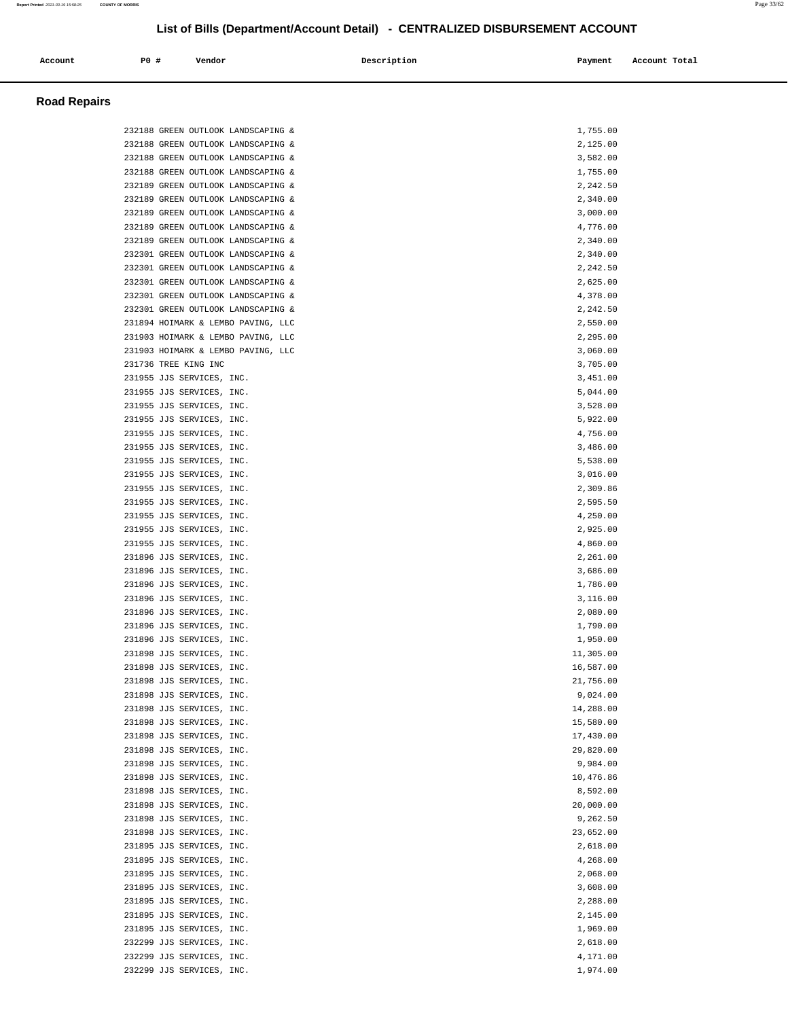|                     |                      |                                                                          |             | LIST OF BIIIS (Department/Account Detail) - CENTRALIZED DISBURSEMENT ACCOUNT |               |
|---------------------|----------------------|--------------------------------------------------------------------------|-------------|------------------------------------------------------------------------------|---------------|
| Account             | P0 #                 | Vendor                                                                   | Description | Payment                                                                      | Account Total |
| <b>Road Repairs</b> |                      |                                                                          |             |                                                                              |               |
|                     |                      |                                                                          |             |                                                                              |               |
|                     |                      | 232188 GREEN OUTLOOK LANDSCAPING &                                       |             | 1,755.00                                                                     |               |
|                     |                      | 232188 GREEN OUTLOOK LANDSCAPING &                                       |             | 2,125.00                                                                     |               |
|                     |                      | 232188 GREEN OUTLOOK LANDSCAPING &                                       |             | 3,582.00                                                                     |               |
|                     |                      | 232188 GREEN OUTLOOK LANDSCAPING &<br>232189 GREEN OUTLOOK LANDSCAPING & |             | 1,755.00<br>2,242.50                                                         |               |
|                     |                      | 232189 GREEN OUTLOOK LANDSCAPING &                                       |             | 2,340.00                                                                     |               |
|                     |                      | 232189 GREEN OUTLOOK LANDSCAPING &                                       |             | 3,000.00                                                                     |               |
|                     |                      | 232189 GREEN OUTLOOK LANDSCAPING &                                       |             | 4,776.00                                                                     |               |
|                     |                      | 232189 GREEN OUTLOOK LANDSCAPING &                                       |             | 2,340.00                                                                     |               |
|                     |                      | 232301 GREEN OUTLOOK LANDSCAPING &                                       |             | 2,340.00                                                                     |               |
|                     |                      | 232301 GREEN OUTLOOK LANDSCAPING &                                       |             | 2,242.50                                                                     |               |
|                     |                      | 232301 GREEN OUTLOOK LANDSCAPING &                                       |             | 2,625.00                                                                     |               |
|                     |                      | 232301 GREEN OUTLOOK LANDSCAPING &                                       |             | 4,378.00                                                                     |               |
|                     |                      | 232301 GREEN OUTLOOK LANDSCAPING &<br>231894 HOIMARK & LEMBO PAVING, LLC |             | 2,242.50<br>2,550.00                                                         |               |
|                     |                      | 231903 HOIMARK & LEMBO PAVING, LLC                                       |             | 2,295.00                                                                     |               |
|                     |                      | 231903 HOIMARK & LEMBO PAVING, LLC                                       |             | 3,060.00                                                                     |               |
|                     | 231736 TREE KING INC |                                                                          |             | 3,705.00                                                                     |               |
|                     |                      | 231955 JJS SERVICES, INC.                                                |             | 3,451.00                                                                     |               |
|                     |                      | 231955 JJS SERVICES, INC.                                                |             | 5,044.00                                                                     |               |
|                     |                      | 231955 JJS SERVICES, INC.                                                |             | 3,528.00                                                                     |               |
|                     |                      | 231955 JJS SERVICES, INC.                                                |             | 5,922.00                                                                     |               |
|                     |                      | 231955 JJS SERVICES, INC.                                                |             | 4,756.00                                                                     |               |
|                     |                      | 231955 JJS SERVICES, INC.                                                |             | 3,486.00                                                                     |               |
|                     |                      | 231955 JJS SERVICES, INC.                                                |             | 5,538.00<br>3,016.00                                                         |               |
|                     |                      | 231955 JJS SERVICES, INC.<br>231955 JJS SERVICES, INC.                   |             | 2,309.86                                                                     |               |
|                     |                      | 231955 JJS SERVICES, INC.                                                |             | 2,595.50                                                                     |               |
|                     |                      | 231955 JJS SERVICES, INC.                                                |             | 4,250.00                                                                     |               |
|                     |                      | 231955 JJS SERVICES, INC.                                                |             | 2,925.00                                                                     |               |
|                     |                      | 231955 JJS SERVICES, INC.                                                |             | 4,860.00                                                                     |               |
|                     |                      | 231896 JJS SERVICES, INC.                                                |             | 2,261.00                                                                     |               |
|                     |                      | 231896 JJS SERVICES, INC.                                                |             | 3,686.00                                                                     |               |
|                     |                      | 231896 JJS SERVICES, INC.                                                |             | 1,786.00                                                                     |               |
|                     |                      | 231896 JJS SERVICES, INC.                                                |             | 3,116.00                                                                     |               |
|                     |                      | 231896 JJS SERVICES, INC.<br>231896 JJS SERVICES, INC.                   |             | 2,080.00<br>1,790.00                                                         |               |
|                     |                      | 231896 JJS SERVICES, INC.                                                |             | 1,950.00                                                                     |               |
|                     |                      | 231898 JJS SERVICES, INC.                                                |             | 11,305.00                                                                    |               |
|                     |                      | 231898 JJS SERVICES, INC.                                                |             | 16,587.00                                                                    |               |
|                     |                      | 231898 JJS SERVICES, INC.                                                |             | 21,756.00                                                                    |               |
|                     |                      | 231898 JJS SERVICES, INC.                                                |             | 9,024.00                                                                     |               |
|                     |                      | 231898 JJS SERVICES, INC.                                                |             | 14,288.00                                                                    |               |
|                     |                      | 231898 JJS SERVICES, INC.                                                |             | 15,580.00                                                                    |               |
|                     |                      | 231898 JJS SERVICES, INC.                                                |             | 17,430.00                                                                    |               |
|                     |                      | 231898 JJS SERVICES, INC.<br>231898 JJS SERVICES, INC.                   |             | 29,820.00<br>9,984.00                                                        |               |
|                     |                      | 231898 JJS SERVICES, INC.                                                |             | 10,476.86                                                                    |               |
|                     |                      | 231898 JJS SERVICES, INC.                                                |             | 8,592.00                                                                     |               |
|                     |                      | 231898 JJS SERVICES, INC.                                                |             | 20,000.00                                                                    |               |
|                     |                      | 231898 JJS SERVICES, INC.                                                |             | 9,262.50                                                                     |               |
|                     |                      | 231898 JJS SERVICES, INC.                                                |             | 23,652.00                                                                    |               |
|                     |                      | 231895 JJS SERVICES, INC.                                                |             | 2,618.00                                                                     |               |
|                     |                      | 231895 JJS SERVICES, INC.                                                |             | 4,268.00                                                                     |               |
|                     |                      | 231895 JJS SERVICES, INC.                                                |             | 2,068.00                                                                     |               |
|                     |                      | 231895 JJS SERVICES, INC.                                                |             | 3,608.00                                                                     |               |
|                     |                      | 231895 JJS SERVICES, INC.<br>231895 JJS SERVICES, INC.                   |             | 2,288.00<br>2,145.00                                                         |               |
|                     |                      | 231895 JJS SERVICES, INC.                                                |             | 1,969.00                                                                     |               |
|                     |                      |                                                                          |             |                                                                              |               |

 232299 JJS SERVICES, INC. 2,618.00 232299 JJS SERVICES, INC. 4,171.00<br>232299 JJS SERVICES, INC. 4,171.00

232299 JJS SERVICES, INC.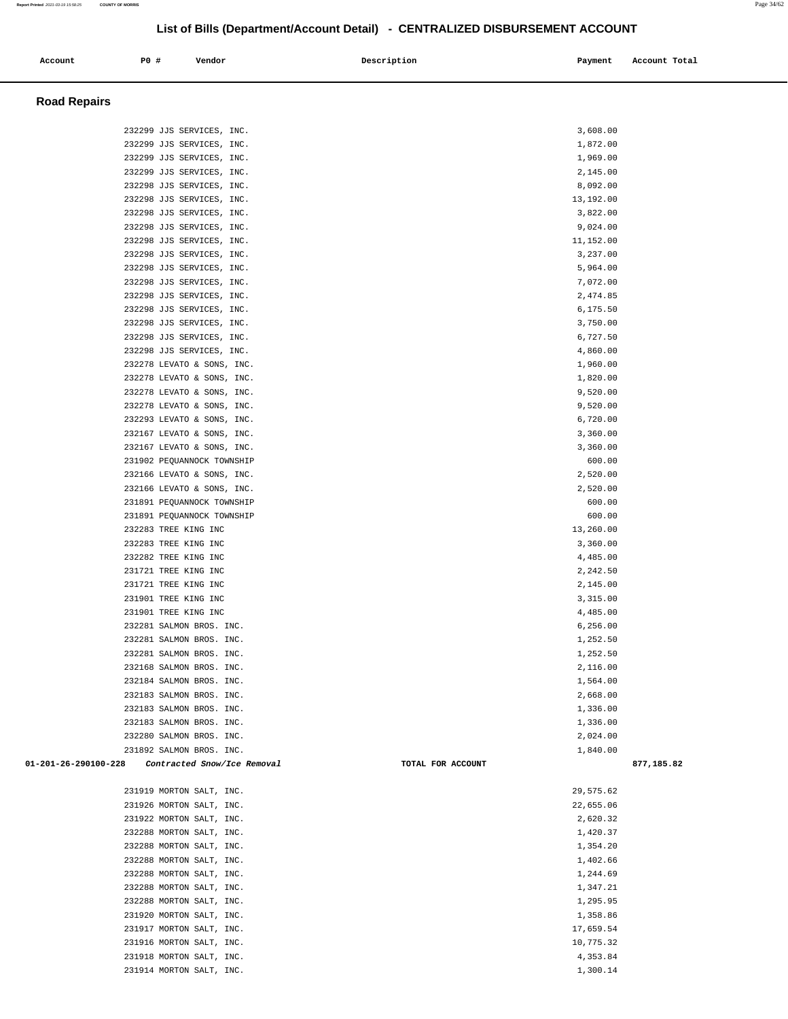| Account<br>. | <b>PO #</b> | Vendor | Description | Payment | Account Total |
|--------------|-------------|--------|-------------|---------|---------------|
|              |             |        |             |         |               |

## **Road Repairs**

| 232299 JJS SERVICES, INC.                           | 3,608.00          |            |
|-----------------------------------------------------|-------------------|------------|
| 232299 JJS SERVICES, INC.                           | 1,872.00          |            |
| 232299 JJS SERVICES, INC.                           | 1,969.00          |            |
| 232299 JJS SERVICES, INC.                           | 2,145.00          |            |
| 232298 JJS SERVICES, INC.                           | 8,092.00          |            |
| 232298 JJS SERVICES, INC.                           | 13,192.00         |            |
| 232298 JJS SERVICES, INC.                           | 3,822.00          |            |
| 232298 JJS SERVICES, INC.                           | 9,024.00          |            |
| 232298 JJS SERVICES, INC.                           | 11,152.00         |            |
| 232298 JJS SERVICES, INC.                           | 3,237.00          |            |
| 232298 JJS SERVICES, INC.                           | 5,964.00          |            |
| 232298 JJS SERVICES, INC.                           | 7,072.00          |            |
| 232298 JJS SERVICES, INC.                           | 2,474.85          |            |
| 232298 JJS SERVICES, INC.                           | 6,175.50          |            |
| 232298 JJS SERVICES, INC.                           | 3,750.00          |            |
| 232298 JJS SERVICES, INC.                           | 6,727.50          |            |
| 232298 JJS SERVICES, INC.                           | 4,860.00          |            |
| 232278 LEVATO & SONS, INC.                          | 1,960.00          |            |
| 232278 LEVATO & SONS, INC.                          | 1,820.00          |            |
| 232278 LEVATO & SONS, INC.                          | 9,520.00          |            |
| 232278 LEVATO & SONS, INC.                          | 9,520.00          |            |
| 232293 LEVATO & SONS, INC.                          | 6,720.00          |            |
| 232167 LEVATO & SONS, INC.                          | 3,360.00          |            |
| 232167 LEVATO & SONS, INC.                          | 3,360.00          |            |
| 231902 PEQUANNOCK TOWNSHIP                          | 600.00            |            |
| 232166 LEVATO & SONS, INC.                          | 2,520.00          |            |
| 232166 LEVATO & SONS, INC.                          | 2,520.00          |            |
| 231891 PEQUANNOCK TOWNSHIP                          | 600.00            |            |
| 231891 PEQUANNOCK TOWNSHIP                          | 600.00            |            |
| 232283 TREE KING INC                                | 13,260.00         |            |
| 232283 TREE KING INC                                | 3,360.00          |            |
| 232282 TREE KING INC                                | 4,485.00          |            |
| 231721 TREE KING INC                                | 2,242.50          |            |
| 231721 TREE KING INC                                | 2,145.00          |            |
| 231901 TREE KING INC                                | 3,315.00          |            |
| 231901 TREE KING INC                                | 4,485.00          |            |
| 232281 SALMON BROS. INC.                            | 6,256.00          |            |
| 232281 SALMON BROS. INC.                            | 1,252.50          |            |
| 232281 SALMON BROS. INC.                            | 1,252.50          |            |
| 232168 SALMON BROS. INC.                            | 2,116.00          |            |
| 232184 SALMON BROS. INC.                            | 1,564.00          |            |
| 232183 SALMON BROS. INC.                            | 2,668.00          |            |
| 232183 SALMON BROS. INC.                            | 1,336.00          |            |
| 232183 SALMON BROS. INC.                            | 1,336.00          |            |
| 232280 SALMON BROS. INC.                            | 2,024.00          |            |
| 231892 SALMON BROS. INC.                            | 1,840.00          |            |
| 01-201-26-290100-228<br>Contracted Snow/Ice Removal | TOTAL FOR ACCOUNT | 877,185.82 |
| 231919 MORTON SALT, INC.                            | 29,575.62         |            |
| 231926 MORTON SALT, INC.                            | 22,655.06         |            |
| 231922 MORTON SALT, INC.                            | 2,620.32          |            |
| 232288 MORTON SALT, INC.                            | 1,420.37          |            |
| 232288 MORTON SALT, INC.                            | 1,354.20          |            |
| 232288 MORTON SALT, INC.                            | 1,402.66          |            |
| 232288 MORTON SALT, INC.                            | 1,244.69          |            |
| 232288 MORTON SALT, INC.                            | 1,347.21          |            |
| 232288 MORTON SALT, INC.                            | 1,295.95          |            |
| 231920 MORTON SALT, INC.                            | 1,358.86          |            |
| 231917 MORTON SALT, INC.                            | 17,659.54         |            |
| 231916 MORTON SALT, INC.                            | 10,775.32         |            |
| 231918 MORTON SALT, INC.                            | 4,353.84          |            |
|                                                     |                   |            |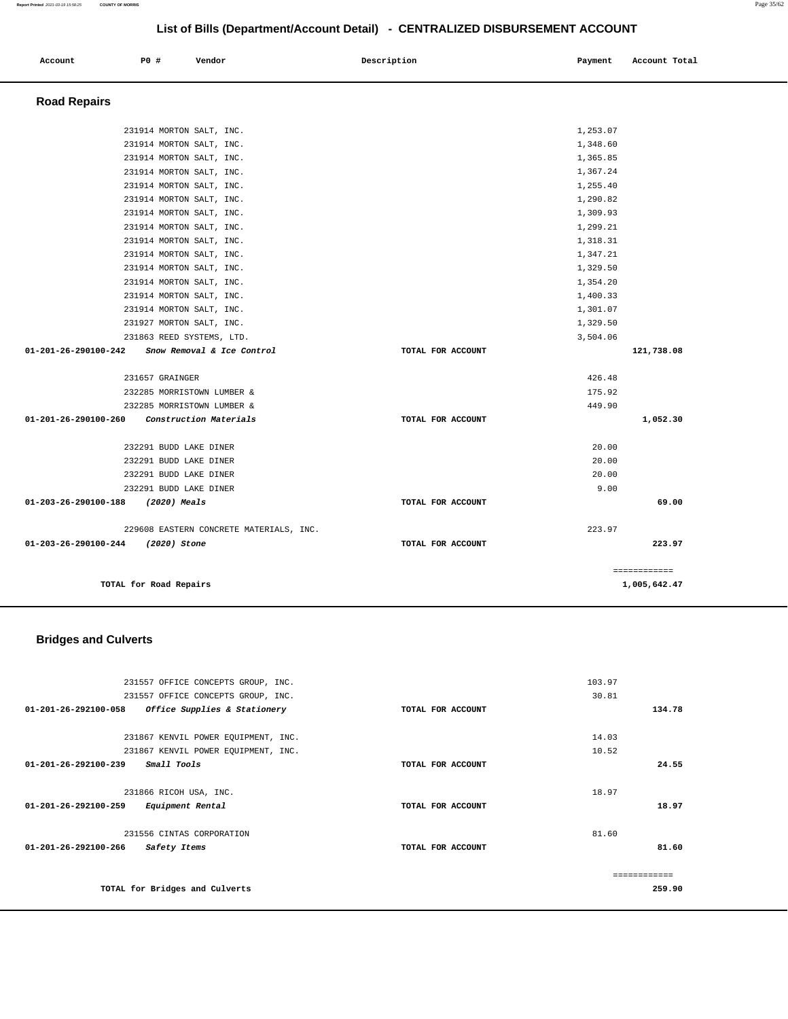| Account             | P0 #                                                                                                                                                                 | Vendor | Description | Payment                                                              | Account Total |
|---------------------|----------------------------------------------------------------------------------------------------------------------------------------------------------------------|--------|-------------|----------------------------------------------------------------------|---------------|
| <b>Road Repairs</b> |                                                                                                                                                                      |        |             |                                                                      |               |
|                     | 231914 MORTON SALT, INC.<br>231914 MORTON SALT, INC.<br>231914 MORTON SALT, INC.<br>231914 MORTON SALT, INC.<br>231914 MORTON SALT, INC.<br>231914 MORTON SALT, INC. |        |             | 1,253.07<br>1,348.60<br>1,365.85<br>1,367.24<br>1,255.40<br>1,290.82 |               |

| TOTAL for Road Repairs                               |                   | 1,005,642.47         |
|------------------------------------------------------|-------------------|----------------------|
|                                                      |                   | ============         |
| 01-203-26-290100-244 (2020) Stone                    | TOTAL FOR ACCOUNT | 223.97               |
| 229608 EASTERN CONCRETE MATERIALS, INC.              |                   | 223.97               |
|                                                      |                   |                      |
| $01 - 203 - 26 - 290100 - 188$<br>(2020) Meals       | TOTAL FOR ACCOUNT | 69.00                |
| 232291 BUDD LAKE DINER                               |                   | 9.00                 |
| 232291 BUDD LAKE DINER                               |                   | 20.00                |
| 232291 BUDD LAKE DINER<br>232291 BUDD LAKE DINER     |                   | 20.00<br>20.00       |
|                                                      |                   |                      |
| 01-201-26-290100-260 Construction Materials          | TOTAL FOR ACCOUNT | 1,052.30             |
| 232285 MORRISTOWN LUMBER &                           |                   | 449.90               |
| 232285 MORRISTOWN LUMBER &                           |                   | 175.92               |
| 231657 GRAINGER                                      |                   | 426.48               |
|                                                      |                   |                      |
| 01-201-26-290100-242<br>Snow Removal & Ice Control   | TOTAL FOR ACCOUNT | 121,738.08           |
| 231863 REED SYSTEMS, LTD.                            |                   | 3,504.06             |
| 231927 MORTON SALT, INC.                             |                   | 1,329.50             |
| 231914 MORTON SALT, INC.<br>231914 MORTON SALT, INC. |                   | 1,400.33<br>1,301.07 |
| 231914 MORTON SALT, INC.                             |                   | 1,354.20             |
| 231914 MORTON SALT, INC.                             |                   | 1,329.50             |
| 231914 MORTON SALT, INC.                             |                   | 1,347.21             |
| 231914 MORTON SALT, INC.                             |                   | 1,318.31             |
| 231914 MORTON SALT, INC.                             |                   | 1,299.21             |
| 231914 MORTON SALT, INC.                             |                   | 1,309.93             |
| 231914 MORTON SALT, INC.                             |                   | 1,290.82             |

## **Bridges and Culverts**

| 231557 OFFICE CONCEPTS GROUP, INC.                   |                   | 103.97        |
|------------------------------------------------------|-------------------|---------------|
| 231557 OFFICE CONCEPTS GROUP, INC.                   |                   | 30.81         |
| 01-201-26-292100-058<br>Office Supplies & Stationery | TOTAL FOR ACCOUNT | 134.78        |
|                                                      |                   |               |
| 231867 KENVIL POWER EQUIPMENT, INC.                  |                   | 14.03         |
| 231867 KENVIL POWER EQUIPMENT, INC.                  |                   | 10.52         |
| Small Tools<br>01-201-26-292100-239                  | TOTAL FOR ACCOUNT | 24.55         |
| 231866 RICOH USA, INC.                               |                   | 18.97         |
| 01-201-26-292100-259<br>Equipment Rental             | TOTAL FOR ACCOUNT | 18.97         |
| 231556 CINTAS CORPORATION                            |                   | 81.60         |
| 01-201-26-292100-266<br>Safety Items                 | TOTAL FOR ACCOUNT | 81.60         |
|                                                      |                   | ------------- |
| TOTAL for Bridges and Culverts                       |                   | 259.90        |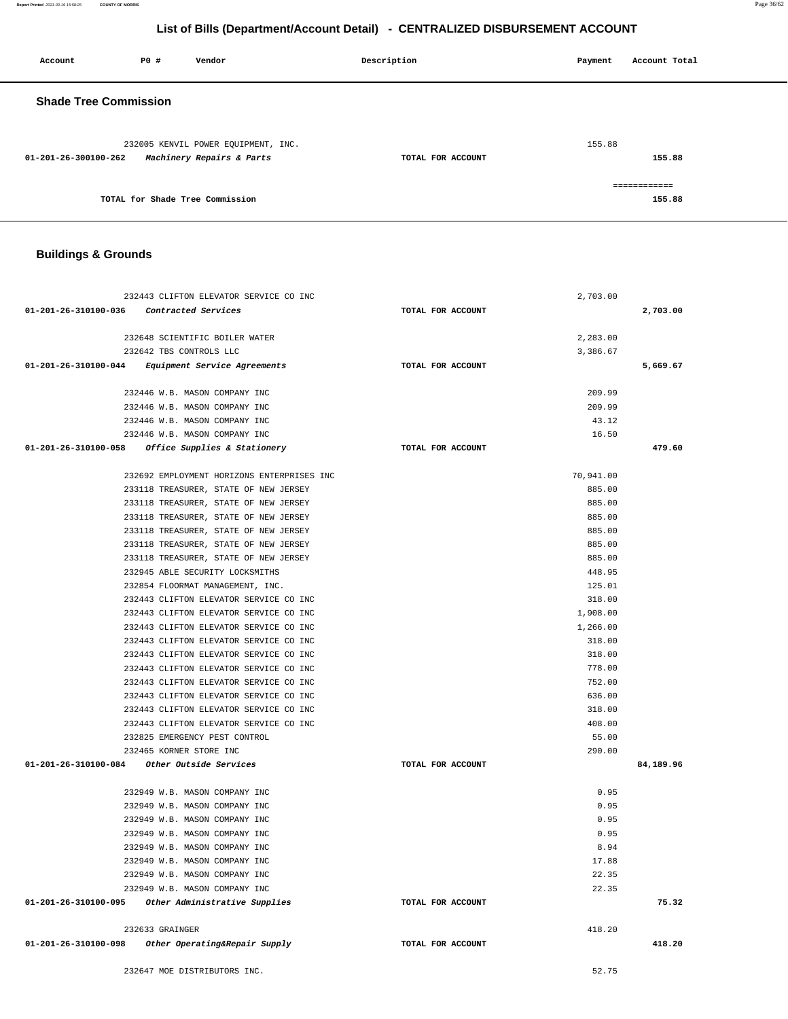| Account                      | <b>PO #</b> | Vendor                                                           | Description       | Payment | Account Total |
|------------------------------|-------------|------------------------------------------------------------------|-------------------|---------|---------------|
| <b>Shade Tree Commission</b> |             |                                                                  |                   |         |               |
| 01-201-26-300100-262         |             | 232005 KENVIL POWER EQUIPMENT, INC.<br>Machinery Repairs & Parts | TOTAL FOR ACCOUNT | 155.88  | 155.88        |
|                              |             |                                                                  |                   |         |               |

|                                 | ------------ |
|---------------------------------|--------------|
| TOTAL for Shade Tree Commission | 155.88       |

## **Buildings & Grounds**

| 232443 CLIFTON ELEVATOR SERVICE CO INC                          |                   | 2,703.00  |           |
|-----------------------------------------------------------------|-------------------|-----------|-----------|
| 01-201-26-310100-036 Contracted Services                        | TOTAL FOR ACCOUNT |           | 2,703.00  |
|                                                                 |                   |           |           |
| 232648 SCIENTIFIC BOILER WATER                                  |                   | 2,283.00  |           |
| 232642 TBS CONTROLS LLC                                         |                   | 3,386.67  |           |
| 01-201-26-310100-044 Equipment Service Agreements               | TOTAL FOR ACCOUNT |           | 5,669.67  |
| 232446 W.B. MASON COMPANY INC                                   |                   | 209.99    |           |
| 232446 W.B. MASON COMPANY INC                                   |                   | 209.99    |           |
| 232446 W.B. MASON COMPANY INC                                   |                   | 43.12     |           |
| 232446 W.B. MASON COMPANY INC                                   |                   | 16.50     |           |
| $01-201-26-310100-058$ Office Supplies & Stationery             | TOTAL FOR ACCOUNT |           | 479.60    |
| 232692 EMPLOYMENT HORIZONS ENTERPRISES INC                      |                   | 70,941.00 |           |
| 233118 TREASURER, STATE OF NEW JERSEY                           |                   | 885.00    |           |
| 233118 TREASURER, STATE OF NEW JERSEY                           |                   | 885.00    |           |
| 233118 TREASURER, STATE OF NEW JERSEY                           |                   | 885.00    |           |
| 233118 TREASURER, STATE OF NEW JERSEY                           |                   | 885.00    |           |
| 233118 TREASURER, STATE OF NEW JERSEY                           |                   | 885.00    |           |
| 233118 TREASURER, STATE OF NEW JERSEY                           |                   | 885.00    |           |
| 232945 ABLE SECURITY LOCKSMITHS                                 |                   | 448.95    |           |
| 232854 FLOORMAT MANAGEMENT, INC.                                |                   | 125.01    |           |
| 232443 CLIFTON ELEVATOR SERVICE CO INC                          |                   | 318.00    |           |
| 232443 CLIFTON ELEVATOR SERVICE CO INC                          |                   | 1,908.00  |           |
| 232443 CLIFTON ELEVATOR SERVICE CO INC                          |                   | 1,266.00  |           |
| 232443 CLIFTON ELEVATOR SERVICE CO INC                          |                   | 318.00    |           |
| 232443 CLIFTON ELEVATOR SERVICE CO INC                          |                   | 318.00    |           |
| 232443 CLIFTON ELEVATOR SERVICE CO INC                          |                   | 778.00    |           |
| 232443 CLIFTON ELEVATOR SERVICE CO INC                          |                   | 752.00    |           |
| 232443 CLIFTON ELEVATOR SERVICE CO INC                          |                   | 636.00    |           |
| 232443 CLIFTON ELEVATOR SERVICE CO INC                          |                   | 318.00    |           |
| 232443 CLIFTON ELEVATOR SERVICE CO INC                          |                   | 408.00    |           |
| 232825 EMERGENCY PEST CONTROL                                   |                   | 55.00     |           |
| 232465 KORNER STORE INC                                         |                   | 290.00    |           |
| $01-201-26-310100-084$ Other Outside Services                   | TOTAL FOR ACCOUNT |           | 84,189.96 |
| 232949 W.B. MASON COMPANY INC                                   |                   | 0.95      |           |
| 232949 W.B. MASON COMPANY INC                                   |                   | 0.95      |           |
| 232949 W.B. MASON COMPANY INC                                   |                   | 0.95      |           |
| 232949 W.B. MASON COMPANY INC                                   |                   | 0.95      |           |
| 232949 W.B. MASON COMPANY INC                                   |                   | 8.94      |           |
| 232949 W.B. MASON COMPANY INC                                   |                   | 17.88     |           |
| 232949 W.B. MASON COMPANY INC                                   |                   | 22.35     |           |
| 232949 W.B. MASON COMPANY INC                                   |                   | 22.35     |           |
| 01-201-26-310100-095<br>Other Administrative Supplies           | TOTAL FOR ACCOUNT |           | 75.32     |
| 232633 GRAINGER                                                 |                   | 418.20    |           |
| $01 - 201 - 26 - 310100 - 098$<br>Other Operating&Repair Supply | TOTAL FOR ACCOUNT |           | 418.20    |
| 232647 MOE DISTRIBUTORS INC.                                    |                   | 52.75     |           |

**Report Printed** 2021-03-19 15:58:25 **COUNTY OF MORRIS** Page 36/62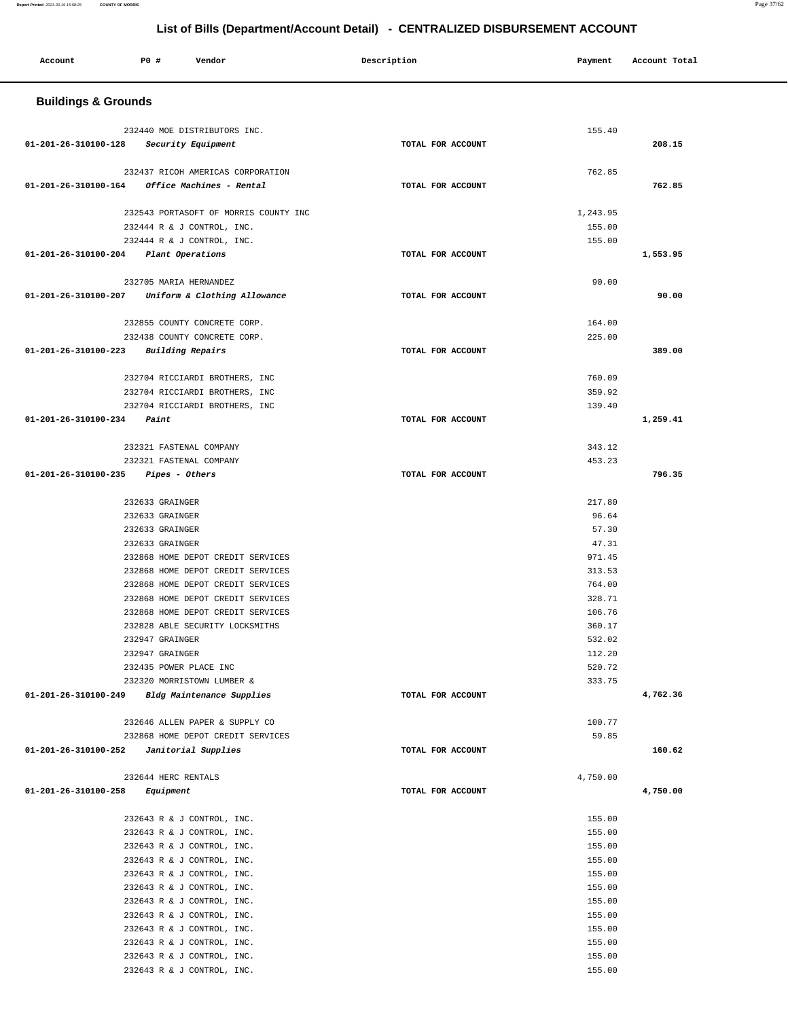#### **Report Printed** 2021-03-19 15:58:25 **COUNTY OF MORRIS** Page 37/62

۰

## **List of Bills (Department/Account Detail) - CENTRALIZED DISBURSEMENT ACCOUNT**

| Account                                           | P0 #                                      | Vendor                                                           | Description       | Payment          | Account Total |  |
|---------------------------------------------------|-------------------------------------------|------------------------------------------------------------------|-------------------|------------------|---------------|--|
| <b>Buildings &amp; Grounds</b>                    |                                           |                                                                  |                   |                  |               |  |
|                                                   |                                           | 232440 MOE DISTRIBUTORS INC.                                     |                   | 155.40           |               |  |
| 01-201-26-310100-128 Security Equipment           |                                           |                                                                  | TOTAL FOR ACCOUNT |                  | 208.15        |  |
|                                                   |                                           |                                                                  |                   |                  |               |  |
|                                                   |                                           | 232437 RICOH AMERICAS CORPORATION                                |                   | 762.85           |               |  |
| 01-201-26-310100-164                              |                                           | Office Machines - Rental                                         | TOTAL FOR ACCOUNT |                  | 762.85        |  |
|                                                   |                                           | 232543 PORTASOFT OF MORRIS COUNTY INC                            |                   | 1,243.95         |               |  |
|                                                   |                                           | 232444 R & J CONTROL, INC.                                       |                   | 155.00           |               |  |
|                                                   |                                           | 232444 R & J CONTROL, INC.                                       |                   | 155.00           |               |  |
| 01-201-26-310100-204 Plant Operations             |                                           |                                                                  | TOTAL FOR ACCOUNT |                  | 1,553.95      |  |
|                                                   |                                           |                                                                  |                   |                  |               |  |
|                                                   | 232705 MARIA HERNANDEZ                    |                                                                  |                   | 90.00            |               |  |
| 01-201-26-310100-207 Uniform & Clothing Allowance |                                           |                                                                  | TOTAL FOR ACCOUNT |                  | 90.00         |  |
|                                                   |                                           | 232855 COUNTY CONCRETE CORP.                                     |                   | 164.00           |               |  |
|                                                   |                                           | 232438 COUNTY CONCRETE CORP.                                     |                   | 225.00           |               |  |
| 01-201-26-310100-223                              | <b>Building Repairs</b>                   |                                                                  | TOTAL FOR ACCOUNT |                  | 389.00        |  |
|                                                   |                                           |                                                                  |                   |                  |               |  |
|                                                   |                                           | 232704 RICCIARDI BROTHERS, INC<br>232704 RICCIARDI BROTHERS, INC |                   | 760.09<br>359.92 |               |  |
|                                                   |                                           | 232704 RICCIARDI BROTHERS, INC                                   |                   | 139.40           |               |  |
| 01-201-26-310100-234                              | Paint                                     |                                                                  | TOTAL FOR ACCOUNT |                  | 1,259.41      |  |
|                                                   |                                           |                                                                  |                   |                  |               |  |
|                                                   | 232321 FASTENAL COMPANY                   |                                                                  |                   | 343.12           |               |  |
| 01-201-26-310100-235                              | 232321 FASTENAL COMPANY<br>Pipes - Others |                                                                  | TOTAL FOR ACCOUNT | 453.23           | 796.35        |  |
|                                                   |                                           |                                                                  |                   |                  |               |  |
|                                                   | 232633 GRAINGER                           |                                                                  |                   | 217.80           |               |  |
|                                                   | 232633 GRAINGER                           |                                                                  |                   | 96.64            |               |  |
|                                                   | 232633 GRAINGER                           |                                                                  |                   | 57.30            |               |  |
|                                                   | 232633 GRAINGER                           | 232868 HOME DEPOT CREDIT SERVICES                                |                   | 47.31<br>971.45  |               |  |
|                                                   |                                           | 232868 HOME DEPOT CREDIT SERVICES                                |                   | 313.53           |               |  |
|                                                   |                                           | 232868 HOME DEPOT CREDIT SERVICES                                |                   | 764.00           |               |  |
|                                                   |                                           | 232868 HOME DEPOT CREDIT SERVICES                                |                   | 328.71           |               |  |
|                                                   |                                           | 232868 HOME DEPOT CREDIT SERVICES                                |                   | 106.76           |               |  |
|                                                   | 232947 GRAINGER                           | 232828 ABLE SECURITY LOCKSMITHS                                  |                   | 360.17<br>532.02 |               |  |
|                                                   | 232947 GRAINGER                           |                                                                  |                   | 112.20           |               |  |
|                                                   | 232435 POWER PLACE INC                    |                                                                  |                   | 520.72           |               |  |
|                                                   |                                           | 232320 MORRISTOWN LUMBER &                                       |                   | 333.75           |               |  |
| 01-201-26-310100-249                              |                                           | Bldg Maintenance Supplies                                        | TOTAL FOR ACCOUNT |                  | 4,762.36      |  |
|                                                   |                                           | 232646 ALLEN PAPER & SUPPLY CO                                   |                   | 100.77           |               |  |
|                                                   |                                           | 232868 HOME DEPOT CREDIT SERVICES                                |                   | 59.85            |               |  |
| 01-201-26-310100-252                              |                                           | Janitorial Supplies                                              | TOTAL FOR ACCOUNT |                  | 160.62        |  |
|                                                   | 232644 HERC RENTALS                       |                                                                  |                   | 4,750.00         |               |  |
| 01-201-26-310100-258                              | Equipment                                 |                                                                  | TOTAL FOR ACCOUNT |                  | 4,750.00      |  |
|                                                   |                                           |                                                                  |                   |                  |               |  |
|                                                   |                                           | 232643 R & J CONTROL, INC.                                       |                   | 155.00           |               |  |
|                                                   |                                           | 232643 R & J CONTROL, INC.                                       |                   | 155.00           |               |  |
|                                                   |                                           | 232643 R & J CONTROL, INC.<br>232643 R & J CONTROL, INC.         |                   | 155.00<br>155.00 |               |  |
|                                                   |                                           | 232643 R & J CONTROL, INC.                                       |                   | 155.00           |               |  |
|                                                   |                                           | 232643 R & J CONTROL, INC.                                       |                   | 155.00           |               |  |
|                                                   |                                           | 232643 R & J CONTROL, INC.                                       |                   | 155.00           |               |  |
|                                                   |                                           | 232643 R & J CONTROL, INC.                                       |                   | 155.00           |               |  |
|                                                   |                                           | 232643 R & J CONTROL, INC.                                       |                   | 155.00           |               |  |
|                                                   |                                           | 232643 R & J CONTROL, INC.<br>232643 R & J CONTROL, INC.         |                   | 155.00<br>155.00 |               |  |
|                                                   |                                           | 232643 R & J CONTROL, INC.                                       |                   | 155.00           |               |  |
|                                                   |                                           |                                                                  |                   |                  |               |  |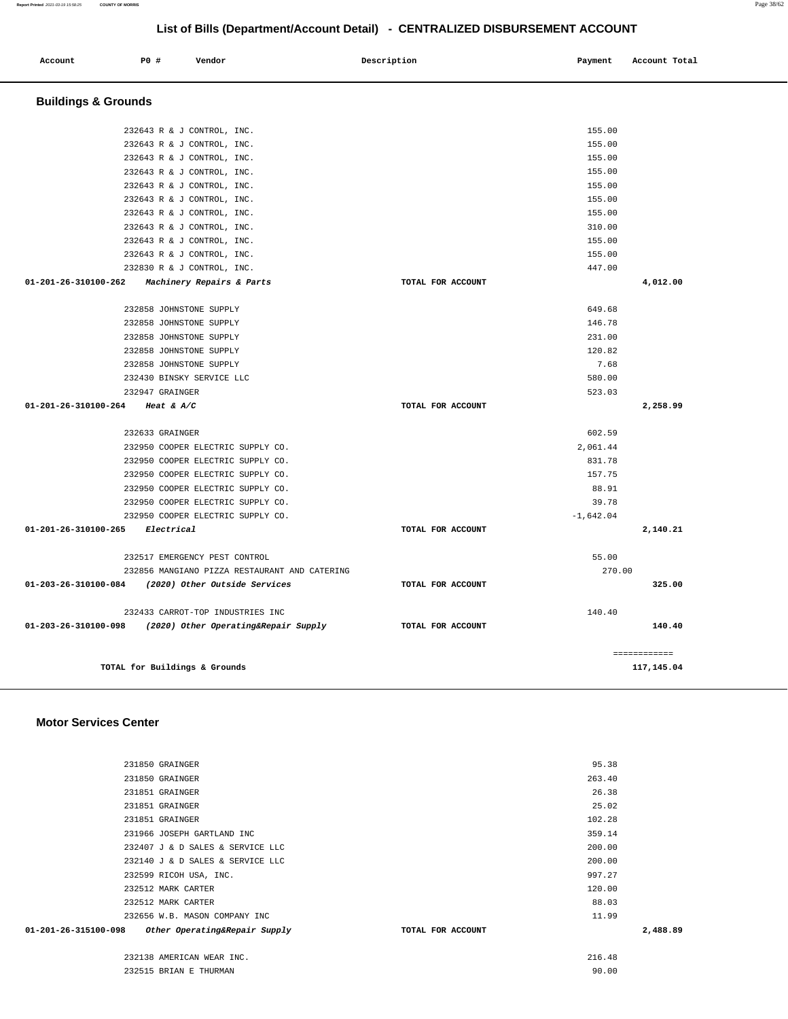|                      | 231850 GRAINGER                  | 95.38             |          |
|----------------------|----------------------------------|-------------------|----------|
|                      | 231850 GRAINGER                  | 263.40            |          |
|                      | 231851 GRAINGER                  | 26.38             |          |
|                      | 231851 GRAINGER                  | 25.02             |          |
|                      | 231851 GRAINGER                  | 102.28            |          |
|                      | 231966 JOSEPH GARTLAND INC       | 359.14            |          |
|                      | 232407 J & D SALES & SERVICE LLC | 200.00            |          |
|                      | 232140 J & D SALES & SERVICE LLC | 200.00            |          |
|                      | 232599 RICOH USA, INC.           | 997.27            |          |
|                      | 232512 MARK CARTER               | 120.00            |          |
|                      | 232512 MARK CARTER               | 88.03             |          |
|                      | 232656 W.B. MASON COMPANY INC    | 11.99             |          |
| 01-201-26-315100-098 | Other Operating&Repair Supply    | TOTAL FOR ACCOUNT | 2,488.89 |
|                      | 232138 AMERICAN WEAR INC.        | 216.48            |          |
|                      | 232515 BRIAN E THURMAN           | 90.00             |          |
|                      |                                  |                   |          |

### **Motor Services Center**

| Dunungs & Orvunus                                                               |                   |              |
|---------------------------------------------------------------------------------|-------------------|--------------|
| 232643 R & J CONTROL, INC.                                                      |                   | 155.00       |
| 232643 R & J CONTROL, INC.                                                      |                   | 155.00       |
| 232643 R & J CONTROL, INC.                                                      |                   | 155.00       |
| 232643 R & J CONTROL, INC.                                                      |                   | 155.00       |
| 232643 R & J CONTROL, INC.                                                      |                   | 155.00       |
| 232643 R & J CONTROL, INC.                                                      |                   | 155.00       |
| 232643 R & J CONTROL, INC.                                                      |                   | 155.00       |
| 232643 R & J CONTROL, INC.                                                      |                   | 310.00       |
| 232643 R & J CONTROL, INC.                                                      |                   | 155.00       |
| 232643 R & J CONTROL, INC.                                                      |                   | 155.00       |
|                                                                                 |                   | 447.00       |
| 232830 R & J CONTROL, INC.<br>01-201-26-310100-262<br>Machinery Repairs & Parts | TOTAL FOR ACCOUNT | 4,012.00     |
|                                                                                 |                   |              |
| 232858 JOHNSTONE SUPPLY                                                         |                   | 649.68       |
| 232858 JOHNSTONE SUPPLY                                                         |                   | 146.78       |
| 232858 JOHNSTONE SUPPLY                                                         |                   | 231.00       |
| 232858 JOHNSTONE SUPPLY                                                         |                   | 120.82       |
| 232858 JOHNSTONE SUPPLY                                                         |                   | 7.68         |
| 232430 BINSKY SERVICE LLC                                                       |                   | 580.00       |
| 232947 GRAINGER                                                                 |                   | 523.03       |
| 01-201-26-310100-264 Heat & A/C                                                 | TOTAL FOR ACCOUNT | 2,258.99     |
| 232633 GRAINGER                                                                 |                   | 602.59       |
| 232950 COOPER ELECTRIC SUPPLY CO.                                               |                   | 2.061.44     |
| 232950 COOPER ELECTRIC SUPPLY CO.                                               |                   | 831.78       |
| 232950 COOPER ELECTRIC SUPPLY CO.                                               |                   | 157.75       |
| 232950 COOPER ELECTRIC SUPPLY CO.                                               |                   | 88.91        |
| 232950 COOPER ELECTRIC SUPPLY CO.                                               |                   | 39.78        |
| 232950 COOPER ELECTRIC SUPPLY CO.                                               |                   | $-1.642.04$  |
| 01-201-26-310100-265 Electrical                                                 | TOTAL FOR ACCOUNT | 2,140.21     |
| 232517 EMERGENCY PEST CONTROL                                                   |                   | 55.00        |
| 232856 MANGIANO PIZZA RESTAURANT AND CATERING                                   |                   | 270.00       |
| 01-203-26-310100-084 (2020) Other Outside Services                              | TOTAL FOR ACCOUNT | 325.00       |
| 232433 CARROT-TOP INDUSTRIES INC                                                |                   | 140.40       |
| 01-203-26-310100-098 (2020) Other Operating&Repair Supply                       | TOTAL FOR ACCOUNT | 140.40       |
|                                                                                 |                   | ============ |
| TOTAL for Buildings & Grounds                                                   |                   | 117,145.04   |

#### **Buildings & Grounds**

|         |     |        | LIST OF BIJIS (DEPARTIMENTACCOUNT DETAIL) - CENTRALIZED DISBORSENIENT ACCOUNT |         |               |
|---------|-----|--------|-------------------------------------------------------------------------------|---------|---------------|
| Account | P0# | Vendor | Description                                                                   | Payment | Account Total |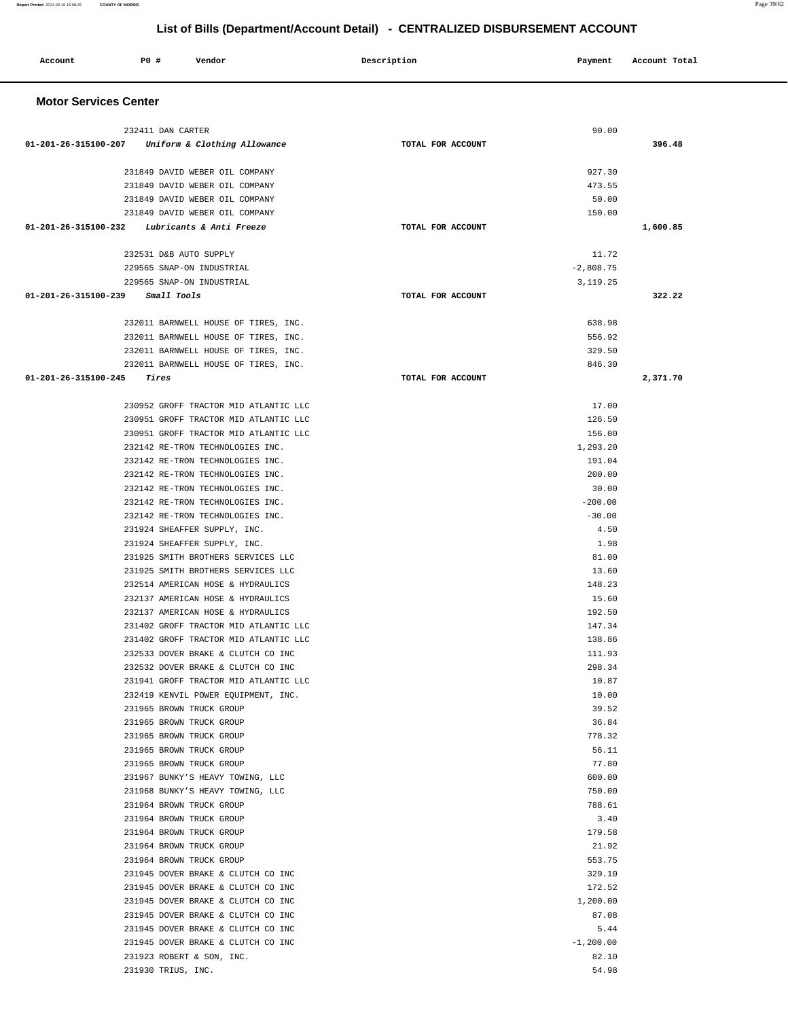| Account                                           | PO#                                                  | Vendor                                                                         | Description       | Payment          | Account Total |
|---------------------------------------------------|------------------------------------------------------|--------------------------------------------------------------------------------|-------------------|------------------|---------------|
| <b>Motor Services Center</b>                      |                                                      |                                                                                |                   |                  |               |
|                                                   | 232411 DAN CARTER                                    |                                                                                |                   | 90.00            |               |
| 01-201-26-315100-207 Uniform & Clothing Allowance |                                                      |                                                                                | TOTAL FOR ACCOUNT |                  | 396.48        |
|                                                   |                                                      |                                                                                |                   |                  |               |
|                                                   |                                                      | 231849 DAVID WEBER OIL COMPANY                                                 |                   | 927.30           |               |
|                                                   |                                                      | 231849 DAVID WEBER OIL COMPANY                                                 |                   | 473.55           |               |
|                                                   |                                                      | 231849 DAVID WEBER OIL COMPANY                                                 |                   | 50.00            |               |
|                                                   |                                                      | 231849 DAVID WEBER OIL COMPANY                                                 |                   | 150.00           |               |
| 01-201-26-315100-232 Lubricants & Anti Freeze     |                                                      |                                                                                | TOTAL FOR ACCOUNT |                  | 1,600.85      |
|                                                   | 232531 D&B AUTO SUPPLY                               |                                                                                |                   | 11.72            |               |
|                                                   | 229565 SNAP-ON INDUSTRIAL                            |                                                                                |                   | $-2,808.75$      |               |
|                                                   | 229565 SNAP-ON INDUSTRIAL                            |                                                                                |                   | 3, 119. 25       |               |
| 01-201-26-315100-239 Small Tools                  |                                                      |                                                                                | TOTAL FOR ACCOUNT |                  | 322.22        |
|                                                   |                                                      | 232011 BARNWELL HOUSE OF TIRES, INC.                                           |                   | 638.98           |               |
|                                                   |                                                      | 232011 BARNWELL HOUSE OF TIRES, INC.                                           |                   | 556.92           |               |
|                                                   |                                                      | 232011 BARNWELL HOUSE OF TIRES, INC.                                           |                   | 329.50           |               |
|                                                   |                                                      | 232011 BARNWELL HOUSE OF TIRES, INC.                                           |                   | 846.30           |               |
| 01-201-26-315100-245                              | Tires                                                |                                                                                | TOTAL FOR ACCOUNT |                  | 2,371.70      |
|                                                   |                                                      |                                                                                |                   |                  |               |
|                                                   |                                                      | 230952 GROFF TRACTOR MID ATLANTIC LLC<br>230951 GROFF TRACTOR MID ATLANTIC LLC |                   | 17.00<br>126.50  |               |
|                                                   |                                                      | 230951 GROFF TRACTOR MID ATLANTIC LLC                                          |                   | 156.00           |               |
|                                                   |                                                      | 232142 RE-TRON TECHNOLOGIES INC.                                               |                   | 1,293.20         |               |
|                                                   |                                                      | 232142 RE-TRON TECHNOLOGIES INC.                                               |                   | 191.04           |               |
|                                                   |                                                      | 232142 RE-TRON TECHNOLOGIES INC.                                               |                   | 200.00           |               |
|                                                   |                                                      | 232142 RE-TRON TECHNOLOGIES INC.                                               |                   | 30.00            |               |
|                                                   |                                                      | 232142 RE-TRON TECHNOLOGIES INC.                                               |                   | $-200.00$        |               |
|                                                   |                                                      | 232142 RE-TRON TECHNOLOGIES INC.                                               |                   | $-30.00$         |               |
|                                                   | 231924 SHEAFFER SUPPLY, INC.                         |                                                                                |                   | 4.50             |               |
|                                                   | 231924 SHEAFFER SUPPLY, INC.                         |                                                                                |                   | 1.98             |               |
|                                                   |                                                      | 231925 SMITH BROTHERS SERVICES LLC                                             |                   | 81.00            |               |
|                                                   |                                                      | 231925 SMITH BROTHERS SERVICES LLC                                             |                   | 13.60            |               |
|                                                   |                                                      | 232514 AMERICAN HOSE & HYDRAULICS                                              |                   | 148.23           |               |
|                                                   |                                                      | 232137 AMERICAN HOSE & HYDRAULICS                                              |                   | 15.60            |               |
|                                                   |                                                      | 232137 AMERICAN HOSE & HYDRAULICS                                              |                   | 192.50           |               |
|                                                   |                                                      | 231402 GROFF TRACTOR MID ATLANTIC LLC<br>231402 GROFF TRACTOR MID ATLANTIC LLC |                   | 147.34<br>138.86 |               |
|                                                   |                                                      | 232533 DOVER BRAKE & CLUTCH CO INC                                             |                   | 111.93           |               |
|                                                   |                                                      | 232532 DOVER BRAKE & CLUTCH CO INC                                             |                   | 298.34           |               |
|                                                   |                                                      | 231941 GROFF TRACTOR MID ATLANTIC LLC                                          |                   | 10.87            |               |
|                                                   |                                                      | 232419 KENVIL POWER EQUIPMENT, INC.                                            |                   | 10.00            |               |
|                                                   | 231965 BROWN TRUCK GROUP                             |                                                                                |                   | 39.52            |               |
|                                                   | 231965 BROWN TRUCK GROUP                             |                                                                                |                   | 36.84            |               |
|                                                   | 231965 BROWN TRUCK GROUP                             |                                                                                |                   | 778.32           |               |
|                                                   | 231965 BROWN TRUCK GROUP                             |                                                                                |                   | 56.11            |               |
|                                                   | 231965 BROWN TRUCK GROUP                             |                                                                                |                   | 77.80            |               |
|                                                   |                                                      | 231967 BUNKY'S HEAVY TOWING, LLC                                               |                   | 600.00           |               |
|                                                   |                                                      | 231968 BUNKY'S HEAVY TOWING, LLC                                               |                   | 750.00           |               |
|                                                   | 231964 BROWN TRUCK GROUP                             |                                                                                |                   | 788.61           |               |
|                                                   | 231964 BROWN TRUCK GROUP                             |                                                                                |                   | 3.40             |               |
|                                                   | 231964 BROWN TRUCK GROUP<br>231964 BROWN TRUCK GROUP |                                                                                |                   | 179.58<br>21.92  |               |
|                                                   | 231964 BROWN TRUCK GROUP                             |                                                                                |                   | 553.75           |               |
|                                                   |                                                      | 231945 DOVER BRAKE & CLUTCH CO INC                                             |                   | 329.10           |               |
|                                                   |                                                      | 231945 DOVER BRAKE & CLUTCH CO INC                                             |                   | 172.52           |               |
|                                                   |                                                      | 231945 DOVER BRAKE & CLUTCH CO INC                                             |                   | 1,200.00         |               |
|                                                   |                                                      | 231945 DOVER BRAKE & CLUTCH CO INC                                             |                   | 87.08            |               |
|                                                   |                                                      | 231945 DOVER BRAKE & CLUTCH CO INC                                             |                   | 5.44             |               |
|                                                   |                                                      | 231945 DOVER BRAKE & CLUTCH CO INC                                             |                   | $-1,200.00$      |               |
|                                                   | 231923 ROBERT & SON, INC.                            |                                                                                |                   | 82.10            |               |

231930 TRIUS, INC. 54.98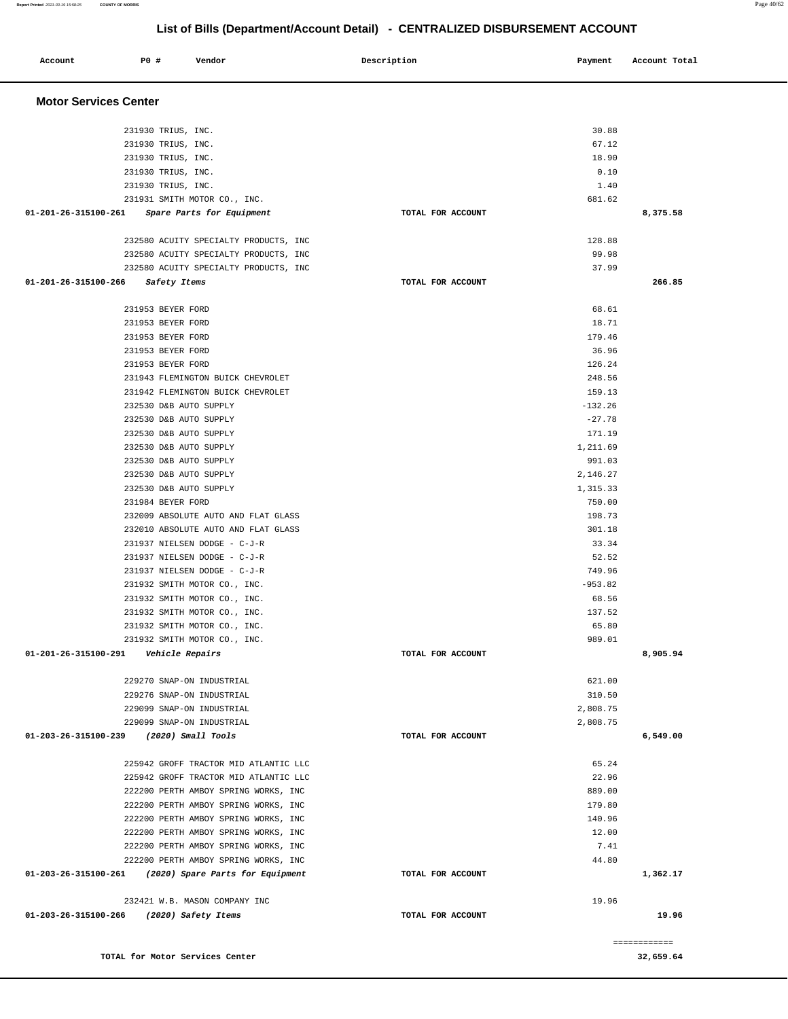| <b>Motor Services Center</b>   |                                                                              |                   |                     |          |
|--------------------------------|------------------------------------------------------------------------------|-------------------|---------------------|----------|
|                                |                                                                              |                   |                     |          |
|                                | 231930 TRIUS, INC.                                                           |                   | 30.88               |          |
|                                | 231930 TRIUS, INC.                                                           |                   | 67.12               |          |
|                                | 231930 TRIUS, INC.                                                           |                   | 18.90               |          |
|                                | 231930 TRIUS, INC.                                                           |                   | 0.10                |          |
|                                | 231930 TRIUS, INC.                                                           |                   | 1.40                |          |
|                                | 231931 SMITH MOTOR CO., INC.                                                 |                   | 681.62              |          |
| 01-201-26-315100-261           | Spare Parts for Equipment                                                    | TOTAL FOR ACCOUNT |                     | 8,375.58 |
|                                | 232580 ACUITY SPECIALTY PRODUCTS, INC                                        |                   | 128.88              |          |
|                                | 232580 ACUITY SPECIALTY PRODUCTS, INC                                        |                   | 99.98               |          |
|                                | 232580 ACUITY SPECIALTY PRODUCTS, INC                                        |                   | 37.99               |          |
| $01 - 201 - 26 - 315100 - 266$ | Safety Items                                                                 | TOTAL FOR ACCOUNT |                     | 266.85   |
|                                | 231953 BEYER FORD                                                            |                   | 68.61               |          |
|                                | 231953 BEYER FORD                                                            |                   | 18.71               |          |
|                                | 231953 BEYER FORD                                                            |                   | 179.46              |          |
|                                | 231953 BEYER FORD                                                            |                   | 36.96               |          |
|                                | 231953 BEYER FORD                                                            |                   | 126.24              |          |
|                                | 231943 FLEMINGTON BUICK CHEVROLET<br>231942 FLEMINGTON BUICK CHEVROLET       |                   | 248.56<br>159.13    |          |
|                                | 232530 D&B AUTO SUPPLY                                                       |                   | $-132.26$           |          |
|                                | 232530 D&B AUTO SUPPLY                                                       |                   | $-27.78$            |          |
|                                | 232530 D&B AUTO SUPPLY                                                       |                   | 171.19              |          |
|                                | 232530 D&B AUTO SUPPLY                                                       |                   | 1,211.69            |          |
|                                | 232530 D&B AUTO SUPPLY                                                       |                   | 991.03              |          |
|                                | 232530 D&B AUTO SUPPLY                                                       |                   | 2,146.27            |          |
|                                | 232530 D&B AUTO SUPPLY                                                       |                   | 1,315.33            |          |
|                                | 231984 BEYER FORD                                                            |                   | 750.00              |          |
|                                | 232009 ABSOLUTE AUTO AND FLAT GLASS                                          |                   | 198.73              |          |
|                                | 232010 ABSOLUTE AUTO AND FLAT GLASS                                          |                   | 301.18              |          |
|                                | 231937 NIELSEN DODGE - C-J-R                                                 |                   | 33.34               |          |
|                                | 231937 NIELSEN DODGE - C-J-R                                                 |                   | 52.52               |          |
|                                | 231937 NIELSEN DODGE - C-J-R                                                 |                   | 749.96<br>$-953.82$ |          |
|                                | 231932 SMITH MOTOR CO., INC.<br>231932 SMITH MOTOR CO., INC.                 |                   | 68.56               |          |
|                                | 231932 SMITH MOTOR CO., INC.                                                 |                   | 137.52              |          |
|                                | 231932 SMITH MOTOR CO., INC.                                                 |                   | 65.80               |          |
|                                | 231932 SMITH MOTOR CO., INC.                                                 |                   | 989.01              |          |
|                                | 01-201-26-315100-291    Vehicle Repairs                                      | TOTAL FOR ACCOUNT |                     | 8,905.94 |
|                                | 229270 SNAP-ON INDUSTRIAL                                                    |                   | 621.00              |          |
|                                | 229276 SNAP-ON INDUSTRIAL                                                    |                   | 310.50              |          |
|                                | 229099 SNAP-ON INDUSTRIAL                                                    |                   | 2,808.75            |          |
|                                | 229099 SNAP-ON INDUSTRIAL                                                    |                   | 2,808.75            |          |
|                                | 01-203-26-315100-239 (2020) Small Tools                                      | TOTAL FOR ACCOUNT |                     | 6,549.00 |
|                                | 225942 GROFF TRACTOR MID ATLANTIC LLC                                        |                   | 65.24               |          |
|                                | 225942 GROFF TRACTOR MID ATLANTIC LLC                                        |                   | 22.96               |          |
|                                | 222200 PERTH AMBOY SPRING WORKS, INC                                         |                   | 889.00              |          |
|                                | 222200 PERTH AMBOY SPRING WORKS, INC                                         |                   | 179.80              |          |
|                                | 222200 PERTH AMBOY SPRING WORKS, INC                                         |                   | 140.96              |          |
|                                | 222200 PERTH AMBOY SPRING WORKS, INC                                         |                   | 12.00<br>7.41       |          |
|                                | 222200 PERTH AMBOY SPRING WORKS, INC<br>222200 PERTH AMBOY SPRING WORKS, INC |                   | 44.80               |          |
|                                | 01-203-26-315100-261 (2020) Spare Parts for Equipment                        | TOTAL FOR ACCOUNT |                     | 1,362.17 |
|                                | 232421 W.B. MASON COMPANY INC                                                |                   | 19.96               |          |
|                                | 01-203-26-315100-266 (2020) Safety Items                                     |                   |                     |          |

**TOTAL for Motor Services Center 32,659.64** 

**Report Printed** 2021-03-19 15:58:25 **COUNTY OF MORRIS** Page 40/62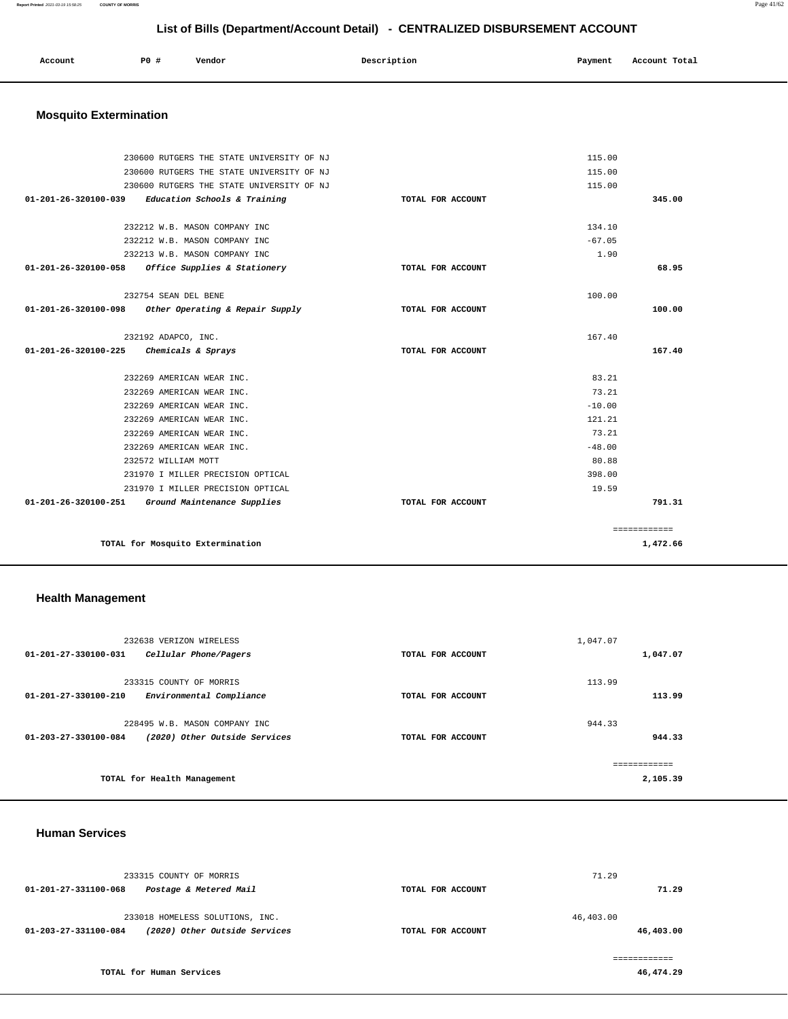**Report Printed** 2021-03-19 15:58:25 **COUNTY OF MORRIS** Page 41/62

## **List of Bills (Department/Account Detail) - CENTRALIZED DISBURSEMENT ACCOUNT**

| Account | <b>PO #</b> | Vendor | Description | Payment | Account Total |
|---------|-------------|--------|-------------|---------|---------------|
|         |             |        |             |         |               |

## **Mosquito Extermination**

|                      | 230600 RUTGERS THE STATE UNIVERSITY OF NJ         |                   | 115.00   |              |
|----------------------|---------------------------------------------------|-------------------|----------|--------------|
|                      | 230600 RUTGERS THE STATE UNIVERSITY OF NJ         |                   | 115.00   |              |
|                      | 230600 RUTGERS THE STATE UNIVERSITY OF NJ         |                   | 115.00   |              |
| 01-201-26-320100-039 | Education Schools & Training                      | TOTAL FOR ACCOUNT |          | 345.00       |
|                      |                                                   |                   |          |              |
|                      | 232212 W.B. MASON COMPANY INC                     |                   | 134.10   |              |
|                      | 232212 W.B. MASON COMPANY INC                     |                   | $-67.05$ |              |
|                      | 232213 W.B. MASON COMPANY INC                     |                   | 1.90     |              |
|                      | 01-201-26-320100-058 Office Supplies & Stationery | TOTAL FOR ACCOUNT |          | 68.95        |
|                      |                                                   |                   |          |              |
|                      | 232754 SEAN DEL BENE                              |                   | 100.00   |              |
| 01-201-26-320100-098 | Other Operating & Repair Supply                   | TOTAL FOR ACCOUNT |          | 100.00       |
|                      | 232192 ADAPCO, INC.                               |                   | 167.40   |              |
| 01-201-26-320100-225 | Chemicals & Sprays                                | TOTAL FOR ACCOUNT |          | 167.40       |
|                      |                                                   |                   |          |              |
|                      | 232269 AMERICAN WEAR INC.                         |                   | 83.21    |              |
|                      | 232269 AMERICAN WEAR INC.                         |                   | 73.21    |              |
|                      | 232269 AMERICAN WEAR INC.                         |                   | $-10.00$ |              |
|                      | 232269 AMERICAN WEAR INC.                         |                   | 121.21   |              |
|                      | 232269 AMERICAN WEAR INC.                         |                   | 73.21    |              |
|                      | 232269 AMERICAN WEAR INC.                         |                   | $-48.00$ |              |
|                      | 232572 WILLIAM MOTT                               |                   | 80.88    |              |
|                      | 231970 I MILLER PRECISION OPTICAL                 |                   | 398.00   |              |
|                      | 231970 I MILLER PRECISION OPTICAL                 |                   | 19.59    |              |
|                      | 01-201-26-320100-251 Ground Maintenance Supplies  | TOTAL FOR ACCOUNT |          | 791.31       |
|                      |                                                   |                   |          |              |
|                      |                                                   |                   |          | ============ |
|                      | TOTAL for Mosquito Extermination                  |                   |          | 1,472.66     |
|                      |                                                   |                   |          |              |

## **Health Management**

| 232638 VERIZON WIRELESS                                         |                   | 1,047.07     |
|-----------------------------------------------------------------|-------------------|--------------|
| 01-201-27-330100-031<br>Cellular Phone/Pagers                   | TOTAL FOR ACCOUNT | 1,047.07     |
|                                                                 |                   |              |
| 233315 COUNTY OF MORRIS                                         |                   | 113.99       |
| $01 - 201 - 27 - 330100 - 210$<br>Environmental Compliance      | TOTAL FOR ACCOUNT | 113.99       |
| 228495 W.B. MASON COMPANY INC                                   |                   | 944.33       |
| (2020) Other Outside Services<br>$01 - 203 - 27 - 330100 - 084$ | TOTAL FOR ACCOUNT | 944.33       |
|                                                                 |                   | ------------ |
| TOTAL for Health Management                                     |                   | 2,105.39     |

#### **Human Services**

|                      | 233315 COUNTY OF MORRIS         |                   | 71.29     |
|----------------------|---------------------------------|-------------------|-----------|
| 01-201-27-331100-068 | Postage & Metered Mail          | TOTAL FOR ACCOUNT | 71.29     |
|                      | 233018 HOMELESS SOLUTIONS, INC. |                   | 46,403.00 |
| 01-203-27-331100-084 | (2020) Other Outside Services   | TOTAL FOR ACCOUNT | 46,403.00 |
|                      |                                 |                   |           |

**TOTAL for Human Services**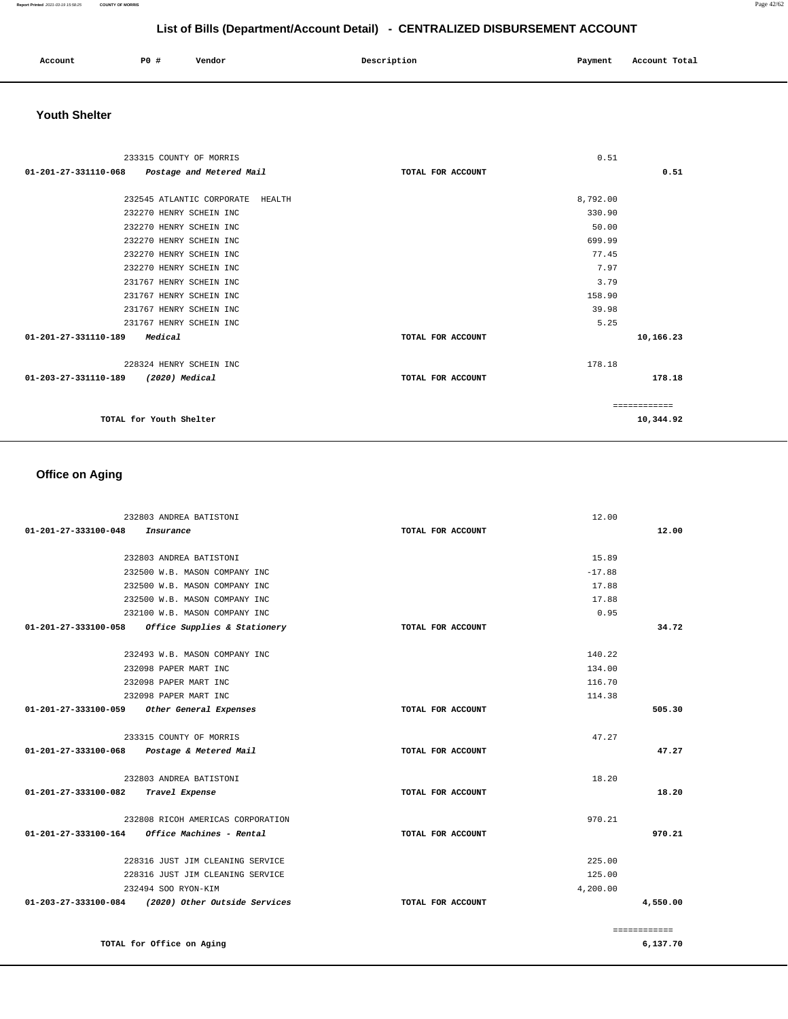| Account | <b>PO #</b> | Vendor | Description | Payment | Account Total |
|---------|-------------|--------|-------------|---------|---------------|
|         |             |        |             |         |               |

## **Youth Shelter**

| 233315 COUNTY OF MORRIS                       | 0.51              |              |
|-----------------------------------------------|-------------------|--------------|
| 01-201-27-331110-068 Postage and Metered Mail | TOTAL FOR ACCOUNT | 0.51         |
|                                               |                   |              |
| 232545 ATLANTIC CORPORATE HEALTH              | 8,792.00          |              |
| 232270 HENRY SCHEIN INC                       | 330.90            |              |
| 232270 HENRY SCHEIN INC                       | 50.00             |              |
| 232270 HENRY SCHEIN INC                       | 699.99            |              |
| 232270 HENRY SCHEIN INC                       | 77.45             |              |
| 232270 HENRY SCHEIN INC                       | 7.97              |              |
| 231767 HENRY SCHEIN INC                       | 3.79              |              |
| 231767 HENRY SCHEIN INC                       | 158.90            |              |
| 231767 HENRY SCHEIN INC                       | 39.98             |              |
| 231767 HENRY SCHEIN INC                       | 5.25              |              |
| 01-201-27-331110-189<br>Medical               | TOTAL FOR ACCOUNT | 10,166.23    |
| 228324 HENRY SCHEIN INC                       | 178.18            |              |
| 01-203-27-331110-189 (2020) Medical           | TOTAL FOR ACCOUNT | 178.18       |
|                                               |                   | ============ |
| TOTAL for Youth Shelter                       |                   | 10,344.92    |

## **Office on Aging**

| 232803 ANDREA BATISTONI                            |                   | 12.00    |              |
|----------------------------------------------------|-------------------|----------|--------------|
| 01-201-27-333100-048<br>Insurance                  | TOTAL FOR ACCOUNT |          | 12.00        |
| 232803 ANDREA BATISTONI                            |                   | 15.89    |              |
| 232500 W.B. MASON COMPANY INC                      |                   | $-17.88$ |              |
| 232500 W.B. MASON COMPANY INC                      |                   | 17.88    |              |
| 232500 W.B. MASON COMPANY INC                      |                   | 17.88    |              |
| 232100 W.B. MASON COMPANY INC                      |                   | 0.95     |              |
| 01-201-27-333100-058 Office Supplies & Stationery  | TOTAL FOR ACCOUNT |          | 34.72        |
| 232493 W.B. MASON COMPANY INC                      |                   | 140.22   |              |
| 232098 PAPER MART INC                              |                   | 134.00   |              |
| 232098 PAPER MART INC                              |                   | 116.70   |              |
| 232098 PAPER MART INC                              |                   | 114.38   |              |
| 01-201-27-333100-059 Other General Expenses        | TOTAL FOR ACCOUNT |          | 505.30       |
| 233315 COUNTY OF MORRIS                            |                   | 47.27    |              |
| 01-201-27-333100-068 Postage & Metered Mail        | TOTAL FOR ACCOUNT |          | 47.27        |
| 232803 ANDREA BATISTONI                            |                   | 18.20    |              |
| 01-201-27-333100-082 Travel Expense                | TOTAL FOR ACCOUNT |          | 18.20        |
| 232808 RICOH AMERICAS CORPORATION                  |                   | 970.21   |              |
| Office Machines - Rental<br>01-201-27-333100-164   | TOTAL FOR ACCOUNT |          | 970.21       |
| 228316 JUST JIM CLEANING SERVICE                   |                   | 225.00   |              |
| 228316 JUST JIM CLEANING SERVICE                   |                   | 125.00   |              |
| 232494 SOO RYON-KIM                                |                   | 4,200.00 |              |
| 01-203-27-333100-084 (2020) Other Outside Services | TOTAL FOR ACCOUNT |          | 4,550.00     |
|                                                    |                   |          | ============ |
| TOTAL for Office on Aging                          |                   |          | 6,137.70     |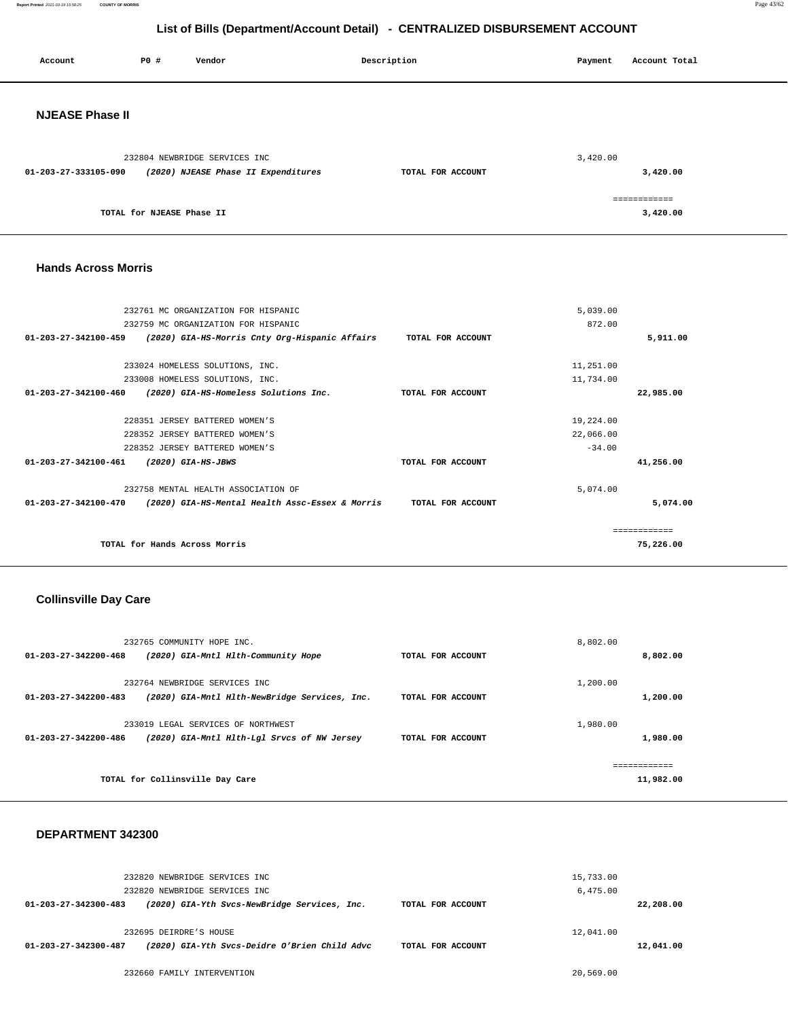**Report Printed** 2021-03-19 15:58:25 **COUNTY OF MORRIS** Page 43/62

## **List of Bills (Department/Account Detail) - CENTRALIZED DISBURSEMENT ACCOUNT**

| Account                | P0 #                      | Vendor                                                               | Description       | Payment  | Account Total            |
|------------------------|---------------------------|----------------------------------------------------------------------|-------------------|----------|--------------------------|
| <b>NJEASE Phase II</b> |                           |                                                                      |                   |          |                          |
| 01-203-27-333105-090   |                           | 232804 NEWBRIDGE SERVICES INC<br>(2020) NJEASE Phase II Expenditures | TOTAL FOR ACCOUNT | 3,420.00 | 3,420.00                 |
|                        | TOTAL for NJEASE Phase II |                                                                      |                   |          | ============<br>3,420.00 |

#### **Hands Across Morris**

| 232761 MC ORGANIZATION FOR HISPANIC                                               |                   | 5,039.00  |           |
|-----------------------------------------------------------------------------------|-------------------|-----------|-----------|
| 232759 MC ORGANIZATION FOR HISPANIC                                               |                   | 872.00    |           |
| $01 - 203 - 27 - 342100 - 459$<br>(2020) GIA-HS-Morris Cnty Org-Hispanic Affairs  | TOTAL FOR ACCOUNT |           | 5,911.00  |
| 233024 HOMELESS SOLUTIONS, INC.                                                   |                   | 11,251.00 |           |
| 233008 HOMELESS SOLUTIONS, INC.                                                   |                   | 11,734.00 |           |
| $01 - 203 - 27 - 342100 - 460$<br>(2020) GIA-HS-Homeless Solutions Inc.           | TOTAL FOR ACCOUNT |           | 22,985.00 |
| 228351 JERSEY BATTERED WOMEN'S                                                    |                   | 19,224.00 |           |
| 228352 JERSEY BATTERED WOMEN'S                                                    |                   | 22,066.00 |           |
| 228352 JERSEY BATTERED WOMEN'S                                                    |                   | $-34.00$  |           |
| $01 - 203 - 27 - 342100 - 461$<br>(2020) GIA-HS-JBWS                              | TOTAL FOR ACCOUNT |           | 41,256.00 |
| 232758 MENTAL HEALTH ASSOCIATION OF                                               |                   | 5,074.00  |           |
| $01 - 203 - 27 - 342100 - 470$<br>(2020) GIA-HS-Mental Health Assc-Essex & Morris | TOTAL FOR ACCOUNT |           | 5,074.00  |
|                                                                                   |                   |           |           |
| TOTAL for Hands Across Morris                                                     |                   |           | 75,226.00 |

### **Collinsville Day Care**

| 232765 COMMUNITY HOPE INC.                                           |                                               |                   | 8,802.00 |           |
|----------------------------------------------------------------------|-----------------------------------------------|-------------------|----------|-----------|
| $01 - 203 - 27 - 342200 - 468$                                       | (2020) GIA-Mntl Hlth-Community Hope           | TOTAL FOR ACCOUNT |          | 8,802.00  |
| 232764 NEWBRIDGE SERVICES INC<br>$01 - 203 - 27 - 342200 - 483$      | (2020) GIA-Mntl Hlth-NewBridge Services, Inc. | TOTAL FOR ACCOUNT | 1,200.00 | 1,200.00  |
| 233019 LEGAL SERVICES OF NORTHWEST<br>$01 - 203 - 27 - 342200 - 486$ | (2020) GIA-Mntl Hlth-Lgl Srvcs of NW Jersey   | TOTAL FOR ACCOUNT | 1,980.00 | 1,980.00  |
|                                                                      |                                               |                   |          |           |
| TOTAL for Collinsville Day Care                                      |                                               |                   |          | 11,982.00 |

### **DEPARTMENT 342300**

|                                | 232820 NEWBRIDGE SERVICES INC                 |                   | 15,733.00 |           |
|--------------------------------|-----------------------------------------------|-------------------|-----------|-----------|
|                                | 232820 NEWBRIDGE SERVICES INC                 |                   | 6,475.00  |           |
| $01 - 203 - 27 - 342300 - 483$ | (2020) GIA-Yth Svcs-NewBridge Services, Inc.  | TOTAL FOR ACCOUNT |           | 22,208.00 |
|                                |                                               |                   |           |           |
|                                | 232695 DEIRDRE'S HOUSE                        |                   | 12,041.00 |           |
| 01-203-27-342300-487           | (2020) GIA-Yth Svcs-Deidre O'Brien Child Advc | TOTAL FOR ACCOUNT |           | 12,041.00 |
|                                |                                               |                   |           |           |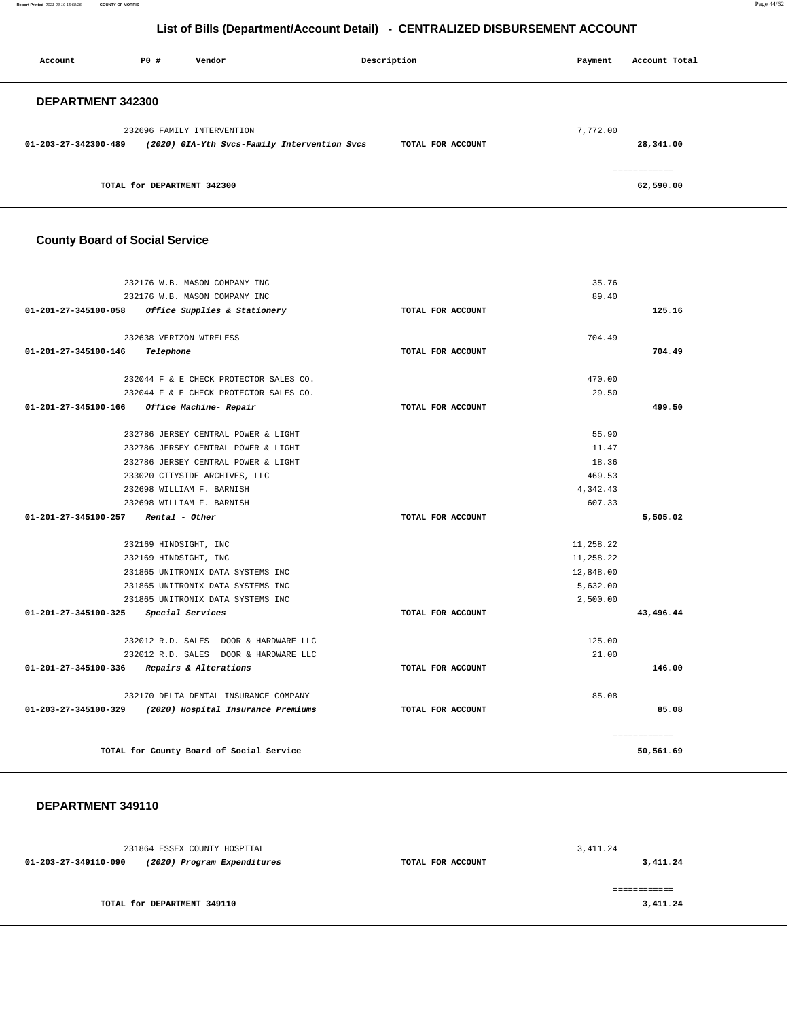**Report Printed** 2021-03-19 15:58:25 **COUNTY OF MORRIS** Page 44/62

## **List of Bills (Department/Account Detail) - CENTRALIZED DISBURSEMENT ACCOUNT**

| Account                  | P0 #                        | Vendor                                       | Description       | Payment  | Account Total |
|--------------------------|-----------------------------|----------------------------------------------|-------------------|----------|---------------|
| <b>DEPARTMENT 342300</b> |                             |                                              |                   |          |               |
|                          |                             | 232696 FAMILY INTERVENTION                   |                   | 7,772.00 |               |
| 01-203-27-342300-489     |                             | (2020) GIA-Yth Svcs-Family Intervention Svcs | TOTAL FOR ACCOUNT |          | 28,341.00     |
|                          |                             |                                              |                   |          | ============  |
|                          | TOTAL for DEPARTMENT 342300 |                                              |                   |          | 62,590.00     |

## **County Board of Social Service**

| 232176 W.B. MASON COMPANY INC                           |                   | 35.76     |              |
|---------------------------------------------------------|-------------------|-----------|--------------|
| 232176 W.B. MASON COMPANY INC                           |                   | 89.40     |              |
| 01-201-27-345100-058<br>Office Supplies & Stationery    | TOTAL FOR ACCOUNT |           | 125.16       |
|                                                         |                   |           |              |
| 232638 VERIZON WIRELESS                                 |                   | 704.49    |              |
| 01-201-27-345100-146<br>Telephone                       | TOTAL FOR ACCOUNT |           | 704.49       |
|                                                         |                   |           |              |
| 232044 F & E CHECK PROTECTOR SALES CO.                  |                   | 470.00    |              |
| 232044 F & E CHECK PROTECTOR SALES CO.                  |                   | 29.50     |              |
| 01-201-27-345100-166<br>Office Machine- Repair          | TOTAL FOR ACCOUNT |           | 499.50       |
|                                                         |                   |           |              |
| 232786 JERSEY CENTRAL POWER & LIGHT                     |                   | 55.90     |              |
| 232786 JERSEY CENTRAL POWER & LIGHT                     |                   | 11.47     |              |
| 232786 JERSEY CENTRAL POWER & LIGHT                     |                   | 18.36     |              |
| 233020 CITYSIDE ARCHIVES, LLC                           |                   | 469.53    |              |
| 232698 WILLIAM F. BARNISH                               |                   | 4,342.43  |              |
| 232698 WILLIAM F. BARNISH                               |                   | 607.33    |              |
| 01-201-27-345100-257<br>Rental - Other                  | TOTAL FOR ACCOUNT |           | 5,505.02     |
|                                                         |                   | 11,258.22 |              |
| 232169 HINDSIGHT, INC                                   |                   |           |              |
| 232169 HINDSIGHT, INC                                   |                   | 11,258.22 |              |
| 231865 UNITRONIX DATA SYSTEMS INC                       |                   | 12,848.00 |              |
| 231865 UNITRONIX DATA SYSTEMS INC                       |                   | 5,632,00  |              |
| 231865 UNITRONIX DATA SYSTEMS INC                       |                   | 2,500.00  |              |
| $01 - 201 - 27 - 345100 - 325$<br>Special Services      | TOTAL FOR ACCOUNT |           | 43,496.44    |
| 232012 R.D. SALES DOOR & HARDWARE LLC                   |                   | 125.00    |              |
| 232012 R.D. SALES DOOR & HARDWARE LLC                   |                   | 21.00     |              |
| 01-201-27-345100-336<br>Repairs & Alterations           | TOTAL FOR ACCOUNT |           | 146.00       |
|                                                         |                   |           |              |
| 232170 DELTA DENTAL INSURANCE COMPANY                   |                   | 85.08     |              |
| 01-203-27-345100-329 (2020) Hospital Insurance Premiums | TOTAL FOR ACCOUNT |           | 85.08        |
|                                                         |                   |           | ============ |
| TOTAL for County Board of Social Service                |                   |           | 50,561.69    |
|                                                         |                   |           |              |

### **DEPARTMENT 349110**

|                      | 231864 ESSEX COUNTY HOSPITAL |                   | 3, 411.24 |
|----------------------|------------------------------|-------------------|-----------|
| 01-203-27-349110-090 | (2020) Program Expenditures  | TOTAL FOR ACCOUNT | 3,411.24  |
|                      | TOTAL for DEPARTMENT 349110  |                   | 3,411.24  |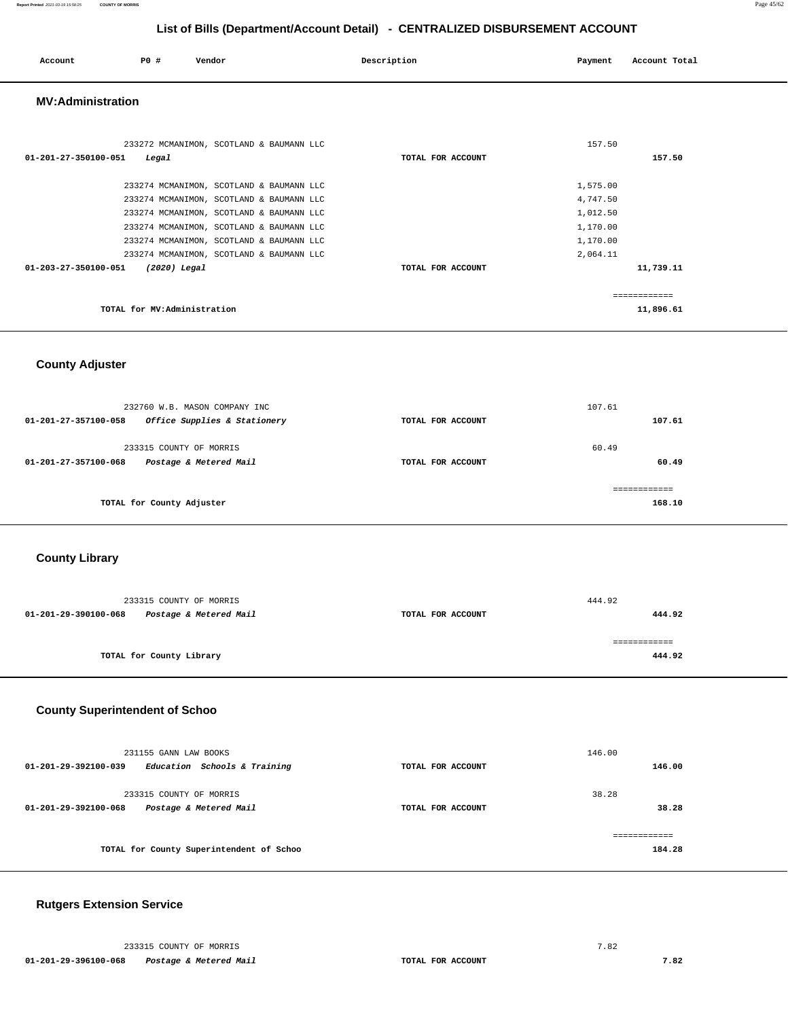| Account                        | <b>PO #</b>                 | Vendor                                                                                                                                                                                                                                                               | Description       | Payment                                                              | Account Total             |
|--------------------------------|-----------------------------|----------------------------------------------------------------------------------------------------------------------------------------------------------------------------------------------------------------------------------------------------------------------|-------------------|----------------------------------------------------------------------|---------------------------|
| <b>MV:Administration</b>       |                             |                                                                                                                                                                                                                                                                      |                   |                                                                      |                           |
| $01 - 201 - 27 - 350100 - 051$ | Legal                       | 233272 MCMANIMON, SCOTLAND & BAUMANN LLC                                                                                                                                                                                                                             | TOTAL FOR ACCOUNT | 157.50                                                               | 157.50                    |
| 01-203-27-350100-051           | $(2020)$ Legal              | 233274 MCMANIMON, SCOTLAND & BAUMANN LLC<br>233274 MCMANIMON, SCOTLAND & BAUMANN LLC<br>233274 MCMANIMON, SCOTLAND & BAUMANN LLC<br>233274 MCMANIMON, SCOTLAND & BAUMANN LLC<br>233274 MCMANIMON, SCOTLAND & BAUMANN LLC<br>233274 MCMANIMON, SCOTLAND & BAUMANN LLC | TOTAL FOR ACCOUNT | 1,575.00<br>4,747.50<br>1,012.50<br>1,170.00<br>1,170.00<br>2,064.11 | 11,739.11                 |
|                                | TOTAL for MV:Administration |                                                                                                                                                                                                                                                                      |                   |                                                                      | ------------<br>11,896.61 |

## **County Adjuster**

| 232760 W.B. MASON COMPANY INC<br>Office Supplies & Stationery<br>$01 - 201 - 27 - 357100 - 058$ | TOTAL FOR ACCOUNT | 107.61<br>107.61 |
|-------------------------------------------------------------------------------------------------|-------------------|------------------|
| 233315 COUNTY OF MORRIS<br>Postage & Metered Mail<br>01-201-27-357100-068                       | TOTAL FOR ACCOUNT | 60.49<br>60.49   |
| TOTAL for County Adjuster                                                                       |                   | 168.10           |

### **County Library**

|                      | 233315 COUNTY OF MORRIS  |                   | 444.92 |
|----------------------|--------------------------|-------------------|--------|
| 01-201-29-390100-068 | Postage & Metered Mail   | TOTAL FOR ACCOUNT | 444.92 |
|                      |                          |                   |        |
|                      | TOTAL for County Library |                   | 444.92 |

## **County Superintendent of Schoo**

| 231155 GANN LAW BOOKS<br>Education Schools & Training<br>$01 - 201 - 29 - 392100 - 039$ | TOTAL FOR ACCOUNT | 146.00<br>146.00 |
|-----------------------------------------------------------------------------------------|-------------------|------------------|
| 233315 COUNTY OF MORRIS<br>Postage & Metered Mail<br>$01 - 201 - 29 - 392100 - 068$     | TOTAL FOR ACCOUNT | 38.28<br>38.28   |
| TOTAL for County Superintendent of Schoo                                                |                   | 184.28           |

### **Rutgers Extension Service**

 233315 COUNTY OF MORRIS 7.82  **01-201-29-396100-068 Postage & Metered Mail TOTAL FOR ACCOUNT 7.82**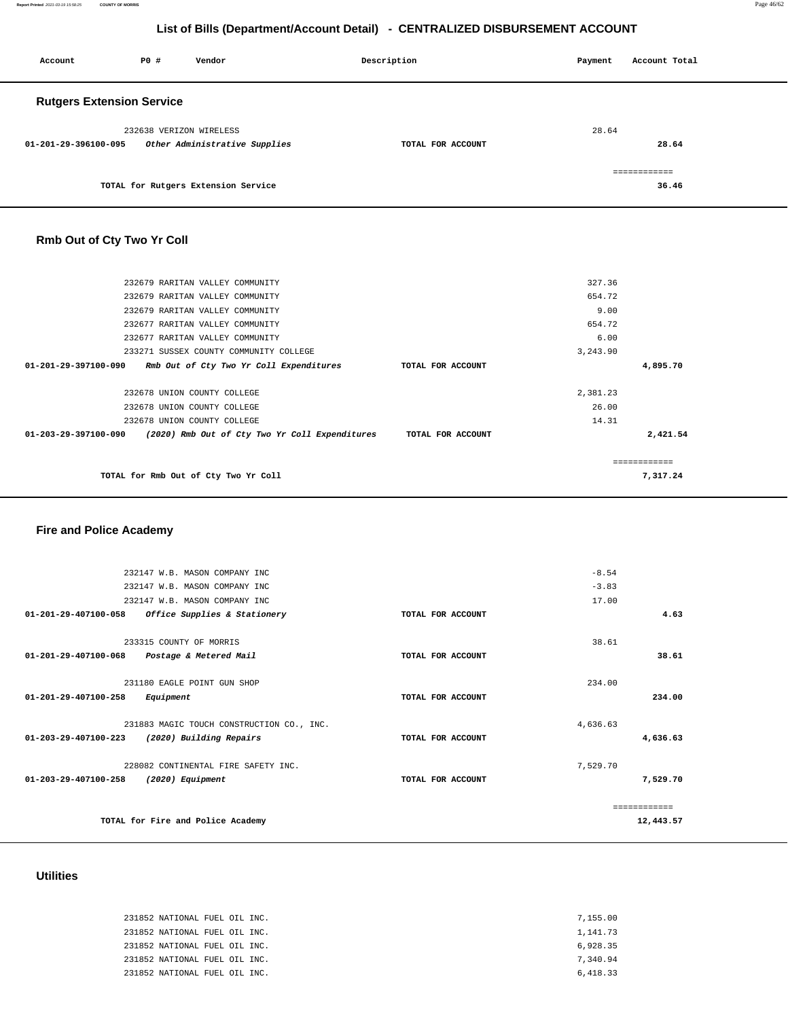**Report Printed** 2021-03-19 15:58:25 **COUNTY OF MORRIS** Page 46/62

## **List of Bills (Department/Account Detail) - CENTRALIZED DISBURSEMENT ACCOUNT**

| Account                          | P0 # | Vendor                              | Description       | Payment | Account Total |  |
|----------------------------------|------|-------------------------------------|-------------------|---------|---------------|--|
| <b>Rutgers Extension Service</b> |      |                                     |                   |         |               |  |
|                                  |      | 232638 VERIZON WIRELESS             |                   | 28.64   |               |  |
| 01-201-29-396100-095             |      | Other Administrative Supplies       | TOTAL FOR ACCOUNT |         | 28.64         |  |
|                                  |      |                                     |                   |         | ============  |  |
|                                  |      | TOTAL for Rutgers Extension Service |                   |         | 36.46         |  |

## **Rmb Out of Cty Two Yr Coll**

| 232679 RARITAN VALLEY COMMUNITY                                       |                   | 327.36   |               |
|-----------------------------------------------------------------------|-------------------|----------|---------------|
| 232679 RARITAN VALLEY COMMUNITY                                       |                   | 654.72   |               |
| 232679 RARITAN VALLEY COMMUNITY                                       |                   | 9.00     |               |
| 232677 RARITAN VALLEY COMMUNITY                                       |                   | 654.72   |               |
| 232677 RARITAN VALLEY COMMUNITY                                       |                   | 6.00     |               |
| 233271 SUSSEX COUNTY COMMUNITY COLLEGE                                |                   | 3,243.90 |               |
| 01-201-29-397100-090<br>Rmb Out of Cty Two Yr Coll Expenditures       | TOTAL FOR ACCOUNT |          | 4,895.70      |
|                                                                       |                   |          |               |
| 232678 UNION COUNTY COLLEGE                                           |                   | 2,381.23 |               |
| 232678 UNION COUNTY COLLEGE                                           |                   | 26.00    |               |
| 232678 UNION COUNTY COLLEGE                                           |                   | 14.31    |               |
| $01-203-29-397100-090$ (2020) Rmb Out of Cty Two Yr Coll Expenditures | TOTAL FOR ACCOUNT |          | 2,421.54      |
|                                                                       |                   |          | ------------- |
| TOTAL for Rmb Out of Cty Two Yr Coll                                  |                   |          | 7,317.24      |
|                                                                       |                   |          |               |

## **Fire and Police Academy**

|                                | 232147 W.B. MASON COMPANY INC             |                   | $-8.54$  |               |
|--------------------------------|-------------------------------------------|-------------------|----------|---------------|
|                                | 232147 W.B. MASON COMPANY INC             |                   | $-3.83$  |               |
|                                | 232147 W.B. MASON COMPANY INC             |                   | 17.00    |               |
| $01 - 201 - 29 - 407100 - 058$ | Office Supplies & Stationery              | TOTAL FOR ACCOUNT |          | 4.63          |
|                                | 233315 COUNTY OF MORRIS                   |                   | 38.61    |               |
| 01-201-29-407100-068           | Postage & Metered Mail                    | TOTAL FOR ACCOUNT |          | 38.61         |
|                                | 231180 EAGLE POINT GUN SHOP               |                   | 234.00   |               |
| 01-201-29-407100-258           | Equipment                                 | TOTAL FOR ACCOUNT |          | 234.00        |
|                                | 231883 MAGIC TOUCH CONSTRUCTION CO., INC. |                   | 4,636.63 |               |
| $01 - 203 - 29 - 407100 - 223$ | (2020) Building Repairs                   | TOTAL FOR ACCOUNT |          | 4,636.63      |
|                                | 228082 CONTINENTAL FIRE SAFETY INC.       |                   | 7,529.70 |               |
| $01 - 203 - 29 - 407100 - 258$ | $(2020)$ Equipment                        | TOTAL FOR ACCOUNT |          | 7,529.70      |
|                                |                                           |                   |          | ------------- |
|                                |                                           |                   |          |               |
|                                | TOTAL for Fire and Police Academy         |                   |          | 12,443.57     |

### **Utilities**

| 231852 NATIONAL FUEL OIL INC. | 7,155.00 |
|-------------------------------|----------|
| 231852 NATIONAL FUEL OIL INC. | 1,141.73 |
| 231852 NATIONAL FUEL OIL INC. | 6.928.35 |
| 231852 NATIONAL FUEL OIL INC. | 7.340.94 |
| 231852 NATIONAL FUEL OIL INC. | 6,418.33 |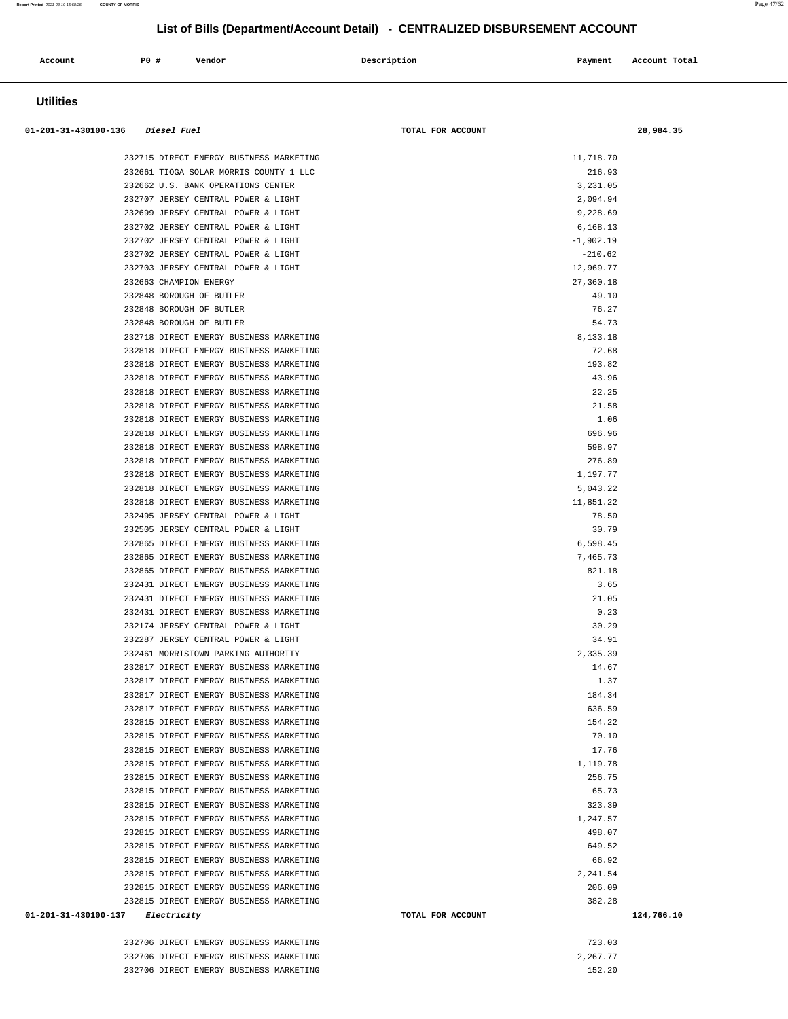| <b>Utilities</b>                                                                   |                   |                    |            |
|------------------------------------------------------------------------------------|-------------------|--------------------|------------|
| 01-201-31-430100-136 Diesel Fuel                                                   | TOTAL FOR ACCOUNT |                    | 28,984.35  |
| 232715 DIRECT ENERGY BUSINESS MARKETING                                            |                   | 11,718.70          |            |
| 232661 TIOGA SOLAR MORRIS COUNTY 1 LLC                                             |                   | 216.93             |            |
| 232662 U.S. BANK OPERATIONS CENTER                                                 |                   | 3,231.05           |            |
| 232707 JERSEY CENTRAL POWER & LIGHT                                                |                   | 2,094.94           |            |
| 232699 JERSEY CENTRAL POWER & LIGHT                                                |                   | 9,228.69           |            |
| 232702 JERSEY CENTRAL POWER & LIGHT                                                |                   | 6,168.13           |            |
| 232702 JERSEY CENTRAL POWER & LIGHT                                                |                   | $-1,902.19$        |            |
| 232702 JERSEY CENTRAL POWER & LIGHT                                                |                   | $-210.62$          |            |
| 232703 JERSEY CENTRAL POWER & LIGHT                                                |                   | 12,969.77          |            |
| 232663 CHAMPION ENERGY                                                             |                   | 27,360.18<br>49.10 |            |
| 232848 BOROUGH OF BUTLER<br>232848 BOROUGH OF BUTLER                               |                   | 76.27              |            |
| 232848 BOROUGH OF BUTLER                                                           |                   | 54.73              |            |
| 232718 DIRECT ENERGY BUSINESS MARKETING                                            |                   | 8,133.18           |            |
| 232818 DIRECT ENERGY BUSINESS MARKETING                                            |                   | 72.68              |            |
| 232818 DIRECT ENERGY BUSINESS MARKETING                                            |                   | 193.82             |            |
| 232818 DIRECT ENERGY BUSINESS MARKETING                                            |                   | 43.96              |            |
| 232818 DIRECT ENERGY BUSINESS MARKETING                                            |                   | 22.25              |            |
| 232818 DIRECT ENERGY BUSINESS MARKETING                                            |                   | 21.58              |            |
| 232818 DIRECT ENERGY BUSINESS MARKETING                                            |                   | 1.06               |            |
| 232818 DIRECT ENERGY BUSINESS MARKETING                                            |                   | 696.96             |            |
| 232818 DIRECT ENERGY BUSINESS MARKETING                                            |                   | 598.97             |            |
| 232818 DIRECT ENERGY BUSINESS MARKETING                                            |                   | 276.89             |            |
| 232818 DIRECT ENERGY BUSINESS MARKETING                                            |                   | 1,197.77           |            |
| 232818 DIRECT ENERGY BUSINESS MARKETING                                            |                   | 5,043.22           |            |
| 232818 DIRECT ENERGY BUSINESS MARKETING                                            |                   | 11,851.22<br>78.50 |            |
| 232495 JERSEY CENTRAL POWER & LIGHT<br>232505 JERSEY CENTRAL POWER & LIGHT         |                   | 30.79              |            |
| 232865 DIRECT ENERGY BUSINESS MARKETING                                            |                   | 6,598.45           |            |
| 232865 DIRECT ENERGY BUSINESS MARKETING                                            |                   | 7,465.73           |            |
| 232865 DIRECT ENERGY BUSINESS MARKETING                                            |                   | 821.18             |            |
| 232431 DIRECT ENERGY BUSINESS MARKETING                                            |                   | 3.65               |            |
| 232431 DIRECT ENERGY BUSINESS MARKETING                                            |                   | 21.05              |            |
| 232431 DIRECT ENERGY BUSINESS MARKETING                                            |                   | 0.23               |            |
| 232174 JERSEY CENTRAL POWER & LIGHT                                                |                   | 30.29              |            |
| 232287 JERSEY CENTRAL POWER & LIGHT                                                |                   | 34.91              |            |
| 232461 MORRISTOWN PARKING AUTHORITY                                                |                   | 2,335.39           |            |
| 232817 DIRECT ENERGY BUSINESS MARKETING                                            |                   | 14.67              |            |
| 232817 DIRECT ENERGY BUSINESS MARKETING                                            |                   | 1.37               |            |
| 232817 DIRECT ENERGY BUSINESS MARKETING                                            |                   | 184.34             |            |
| 232817 DIRECT ENERGY BUSINESS MARKETING                                            |                   | 636.59             |            |
| 232815 DIRECT ENERGY BUSINESS MARKETING<br>232815 DIRECT ENERGY BUSINESS MARKETING |                   | 154.22<br>70.10    |            |
| 232815 DIRECT ENERGY BUSINESS MARKETING                                            |                   | 17.76              |            |
| 232815 DIRECT ENERGY BUSINESS MARKETING                                            |                   | 1,119.78           |            |
| 232815 DIRECT ENERGY BUSINESS MARKETING                                            |                   | 256.75             |            |
| 232815 DIRECT ENERGY BUSINESS MARKETING                                            |                   | 65.73              |            |
| 232815 DIRECT ENERGY BUSINESS MARKETING                                            |                   | 323.39             |            |
| 232815 DIRECT ENERGY BUSINESS MARKETING                                            |                   | 1,247.57           |            |
| 232815 DIRECT ENERGY BUSINESS MARKETING                                            |                   | 498.07             |            |
| 232815 DIRECT ENERGY BUSINESS MARKETING                                            |                   | 649.52             |            |
| 232815 DIRECT ENERGY BUSINESS MARKETING                                            |                   | 66.92              |            |
| 232815 DIRECT ENERGY BUSINESS MARKETING                                            |                   | 2,241.54           |            |
| 232815 DIRECT ENERGY BUSINESS MARKETING                                            |                   | 206.09             |            |
| 232815 DIRECT ENERGY BUSINESS MARKETING                                            |                   | 382.28             |            |
| 01-201-31-430100-137 Electricity                                                   | TOTAL FOR ACCOUNT |                    | 124,766.10 |
| 232706 DIRECT ENERGY BUSINESS MARKETING                                            |                   | 723.03             |            |

 **Account** 20 **P P**  $\uparrow$  **Payment** Payment Account Total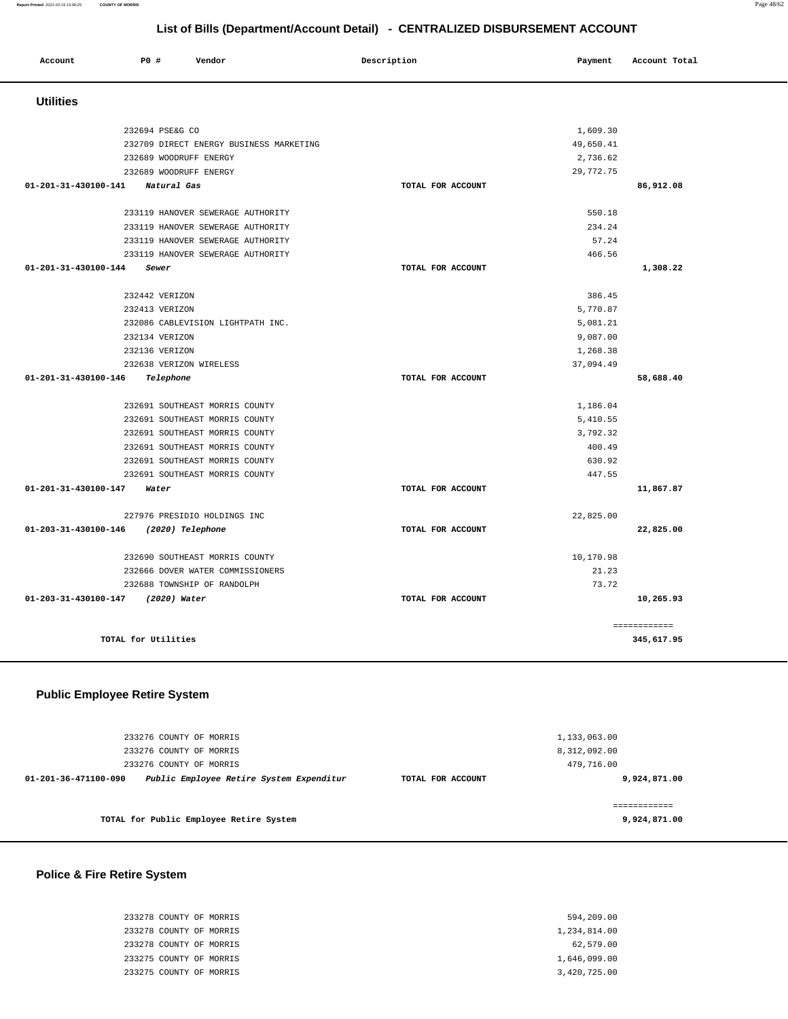**Report Printed** 2021-03-19 15:58:25 **COUNTY OF MORRIS** Page 48/62

## **List of Bills (Department/Account Detail) - CENTRALIZED DISBURSEMENT ACCOUNT**

| Account              | <b>PO #</b><br>Vendor                   | Description       | Payment   | Account Total |
|----------------------|-----------------------------------------|-------------------|-----------|---------------|
| <b>Utilities</b>     |                                         |                   |           |               |
|                      | 232694 PSE&G CO                         |                   | 1,609.30  |               |
|                      | 232709 DIRECT ENERGY BUSINESS MARKETING |                   | 49,650.41 |               |
|                      | 232689 WOODRUFF ENERGY                  |                   | 2,736.62  |               |
|                      | 232689 WOODRUFF ENERGY                  |                   | 29,772.75 |               |
| 01-201-31-430100-141 | Natural Gas                             | TOTAL FOR ACCOUNT |           | 86,912.08     |
|                      | 233119 HANOVER SEWERAGE AUTHORITY       |                   | 550.18    |               |
|                      | 233119 HANOVER SEWERAGE AUTHORITY       |                   | 234.24    |               |
|                      | 233119 HANOVER SEWERAGE AUTHORITY       |                   | 57.24     |               |
|                      | 233119 HANOVER SEWERAGE AUTHORITY       |                   | 466.56    |               |
| 01-201-31-430100-144 | Sewer                                   | TOTAL FOR ACCOUNT |           | 1,308.22      |
|                      | 232442 VERIZON                          |                   | 386.45    |               |
|                      | 232413 VERIZON                          |                   | 5,770.87  |               |
|                      | 232086 CABLEVISION LIGHTPATH INC.       |                   | 5,081.21  |               |
|                      | 232134 VERIZON                          |                   | 9,087.00  |               |
|                      | 232136 VERIZON                          |                   | 1,268.38  |               |
|                      | 232638 VERIZON WIRELESS                 |                   | 37,094.49 |               |
| 01-201-31-430100-146 | Telephone                               | TOTAL FOR ACCOUNT |           | 58,688.40     |
|                      | 232691 SOUTHEAST MORRIS COUNTY          |                   | 1,186.04  |               |
|                      | 232691 SOUTHEAST MORRIS COUNTY          |                   | 5,410.55  |               |
|                      | 232691 SOUTHEAST MORRIS COUNTY          |                   | 3,792.32  |               |
|                      | 232691 SOUTHEAST MORRIS COUNTY          |                   | 400.49    |               |
|                      | 232691 SOUTHEAST MORRIS COUNTY          |                   | 630.92    |               |
|                      | 232691 SOUTHEAST MORRIS COUNTY          |                   | 447.55    |               |
| 01-201-31-430100-147 | Water                                   | TOTAL FOR ACCOUNT |           | 11,867.87     |
|                      | 227976 PRESIDIO HOLDINGS INC            |                   | 22,825.00 |               |
| 01-203-31-430100-146 | (2020) Telephone                        | TOTAL FOR ACCOUNT |           | 22,825.00     |
|                      | 232690 SOUTHEAST MORRIS COUNTY          |                   | 10,170.98 |               |
|                      | 232666 DOVER WATER COMMISSIONERS        |                   | 21.23     |               |
|                      | 232688 TOWNSHIP OF RANDOLPH             |                   | 73.72     |               |
| 01-203-31-430100-147 | (2020) Water                            | TOTAL FOR ACCOUNT |           | 10,265.93     |
|                      |                                         |                   |           | ============  |
|                      | TOTAL for Utilities                     |                   |           | 345,617.95    |
|                      |                                         |                   |           |               |

## **Public Employee Retire System**

| 233276 COUNTY OF MORRIS                                          |                   | 1,133,063.00 |
|------------------------------------------------------------------|-------------------|--------------|
| 233276 COUNTY OF MORRIS                                          |                   | 8,312,092.00 |
| 233276 COUNTY OF MORRIS                                          |                   | 479,716.00   |
| Public Employee Retire System Expenditur<br>01-201-36-471100-090 | TOTAL FOR ACCOUNT | 9,924,871.00 |
|                                                                  |                   |              |
|                                                                  |                   |              |
| TOTAL for Public Employee Retire System                          |                   | 9,924,871.00 |

### **Police & Fire Retire System**

 233278 COUNTY OF MORRIS 594,209.00 233278 COUNTY OF MORRIS 1,234,814.00 233278 COUNTY OF MORRIS 62,579.00 233275 COUNTY OF MORRIS 1,646,099.00 233275 COUNTY OF MORRIS 3,420,725.00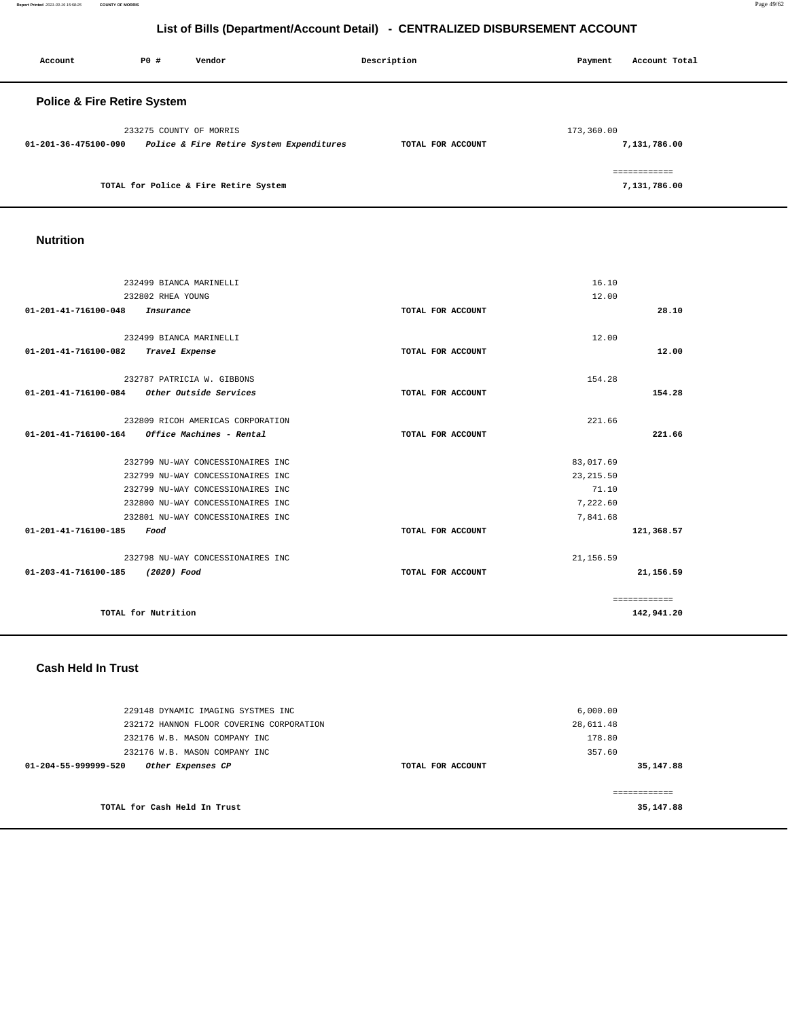**Report Printed** 2021-03-19 15:58:25 **COUNTY OF MORRIS** Page 49/62

## **List of Bills (Department/Account Detail) - CENTRALIZED DISBURSEMENT ACCOUNT**

| Account                                | P0#                     | Vendor                                   | Description       | Payment    | Account Total |
|----------------------------------------|-------------------------|------------------------------------------|-------------------|------------|---------------|
| <b>Police &amp; Fire Retire System</b> |                         |                                          |                   |            |               |
|                                        | 233275 COUNTY OF MORRIS |                                          |                   | 173,360.00 |               |
| 01-201-36-475100-090                   |                         | Police & Fire Retire System Expenditures | TOTAL FOR ACCOUNT |            | 7,131,786.00  |
|                                        |                         |                                          |                   |            | ------------  |
|                                        |                         | TOTAL for Police & Fire Retire System    |                   |            | 7,131,786.00  |

| TOTAL for Police & Fire Retire System |  |
|---------------------------------------|--|
|---------------------------------------|--|

## **Nutrition**

| 232499 BIANCA MARINELLI                                  |                   | 16.10      |               |
|----------------------------------------------------------|-------------------|------------|---------------|
|                                                          |                   |            |               |
| 232802 RHEA YOUNG                                        |                   | 12.00      |               |
| 01-201-41-716100-048<br>Insurance                        | TOTAL FOR ACCOUNT |            | 28.10         |
|                                                          |                   |            |               |
| 232499 BIANCA MARINELLI                                  |                   | 12.00      |               |
| 01-201-41-716100-082<br>Travel Expense                   | TOTAL FOR ACCOUNT |            | 12.00         |
|                                                          |                   |            |               |
| 232787 PATRICIA W. GIBBONS                               |                   | 154.28     |               |
| $01 - 201 - 41 - 716100 - 084$<br>Other Outside Services | TOTAL FOR ACCOUNT |            | 154.28        |
|                                                          |                   |            |               |
| 232809 RICOH AMERICAS CORPORATION                        |                   | 221.66     |               |
| 01-201-41-716100-164<br>Office Machines - Rental         | TOTAL FOR ACCOUNT |            | 221.66        |
|                                                          |                   |            |               |
| 232799 NU-WAY CONCESSIONAIRES INC                        |                   | 83,017.69  |               |
| 232799 NU-WAY CONCESSIONAIRES INC                        |                   | 23, 215.50 |               |
| 232799 NU-WAY CONCESSIONAIRES INC                        |                   | 71.10      |               |
| 232800 NU-WAY CONCESSIONAIRES INC                        |                   | 7,222.60   |               |
| 232801 NU-WAY CONCESSIONAIRES INC                        |                   | 7,841.68   |               |
| 01-201-41-716100-185<br>Food                             | TOTAL FOR ACCOUNT |            | 121,368.57    |
|                                                          |                   |            |               |
| 232798 NU-WAY CONCESSIONAIRES INC                        |                   | 21, 156.59 |               |
| 01-203-41-716100-185<br>(2020) Food                      | TOTAL FOR ACCOUNT |            | 21,156.59     |
|                                                          |                   |            |               |
|                                                          |                   |            | ------------- |
| TOTAL for Nutrition                                      |                   |            | 142,941.20    |
|                                                          |                   |            |               |

### **Cash Held In Trust**

| 229148 DYNAMIC IMAGING SYSTMES INC<br>232172 HANNON FLOOR COVERING CORPORATION<br>232176 W.B. MASON COMPANY INC |                   | 6,000.00<br>28,611.48<br>178.80 |  |
|-----------------------------------------------------------------------------------------------------------------|-------------------|---------------------------------|--|
| 232176 W.B. MASON COMPANY INC<br>01-204-55-999999-520<br>Other Expenses CP                                      | TOTAL FOR ACCOUNT | 357.60<br>35,147.88             |  |
| TOTAL for Cash Held In Trust                                                                                    |                   | ==========<br>35,147.88         |  |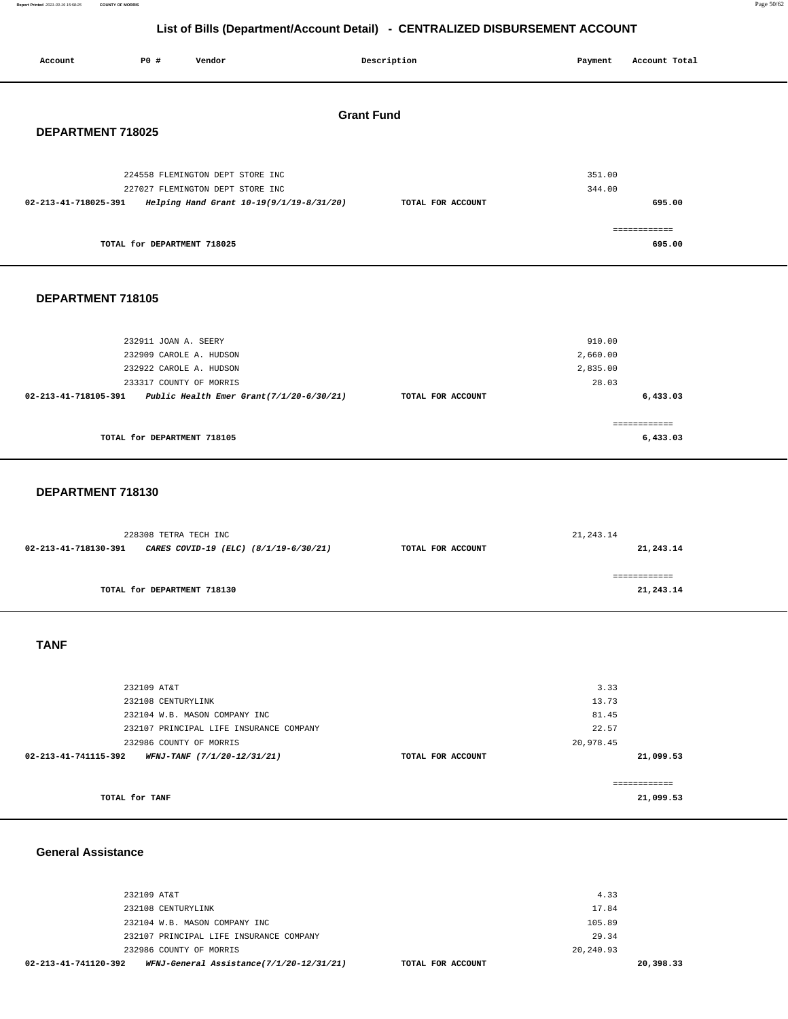**Report Printed** 2021-03-19 15:58:25 **COUNTY OF MORRIS** Page 50/62

**6,433.03**

## **List of Bills (Department/Account Detail) - CENTRALIZED DISBURSEMENT ACCOUNT**

| Account                                | P0 #                        | Vendor                                   |  | Description       | Payment  | Account Total |
|----------------------------------------|-----------------------------|------------------------------------------|--|-------------------|----------|---------------|
| <b>Grant Fund</b><br>DEPARTMENT 718025 |                             |                                          |  |                   |          |               |
|                                        |                             | 224558 FLEMINGTON DEPT STORE INC         |  |                   | 351.00   |               |
|                                        |                             | 227027 FLEMINGTON DEPT STORE INC         |  |                   | 344.00   |               |
| 02-213-41-718025-391                   |                             | Helping Hand Grant 10-19(9/1/19-8/31/20) |  | TOTAL FOR ACCOUNT |          | 695.00        |
|                                        |                             |                                          |  |                   |          | ============  |
|                                        | TOTAL for DEPARTMENT 718025 |                                          |  |                   |          | 695.00        |
| DEPARTMENT 718105                      |                             |                                          |  |                   |          |               |
|                                        | 232911 JOAN A. SEERY        |                                          |  |                   | 910.00   |               |
|                                        | 232909 CAROLE A. HUDSON     |                                          |  |                   | 2,660.00 |               |
|                                        | 232922 CAROLE A. HUDSON     |                                          |  |                   | 2,835.00 |               |
|                                        | 233317 COUNTY OF MORRIS     |                                          |  |                   | 28.03    |               |

|                             | ------------<br>------------ |
|-----------------------------|------------------------------|
| TOTAL for DEPARTMENT 718105 | 6,433.03                     |

**02-213-41-718105-391 Public Health Emer Grant(7/1/20-6/30/21) TOTAL FOR ACCOUNT** 

### **DEPARTMENT 718130**

| 228308 TETRA TECH INC |                                       | 21, 243.14        |           |
|-----------------------|---------------------------------------|-------------------|-----------|
| 02-213-41-718130-391  | CARES COVID-19 (ELC) (8/1/19-6/30/21) | TOTAL FOR ACCOUNT | 21,243.14 |
|                       |                                       |                   |           |
|                       |                                       |                   |           |
|                       | TOTAL for DEPARTMENT 718130           |                   | 21,243.14 |
|                       |                                       |                   |           |

## **TANF**

| 232109 AT&T                                         |                   | 3.33         |
|-----------------------------------------------------|-------------------|--------------|
| 232108 CENTURYLINK                                  |                   | 13.73        |
| 232104 W.B. MASON COMPANY INC                       |                   | 81.45        |
| 232107 PRINCIPAL LIFE INSURANCE COMPANY             |                   | 22.57        |
| 232986 COUNTY OF MORRIS                             |                   | 20,978.45    |
| WFNJ-TANF (7/1/20-12/31/21)<br>02-213-41-741115-392 | TOTAL FOR ACCOUNT | 21,099.53    |
|                                                     |                   |              |
|                                                     |                   | ------------ |
| TOTAL for TANF                                      |                   | 21,099.53    |

#### **General Assistance**

| 02-213-41-741120-392 |                         | WFNJ-General Assistance(7/1/20-12/31/21) | TOTAL FOR ACCOUNT | 20,398.33 |
|----------------------|-------------------------|------------------------------------------|-------------------|-----------|
|                      | 232986 COUNTY OF MORRIS |                                          | 20,240.93         |           |
|                      |                         | 232107 PRINCIPAL LIFE INSURANCE COMPANY  | 29.34             |           |
|                      |                         | 232104 W.B. MASON COMPANY INC            | 105.89            |           |
|                      | 232108 CENTURYLINK      |                                          | 17.84             |           |
|                      | 232109 AT&T             |                                          | 4.33              |           |
|                      |                         |                                          |                   |           |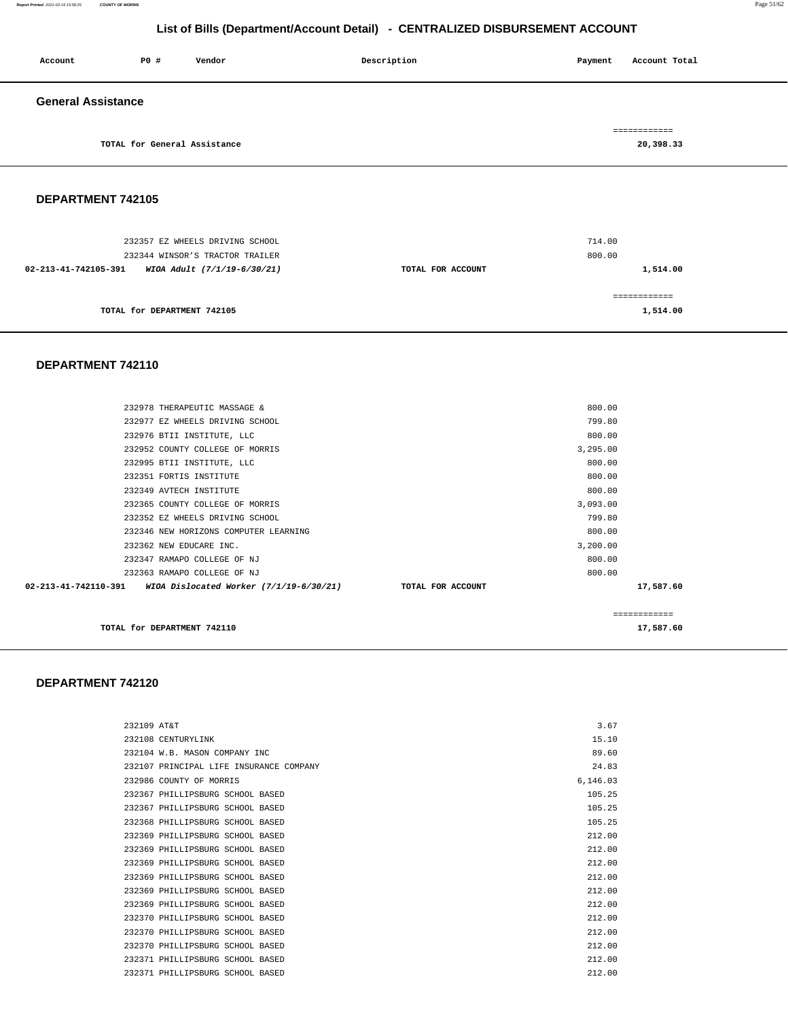#### **Report Printed** 2021-03-19 15:58:25 **COUNTY OF MORRIS** Page 51/62

## **List of Bills (Department/Account Detail) - CENTRALIZED DISBURSEMENT ACCOUNT**

| Account                   | <b>PO #</b>                  | Vendor | Description | Payment | Account Total |
|---------------------------|------------------------------|--------|-------------|---------|---------------|
| <b>General Assistance</b> |                              |        |             |         |               |
|                           |                              |        |             |         | ============  |
|                           | TOTAL for General Assistance |        |             |         | 20,398.33     |

**DEPARTMENT 742105** 

| 232357 EZ WHEELS DRIVING SCHOOL                                                        |                   | 714.00             |
|----------------------------------------------------------------------------------------|-------------------|--------------------|
| 232344 WINSOR'S TRACTOR TRAILER<br>02-213-41-742105-391<br>WIOA Adult (7/1/19-6/30/21) | TOTAL FOR ACCOUNT | 800.00<br>1,514.00 |
|                                                                                        |                   |                    |
| TOTAL for DEPARTMENT 742105                                                            |                   | 1,514.00           |

#### **DEPARTMENT 742110**

| 02-213-41-742110-391 WIOA Dislocated Worker (7/1/19-6/30/21) TOTAL FOR ACCOUNT |          | 17,587.60 |
|--------------------------------------------------------------------------------|----------|-----------|
| 232363 RAMAPO COLLEGE OF NJ                                                    | 800.00   |           |
| 232347 RAMAPO COLLEGE OF NJ                                                    | 800.00   |           |
| 232362 NEW EDUCARE INC.                                                        | 3,200.00 |           |
| 232346 NEW HORIZONS COMPUTER LEARNING                                          | 800.00   |           |
| 232352 EZ WHEELS DRIVING SCHOOL                                                | 799.80   |           |
| 232365 COUNTY COLLEGE OF MORRIS                                                | 3,093.00 |           |
| 232349 AVTECH INSTITUTE                                                        | 800.00   |           |
| 232351 FORTIS INSTITUTE                                                        | 800.00   |           |
| 232995 BTII INSTITUTE, LLC                                                     | 800.00   |           |
| 232952 COUNTY COLLEGE OF MORRIS                                                | 3,295.00 |           |
| 232976 BTII INSTITUTE, LLC                                                     | 800.00   |           |
| 232977 EZ WHEELS DRIVING SCHOOL                                                | 799.80   |           |
| 232978 THERAPEUTIC MASSAGE &                                                   | 800.00   |           |
|                                                                                |          |           |

**TOTAL for DEPARTMENT 742110** 17,587.60

#### **DEPARTMENT 742120**

| 232109 AT&T |                                         | 3.67     |
|-------------|-----------------------------------------|----------|
|             | 232108 CENTURYLINK                      | 15.10    |
|             | 232104 W.B. MASON COMPANY INC.          | 89.60    |
|             | 232107 PRINCIPAL LIFE INSURANCE COMPANY | 24.83    |
|             | 232986 COUNTY OF MORRIS                 | 6.146.03 |
|             | 232367 PHILLIPSBURG SCHOOL BASED        | 105.25   |
|             | 232367 PHILLIPSBURG SCHOOL BASED        | 105.25   |
|             | 232368 PHILLIPSBURG SCHOOL BASED        | 105.25   |
|             | 232369 PHILLIPSBURG SCHOOL BASED        | 212.00   |
|             | 232369 PHILLIPSBURG SCHOOL BASED        | 212.00   |
|             | 232369 PHILLIPSBURG SCHOOL BASED        | 212.00   |
|             | 232369 PHILLIPSBURG SCHOOL BASED        | 212.00   |
|             | 232369 PHILLIPSBURG SCHOOL BASED        | 212.00   |
|             | 232369 PHILLIPSBURG SCHOOL BASED        | 212.00   |
|             | 232370 PHILLIPSBURG SCHOOL BASED        | 212.00   |
|             | 232370 PHILLIPSBURG SCHOOL BASED        | 212.00   |
|             | 232370 PHILLIPSBURG SCHOOL BASED        | 212.00   |
|             | 232371 PHILLIPSBURG SCHOOL BASED        | 212.00   |
|             | 232371 PHILLIPSBURG SCHOOL BASED        | 212.00   |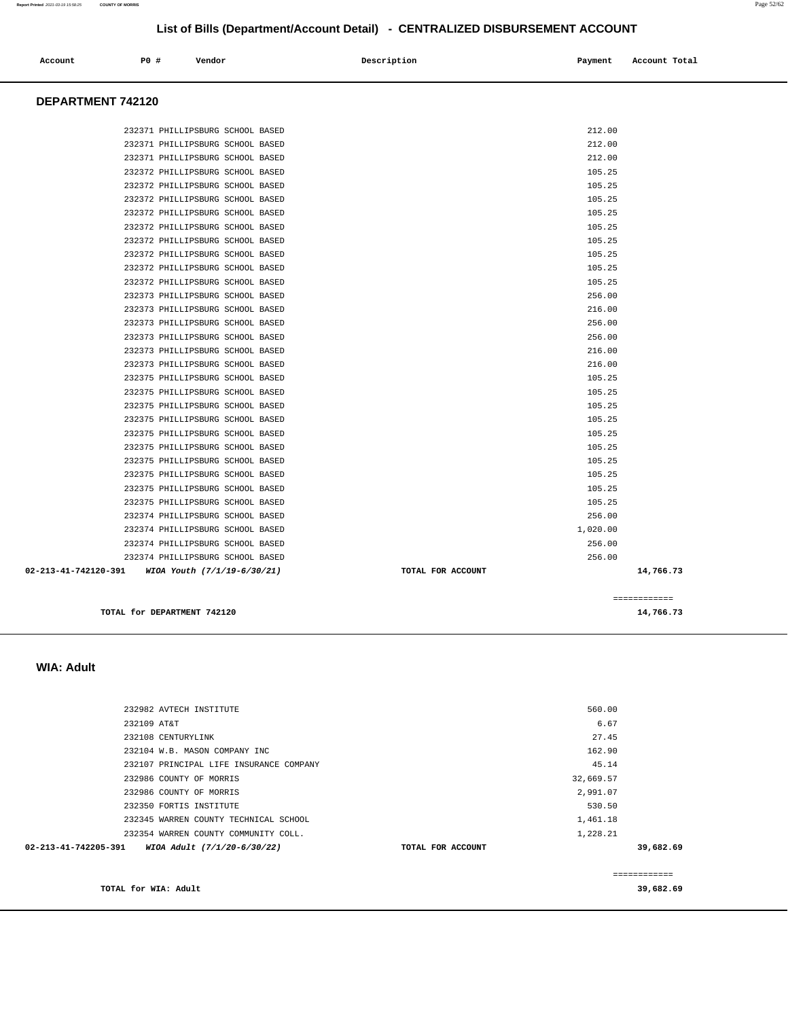#### 232982 AVTECH INSTITUTE 232109 AT&T 232108 CENTURYLINK 232104 W.B. MASON COMPANY INC 232107 PRINCIPAL LIFE INSURANCE COMPANY 232986 COUNTY OF MORRIS 232986 COUNTY OF MORRIS 232350 FORTIS INSTITUTE 232345 WARREN COUNTY TECHNICAL SCHOOL 232354 WARREN COUNTY COMMUNITY COLL. **02-213-41-742205-391 WIOA Adult (7/1/20-6/30/22) TOTAL FOR ACCOUNT**  560.00 6.67 27.45 162.90 45.14 32,669.57 2,991.07 530.50 1,461.18 1,228.21 **39,682.69 TOTAL for WIA: Adult**  ============ **39,682.69**

## **WIA: Adult**

| TOTAL for DEPARTMENT 742120                      |                   |          | 14,766.73    |
|--------------------------------------------------|-------------------|----------|--------------|
|                                                  |                   |          | ============ |
| 02-213-41-742120-391 WIOA Youth (7/1/19-6/30/21) | TOTAL FOR ACCOUNT |          | 14,766.73    |
| 232374 PHILLIPSBURG SCHOOL BASED                 |                   | 256.00   |              |
| 232374 PHILLIPSBURG SCHOOL BASED                 |                   | 256.00   |              |
| 232374 PHILLIPSBURG SCHOOL BASED                 |                   | 1,020,00 |              |
| 232374 PHILLIPSBURG SCHOOL BASED                 |                   | 256.00   |              |
| 232375 PHILLIPSBURG SCHOOL BASED                 |                   | 105.25   |              |
| 232375 PHILLIPSBURG SCHOOL BASED                 |                   | 105.25   |              |
| 232375 PHILLIPSBURG SCHOOL BASED                 |                   | 105.25   |              |
| 232375 PHILLIPSBURG SCHOOL BASED                 |                   | 105.25   |              |
| 232375 PHILLIPSBURG SCHOOL BASED                 |                   | 105.25   |              |
| 232375 PHILLIPSBURG SCHOOL BASED                 |                   | 105.25   |              |
| 232375 PHILLIPSBURG SCHOOL BASED                 |                   | 105.25   |              |
| 232375 PHILLIPSBURG SCHOOL BASED                 |                   | 105.25   |              |
| 232375 PHILLIPSBURG SCHOOL BASED                 |                   | 105.25   |              |
| 232375 PHILLIPSBURG SCHOOL BASED                 |                   | 105.25   |              |
| 232373 PHILLIPSBURG SCHOOL BASED                 |                   | 216.00   |              |
| 232373 PHILLIPSBURG SCHOOL BASED                 |                   | 216.00   |              |
| 232373 PHILLIPSBURG SCHOOL BASED                 |                   | 256.00   |              |
| 232373 PHILLIPSBURG SCHOOL BASED                 |                   | 256.00   |              |
|                                                  |                   |          |              |

|        | 232371 PHILLIPSBURG SCHOOL BASEI    |                     |  |
|--------|-------------------------------------|---------------------|--|
|        | 232371 PHILLIPSBURG SCHOOL BASEI    |                     |  |
|        | 232371 PHILLIPSBURG SCHOOL BASEI    |                     |  |
|        | 232372 PHILLIPSBURG SCHOOL BASED    |                     |  |
|        | 232372 PHILLIPSBURG SCHOOL BASEI    |                     |  |
|        | 232372 PHILLIPSBURG SCHOOL BASED    |                     |  |
|        | 232372 PHILLIPSBURG SCHOOL BASEI    |                     |  |
|        | 232372 PHILLIPSBURG SCHOOL BASED    |                     |  |
| 232372 | PHILLIPSBURG SCHOOL BASEI           |                     |  |
|        | 232372 PHILLIPSBURG SCHOOL BASEI    |                     |  |
|        | 232372 PHILLIPSBURG SCHOOL BASED    |                     |  |
|        | 232372 PHILLIPSBURG SCHOOL BASEI    |                     |  |
|        | 232373 PHILLIPSBURG                 | <b>SCHOOL BASEI</b> |  |
|        | 232373 PHILLIPSBURG SCHOOL BASEI    |                     |  |
|        | 232373 PHILLIPSBURG SCHOOL BASED    |                     |  |
|        | 232373 PHILLIPSBURG SCHOOL BASEI    |                     |  |
|        | 232373 PHILLIPSBURG SCHOOL BASEI    |                     |  |
|        | 232373 PHILLIPSBURG SCHOOL BASEI    |                     |  |
|        | 232375 PHILLIPSBURG SCHOOL BASED    |                     |  |
|        | 232375 PHILLIPSBURG SCHOOL BASEI    |                     |  |
|        | 232375 PHILLIPSBURG SCHOOL BASED    |                     |  |
|        | 232375 PHILLIPSBURG SCHOOL BASEI    |                     |  |
|        | 232375 PHILLIPSBURG SCHOOL BASED    |                     |  |
|        | 232375 PHILLIPSBURG SCHOOL BASEI    |                     |  |
|        | 232375 PHILLIPSBURG SCHOOL BASEI    |                     |  |
|        | $0.20255$ puttitioning causet plant |                     |  |

 **DEPARTMENT 742120** 

|                                  |  | $\sim$ $\sim$ $\sim$ $\sim$ $\sim$ $\sim$ |          |
|----------------------------------|--|-------------------------------------------|----------|
| 232374 PHILLIPSBURG SCHOOL BASED |  |                                           | 256.00   |
| 232374 PHILLIPSBURG SCHOOL BASED |  |                                           | 256.00   |
| 232374 PHILLIPSBURG SCHOOL BASED |  |                                           | 1,020.00 |
| 232374 PHILLIPSBURG SCHOOL BASED |  |                                           | 256.00   |
| 232375 PHILLIPSBURG SCHOOL BASED |  |                                           | 105.25   |
| 232375 PHILLIPSBURG SCHOOL BASED |  |                                           | 105.25   |
| 232375 PHILLIPSBURG SCHOOL BASED |  |                                           | 105.25   |
| 232375 PHILLIPSBURG SCHOOL BASED |  |                                           | 105.25   |
| 232375 PHILLIPSBURG SCHOOL BASED |  |                                           | 105.25   |
| 232375 PHILLIPSBURG SCHOOL BASED |  |                                           | 105.25   |
| 232375 PHILLIPSBURG SCHOOL BASED |  |                                           | 105.25   |
| 232375 PHILLIPSBURG SCHOOL BASED |  |                                           | 105.25   |
| 232375 PHILLIPSBURG SCHOOL BASED |  |                                           | 105.25   |
| 232375 PHILLIPSBURG SCHOOL BASED |  |                                           | 105.25   |
| 232373 PHILLIPSBURG SCHOOL BASED |  |                                           | 216.00   |
| 232373 PHILLIPSBURG SCHOOL BASED |  |                                           | 216.00   |
| 232373 PHILLIPSBURG SCHOOL BASED |  |                                           | 256.00   |
| 232373 PHILLIPSBURG SCHOOL BASED |  |                                           | 256.00   |
| 232373 PHILLIPSBURG SCHOOL BASED |  |                                           | 216.00   |
| 232373 PHILLIPSBURG SCHOOL BASED |  |                                           | 256.00   |
| 232372 PHILLIPSBURG SCHOOL BASED |  |                                           | 105.25   |
| 232372 PHILLIPSBURG SCHOOL BASED |  |                                           | 105.25   |
| 232372 PHILLIPSBURG SCHOOL BASED |  |                                           | 105.25   |
| 232372 PHILLIPSBURG SCHOOL BASED |  |                                           | 105.25   |
| 232372 PHILLIPSBURG SCHOOL BASED |  |                                           | 105.25   |
| 232372 PHILLIPSBURG SCHOOL BASED |  |                                           | 105.25   |
| 232372 PHILLIPSBURG SCHOOL BASED |  |                                           | 105.25   |
| 232372 PHILLIPSBURG SCHOOL BASED |  |                                           | 105.25   |
| 232372 PHILLIPSBURG SCHOOL BASED |  |                                           | 105.25   |
| 232371 PHILLIPSBURG SCHOOL BASED |  |                                           | 212.00   |
| 232371 PHILLIPSBURG SCHOOL BASED |  |                                           | 212.00   |
| 232371 PHILLIPSBURG SCHOOL BASED |  |                                           | 212.00   |

# **List of Bills (Department/Account Detail) - CENTRALIZED DISBURSEMENT ACCOUNT**

 **Account P0 # Vendor Description Payment Account Total**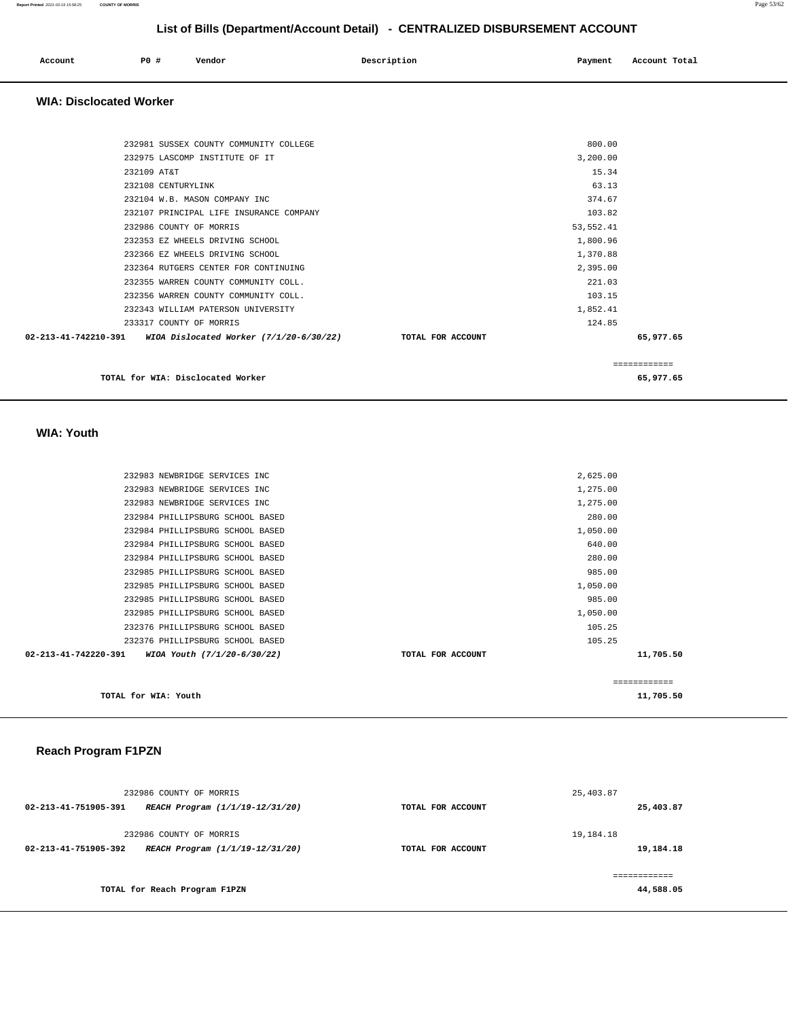| Account<br>. | P0 # | Vendor | Description | Payment | Account Total |
|--------------|------|--------|-------------|---------|---------------|
|              |      |        |             |         |               |

#### **WIA: Disclocated Worker**

|                                                                  |                   |            | ============ |
|------------------------------------------------------------------|-------------------|------------|--------------|
| $02-213-41-742210-391$ WIOA Dislocated Worker $(7/1/20-6/30/22)$ | TOTAL FOR ACCOUNT |            | 65,977.65    |
| 233317 COUNTY OF MORRIS                                          |                   | 124.85     |              |
| 232343 WILLIAM PATERSON UNIVERSITY                               |                   | 1,852.41   |              |
| 232356 WARREN COUNTY COMMUNITY COLL.                             |                   | 103.15     |              |
| 232355 WARREN COUNTY COMMUNITY COLL.                             |                   | 221.03     |              |
| 232364 RUTGERS CENTER FOR CONTINUING                             |                   | 2,395.00   |              |
| 232366 EZ WHEELS DRIVING SCHOOL                                  |                   | 1,370.88   |              |
| 232353 EZ WHEELS DRIVING SCHOOL                                  |                   | 1,800.96   |              |
| 232986 COUNTY OF MORRIS                                          |                   | 53, 552.41 |              |
| 232107 PRINCIPAL LIFE INSURANCE COMPANY                          |                   | 103.82     |              |
| 232104 W.B. MASON COMPANY INC                                    |                   | 374.67     |              |
| 232108 CENTURYLINK                                               |                   | 63.13      |              |
| 232109 AT&T                                                      |                   | 15.34      |              |
| 232975 LASCOMP INSTITUTE OF IT                                   |                   | 3,200.00   |              |
| 232981 SUSSEX COUNTY COMMUNITY COLLEGE                           |                   | 800.00     |              |
|                                                                  |                   |            |              |

**TOTAL for WIA: Disclocated Worker 65,977.65**

 **WIA: Youth** 

|                      |                                  |                   |          | ============ |
|----------------------|----------------------------------|-------------------|----------|--------------|
| 02-213-41-742220-391 | WIOA Youth (7/1/20-6/30/22)      | TOTAL FOR ACCOUNT |          | 11,705.50    |
|                      | 232376 PHILLIPSBURG SCHOOL BASED |                   | 105.25   |              |
|                      | 232376 PHILLIPSBURG SCHOOL BASED |                   | 105.25   |              |
|                      | 232985 PHILLIPSBURG SCHOOL BASED |                   | 1,050.00 |              |
|                      | 232985 PHILLIPSBURG SCHOOL BASED |                   | 985.00   |              |
|                      | 232985 PHILLIPSBURG SCHOOL BASED |                   | 1,050.00 |              |
|                      | 232985 PHILLIPSBURG SCHOOL BASED |                   | 985.00   |              |
|                      | 232984 PHILLIPSBURG SCHOOL BASED |                   | 280.00   |              |
|                      | 232984 PHILLIPSBURG SCHOOL BASED |                   | 640.00   |              |
|                      | 232984 PHILLIPSBURG SCHOOL BASED |                   | 1,050.00 |              |
|                      | 232984 PHILLIPSBURG SCHOOL BASED |                   | 280.00   |              |
|                      | 232983 NEWBRIDGE SERVICES INC    |                   | 1,275.00 |              |
|                      | 232983 NEWBRIDGE SERVICES INC    |                   | 1,275.00 |              |
|                      | 232983 NEWBRIDGE SERVICES INC    |                   | 2,625.00 |              |
|                      |                                  |                   |          |              |

**TOTAL for WIA: Youth 11,705.50**

### **Reach Program F1PZN**

| 232986 COUNTY OF MORRIS       |                                 |                   | 25,403.87 |
|-------------------------------|---------------------------------|-------------------|-----------|
| 02-213-41-751905-391          | REACH Program (1/1/19-12/31/20) | TOTAL FOR ACCOUNT | 25,403.87 |
| 232986 COUNTY OF MORRIS       |                                 |                   | 19,184.18 |
| 02-213-41-751905-392          | REACH Program (1/1/19-12/31/20) | TOTAL FOR ACCOUNT | 19,184.18 |
|                               |                                 |                   |           |
| TOTAL for Reach Program F1PZN |                                 |                   | 44,588.05 |

**Report Printed** 2021-03-19 15:58:25 **COUNTY OF MORRIS** Page 53/62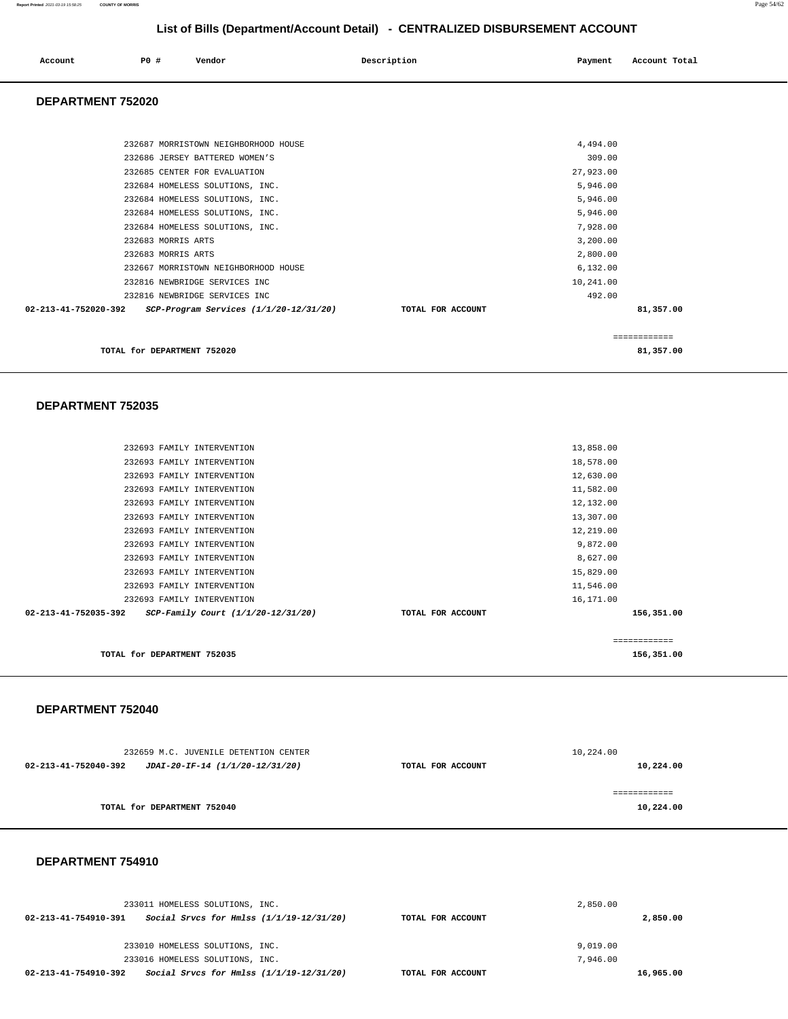#### **Report Printed** 2021-03-19 15:58:25 **COUNTY OF MORRIS** Page 54/62

## **List of Bills (Department/Account Detail) - CENTRALIZED DISBURSEMENT ACCOUNT**

| Account | PO# | Vendor | Description | Payment | Account Total |
|---------|-----|--------|-------------|---------|---------------|
|         |     |        |             |         |               |

### **DEPARTMENT 752020**

| 232687 MORRISTOWN NEIGHBORHOOD HOUSE                           | 4,494.00          |             |
|----------------------------------------------------------------|-------------------|-------------|
| 232686 JERSEY BATTERED WOMEN'S                                 | 309.00            |             |
| 232685 CENTER FOR EVALUATION                                   | 27,923.00         |             |
| 232684 HOMELESS SOLUTIONS, INC.                                | 5,946.00          |             |
| 232684 HOMELESS SOLUTIONS, INC.                                | 5,946.00          |             |
| 232684 HOMELESS SOLUTIONS, INC.                                | 5,946.00          |             |
| 232684 HOMELESS SOLUTIONS, INC.                                | 7,928.00          |             |
| 232683 MORRIS ARTS                                             | 3,200.00          |             |
| 232683 MORRIS ARTS                                             | 2,800.00          |             |
| 232667 MORRISTOWN NEIGHBORHOOD HOUSE                           | 6, 132.00         |             |
| 232816 NEWBRIDGE SERVICES INC                                  | 10,241.00         |             |
| 232816 NEWBRIDGE SERVICES INC                                  | 492.00            |             |
| SCP-Program Services (1/1/20-12/31/20)<br>02-213-41-752020-392 | TOTAL FOR ACCOUNT | 81,357.00   |
|                                                                |                   |             |
|                                                                |                   | =========== |

**TOTAL for DEPARTMENT 752020 81,357.00**

#### **DEPARTMENT 752035**

| TOTAL for DEPARTMENT 752035                                |                   | 156,351.00 |  |
|------------------------------------------------------------|-------------------|------------|--|
|                                                            |                   | .========= |  |
| 02-213-41-752035-392<br>SCP-Family Court (1/1/20-12/31/20) | TOTAL FOR ACCOUNT | 156,351.00 |  |
| 232693 FAMILY INTERVENTION                                 |                   | 16,171.00  |  |
| 232693 FAMILY INTERVENTION                                 |                   | 11,546.00  |  |
| 232693 FAMILY INTERVENTION                                 |                   | 15,829.00  |  |
| 232693 FAMILY INTERVENTION                                 |                   | 8,627.00   |  |
| 232693 FAMILY INTERVENTION                                 |                   | 9,872.00   |  |
| 232693 FAMILY INTERVENTION                                 |                   | 12,219.00  |  |
| 232693 FAMILY INTERVENTION                                 |                   | 13,307.00  |  |
| 232693 FAMILY INTERVENTION                                 |                   | 12,132.00  |  |
| 232693 FAMILY INTERVENTION                                 |                   | 11,582.00  |  |
| 232693 FAMILY INTERVENTION                                 |                   | 12,630.00  |  |
| 232693 FAMILY INTERVENTION                                 |                   | 18,578.00  |  |
| 232693 FAMILY INTERVENTION                                 |                   | 13,858.00  |  |
|                                                            |                   |            |  |

### **DEPARTMENT 752040**

| 232659 M.C. JUVENILE DETENTION CENTER                   |                   | 10,224.00  |
|---------------------------------------------------------|-------------------|------------|
| 02-213-41-752040-392<br>JDAI-20-IF-14 (1/1/20-12/31/20) | TOTAL FOR ACCOUNT | 10,224.00  |
|                                                         |                   |            |
|                                                         |                   | ========== |
| TOTAL for DEPARTMENT 752040                             |                   | 10,224.00  |
|                                                         |                   |            |

### **DEPARTMENT 754910**

| 233011 HOMELESS SOLUTIONS, INC.                                  |                   | 2,850.00 |           |
|------------------------------------------------------------------|-------------------|----------|-----------|
| 02-213-41-754910-391<br>Social Srvcs for Hmlss (1/1/19-12/31/20) | TOTAL FOR ACCOUNT |          | 2,850.00  |
|                                                                  |                   |          |           |
| 233010 HOMELESS SOLUTIONS, INC.                                  |                   | 9.019.00 |           |
| 233016 HOMELESS SOLUTIONS, INC.                                  |                   | 7.946.00 |           |
| Social Srvcs for Hmlss (1/1/19-12/31/20)<br>02-213-41-754910-392 | TOTAL FOR ACCOUNT |          | 16,965.00 |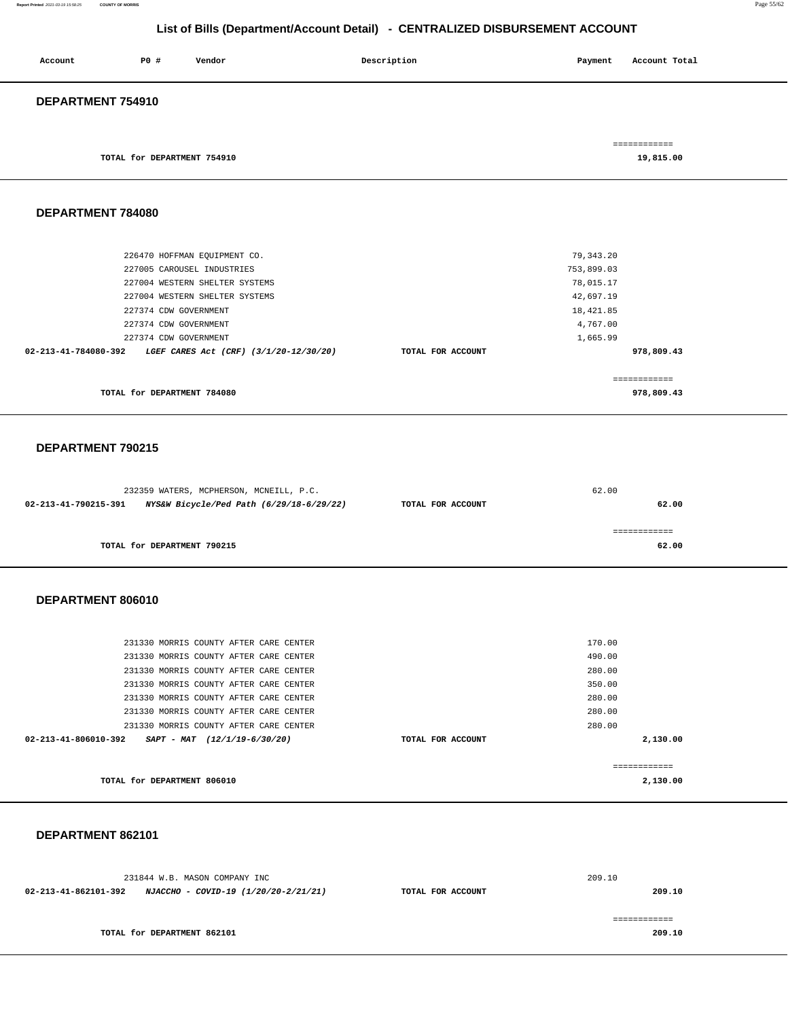#### **Report Printed** 2021-03-19 15:58:25 **COUNTY OF MORRIS** Page 55/62

## **List of Bills (Department/Account Detail) - CENTRALIZED DISBURSEMENT ACCOUNT**

| Account           | P0 #                        | Vendor | Description | Payment | Account Total             |
|-------------------|-----------------------------|--------|-------------|---------|---------------------------|
| DEPARTMENT 754910 |                             |        |             |         |                           |
|                   | TOTAL for DEPARTMENT 754910 |        |             |         | ============<br>19,815.00 |

### **DEPARTMENT 784080**

| TOTAL for DEPARTMENT 784080                                              |                   | 978,809.43 |  |
|--------------------------------------------------------------------------|-------------------|------------|--|
|                                                                          |                   |            |  |
| $02 - 213 - 41 - 784080 - 392$<br>LGEF CARES Act (CRF) (3/1/20-12/30/20) | TOTAL FOR ACCOUNT | 978,809.43 |  |
| 227374 CDW GOVERNMENT                                                    |                   | 1,665.99   |  |
| 227374 CDW GOVERNMENT                                                    |                   | 4,767.00   |  |
| 227374 CDW GOVERNMENT                                                    |                   | 18,421.85  |  |
| 227004 WESTERN SHELTER SYSTEMS                                           |                   | 42,697.19  |  |
| 227004 WESTERN SHELTER SYSTEMS                                           |                   | 78,015.17  |  |
| 227005 CAROUSEL INDUSTRIES                                               |                   | 753,899.03 |  |
| 226470 HOFFMAN EQUIPMENT CO.                                             |                   | 79,343.20  |  |
|                                                                          |                   |            |  |

#### **DEPARTMENT 790215**

|                      | 232359 WATERS, MCPHERSON, MCNEILL, P.C.  |                   | 62.00 |
|----------------------|------------------------------------------|-------------------|-------|
| 02-213-41-790215-391 | NYS&W Bicycle/Ped Path (6/29/18-6/29/22) | TOTAL FOR ACCOUNT | 62.00 |
|                      |                                          |                   |       |
|                      |                                          |                   |       |
|                      | TOTAL for DEPARTMENT 790215              |                   | 62.00 |

#### **DEPARTMENT 806010**

| TOTAL for DEPARTMENT 806010    |                                        |                   | 2,130.00 |
|--------------------------------|----------------------------------------|-------------------|----------|
|                                |                                        |                   | -------- |
| $02 - 213 - 41 - 806010 - 392$ | $SAPT - MAT$ (12/1/19-6/30/20)         | TOTAL FOR ACCOUNT | 2,130.00 |
|                                | 231330 MORRIS COUNTY AFTER CARE CENTER |                   | 280.00   |
|                                | 231330 MORRIS COUNTY AFTER CARE CENTER |                   | 280.00   |
|                                | 231330 MORRIS COUNTY AFTER CARE CENTER |                   | 280.00   |
|                                | 231330 MORRIS COUNTY AFTER CARE CENTER |                   | 350.00   |
|                                | 231330 MORRIS COUNTY AFTER CARE CENTER |                   | 280.00   |
|                                | 231330 MORRIS COUNTY AFTER CARE CENTER |                   | 490.00   |
|                                | 231330 MORRIS COUNTY AFTER CARE CENTER |                   | 170.00   |
|                                |                                        |                   |          |

### **DEPARTMENT 862101**

| 231844 W.B. MASON COMPANY INC                                |                   | 209.10 |
|--------------------------------------------------------------|-------------------|--------|
| 02-213-41-862101-392<br>NJACCHO - COVID-19 (1/20/20-2/21/21) | TOTAL FOR ACCOUNT | 209.10 |
|                                                              |                   |        |
|                                                              |                   |        |
| TOTAL for DEPARTMENT 862101                                  |                   | 209.10 |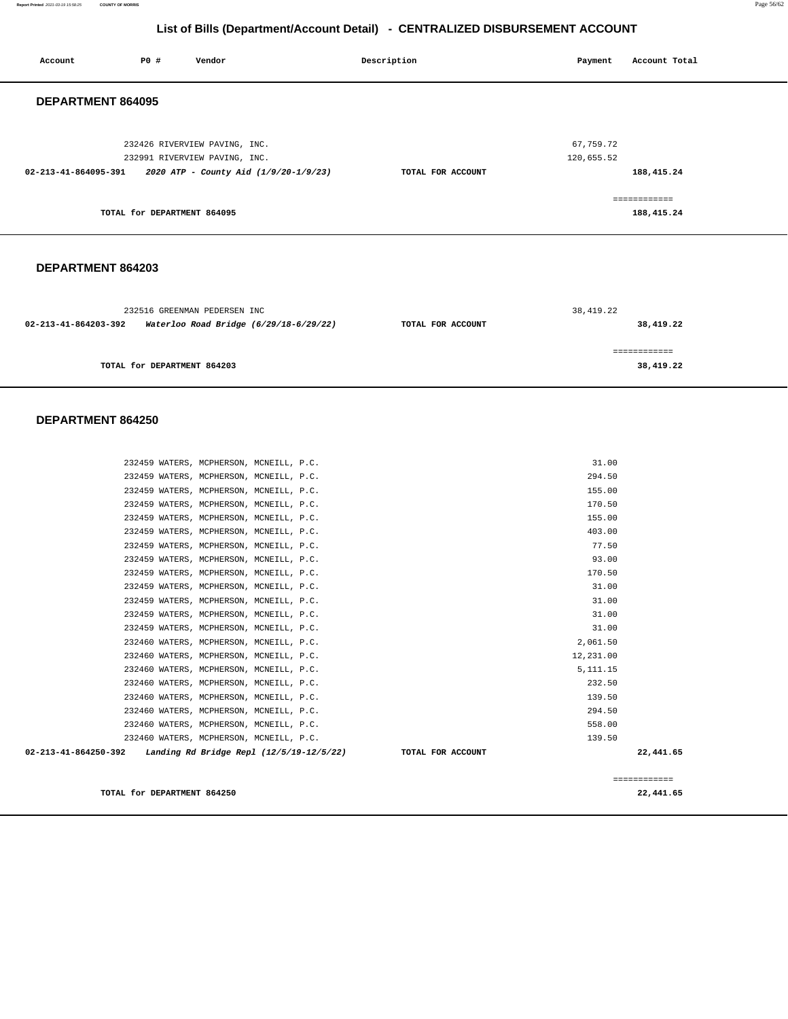**Report Printed** 2021-03-19 15:58:25 **COUNTY OF MORRIS** Page 56/62

## **List of Bills (Department/Account Detail) - CENTRALIZED DISBURSEMENT ACCOUNT**

| Account              | PO#                         | Vendor                                                                                                  | Description       | Payment                 | Account Total              |
|----------------------|-----------------------------|---------------------------------------------------------------------------------------------------------|-------------------|-------------------------|----------------------------|
| DEPARTMENT 864095    |                             |                                                                                                         |                   |                         |                            |
| 02-213-41-864095-391 |                             | 232426 RIVERVIEW PAVING, INC.<br>232991 RIVERVIEW PAVING, INC.<br>2020 ATP - County Aid (1/9/20-1/9/23) | TOTAL FOR ACCOUNT | 67,759.72<br>120,655.52 | 188,415.24                 |
|                      | TOTAL for DEPARTMENT 864095 |                                                                                                         |                   |                         | ============<br>188,415.24 |
| DEPARTMENT 864203    |                             |                                                                                                         |                   |                         |                            |
|                      |                             | 232516 GREENMAN PEDERSEN INC                                                                            |                   | 38, 419.22              |                            |

|                      |                                        |                   | --------  |
|----------------------|----------------------------------------|-------------------|-----------|
| 02-213-41-864203-392 | Waterloo Road Bridge (6/29/18-6/29/22) | TOTAL FOR ACCOUNT | 38,419.22 |
|                      | TOTAL for DEPARTMENT 864203            |                   | 38,419.22 |

## **DEPARTMENT 864250**

| 232459 WATERS, MCPHERSON, MCNEILL, P.C.                            | 31.00             |              |
|--------------------------------------------------------------------|-------------------|--------------|
| 232459 WATERS, MCPHERSON, MCNEILL, P.C.                            | 294.50            |              |
| 232459 WATERS, MCPHERSON, MCNEILL, P.C.                            | 155.00            |              |
| 232459 WATERS, MCPHERSON, MCNEILL, P.C.                            | 170.50            |              |
| 232459 WATERS, MCPHERSON, MCNEILL, P.C.                            | 155.00            |              |
| 232459 WATERS, MCPHERSON, MCNEILL, P.C.                            | 403.00            |              |
| 232459 WATERS, MCPHERSON, MCNEILL, P.C.                            | 77.50             |              |
| 232459 WATERS, MCPHERSON, MCNEILL, P.C.                            | 93.00             |              |
| 232459 WATERS, MCPHERSON, MCNEILL, P.C.                            | 170.50            |              |
| 232459 WATERS, MCPHERSON, MCNEILL, P.C.                            | 31.00             |              |
| 232459 WATERS, MCPHERSON, MCNEILL, P.C.                            | 31.00             |              |
| 232459 WATERS, MCPHERSON, MCNEILL, P.C.                            | 31.00             |              |
| 232459 WATERS, MCPHERSON, MCNEILL, P.C.                            | 31.00             |              |
| 232460 WATERS, MCPHERSON, MCNEILL, P.C.                            | 2,061.50          |              |
| 232460 WATERS, MCPHERSON, MCNEILL, P.C.                            | 12,231.00         |              |
| 232460 WATERS, MCPHERSON, MCNEILL, P.C.                            | 5, 111. 15        |              |
| 232460 WATERS, MCPHERSON, MCNEILL, P.C.                            | 232.50            |              |
| 232460 WATERS, MCPHERSON, MCNEILL, P.C.                            | 139.50            |              |
| 232460 WATERS, MCPHERSON, MCNEILL, P.C.                            | 294.50            |              |
| 232460 WATERS, MCPHERSON, MCNEILL, P.C.                            | 558.00            |              |
| 232460 WATERS, MCPHERSON, MCNEILL, P.C.                            | 139.50            |              |
| 02-213-41-864250-392<br>Landing Rd Bridge Repl $(12/5/19-12/5/22)$ | TOTAL FOR ACCOUNT | 22,441.65    |
|                                                                    |                   |              |
|                                                                    |                   | ============ |

**TOTAL for DEPARTMENT 864250 22,441.65**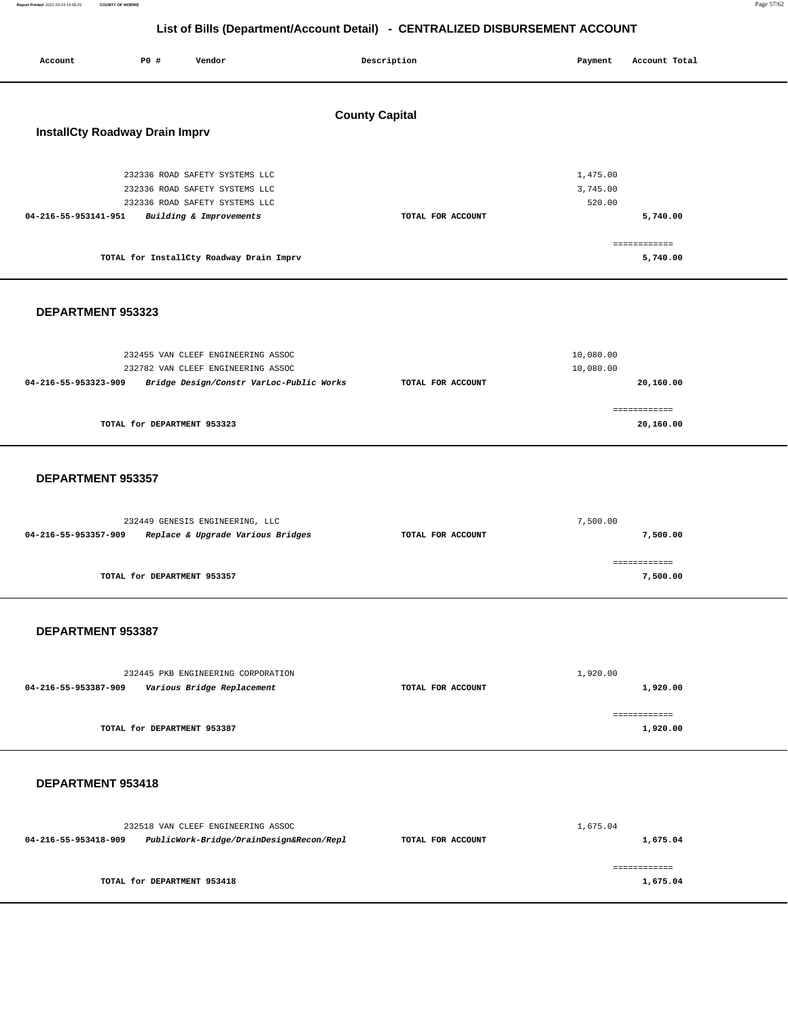**Report Printed** 2021-03-19 15:58:25 **COUNTY OF MORRIS** Page 57/62

## **List of Bills (Department/Account Detail) - CENTRALIZED DISBURSEMENT ACCOUNT**

Report Printed 2021-03-19 15:58:25

| Account                               | <b>PO #</b>                 | Vendor                                                               |                       | Description       | Payment              | Account Total             |  |
|---------------------------------------|-----------------------------|----------------------------------------------------------------------|-----------------------|-------------------|----------------------|---------------------------|--|
|                                       |                             |                                                                      |                       |                   |                      |                           |  |
|                                       |                             |                                                                      | <b>County Capital</b> |                   |                      |                           |  |
| <b>InstallCty Roadway Drain Imprv</b> |                             |                                                                      |                       |                   |                      |                           |  |
|                                       |                             |                                                                      |                       |                   |                      |                           |  |
|                                       |                             | 232336 ROAD SAFETY SYSTEMS LLC<br>232336 ROAD SAFETY SYSTEMS LLC     |                       |                   | 1,475.00<br>3,745.00 |                           |  |
|                                       |                             | 232336 ROAD SAFETY SYSTEMS LLC                                       |                       |                   | 520.00               |                           |  |
| 04-216-55-953141-951                  |                             | Building & Improvements                                              |                       | TOTAL FOR ACCOUNT |                      | 5,740.00                  |  |
|                                       |                             | TOTAL for InstallCty Roadway Drain Imprv                             |                       |                   |                      | ------------<br>5,740.00  |  |
|                                       |                             |                                                                      |                       |                   |                      |                           |  |
|                                       |                             |                                                                      |                       |                   |                      |                           |  |
| DEPARTMENT 953323                     |                             |                                                                      |                       |                   |                      |                           |  |
|                                       |                             | 232455 VAN CLEEF ENGINEERING ASSOC                                   |                       |                   | 10,080.00            |                           |  |
|                                       |                             | 232782 VAN CLEEF ENGINEERING ASSOC                                   |                       |                   | 10,080.00            |                           |  |
| 04-216-55-953323-909                  |                             | Bridge Design/Constr VarLoc-Public Works                             |                       | TOTAL FOR ACCOUNT |                      | 20,160.00                 |  |
|                                       | TOTAL for DEPARTMENT 953323 |                                                                      |                       |                   |                      | ============<br>20,160.00 |  |
|                                       |                             |                                                                      |                       |                   |                      |                           |  |
|                                       |                             |                                                                      |                       |                   |                      |                           |  |
| DEPARTMENT 953357                     |                             |                                                                      |                       |                   |                      |                           |  |
|                                       |                             |                                                                      |                       |                   |                      |                           |  |
| 04-216-55-953357-909                  |                             | 232449 GENESIS ENGINEERING, LLC<br>Replace & Upgrade Various Bridges |                       | TOTAL FOR ACCOUNT | 7,500.00             | 7,500.00                  |  |
|                                       |                             |                                                                      |                       |                   |                      | ============              |  |
|                                       | TOTAL for DEPARTMENT 953357 |                                                                      |                       |                   |                      | 7,500.00                  |  |
|                                       |                             |                                                                      |                       |                   |                      |                           |  |
| DEPARTMENT 953387                     |                             |                                                                      |                       |                   |                      |                           |  |
|                                       |                             |                                                                      |                       |                   |                      |                           |  |
|                                       |                             | 232445 PKB ENGINEERING CORPORATION                                   |                       |                   | 1,920.00             |                           |  |
| 04-216-55-953387-909                  |                             | Various Bridge Replacement                                           |                       | TOTAL FOR ACCOUNT |                      | 1,920.00                  |  |
|                                       | TOTAL for DEPARTMENT 953387 |                                                                      |                       |                   |                      | ============<br>1,920.00  |  |
|                                       |                             |                                                                      |                       |                   |                      |                           |  |
|                                       |                             |                                                                      |                       |                   |                      |                           |  |
| DEPARTMENT 953418                     |                             |                                                                      |                       |                   |                      |                           |  |
|                                       |                             | 232518 VAN CLEEF ENGINEERING ASSOC                                   |                       |                   | 1,675.04             |                           |  |
| 04-216-55-953418-909                  |                             | PublicWork-Bridge/DrainDesign&Recon/Repl                             |                       | TOTAL FOR ACCOUNT |                      | 1,675.04                  |  |
|                                       |                             |                                                                      |                       |                   |                      | ------------              |  |
|                                       | TOTAL for DEPARTMENT 953418 |                                                                      |                       |                   |                      | 1,675.04                  |  |
|                                       |                             |                                                                      |                       |                   |                      |                           |  |
|                                       |                             |                                                                      |                       |                   |                      |                           |  |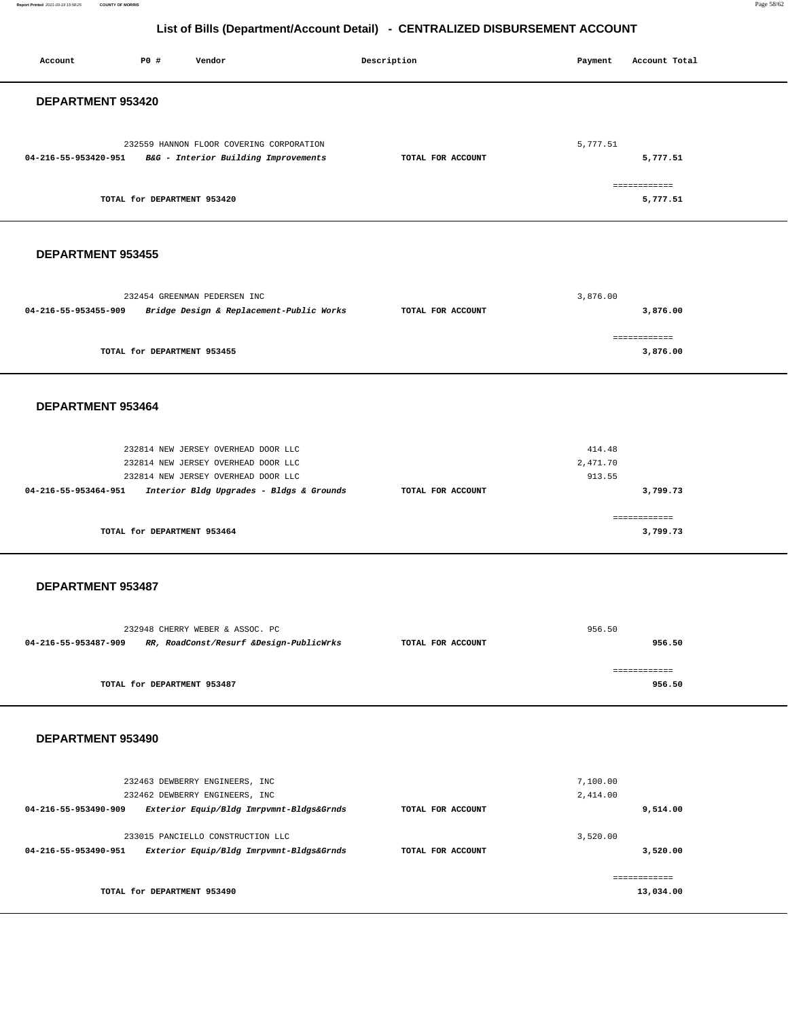**Report Printed** 2021-03-19 15:58:25 **COUNTY OF MORRIS** Page 58/62

## **List of Bills (Department/Account Detail) - CENTRALIZED DISBURSEMENT ACCOUNT**

| P0 #<br>Account<br>Vendor                                                                                                                                                             | Description       | Payment<br>Account Total                 |
|---------------------------------------------------------------------------------------------------------------------------------------------------------------------------------------|-------------------|------------------------------------------|
| DEPARTMENT 953420                                                                                                                                                                     |                   |                                          |
| 232559 HANNON FLOOR COVERING CORPORATION<br>04-216-55-953420-951 B&G - Interior Building Improvements                                                                                 | TOTAL FOR ACCOUNT | 5,777.51<br>5,777.51                     |
| TOTAL for DEPARTMENT 953420                                                                                                                                                           |                   | ============<br>5,777.51                 |
| DEPARTMENT 953455                                                                                                                                                                     |                   |                                          |
| 232454 GREENMAN PEDERSEN INC<br>04-216-55-953455-909<br>Bridge Design & Replacement-Public Works                                                                                      | TOTAL FOR ACCOUNT | 3,876.00<br>3,876.00                     |
| TOTAL for DEPARTMENT 953455                                                                                                                                                           |                   | ============<br>3,876.00                 |
| DEPARTMENT 953464                                                                                                                                                                     |                   |                                          |
| 232814 NEW JERSEY OVERHEAD DOOR LLC<br>232814 NEW JERSEY OVERHEAD DOOR LLC<br>232814 NEW JERSEY OVERHEAD DOOR LLC<br>04-216-55-953464-951<br>Interior Bldg Upgrades - Bldgs & Grounds | TOTAL FOR ACCOUNT | 414.48<br>2,471.70<br>913.55<br>3,799.73 |
| TOTAL for DEPARTMENT 953464                                                                                                                                                           |                   | ============<br>3,799.73                 |
| DEPARTMENT 953487                                                                                                                                                                     |                   |                                          |
| 232948 CHERRY WEBER & ASSOC. PC<br>RR, RoadConst/Resurf &Design-PublicWrks<br>04-216-55-953487-909                                                                                    | TOTAL FOR ACCOUNT | 956.50<br>956.50                         |
| TOTAL for DEPARTMENT 953487                                                                                                                                                           |                   | ============<br>956.50                   |
| DEPARTMENT 953490                                                                                                                                                                     |                   |                                          |
| 232463 DEWBERRY ENGINEERS, INC<br>232462 DEWBERRY ENGINEERS, INC<br>04-216-55-953490-909<br>Exterior Equip/Bldg Imrpvmnt-Bldgs&Grnds                                                  | TOTAL FOR ACCOUNT | 7,100.00<br>2,414.00<br>9,514.00         |
| 233015 PANCIELLO CONSTRUCTION LLC<br>04-216-55-953490-951<br>Exterior Equip/Bldg Imrpvmnt-Bldgs&Grnds                                                                                 | TOTAL FOR ACCOUNT | 3,520.00<br>3,520.00                     |
| TOTAL for DEPARTMENT 953490                                                                                                                                                           |                   | ============<br>13,034.00                |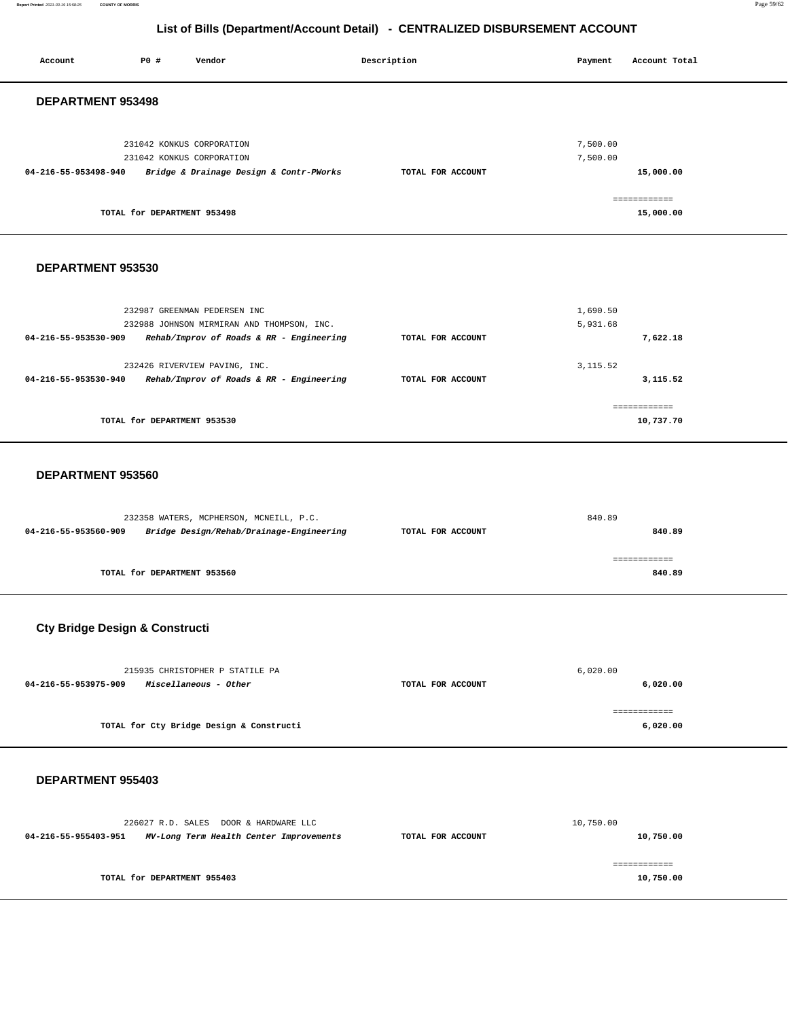**Report Printed** 2021-03-19 15:58:25 **COUNTY OF MORRIS** Page 59/62

## **List of Bills (Department/Account Detail) - CENTRALIZED DISBURSEMENT ACCOUNT**

| Account                  | <b>PO #</b>                 | Vendor                                  | Description       | Payment              | Account Total             |
|--------------------------|-----------------------------|-----------------------------------------|-------------------|----------------------|---------------------------|
| <b>DEPARTMENT 953498</b> |                             |                                         |                   |                      |                           |
|                          | 231042 KONKUS CORPORATION   | 231042 KONKUS CORPORATION               |                   | 7,500.00<br>7,500.00 |                           |
| 04-216-55-953498-940     |                             | Bridge & Drainage Design & Contr-PWorks | TOTAL FOR ACCOUNT |                      | 15,000.00                 |
|                          | TOTAL for DEPARTMENT 953498 |                                         |                   |                      | ============<br>15,000.00 |
|                          |                             |                                         |                   |                      |                           |

#### **DEPARTMENT 953530**

| 232987 GREENMAN PEDERSEN INC                                     |                   | 1,690.50   |
|------------------------------------------------------------------|-------------------|------------|
| 232988 JOHNSON MIRMIRAN AND THOMPSON, INC.                       |                   | 5,931.68   |
| Rehab/Improv of Roads & RR - Engineering<br>04-216-55-953530-909 | TOTAL FOR ACCOUNT | 7.622.18   |
|                                                                  |                   |            |
| 232426 RIVERVIEW PAVING, INC.                                    |                   | 3, 115.52  |
| Rehab/Improv of Roads & RR - Engineering<br>04-216-55-953530-940 | TOTAL FOR ACCOUNT | 3, 115, 52 |
|                                                                  |                   |            |
|                                                                  |                   |            |
| TOTAL for DEPARTMENT 953530                                      |                   | 10,737.70  |

#### **DEPARTMENT 953560**

|                      | 232358 WATERS, MCPHERSON, MCNEILL, P.C.  |                   | 840.89      |
|----------------------|------------------------------------------|-------------------|-------------|
| 04-216-55-953560-909 | Bridge Design/Rehab/Drainage-Engineering | TOTAL FOR ACCOUNT | 840.89      |
|                      |                                          |                   | .========== |
|                      | TOTAL for DEPARTMENT 953560              |                   | 840.89      |

## **Cty Bridge Design & Constructi**

| 215935 CHRISTOPHER P STATILE PA                      |                   | 6,020.00 |
|------------------------------------------------------|-------------------|----------|
| <i>Miscellaneous - Other</i><br>04-216-55-953975-909 | TOTAL FOR ACCOUNT | 6,020.00 |
|                                                      |                   |          |
|                                                      |                   |          |
| TOTAL for Cty Bridge Design & Constructi             |                   | 6,020.00 |

### **DEPARTMENT 955403**

|                      |                             | 226027 R.D. SALES DOOR & HARDWARE LLC   |                   | 10,750.00 |
|----------------------|-----------------------------|-----------------------------------------|-------------------|-----------|
| 04-216-55-955403-951 |                             | MV-Long Term Health Center Improvements | TOTAL FOR ACCOUNT | 10,750.00 |
|                      |                             |                                         |                   |           |
|                      |                             |                                         |                   |           |
|                      | TOTAL for DEPARTMENT 955403 |                                         |                   | 10,750.00 |
|                      |                             |                                         |                   |           |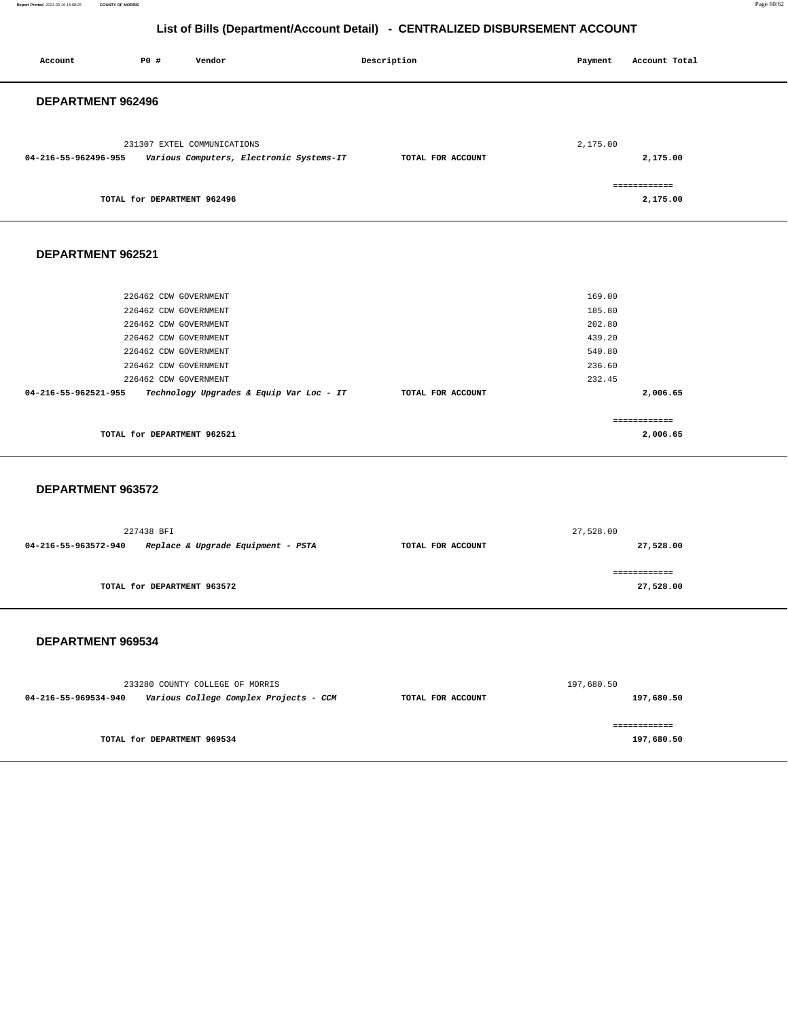**Report Printed** 2021-03-19 15:58:25 **COUNTY OF MORRIS** Page 60/62

## **List of Bills (Department/Account Detail) - CENTRALIZED DISBURSEMENT ACCOUNT**

| Account              | P0 #                                                                                                                                                                        | Vendor                                                                    | Description       | Payment                                                            | Account Total              |
|----------------------|-----------------------------------------------------------------------------------------------------------------------------------------------------------------------------|---------------------------------------------------------------------------|-------------------|--------------------------------------------------------------------|----------------------------|
| DEPARTMENT 962496    |                                                                                                                                                                             |                                                                           |                   |                                                                    |                            |
| 04-216-55-962496-955 |                                                                                                                                                                             | 231307 EXTEL COMMUNICATIONS<br>Various Computers, Electronic Systems-IT   | TOTAL FOR ACCOUNT | 2,175.00                                                           | 2,175.00                   |
|                      | TOTAL for DEPARTMENT 962496                                                                                                                                                 |                                                                           |                   |                                                                    | ============<br>2,175.00   |
| DEPARTMENT 962521    |                                                                                                                                                                             |                                                                           |                   |                                                                    |                            |
| 04-216-55-962521-955 | 226462 CDW GOVERNMENT<br>226462 CDW GOVERNMENT<br>226462 CDW GOVERNMENT<br>226462 CDW GOVERNMENT<br>226462 CDW GOVERNMENT<br>226462 CDW GOVERNMENT<br>226462 CDW GOVERNMENT | Technology Upgrades & Equip Var Loc - IT                                  | TOTAL FOR ACCOUNT | 169.00<br>185.80<br>202.80<br>439.20<br>540.80<br>236.60<br>232.45 | 2,006.65                   |
|                      | TOTAL for DEPARTMENT 962521                                                                                                                                                 |                                                                           |                   |                                                                    | ============<br>2,006.65   |
| DEPARTMENT 963572    |                                                                                                                                                                             |                                                                           |                   |                                                                    |                            |
| 04-216-55-963572-940 | 227438 BFI                                                                                                                                                                  | Replace & Upgrade Equipment - PSTA                                        | TOTAL FOR ACCOUNT | 27,528.00                                                          | 27,528.00                  |
|                      | TOTAL for DEPARTMENT 963572                                                                                                                                                 |                                                                           |                   |                                                                    | ============<br>27,528.00  |
| DEPARTMENT 969534    |                                                                                                                                                                             |                                                                           |                   |                                                                    |                            |
| 04-216-55-969534-940 |                                                                                                                                                                             | 233280 COUNTY COLLEGE OF MORRIS<br>Various College Complex Projects - CCM | TOTAL FOR ACCOUNT | 197,680.50                                                         | 197,680.50                 |
|                      | TOTAL for DEPARTMENT 969534                                                                                                                                                 |                                                                           |                   |                                                                    | ============<br>197,680.50 |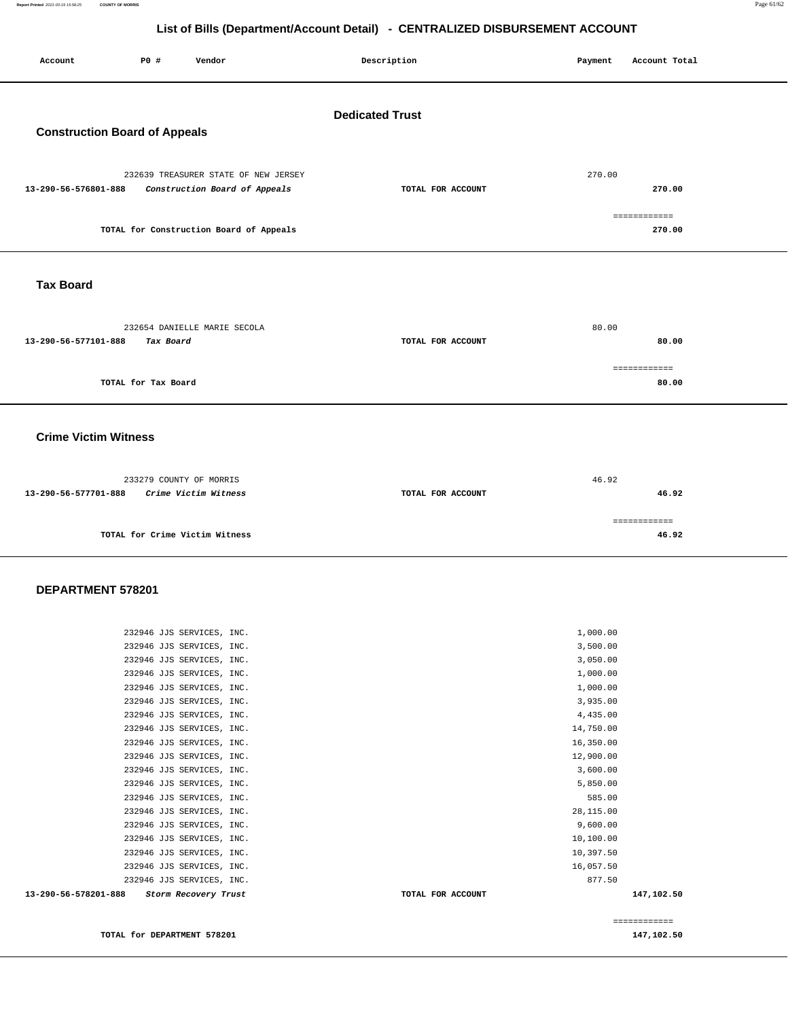**Report Printed** 2021-03-19 15:58:25 **COUNTY OF MORRIS** Page 61/62

## **List of Bills (Department/Account Detail) - CENTRALIZED DISBURSEMENT ACCOUNT**

| P0 #<br>Vendor<br>Account                                                                     | Description       | Account Total<br>Payment         |  |  |  |  |
|-----------------------------------------------------------------------------------------------|-------------------|----------------------------------|--|--|--|--|
| <b>Dedicated Trust</b><br><b>Construction Board of Appeals</b>                                |                   |                                  |  |  |  |  |
| 232639 TREASURER STATE OF NEW JERSEY<br>Construction Board of Appeals<br>13-290-56-576801-888 | TOTAL FOR ACCOUNT | 270.00<br>270.00<br>============ |  |  |  |  |
| TOTAL for Construction Board of Appeals                                                       |                   | 270.00                           |  |  |  |  |
| <b>Tax Board</b>                                                                              |                   |                                  |  |  |  |  |
| 232654 DANIELLE MARIE SECOLA<br>13-290-56-577101-888<br>Tax Board                             | TOTAL FOR ACCOUNT | 80.00<br>80.00                   |  |  |  |  |
| TOTAL for Tax Board                                                                           |                   | ============<br>80.00            |  |  |  |  |
| <b>Crime Victim Witness</b>                                                                   |                   |                                  |  |  |  |  |
| 233279 COUNTY OF MORRIS<br>13-290-56-577701-888<br>Crime Victim Witness                       | TOTAL FOR ACCOUNT | 46.92<br>46.92                   |  |  |  |  |
| TOTAL for Crime Victim Witness                                                                |                   | ============<br>46.92            |  |  |  |  |

## **DEPARTMENT 578201**

| 13-290-56-578201-888<br>Storm Recovery Trust | TOTAL FOR ACCOUNT | 147,102.50 |
|----------------------------------------------|-------------------|------------|
| 232946 JJS SERVICES, INC.                    | 877.50            |            |
| 232946 JJS SERVICES, INC.                    | 16,057.50         |            |
| 232946 JJS SERVICES, INC.                    | 10,397.50         |            |
| 232946 JJS SERVICES, INC.                    | 10,100.00         |            |
| 232946 JJS SERVICES, INC.                    | 9,600.00          |            |
| 232946 JJS SERVICES, INC.                    | 28,115.00         |            |
| 232946 JJS SERVICES, INC.                    | 585.00            |            |
| 232946 JJS SERVICES, INC.                    | 5,850.00          |            |
| 232946 JJS SERVICES, INC.                    | 3,600.00          |            |
| 232946 JJS SERVICES, INC.                    | 12,900.00         |            |
| 232946 JJS SERVICES, INC.                    | 16,350.00         |            |
| 232946 JJS SERVICES, INC.                    | 14,750.00         |            |
| 232946 JJS SERVICES, INC.                    | 4,435.00          |            |
| 232946 JJS SERVICES, INC.                    | 3,935.00          |            |
| 232946 JJS SERVICES, INC.                    | 1,000.00          |            |
| 232946 JJS SERVICES, INC.                    | 1,000.00          |            |
| 232946 JJS SERVICES, INC.                    | 3,050.00          |            |
| 232946 JJS SERVICES, INC.                    | 3,500.00          |            |
| 232946 JJS SERVICES, INC.                    | 1,000.00          |            |
|                                              |                   |            |

**TOTAL for DEPARTMENT 578201 147,102.50 147,102.50** 

============